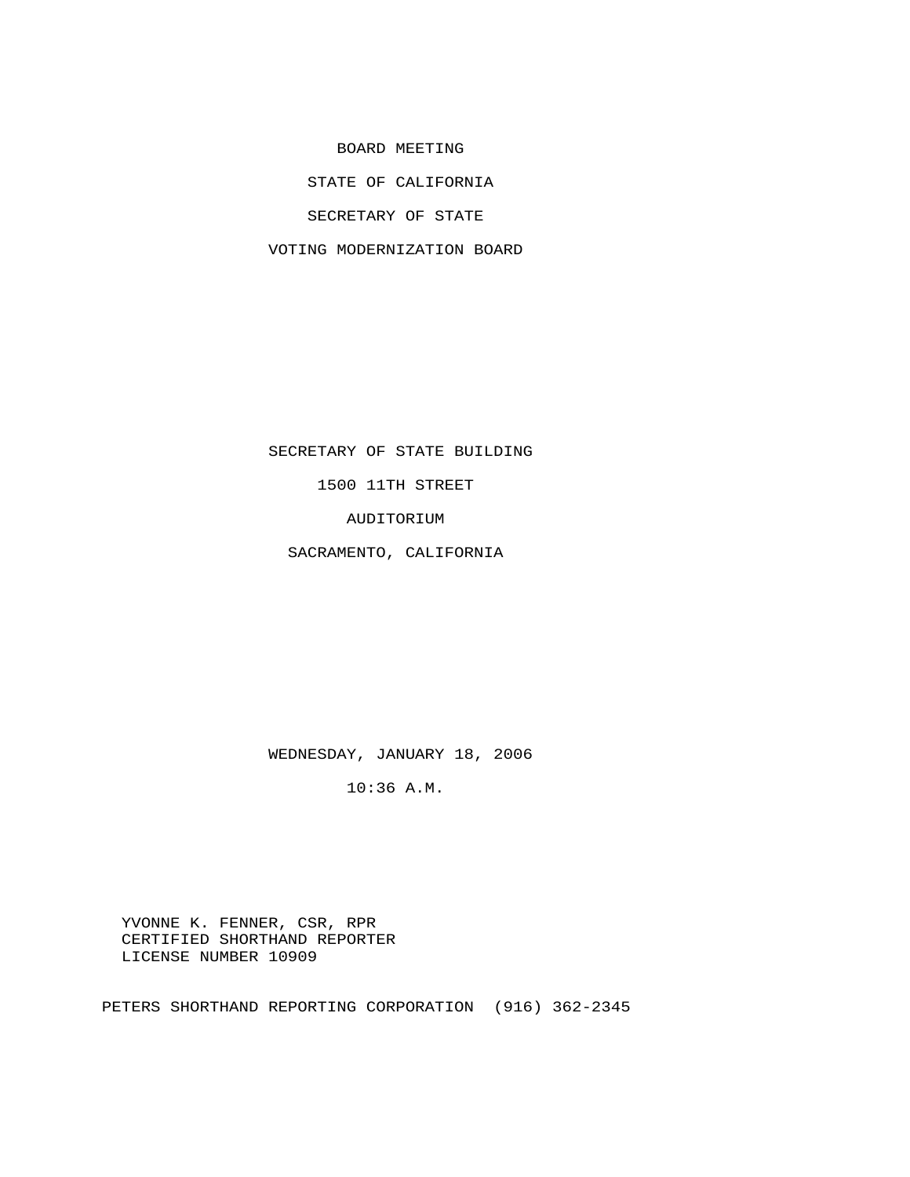BOARD MEETING

STATE OF CALIFORNIA

SECRETARY OF STATE

VOTING MODERNIZATION BOARD

SECRETARY OF STATE BUILDING

1500 11TH STREET

AUDITORIUM

SACRAMENTO, CALIFORNIA

WEDNESDAY, JANUARY 18, 2006

10:36 A.M.

 YVONNE K. FENNER, CSR, RPR CERTIFIED SHORTHAND REPORTER LICENSE NUMBER 10909

PETERS SHORTHAND REPORTING CORPORATION (916) 362-2345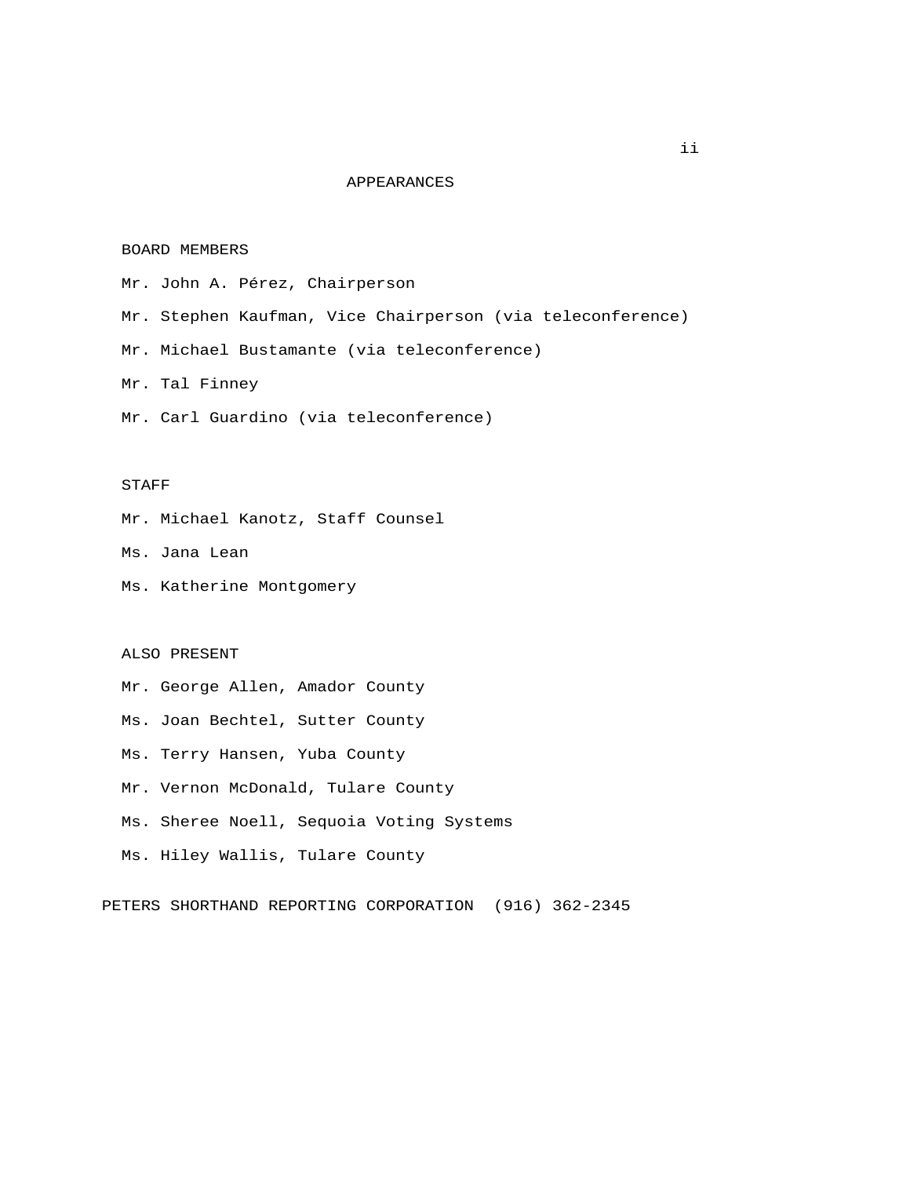## APPEARANCES

## BOARD MEMBERS

Mr. John A. Pérez, Chairperson

Mr. Stephen Kaufman, Vice Chairperson (via teleconference)

Mr. Michael Bustamante (via teleconference)

Mr. Tal Finney

Mr. Carl Guardino (via teleconference)

## STAFF

Mr. Michael Kanotz, Staff Counsel

Ms. Jana Lean

Ms. Katherine Montgomery

## ALSO PRESENT

Mr. George Allen, Amador County

Ms. Joan Bechtel, Sutter County

Ms. Terry Hansen, Yuba County

Mr. Vernon McDonald, Tulare County

Ms. Sheree Noell, Sequoia Voting Systems

Ms. Hiley Wallis, Tulare County

PETERS SHORTHAND REPORTING CORPORATION (916) 362-2345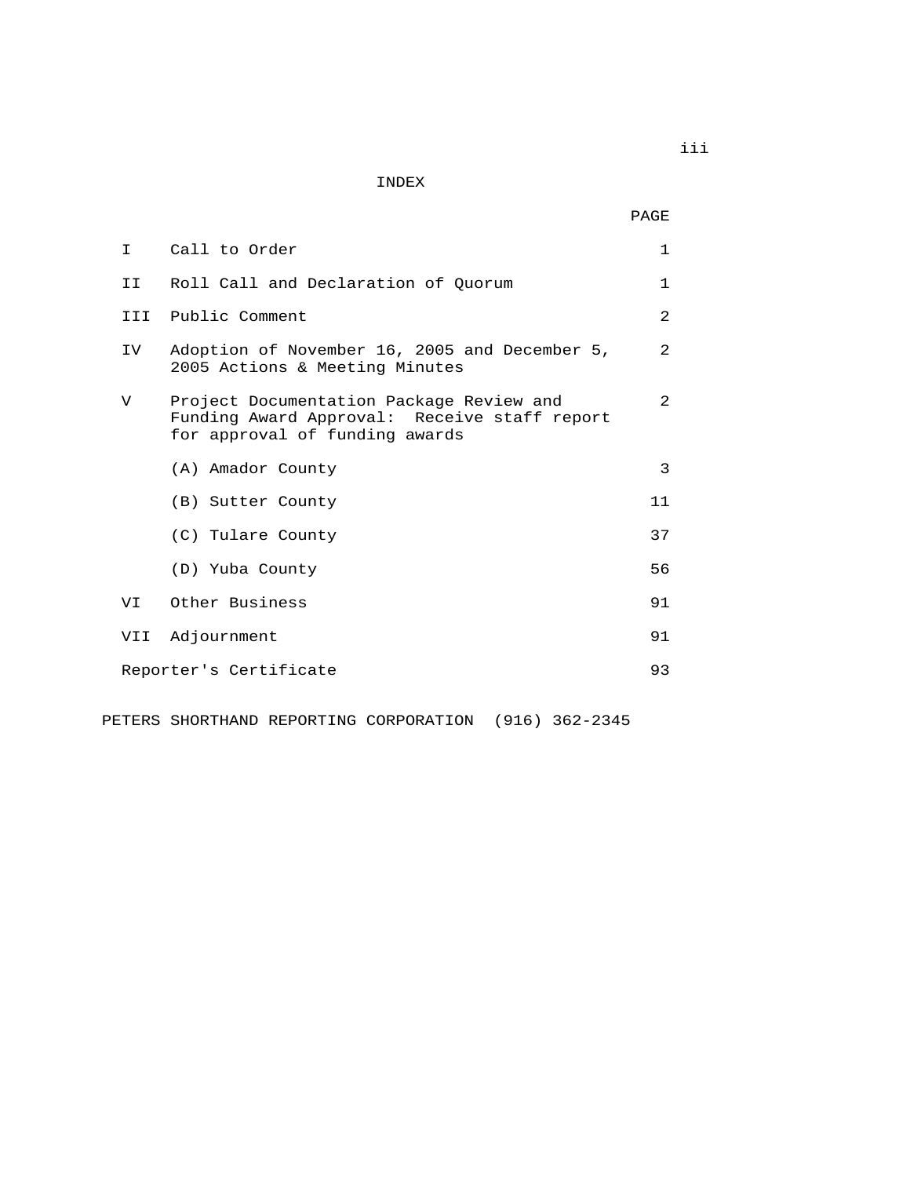INDEX

| I.   | Call to Order                                                                                                              | $\mathbf{1}$   |
|------|----------------------------------------------------------------------------------------------------------------------------|----------------|
| II I | Roll Call and Declaration of Quorum                                                                                        | 1              |
| TTT  | Public Comment                                                                                                             | $\mathfrak{D}$ |
| IV   | Adoption of November 16, 2005 and December 5,<br>2005 Actions & Meeting Minutes                                            | 2              |
| V    | Project Documentation Package Review and<br>Funding Award Approval: Receive staff report<br>for approval of funding awards | 2              |
|      | (A) Amador County                                                                                                          | 3              |
|      | (B) Sutter County                                                                                                          | 11             |
|      | (C) Tulare County                                                                                                          | 37             |
|      | (D) Yuba County                                                                                                            | 56             |
| VI   | Other Business                                                                                                             | 91             |
| VII  | Adjournment                                                                                                                | 91             |
|      | Reporter's Certificate                                                                                                     | 93             |

PETERS SHORTHAND REPORTING CORPORATION (916) 362-2345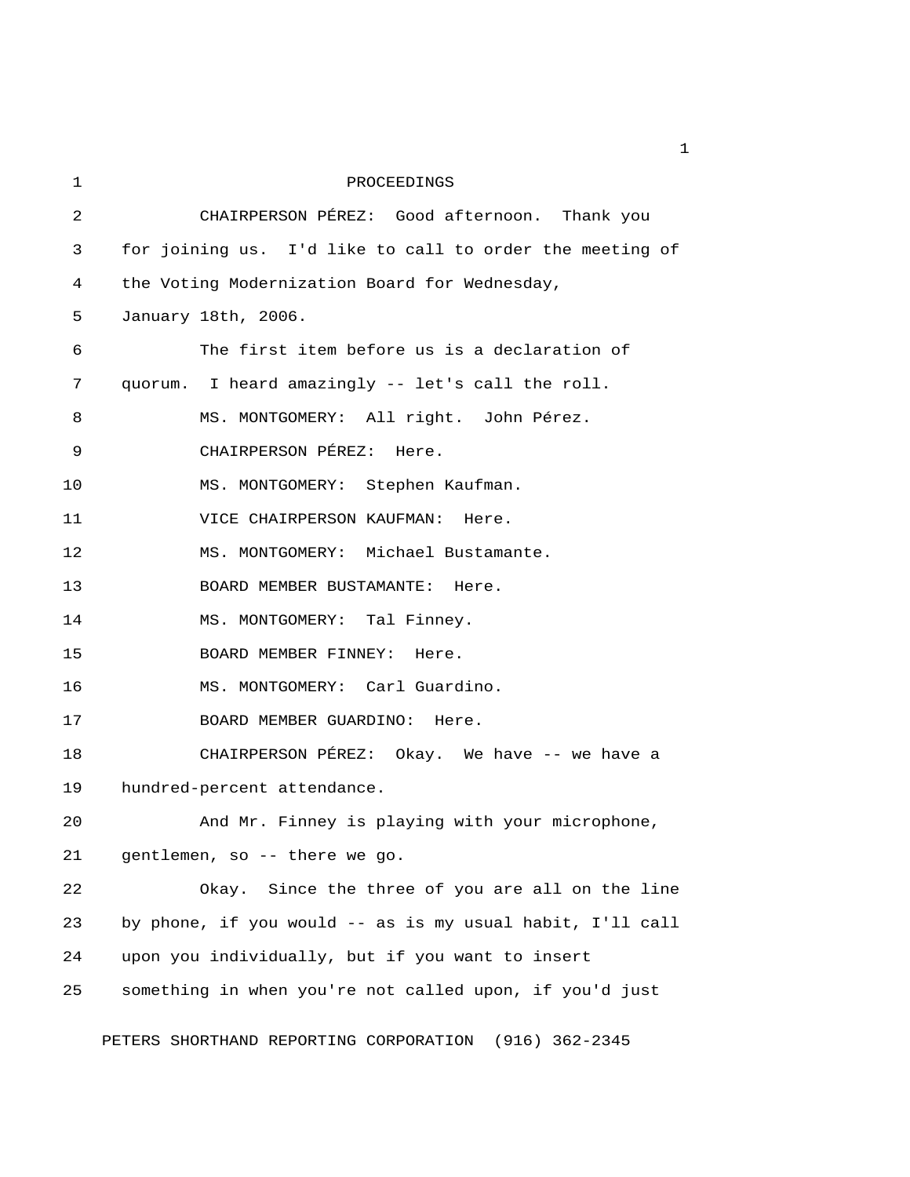1 PROCEEDINGS 2 CHAIRPERSON PÉREZ: Good afternoon. Thank you 3 for joining us. I'd like to call to order the meeting of 4 the Voting Modernization Board for Wednesday, 5 January 18th, 2006. 6 The first item before us is a declaration of 7 quorum. I heard amazingly -- let's call the roll. 8 MS. MONTGOMERY: All right. John Pérez. 9 CHAIRPERSON PÉREZ: Here. 10 MS. MONTGOMERY: Stephen Kaufman. 11 VICE CHAIRPERSON KAUFMAN: Here. 12 MS. MONTGOMERY: Michael Bustamante. 13 BOARD MEMBER BUSTAMANTE: Here. 14 MS. MONTGOMERY: Tal Finney. 15 BOARD MEMBER FINNEY: Here. 16 MS. MONTGOMERY: Carl Guardino. 17 BOARD MEMBER GUARDINO: Here. 18 CHAIRPERSON PÉREZ: Okay. We have -- we have a 19 hundred-percent attendance. 20 And Mr. Finney is playing with your microphone, 21 gentlemen, so -- there we go. 22 Okay. Since the three of you are all on the line 23 by phone, if you would -- as is my usual habit, I'll call 24 upon you individually, but if you want to insert 25 something in when you're not called upon, if you'd just

PETERS SHORTHAND REPORTING CORPORATION (916) 362-2345

 $\mathbf 1$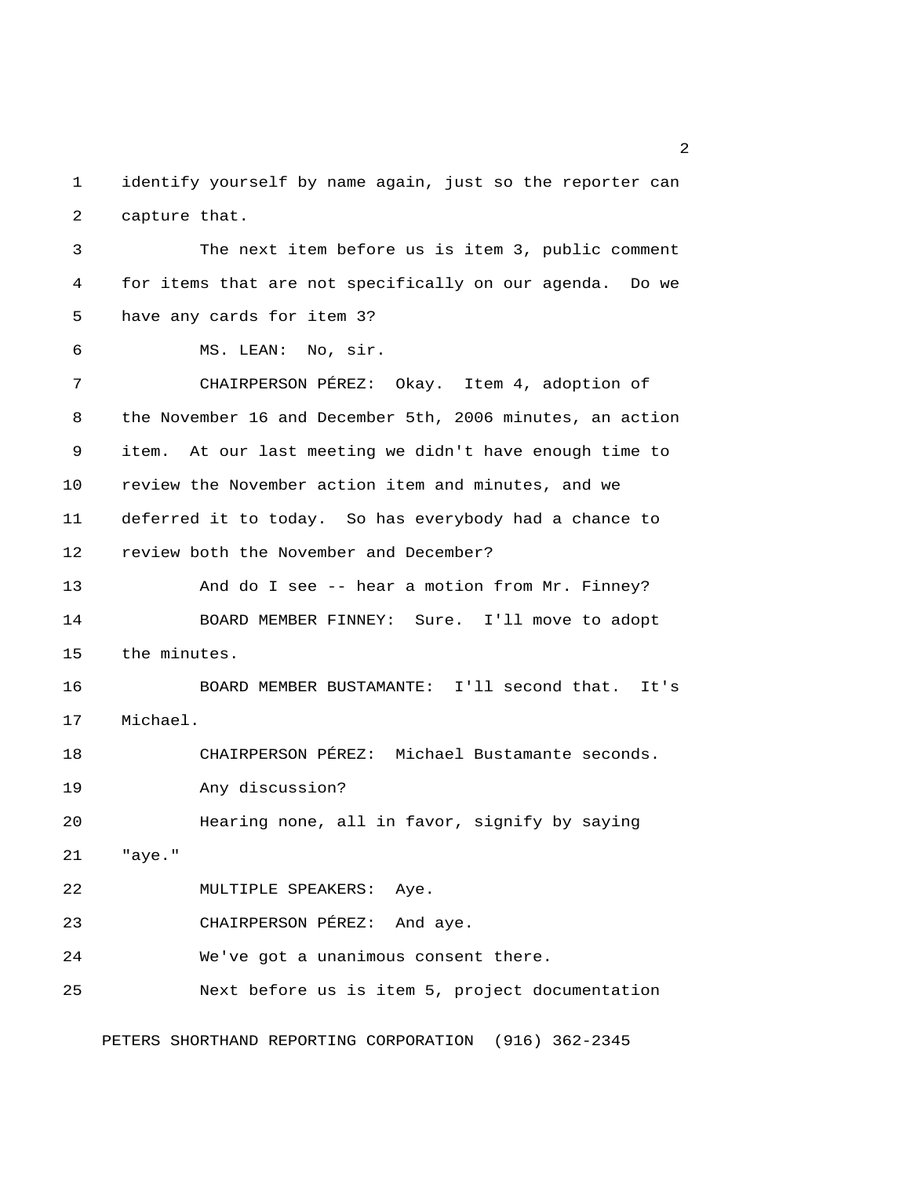1 identify yourself by name again, just so the reporter can 2 capture that.

 3 The next item before us is item 3, public comment 4 for items that are not specifically on our agenda. Do we 5 have any cards for item 3? 6 MS. LEAN: No, sir. 7 CHAIRPERSON PÉREZ: Okay. Item 4, adoption of 8 the November 16 and December 5th, 2006 minutes, an action 9 item. At our last meeting we didn't have enough time to 10 review the November action item and minutes, and we 11 deferred it to today. So has everybody had a chance to 12 review both the November and December? 13 And do I see -- hear a motion from Mr. Finney? 14 BOARD MEMBER FINNEY: Sure. I'll move to adopt 15 the minutes. 16 BOARD MEMBER BUSTAMANTE: I'll second that. It's 17 Michael. 18 CHAIRPERSON PÉREZ: Michael Bustamante seconds. 19 Any discussion? 20 Hearing none, all in favor, signify by saying 21 "aye." 22 MULTIPLE SPEAKERS: Aye. 23 CHAIRPERSON PÉREZ: And aye. 24 We've got a unanimous consent there. 25 Next before us is item 5, project documentation

PETERS SHORTHAND REPORTING CORPORATION (916) 362-2345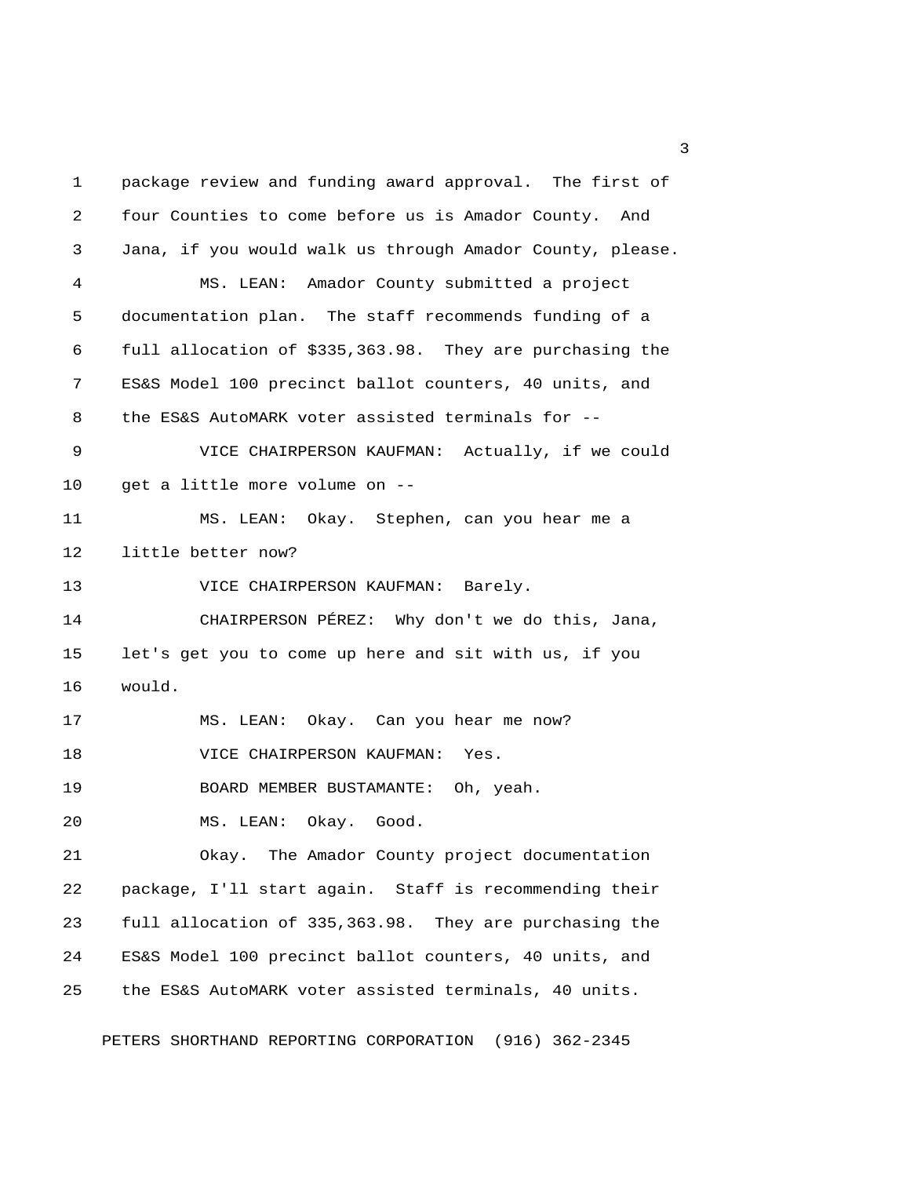1 package review and funding award approval. The first of 2 four Counties to come before us is Amador County. And 3 Jana, if you would walk us through Amador County, please. 4 MS. LEAN: Amador County submitted a project 5 documentation plan. The staff recommends funding of a 6 full allocation of \$335,363.98. They are purchasing the 7 ES&S Model 100 precinct ballot counters, 40 units, and 8 the ES&S AutoMARK voter assisted terminals for -- 9 VICE CHAIRPERSON KAUFMAN: Actually, if we could 10 get a little more volume on -- 11 MS. LEAN: Okay. Stephen, can you hear me a 12 little better now? 13 VICE CHAIRPERSON KAUFMAN: Barely. 14 CHAIRPERSON PÉREZ: Why don't we do this, Jana, 15 let's get you to come up here and sit with us, if you 16 would. 17 MS. LEAN: Okay. Can you hear me now? 18 VICE CHAIRPERSON KAUFMAN: Yes. 19 BOARD MEMBER BUSTAMANTE: Oh, yeah. 20 MS. LEAN: Okay. Good. 21 Okay. The Amador County project documentation 22 package, I'll start again. Staff is recommending their 23 full allocation of 335,363.98. They are purchasing the 24 ES&S Model 100 precinct ballot counters, 40 units, and 25 the ES&S AutoMARK voter assisted terminals, 40 units.

PETERS SHORTHAND REPORTING CORPORATION (916) 362-2345

 $\overline{\mathbf{3}}$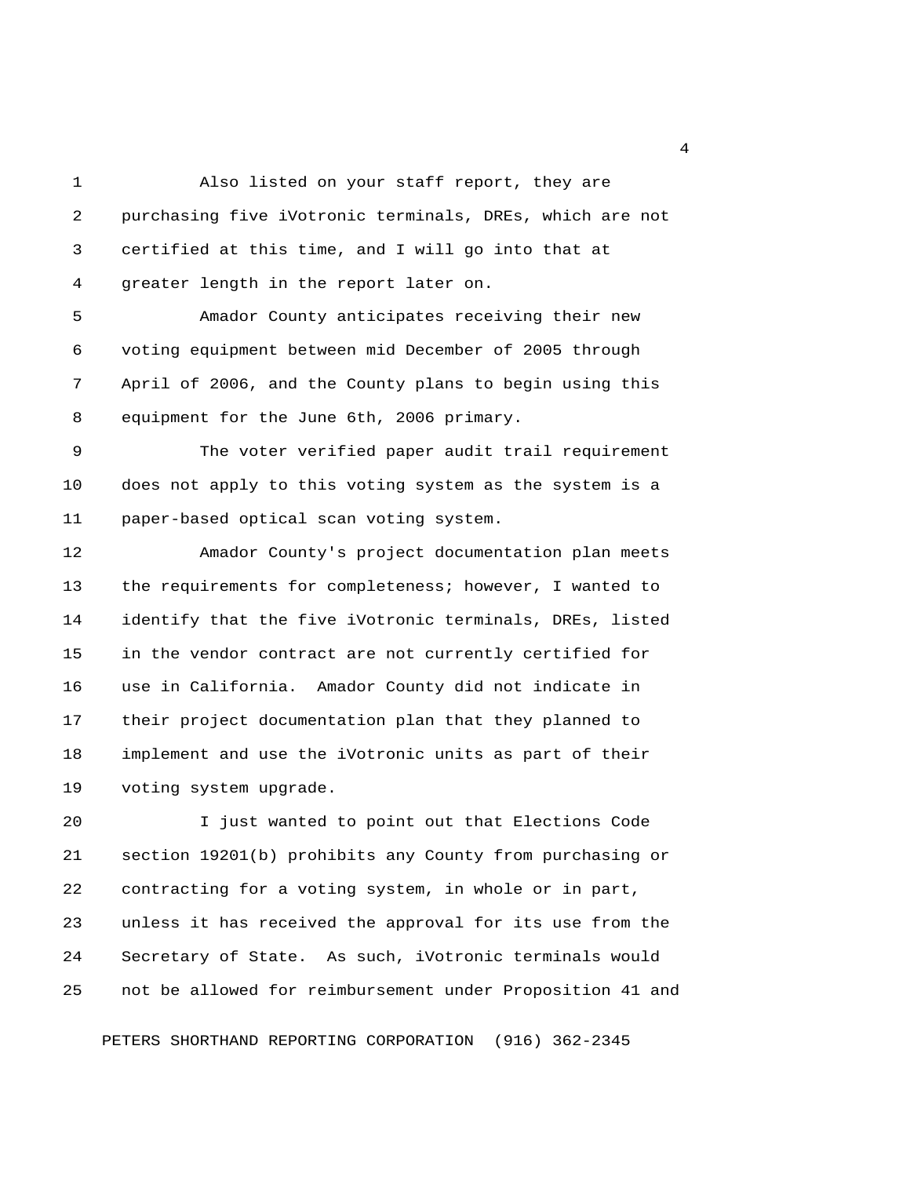1 Also listed on your staff report, they are 2 purchasing five iVotronic terminals, DREs, which are not 3 certified at this time, and I will go into that at 4 greater length in the report later on. 5 Amador County anticipates receiving their new 6 voting equipment between mid December of 2005 through 7 April of 2006, and the County plans to begin using this 8 equipment for the June 6th, 2006 primary. 9 The voter verified paper audit trail requirement 10 does not apply to this voting system as the system is a 11 paper-based optical scan voting system. 12 Amador County's project documentation plan meets 13 the requirements for completeness; however, I wanted to 14 identify that the five iVotronic terminals, DREs, listed 15 in the vendor contract are not currently certified for 16 use in California. Amador County did not indicate in 17 their project documentation plan that they planned to 18 implement and use the iVotronic units as part of their 19 voting system upgrade.

20 I just wanted to point out that Elections Code 21 section 19201(b) prohibits any County from purchasing or 22 contracting for a voting system, in whole or in part, 23 unless it has received the approval for its use from the 24 Secretary of State. As such, iVotronic terminals would 25 not be allowed for reimbursement under Proposition 41 and

PETERS SHORTHAND REPORTING CORPORATION (916) 362-2345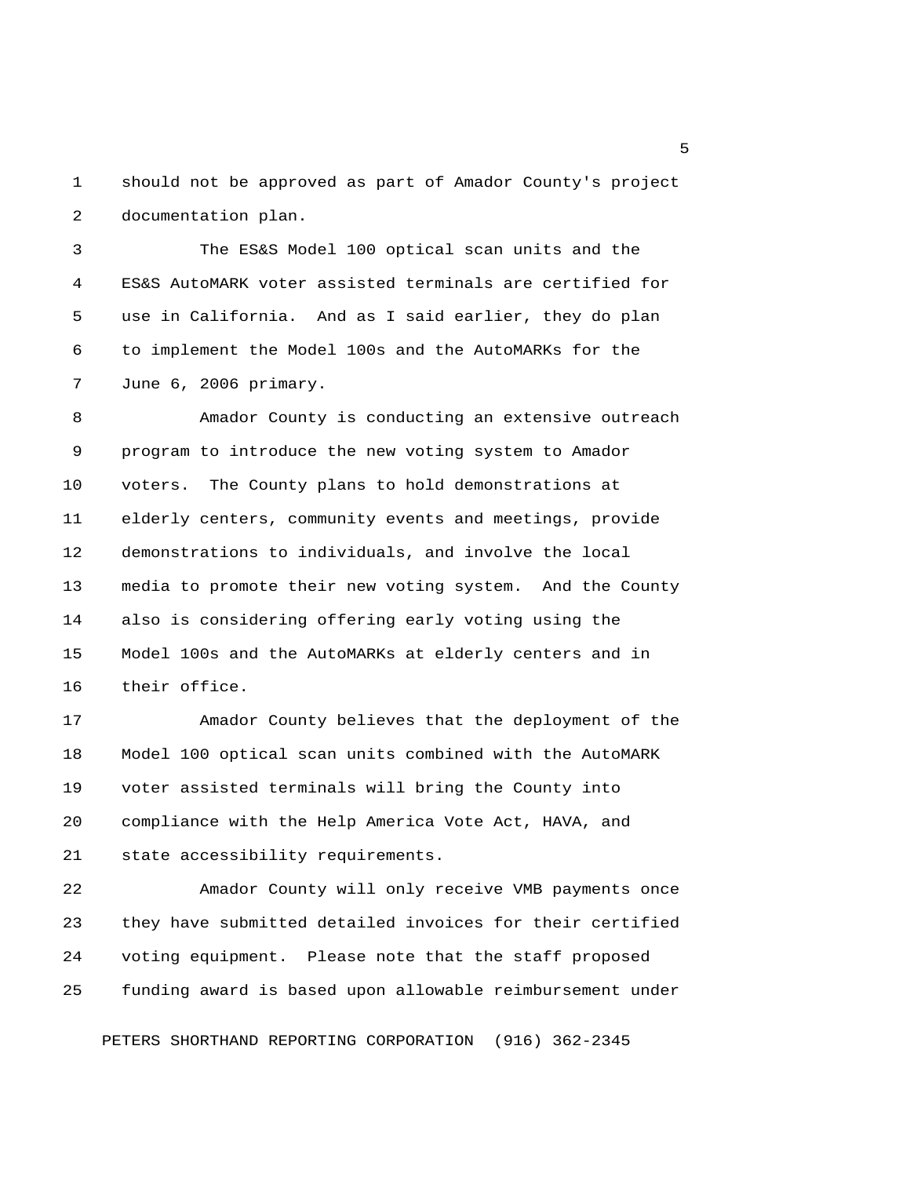1 should not be approved as part of Amador County's project 2 documentation plan.

 3 The ES&S Model 100 optical scan units and the 4 ES&S AutoMARK voter assisted terminals are certified for 5 use in California. And as I said earlier, they do plan 6 to implement the Model 100s and the AutoMARKs for the 7 June 6, 2006 primary.

 8 Amador County is conducting an extensive outreach 9 program to introduce the new voting system to Amador 10 voters. The County plans to hold demonstrations at 11 elderly centers, community events and meetings, provide 12 demonstrations to individuals, and involve the local 13 media to promote their new voting system. And the County 14 also is considering offering early voting using the 15 Model 100s and the AutoMARKs at elderly centers and in 16 their office.

17 Amador County believes that the deployment of the 18 Model 100 optical scan units combined with the AutoMARK 19 voter assisted terminals will bring the County into 20 compliance with the Help America Vote Act, HAVA, and 21 state accessibility requirements.

22 Amador County will only receive VMB payments once 23 they have submitted detailed invoices for their certified 24 voting equipment. Please note that the staff proposed 25 funding award is based upon allowable reimbursement under

PETERS SHORTHAND REPORTING CORPORATION (916) 362-2345

 $\sim$  5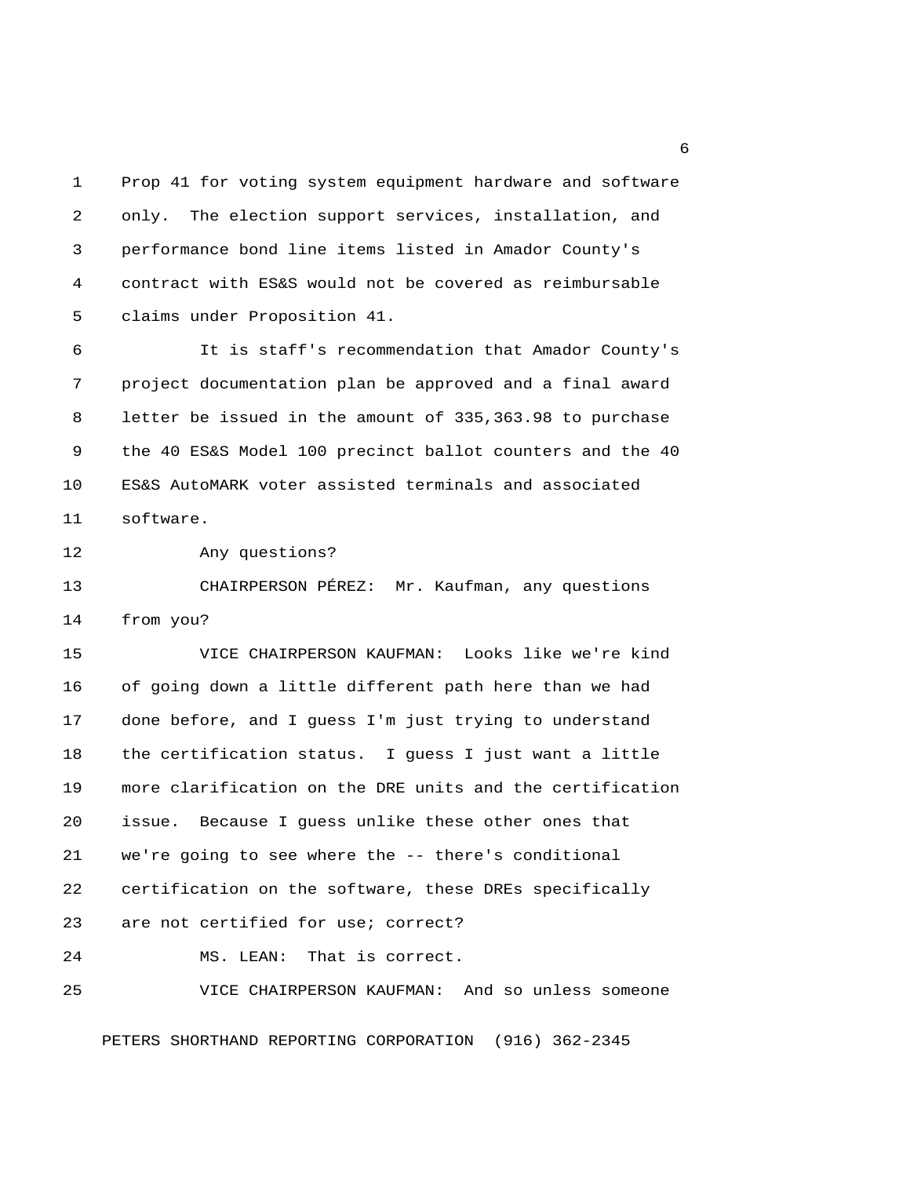1 Prop 41 for voting system equipment hardware and software 2 only. The election support services, installation, and 3 performance bond line items listed in Amador County's 4 contract with ES&S would not be covered as reimbursable 5 claims under Proposition 41.

 6 It is staff's recommendation that Amador County's 7 project documentation plan be approved and a final award 8 letter be issued in the amount of 335,363.98 to purchase 9 the 40 ES&S Model 100 precinct ballot counters and the 40 10 ES&S AutoMARK voter assisted terminals and associated 11 software.

12 Any questions?

13 CHAIRPERSON PÉREZ: Mr. Kaufman, any questions 14 from you?

15 VICE CHAIRPERSON KAUFMAN: Looks like we're kind 16 of going down a little different path here than we had 17 done before, and I guess I'm just trying to understand 18 the certification status. I guess I just want a little 19 more clarification on the DRE units and the certification 20 issue. Because I guess unlike these other ones that 21 we're going to see where the -- there's conditional 22 certification on the software, these DREs specifically 23 are not certified for use; correct? 24 MS. LEAN: That is correct. 25 VICE CHAIRPERSON KAUFMAN: And so unless someone

PETERS SHORTHAND REPORTING CORPORATION (916) 362-2345

 $6<sup>6</sup>$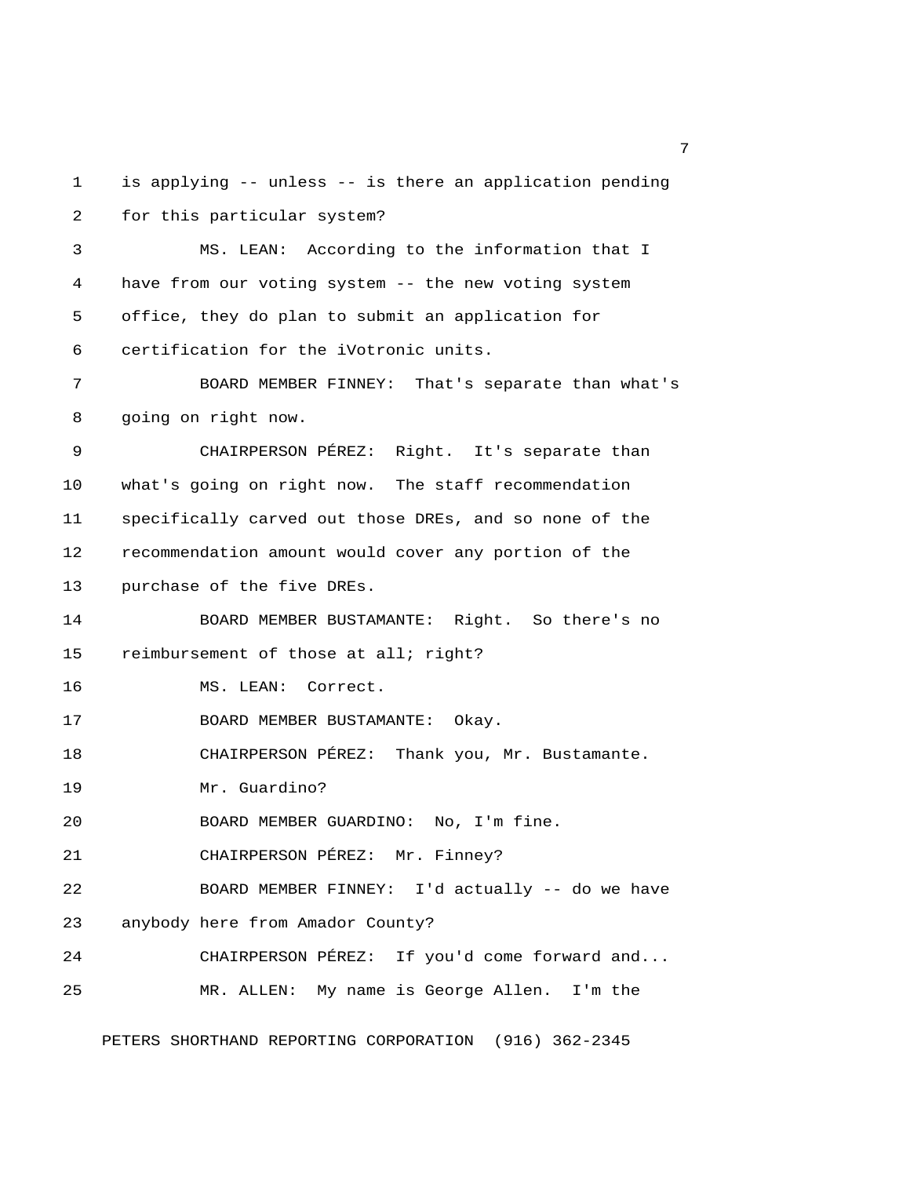1 is applying -- unless -- is there an application pending 2 for this particular system? 3 MS. LEAN: According to the information that I 4 have from our voting system -- the new voting system 5 office, they do plan to submit an application for 6 certification for the iVotronic units. 7 BOARD MEMBER FINNEY: That's separate than what's 8 going on right now. 9 CHAIRPERSON PÉREZ: Right. It's separate than 10 what's going on right now. The staff recommendation 11 specifically carved out those DREs, and so none of the 12 recommendation amount would cover any portion of the 13 purchase of the five DREs. 14 BOARD MEMBER BUSTAMANTE: Right. So there's no 15 reimbursement of those at all; right? 16 MS. LEAN: Correct. 17 BOARD MEMBER BUSTAMANTE: Okay. 18 CHAIRPERSON PÉREZ: Thank you, Mr. Bustamante. 19 Mr. Guardino? 20 BOARD MEMBER GUARDINO: No, I'm fine. 21 CHAIRPERSON PÉREZ: Mr. Finney? 22 BOARD MEMBER FINNEY: I'd actually -- do we have 23 anybody here from Amador County? 24 CHAIRPERSON PÉREZ: If you'd come forward and... 25 MR. ALLEN: My name is George Allen. I'm the

PETERS SHORTHAND REPORTING CORPORATION (916) 362-2345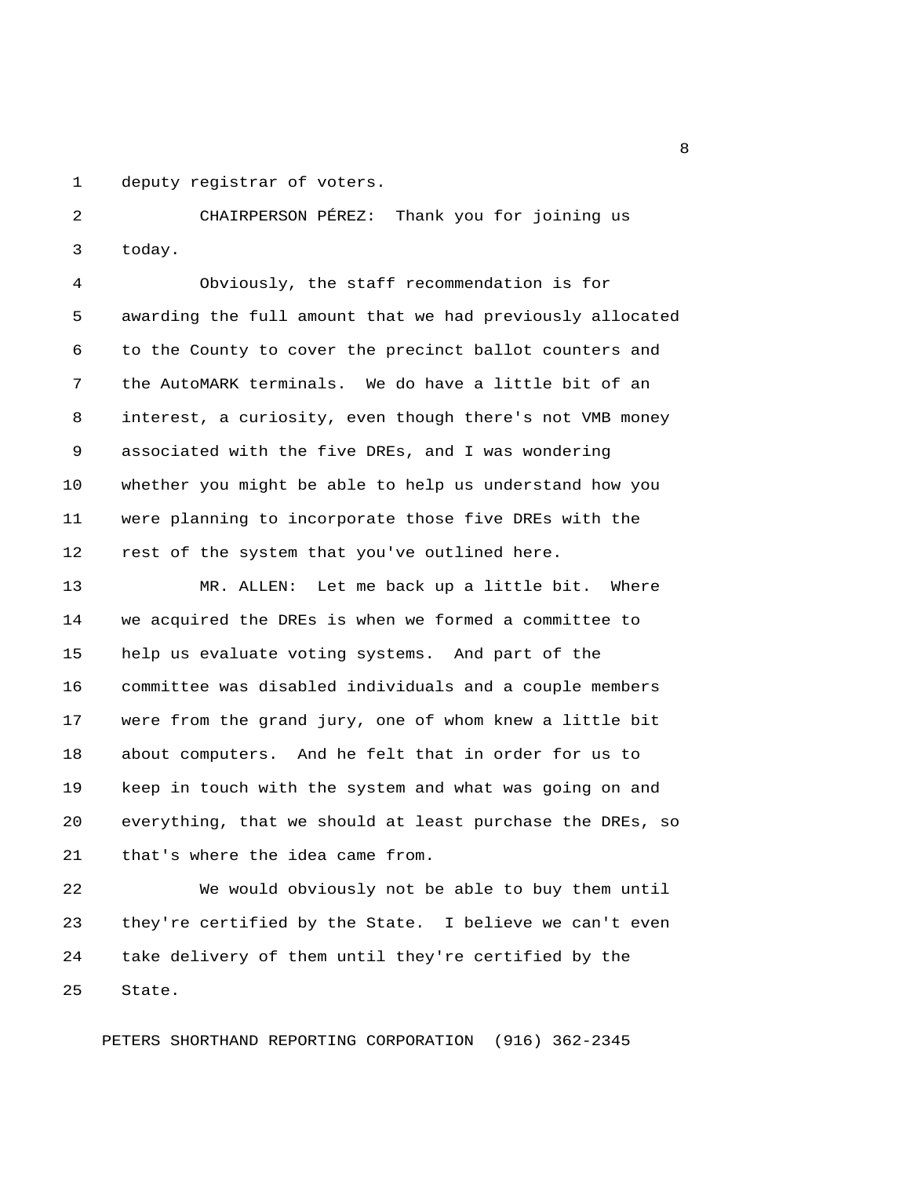1 deputy registrar of voters.

 2 CHAIRPERSON PÉREZ: Thank you for joining us 3 today.

 4 Obviously, the staff recommendation is for 5 awarding the full amount that we had previously allocated 6 to the County to cover the precinct ballot counters and 7 the AutoMARK terminals. We do have a little bit of an 8 interest, a curiosity, even though there's not VMB money 9 associated with the five DREs, and I was wondering 10 whether you might be able to help us understand how you 11 were planning to incorporate those five DREs with the 12 rest of the system that you've outlined here.

13 MR. ALLEN: Let me back up a little bit. Where 14 we acquired the DREs is when we formed a committee to 15 help us evaluate voting systems. And part of the 16 committee was disabled individuals and a couple members 17 were from the grand jury, one of whom knew a little bit 18 about computers. And he felt that in order for us to 19 keep in touch with the system and what was going on and 20 everything, that we should at least purchase the DREs, so 21 that's where the idea came from.

22 We would obviously not be able to buy them until 23 they're certified by the State. I believe we can't even 24 take delivery of them until they're certified by the 25 State.

PETERS SHORTHAND REPORTING CORPORATION (916) 362-2345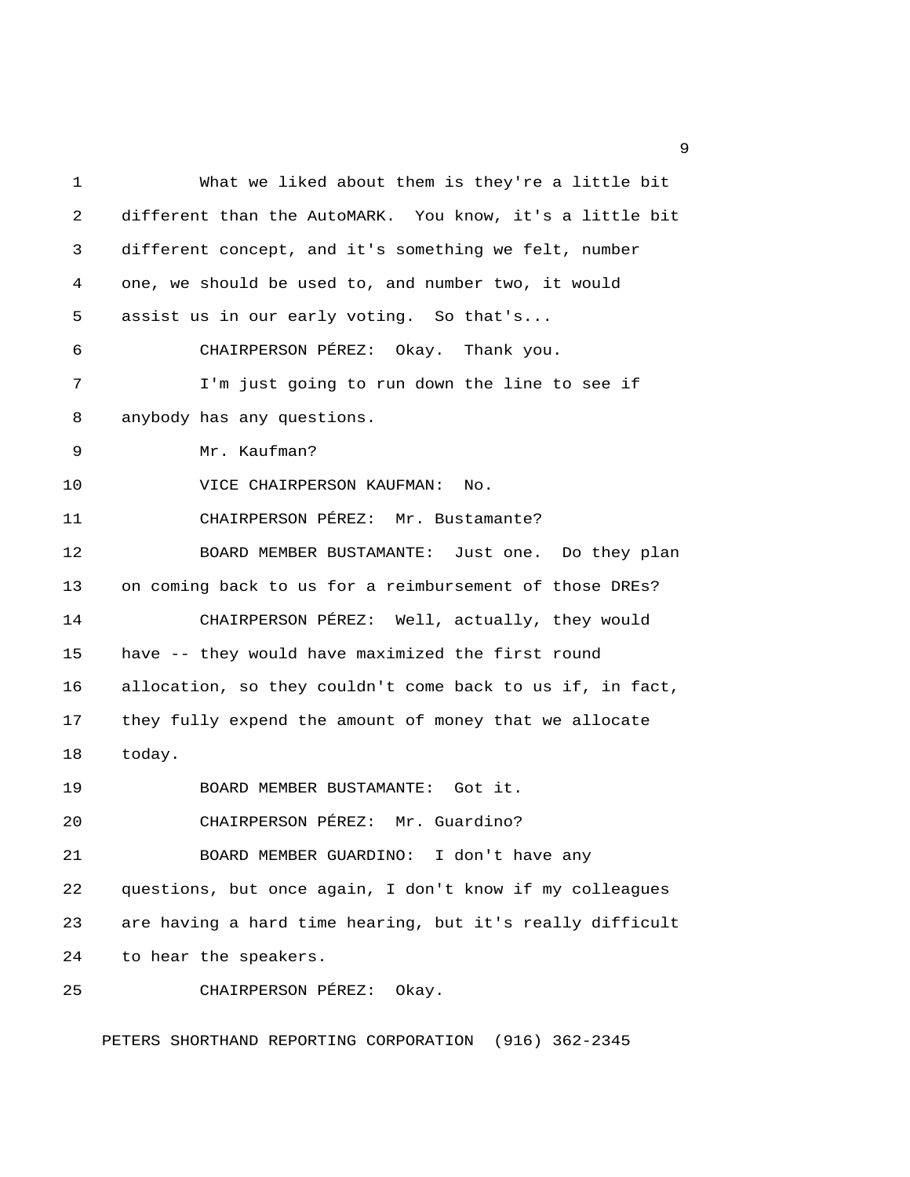1 What we liked about them is they're a little bit 2 different than the AutoMARK. You know, it's a little bit 3 different concept, and it's something we felt, number 4 one, we should be used to, and number two, it would 5 assist us in our early voting. So that's... 6 CHAIRPERSON PÉREZ: Okay. Thank you. 7 I'm just going to run down the line to see if 8 anybody has any questions. 9 Mr. Kaufman? 10 VICE CHAIRPERSON KAUFMAN: No. 11 CHAIRPERSON PÉREZ: Mr. Bustamante? 12 BOARD MEMBER BUSTAMANTE: Just one. Do they plan 13 on coming back to us for a reimbursement of those DREs? 14 CHAIRPERSON PÉREZ: Well, actually, they would 15 have -- they would have maximized the first round 16 allocation, so they couldn't come back to us if, in fact, 17 they fully expend the amount of money that we allocate 18 today. 19 BOARD MEMBER BUSTAMANTE: Got it. 20 CHAIRPERSON PÉREZ: Mr. Guardino? 21 BOARD MEMBER GUARDINO: I don't have any 22 questions, but once again, I don't know if my colleagues 23 are having a hard time hearing, but it's really difficult 24 to hear the speakers. 25 CHAIRPERSON PÉREZ: Okay.

PETERS SHORTHAND REPORTING CORPORATION (916) 362-2345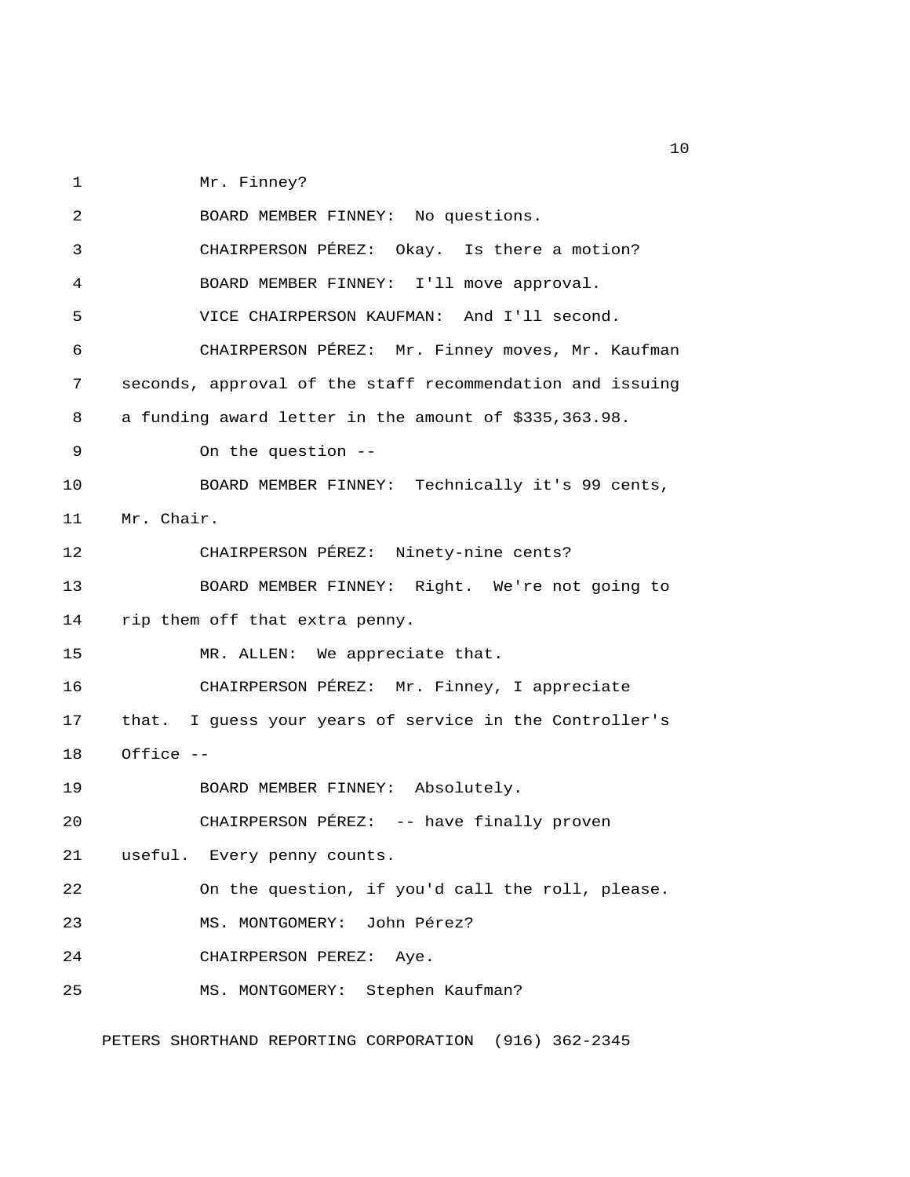1 Mr. Finney?

 2 BOARD MEMBER FINNEY: No questions. 3 CHAIRPERSON PÉREZ: Okay. Is there a motion? 4 BOARD MEMBER FINNEY: I'll move approval. 5 VICE CHAIRPERSON KAUFMAN: And I'll second. 6 CHAIRPERSON PÉREZ: Mr. Finney moves, Mr. Kaufman 7 seconds, approval of the staff recommendation and issuing 8 a funding award letter in the amount of \$335,363.98. 9 On the question -- 10 BOARD MEMBER FINNEY: Technically it's 99 cents, 11 Mr. Chair. 12 CHAIRPERSON PÉREZ: Ninety-nine cents? 13 BOARD MEMBER FINNEY: Right. We're not going to 14 rip them off that extra penny. 15 MR. ALLEN: We appreciate that. 16 CHAIRPERSON PÉREZ: Mr. Finney, I appreciate 17 that. I guess your years of service in the Controller's 18 Office -- 19 BOARD MEMBER FINNEY: Absolutely. 20 CHAIRPERSON PÉREZ: -- have finally proven 21 useful. Every penny counts. 22 On the question, if you'd call the roll, please. 23 MS. MONTGOMERY: John Pérez? 24 CHAIRPERSON PEREZ: Aye. 25 MS. MONTGOMERY: Stephen Kaufman? PETERS SHORTHAND REPORTING CORPORATION (916) 362-2345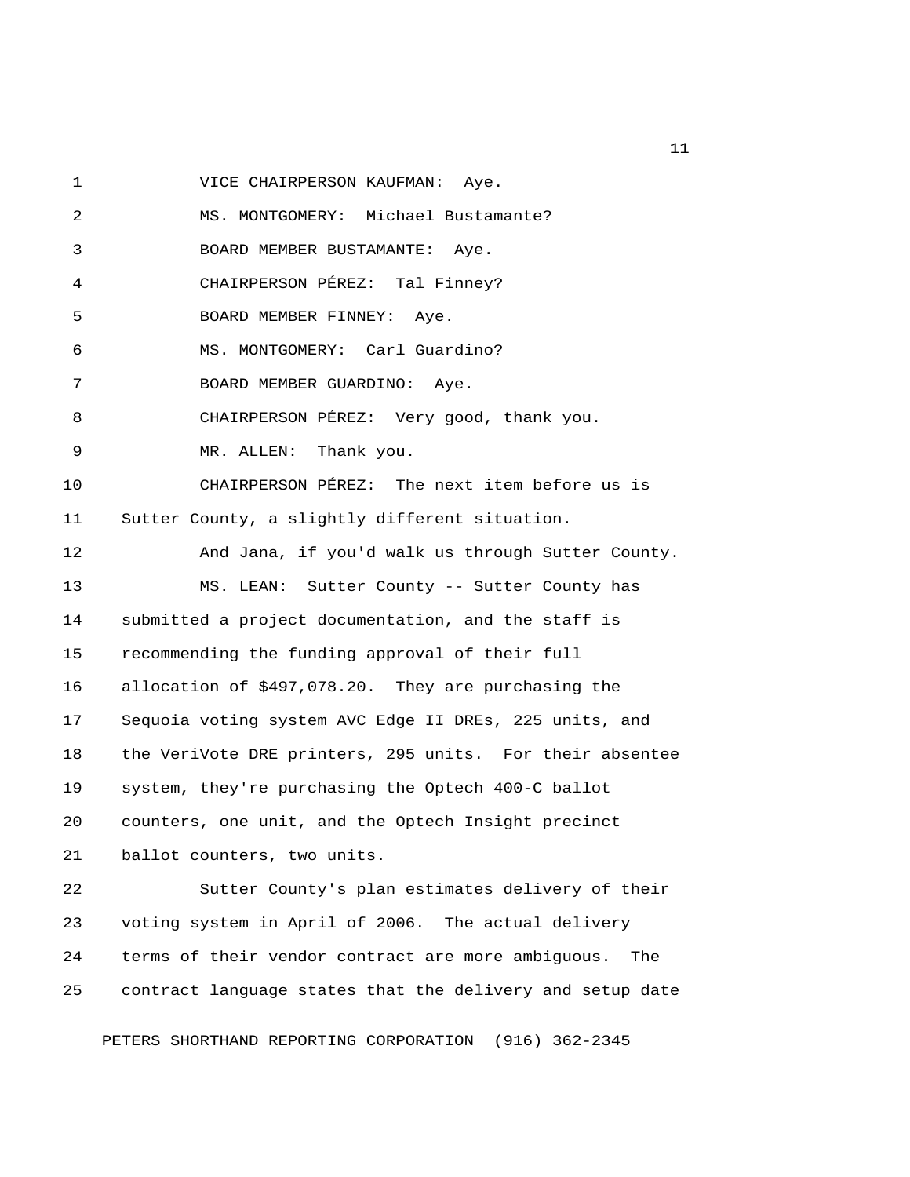1 VICE CHAIRPERSON KAUFMAN: Aye.

 2 MS. MONTGOMERY: Michael Bustamante? 3 BOARD MEMBER BUSTAMANTE: Aye. 4 CHAIRPERSON PÉREZ: Tal Finney? 5 BOARD MEMBER FINNEY: Aye. 6 MS. MONTGOMERY: Carl Guardino? 7 BOARD MEMBER GUARDINO: Aye. 8 CHAIRPERSON PÉREZ: Very good, thank you. 9 MR. ALLEN: Thank you. 10 CHAIRPERSON PÉREZ: The next item before us is 11 Sutter County, a slightly different situation. 12 And Jana, if you'd walk us through Sutter County. 13 MS. LEAN: Sutter County -- Sutter County has 14 submitted a project documentation, and the staff is 15 recommending the funding approval of their full 16 allocation of \$497,078.20. They are purchasing the 17 Sequoia voting system AVC Edge II DREs, 225 units, and 18 the VeriVote DRE printers, 295 units. For their absentee 19 system, they're purchasing the Optech 400-C ballot 20 counters, one unit, and the Optech Insight precinct 21 ballot counters, two units. 22 Sutter County's plan estimates delivery of their 23 voting system in April of 2006. The actual delivery 24 terms of their vendor contract are more ambiguous. The 25 contract language states that the delivery and setup date

PETERS SHORTHAND REPORTING CORPORATION (916) 362-2345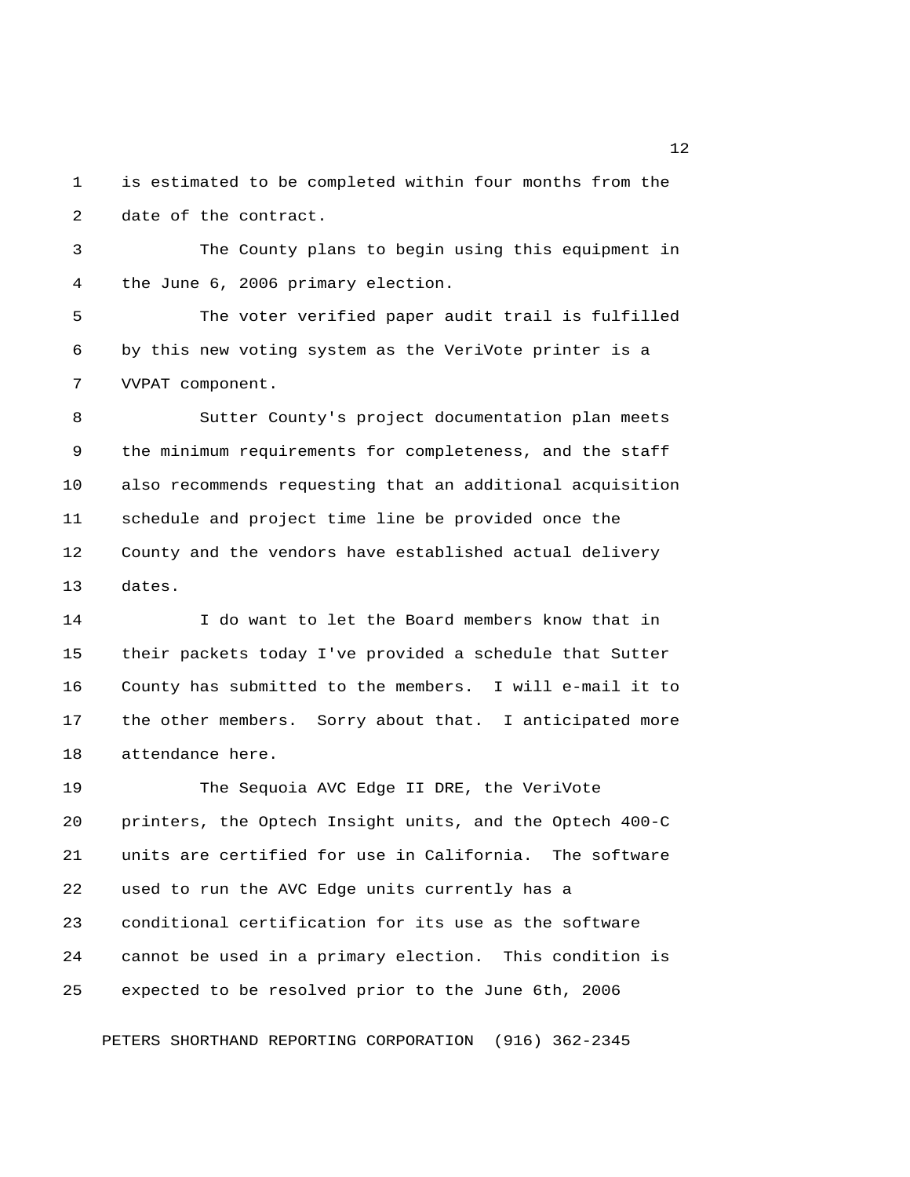1 is estimated to be completed within four months from the 2 date of the contract.

 3 The County plans to begin using this equipment in 4 the June 6, 2006 primary election.

 5 The voter verified paper audit trail is fulfilled 6 by this new voting system as the VeriVote printer is a 7 VVPAT component.

 8 Sutter County's project documentation plan meets 9 the minimum requirements for completeness, and the staff 10 also recommends requesting that an additional acquisition 11 schedule and project time line be provided once the 12 County and the vendors have established actual delivery 13 dates.

14 I do want to let the Board members know that in 15 their packets today I've provided a schedule that Sutter 16 County has submitted to the members. I will e-mail it to 17 the other members. Sorry about that. I anticipated more 18 attendance here.

19 The Sequoia AVC Edge II DRE, the VeriVote 20 printers, the Optech Insight units, and the Optech 400-C 21 units are certified for use in California. The software 22 used to run the AVC Edge units currently has a 23 conditional certification for its use as the software 24 cannot be used in a primary election. This condition is 25 expected to be resolved prior to the June 6th, 2006

PETERS SHORTHAND REPORTING CORPORATION (916) 362-2345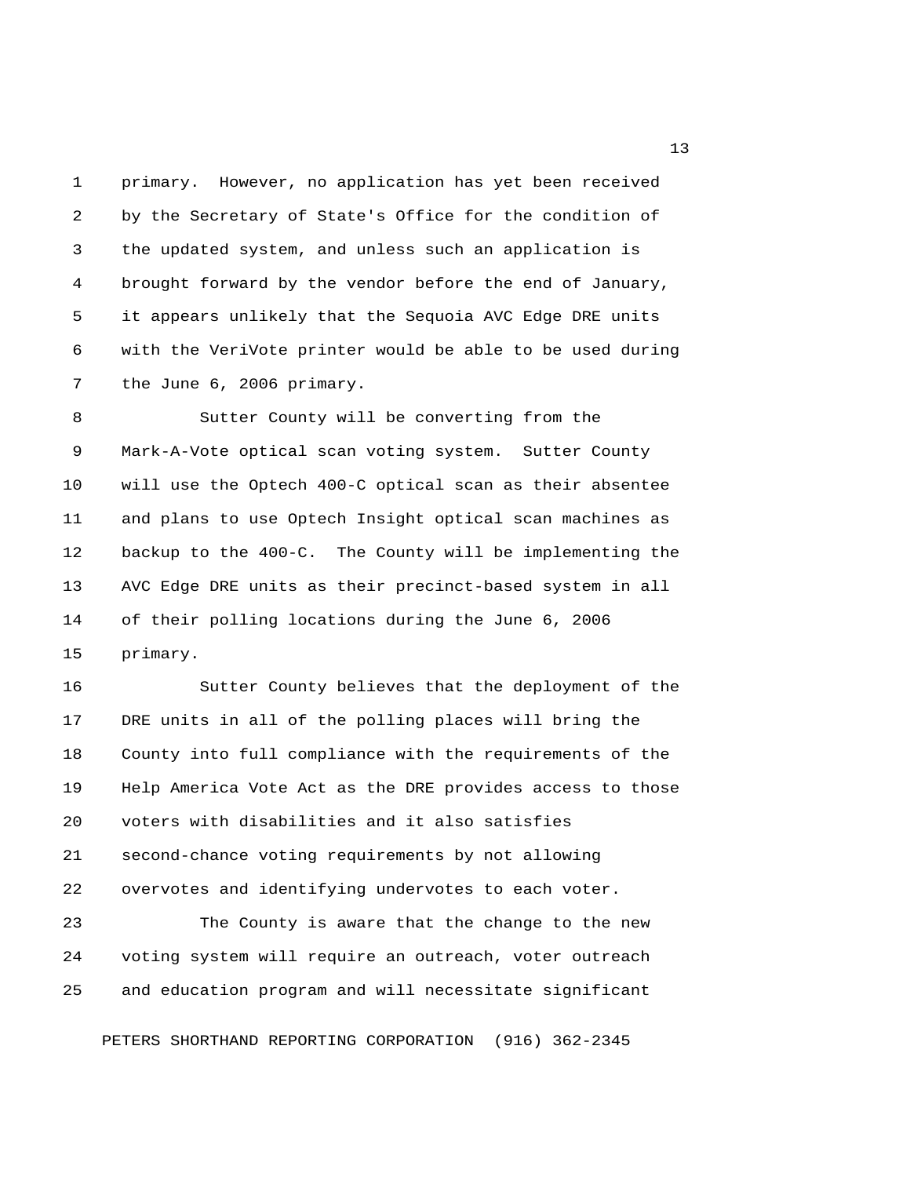1 primary. However, no application has yet been received 2 by the Secretary of State's Office for the condition of 3 the updated system, and unless such an application is 4 brought forward by the vendor before the end of January, 5 it appears unlikely that the Sequoia AVC Edge DRE units 6 with the VeriVote printer would be able to be used during 7 the June 6, 2006 primary.

 8 Sutter County will be converting from the 9 Mark-A-Vote optical scan voting system. Sutter County 10 will use the Optech 400-C optical scan as their absentee 11 and plans to use Optech Insight optical scan machines as 12 backup to the 400-C. The County will be implementing the 13 AVC Edge DRE units as their precinct-based system in all 14 of their polling locations during the June 6, 2006 15 primary.

16 Sutter County believes that the deployment of the 17 DRE units in all of the polling places will bring the 18 County into full compliance with the requirements of the 19 Help America Vote Act as the DRE provides access to those 20 voters with disabilities and it also satisfies 21 second-chance voting requirements by not allowing 22 overvotes and identifying undervotes to each voter.

23 The County is aware that the change to the new 24 voting system will require an outreach, voter outreach 25 and education program and will necessitate significant

PETERS SHORTHAND REPORTING CORPORATION (916) 362-2345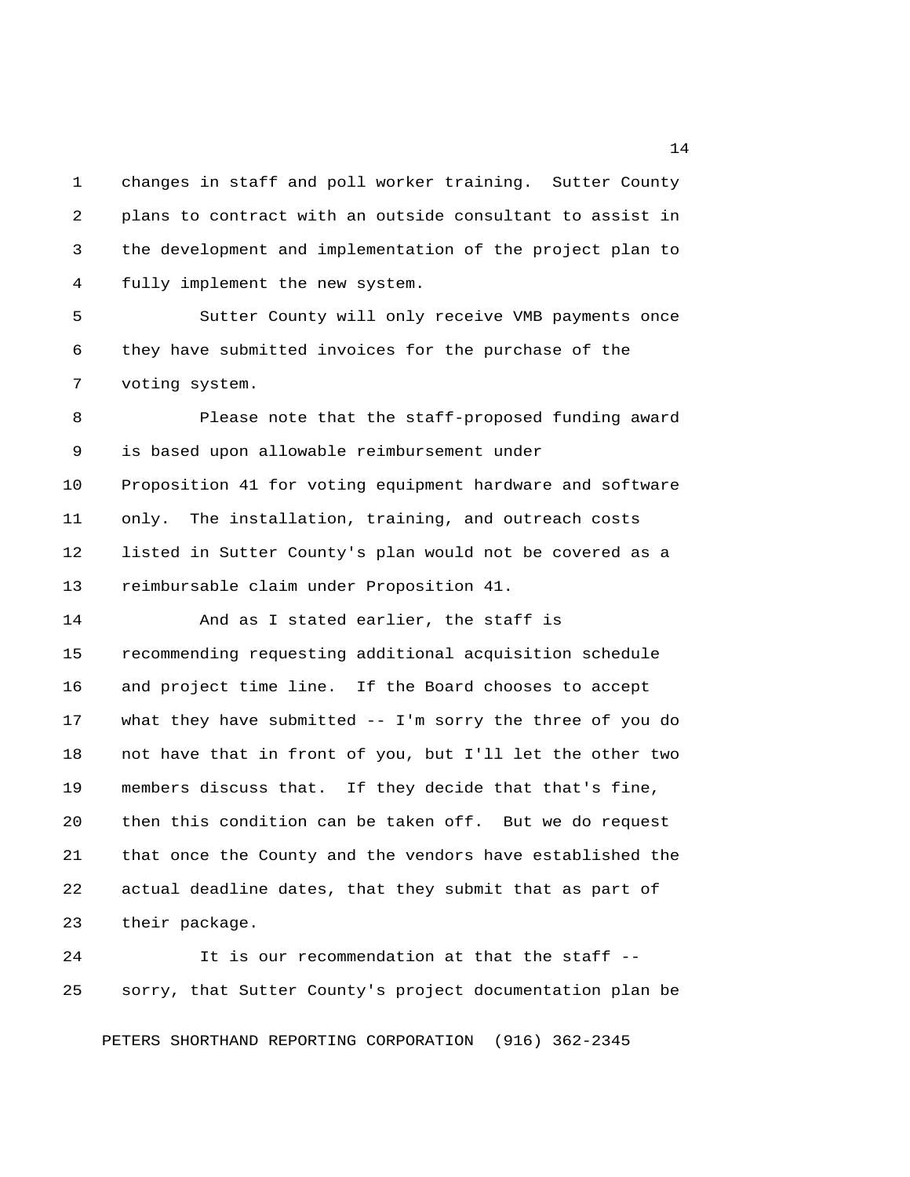1 changes in staff and poll worker training. Sutter County 2 plans to contract with an outside consultant to assist in 3 the development and implementation of the project plan to 4 fully implement the new system.

 5 Sutter County will only receive VMB payments once 6 they have submitted invoices for the purchase of the 7 voting system.

 8 Please note that the staff-proposed funding award 9 is based upon allowable reimbursement under 10 Proposition 41 for voting equipment hardware and software 11 only. The installation, training, and outreach costs 12 listed in Sutter County's plan would not be covered as a 13 reimbursable claim under Proposition 41.

14 And as I stated earlier, the staff is 15 recommending requesting additional acquisition schedule 16 and project time line. If the Board chooses to accept 17 what they have submitted -- I'm sorry the three of you do 18 not have that in front of you, but I'll let the other two 19 members discuss that. If they decide that that's fine, 20 then this condition can be taken off. But we do request 21 that once the County and the vendors have established the 22 actual deadline dates, that they submit that as part of 23 their package.

24 It is our recommendation at that the staff -- 25 sorry, that Sutter County's project documentation plan be

PETERS SHORTHAND REPORTING CORPORATION (916) 362-2345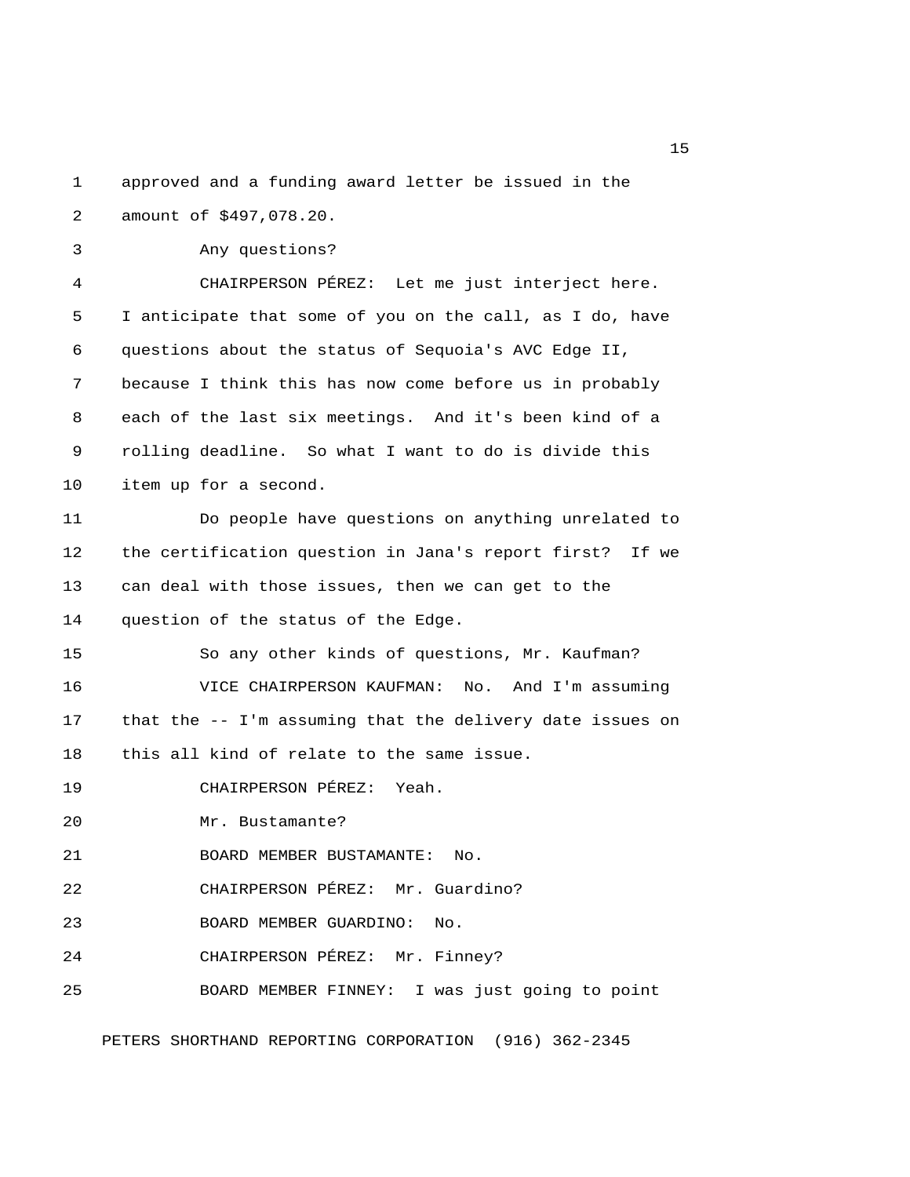1 approved and a funding award letter be issued in the 2 amount of \$497,078.20. 3 Any questions? 4 CHAIRPERSON PÉREZ: Let me just interject here. 5 I anticipate that some of you on the call, as I do, have 6 questions about the status of Sequoia's AVC Edge II, 7 because I think this has now come before us in probably 8 each of the last six meetings. And it's been kind of a 9 rolling deadline. So what I want to do is divide this 10 item up for a second. 11 Do people have questions on anything unrelated to 12 the certification question in Jana's report first? If we 13 can deal with those issues, then we can get to the 14 question of the status of the Edge. 15 So any other kinds of questions, Mr. Kaufman? 16 VICE CHAIRPERSON KAUFMAN: No. And I'm assuming 17 that the -- I'm assuming that the delivery date issues on 18 this all kind of relate to the same issue. 19 CHAIRPERSON PÉREZ: Yeah. 20 Mr. Bustamante? 21 BOARD MEMBER BUSTAMANTE: No. 22 CHAIRPERSON PÉREZ: Mr. Guardino? 23 BOARD MEMBER GUARDINO: No. 24 CHAIRPERSON PÉREZ: Mr. Finney? 25 BOARD MEMBER FINNEY: I was just going to point PETERS SHORTHAND REPORTING CORPORATION (916) 362-2345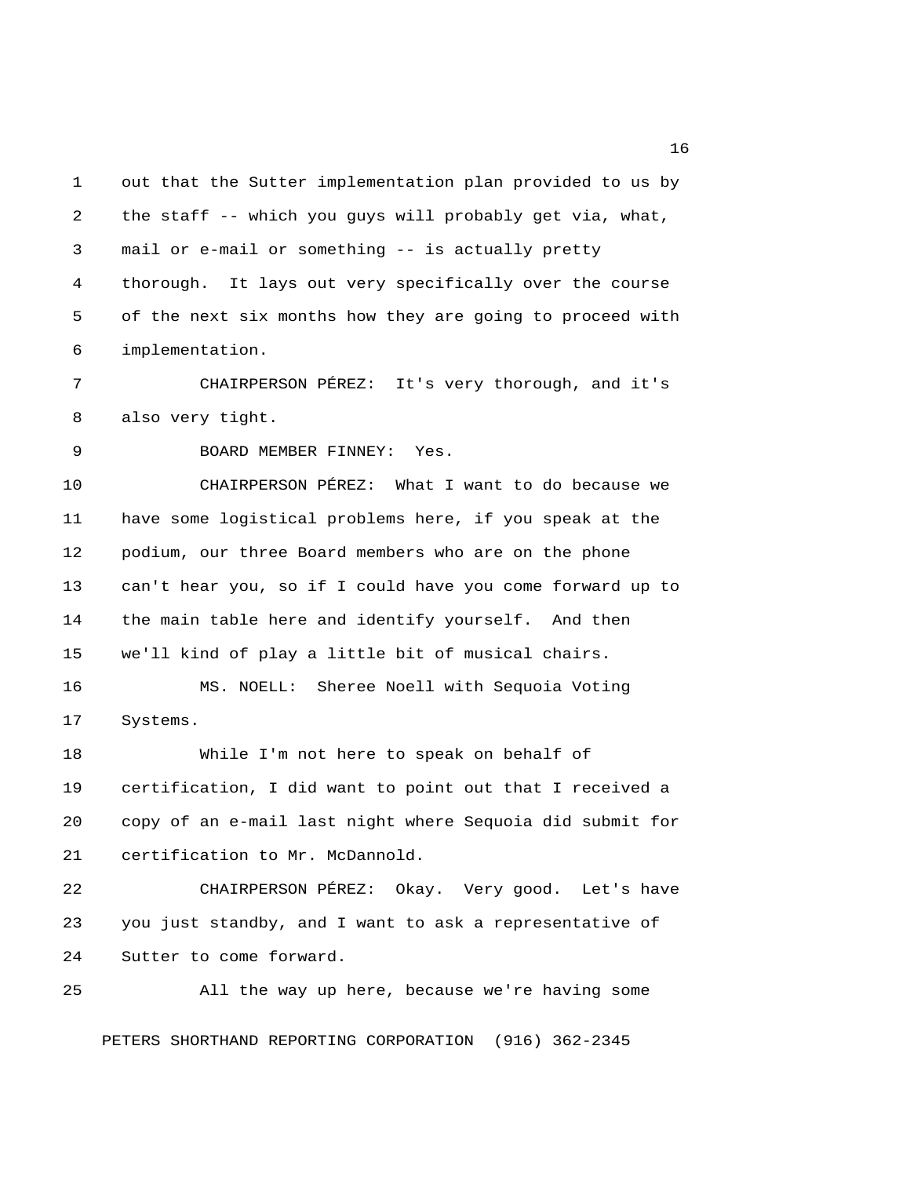1 out that the Sutter implementation plan provided to us by 2 the staff -- which you guys will probably get via, what, 3 mail or e-mail or something -- is actually pretty 4 thorough. It lays out very specifically over the course 5 of the next six months how they are going to proceed with 6 implementation. 7 CHAIRPERSON PÉREZ: It's very thorough, and it's 8 also very tight. 9 BOARD MEMBER FINNEY: Yes. 10 CHAIRPERSON PÉREZ: What I want to do because we 11 have some logistical problems here, if you speak at the 12 podium, our three Board members who are on the phone 13 can't hear you, so if I could have you come forward up to 14 the main table here and identify yourself. And then 15 we'll kind of play a little bit of musical chairs. 16 MS. NOELL: Sheree Noell with Sequoia Voting 17 Systems. 18 While I'm not here to speak on behalf of 19 certification, I did want to point out that I received a 20 copy of an e-mail last night where Sequoia did submit for 21 certification to Mr. McDannold. 22 CHAIRPERSON PÉREZ: Okay. Very good. Let's have 23 you just standby, and I want to ask a representative of 24 Sutter to come forward. 25 All the way up here, because we're having some

PETERS SHORTHAND REPORTING CORPORATION (916) 362-2345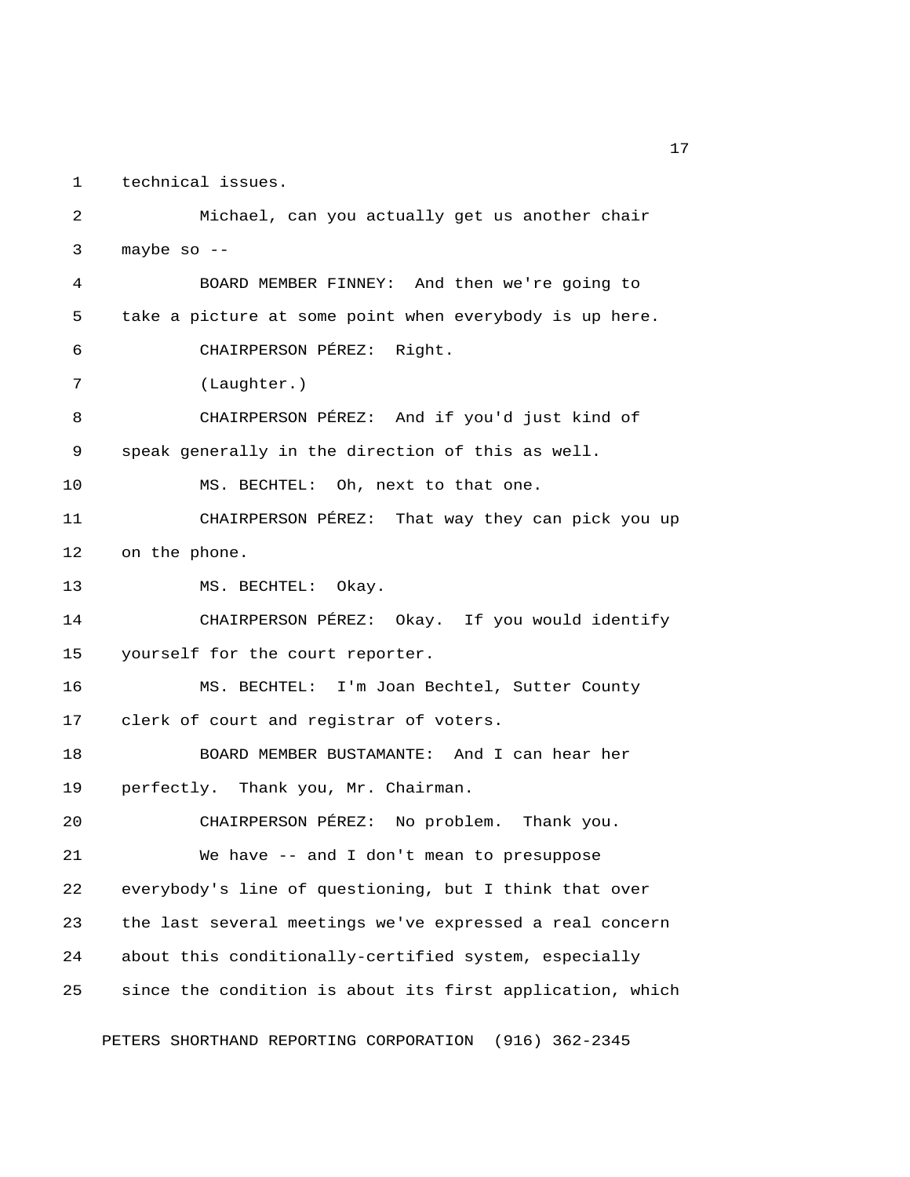1 technical issues.

 2 Michael, can you actually get us another chair 3 maybe so  $-$  4 BOARD MEMBER FINNEY: And then we're going to 5 take a picture at some point when everybody is up here. 6 CHAIRPERSON PÉREZ: Right. 7 (Laughter.) 8 CHAIRPERSON PÉREZ: And if you'd just kind of 9 speak generally in the direction of this as well. 10 MS. BECHTEL: Oh, next to that one. 11 CHAIRPERSON PÉREZ: That way they can pick you up 12 on the phone. 13 MS. BECHTEL: Okay. 14 CHAIRPERSON PÉREZ: Okay. If you would identify 15 yourself for the court reporter. 16 MS. BECHTEL: I'm Joan Bechtel, Sutter County 17 clerk of court and registrar of voters. 18 BOARD MEMBER BUSTAMANTE: And I can hear her 19 perfectly. Thank you, Mr. Chairman. 20 CHAIRPERSON PÉREZ: No problem. Thank you. 21 We have -- and I don't mean to presuppose 22 everybody's line of questioning, but I think that over 23 the last several meetings we've expressed a real concern 24 about this conditionally-certified system, especially 25 since the condition is about its first application, which PETERS SHORTHAND REPORTING CORPORATION (916) 362-2345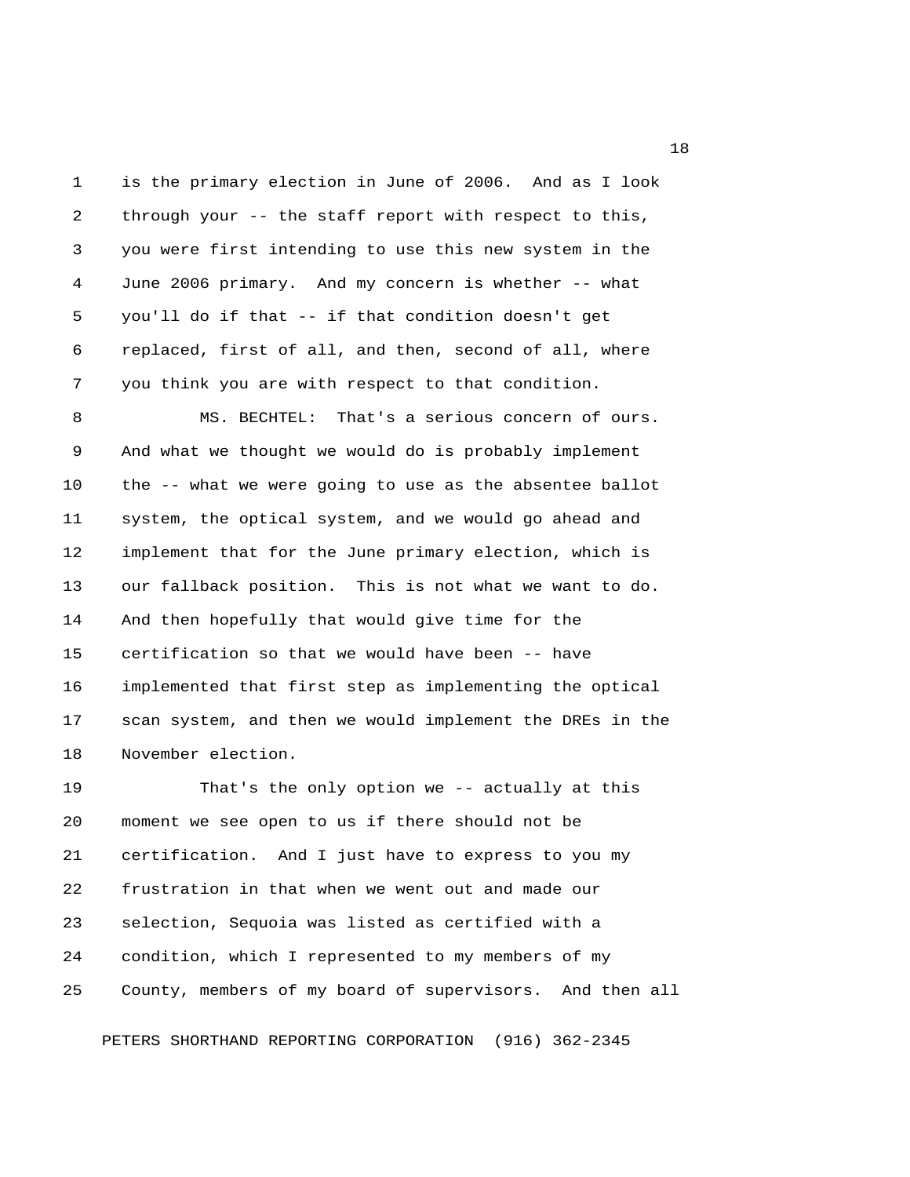1 is the primary election in June of 2006. And as I look 2 through your -- the staff report with respect to this, 3 you were first intending to use this new system in the 4 June 2006 primary. And my concern is whether -- what 5 you'll do if that -- if that condition doesn't get 6 replaced, first of all, and then, second of all, where 7 you think you are with respect to that condition.

 8 MS. BECHTEL: That's a serious concern of ours. 9 And what we thought we would do is probably implement 10 the -- what we were going to use as the absentee ballot 11 system, the optical system, and we would go ahead and 12 implement that for the June primary election, which is 13 our fallback position. This is not what we want to do. 14 And then hopefully that would give time for the 15 certification so that we would have been -- have 16 implemented that first step as implementing the optical 17 scan system, and then we would implement the DREs in the 18 November election.

19 That's the only option we -- actually at this 20 moment we see open to us if there should not be 21 certification. And I just have to express to you my 22 frustration in that when we went out and made our 23 selection, Sequoia was listed as certified with a 24 condition, which I represented to my members of my 25 County, members of my board of supervisors. And then all

PETERS SHORTHAND REPORTING CORPORATION (916) 362-2345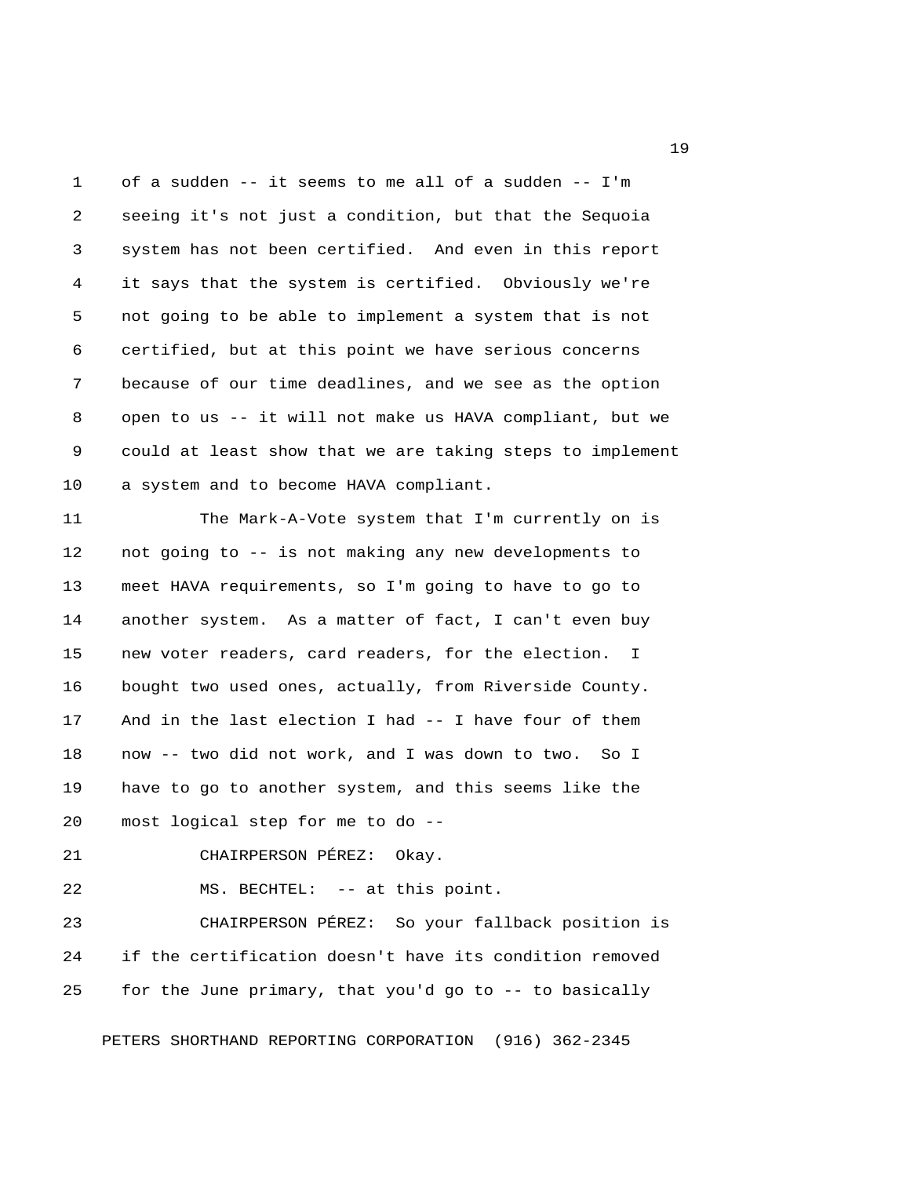1 of a sudden -- it seems to me all of a sudden -- I'm 2 seeing it's not just a condition, but that the Sequoia 3 system has not been certified. And even in this report 4 it says that the system is certified. Obviously we're 5 not going to be able to implement a system that is not 6 certified, but at this point we have serious concerns 7 because of our time deadlines, and we see as the option 8 open to us -- it will not make us HAVA compliant, but we 9 could at least show that we are taking steps to implement 10 a system and to become HAVA compliant.

11 The Mark-A-Vote system that I'm currently on is 12 not going to -- is not making any new developments to 13 meet HAVA requirements, so I'm going to have to go to 14 another system. As a matter of fact, I can't even buy 15 new voter readers, card readers, for the election. I 16 bought two used ones, actually, from Riverside County. 17 And in the last election I had -- I have four of them 18 now -- two did not work, and I was down to two. So I 19 have to go to another system, and this seems like the 20 most logical step for me to do --

21 CHAIRPERSON PÉREZ: Okay.

22 MS. BECHTEL: -- at this point.

23 CHAIRPERSON PÉREZ: So your fallback position is 24 if the certification doesn't have its condition removed 25 for the June primary, that you'd go to -- to basically

PETERS SHORTHAND REPORTING CORPORATION (916) 362-2345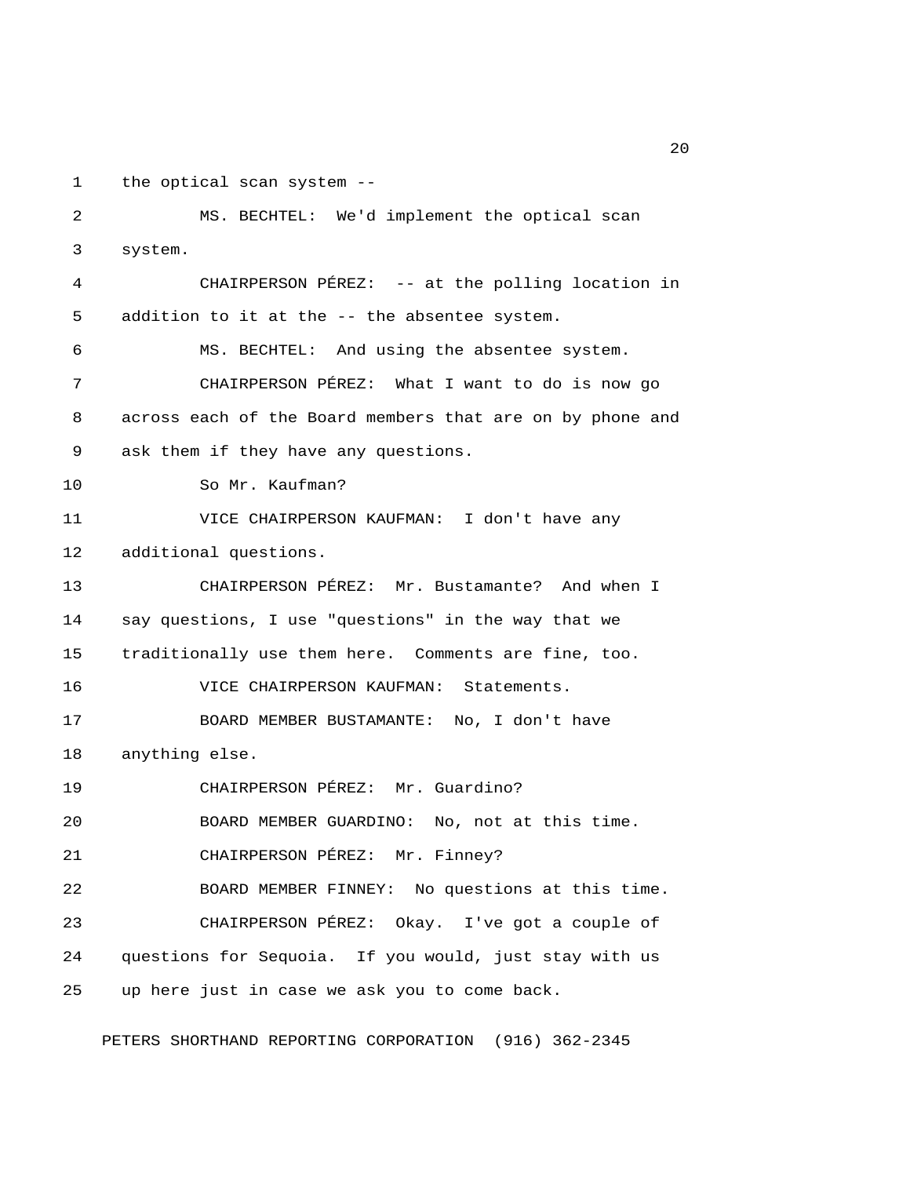1 the optical scan system --

 3 system. 4 CHAIRPERSON PÉREZ: -- at the polling location in 5 addition to it at the -- the absentee system. 6 MS. BECHTEL: And using the absentee system. 7 CHAIRPERSON PÉREZ: What I want to do is now go 8 across each of the Board members that are on by phone and 9 ask them if they have any questions. 10 So Mr. Kaufman? 11 VICE CHAIRPERSON KAUFMAN: I don't have any 12 additional questions. 13 CHAIRPERSON PÉREZ: Mr. Bustamante? And when I 14 say questions, I use "questions" in the way that we 15 traditionally use them here. Comments are fine, too. 16 VICE CHAIRPERSON KAUFMAN: Statements. 17 BOARD MEMBER BUSTAMANTE: No, I don't have 18 anything else. 19 CHAIRPERSON PÉREZ: Mr. Guardino? 20 BOARD MEMBER GUARDINO: No, not at this time. 21 CHAIRPERSON PÉREZ: Mr. Finney? 22 BOARD MEMBER FINNEY: No questions at this time. 23 CHAIRPERSON PÉREZ: Okay. I've got a couple of 24 questions for Sequoia. If you would, just stay with us 25 up here just in case we ask you to come back.

2 MS. BECHTEL: We'd implement the optical scan

PETERS SHORTHAND REPORTING CORPORATION (916) 362-2345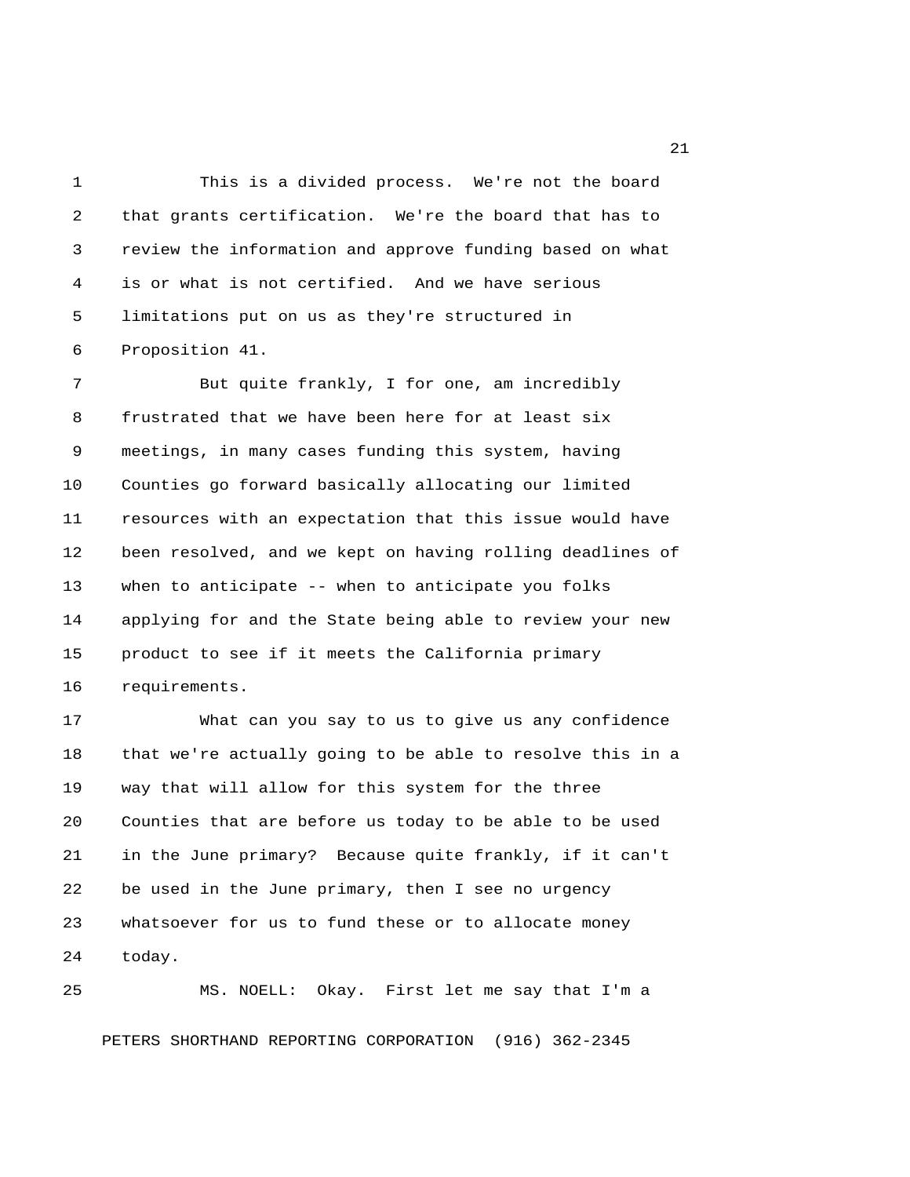1 This is a divided process. We're not the board 2 that grants certification. We're the board that has to 3 review the information and approve funding based on what 4 is or what is not certified. And we have serious 5 limitations put on us as they're structured in 6 Proposition 41.

7 But quite frankly, I for one, am incredibly 8 frustrated that we have been here for at least six 9 meetings, in many cases funding this system, having 10 Counties go forward basically allocating our limited 11 resources with an expectation that this issue would have 12 been resolved, and we kept on having rolling deadlines of 13 when to anticipate -- when to anticipate you folks 14 applying for and the State being able to review your new 15 product to see if it meets the California primary 16 requirements.

17 What can you say to us to give us any confidence 18 that we're actually going to be able to resolve this in a 19 way that will allow for this system for the three 20 Counties that are before us today to be able to be used 21 in the June primary? Because quite frankly, if it can't 22 be used in the June primary, then I see no urgency 23 whatsoever for us to fund these or to allocate money 24 today.

25 MS. NOELL: Okay. First let me say that I'm a

PETERS SHORTHAND REPORTING CORPORATION (916) 362-2345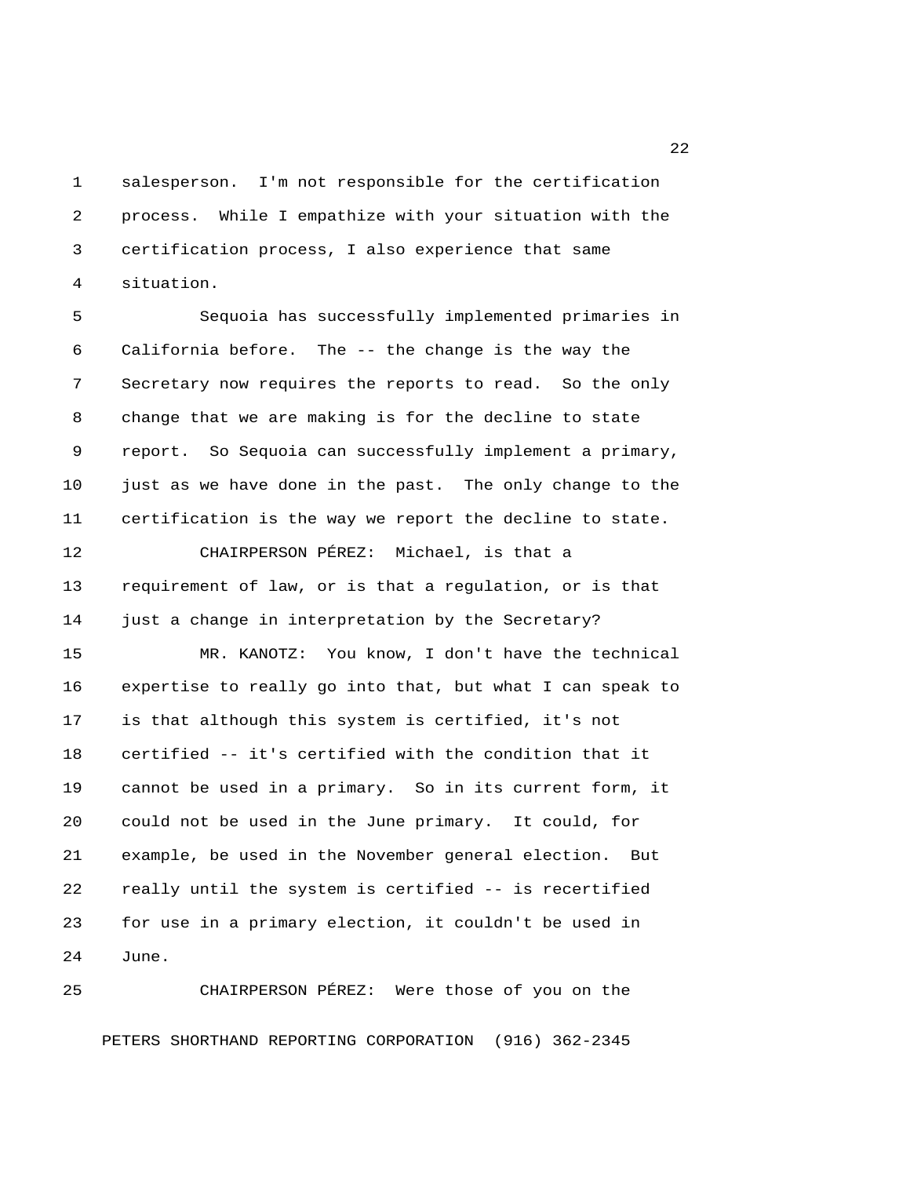1 salesperson. I'm not responsible for the certification 2 process. While I empathize with your situation with the 3 certification process, I also experience that same 4 situation.

 5 Sequoia has successfully implemented primaries in 6 California before. The -- the change is the way the 7 Secretary now requires the reports to read. So the only 8 change that we are making is for the decline to state 9 report. So Sequoia can successfully implement a primary, 10 just as we have done in the past. The only change to the 11 certification is the way we report the decline to state.

12 CHAIRPERSON PÉREZ: Michael, is that a 13 requirement of law, or is that a regulation, or is that 14 just a change in interpretation by the Secretary?

15 MR. KANOTZ: You know, I don't have the technical 16 expertise to really go into that, but what I can speak to 17 is that although this system is certified, it's not 18 certified -- it's certified with the condition that it 19 cannot be used in a primary. So in its current form, it 20 could not be used in the June primary. It could, for 21 example, be used in the November general election. But 22 really until the system is certified -- is recertified 23 for use in a primary election, it couldn't be used in 24 June.

25 CHAIRPERSON PÉREZ: Were those of you on the PETERS SHORTHAND REPORTING CORPORATION (916) 362-2345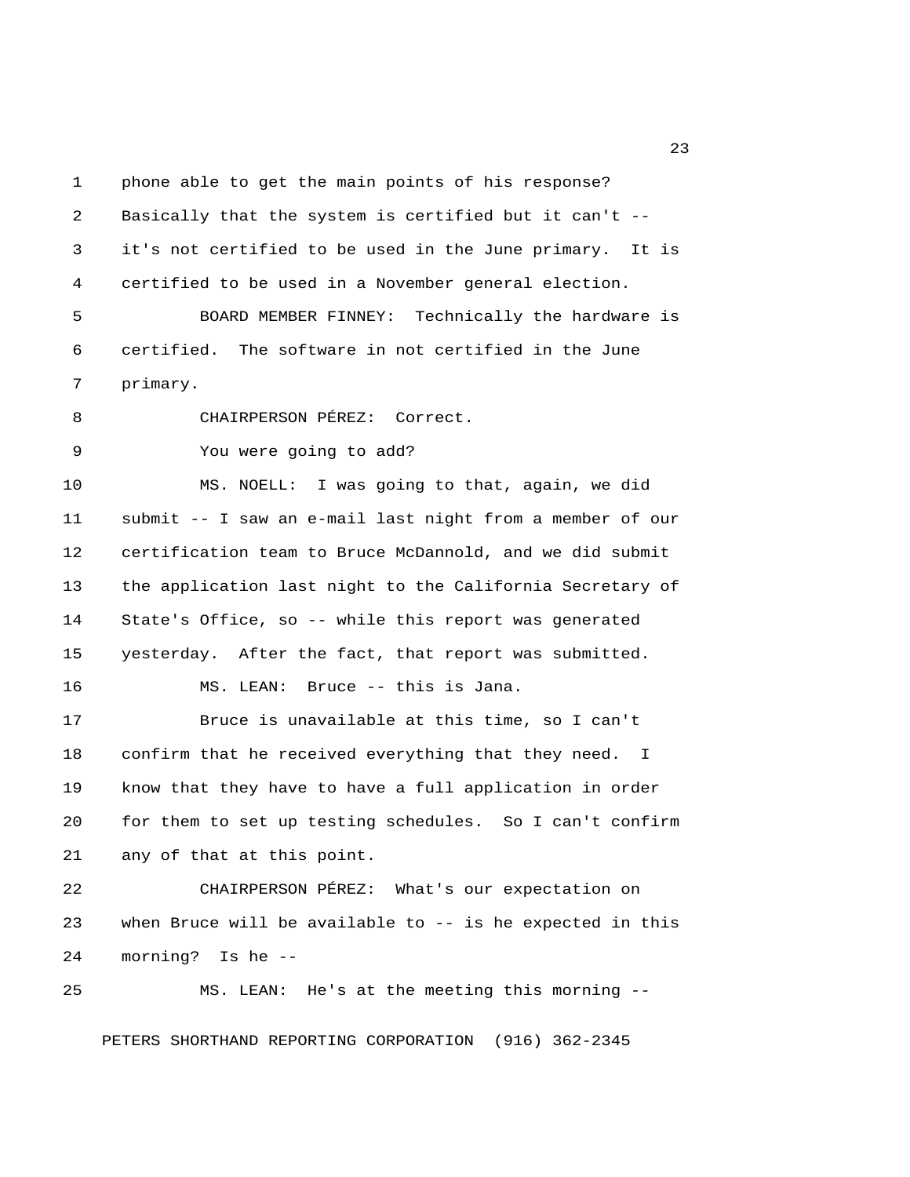1 phone able to get the main points of his response? 2 Basically that the system is certified but it can't -- 3 it's not certified to be used in the June primary. It is 4 certified to be used in a November general election. 5 BOARD MEMBER FINNEY: Technically the hardware is 6 certified. The software in not certified in the June 7 primary. 8 CHAIRPERSON PÉREZ: Correct. 9 You were going to add? 10 MS. NOELL: I was going to that, again, we did 11 submit -- I saw an e-mail last night from a member of our 12 certification team to Bruce McDannold, and we did submit 13 the application last night to the California Secretary of 14 State's Office, so -- while this report was generated 15 yesterday. After the fact, that report was submitted. 16 MS. LEAN: Bruce -- this is Jana. 17 Bruce is unavailable at this time, so I can't 18 confirm that he received everything that they need. I 19 know that they have to have a full application in order 20 for them to set up testing schedules. So I can't confirm 21 any of that at this point. 22 CHAIRPERSON PÉREZ: What's our expectation on 23 when Bruce will be available to -- is he expected in this 24 morning? Is he -- 25 MS. LEAN: He's at the meeting this morning --

PETERS SHORTHAND REPORTING CORPORATION (916) 362-2345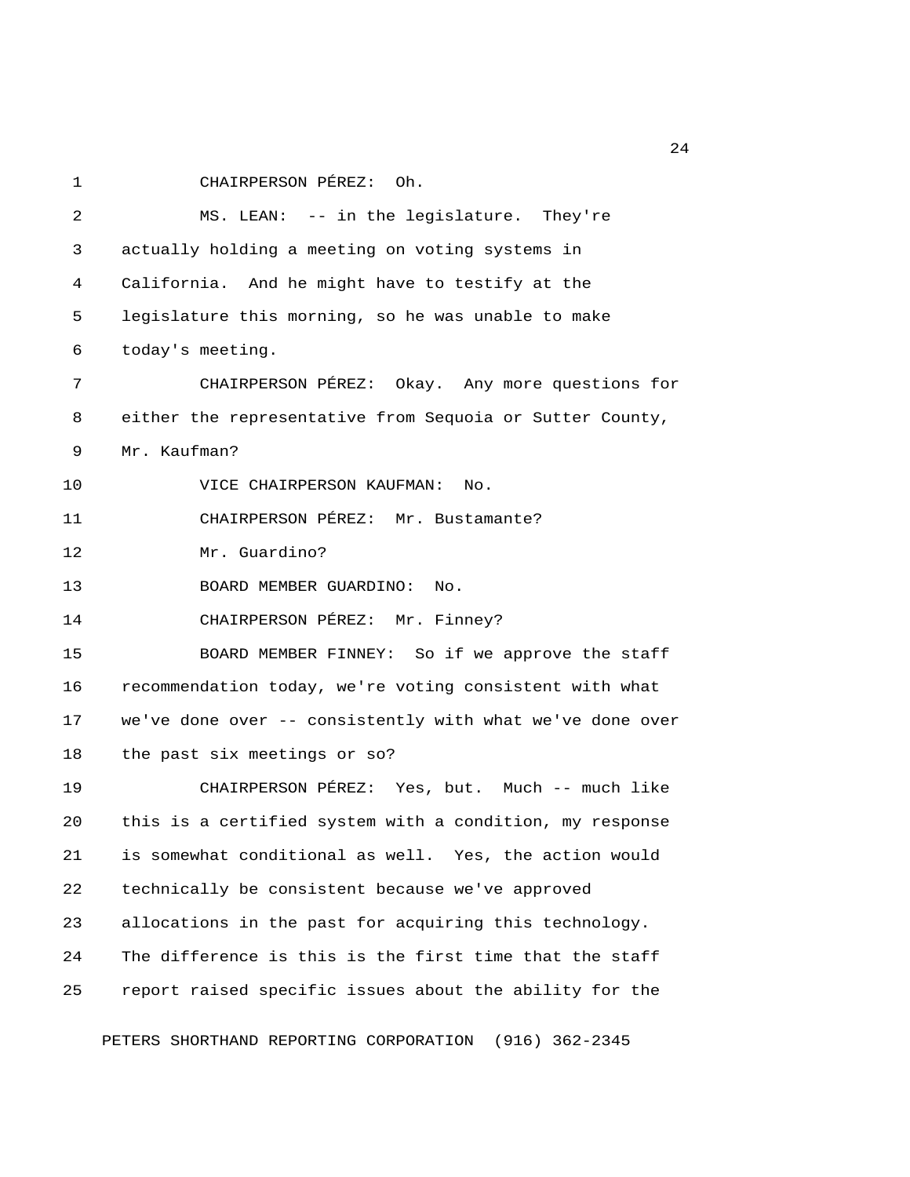1 CHAIRPERSON PÉREZ: Oh.

 2 MS. LEAN: -- in the legislature. They're 3 actually holding a meeting on voting systems in 4 California. And he might have to testify at the 5 legislature this morning, so he was unable to make 6 today's meeting. 7 CHAIRPERSON PÉREZ: Okay. Any more questions for 8 either the representative from Sequoia or Sutter County, 9 Mr. Kaufman? 10 VICE CHAIRPERSON KAUFMAN: No. 11 CHAIRPERSON PÉREZ: Mr. Bustamante? 12 Mr. Guardino? 13 BOARD MEMBER GUARDINO: No. 14 CHAIRPERSON PÉREZ: Mr. Finney? 15 BOARD MEMBER FINNEY: So if we approve the staff 16 recommendation today, we're voting consistent with what 17 we've done over -- consistently with what we've done over 18 the past six meetings or so? 19 CHAIRPERSON PÉREZ: Yes, but. Much -- much like 20 this is a certified system with a condition, my response 21 is somewhat conditional as well. Yes, the action would 22 technically be consistent because we've approved 23 allocations in the past for acquiring this technology. 24 The difference is this is the first time that the staff 25 report raised specific issues about the ability for the PETERS SHORTHAND REPORTING CORPORATION (916) 362-2345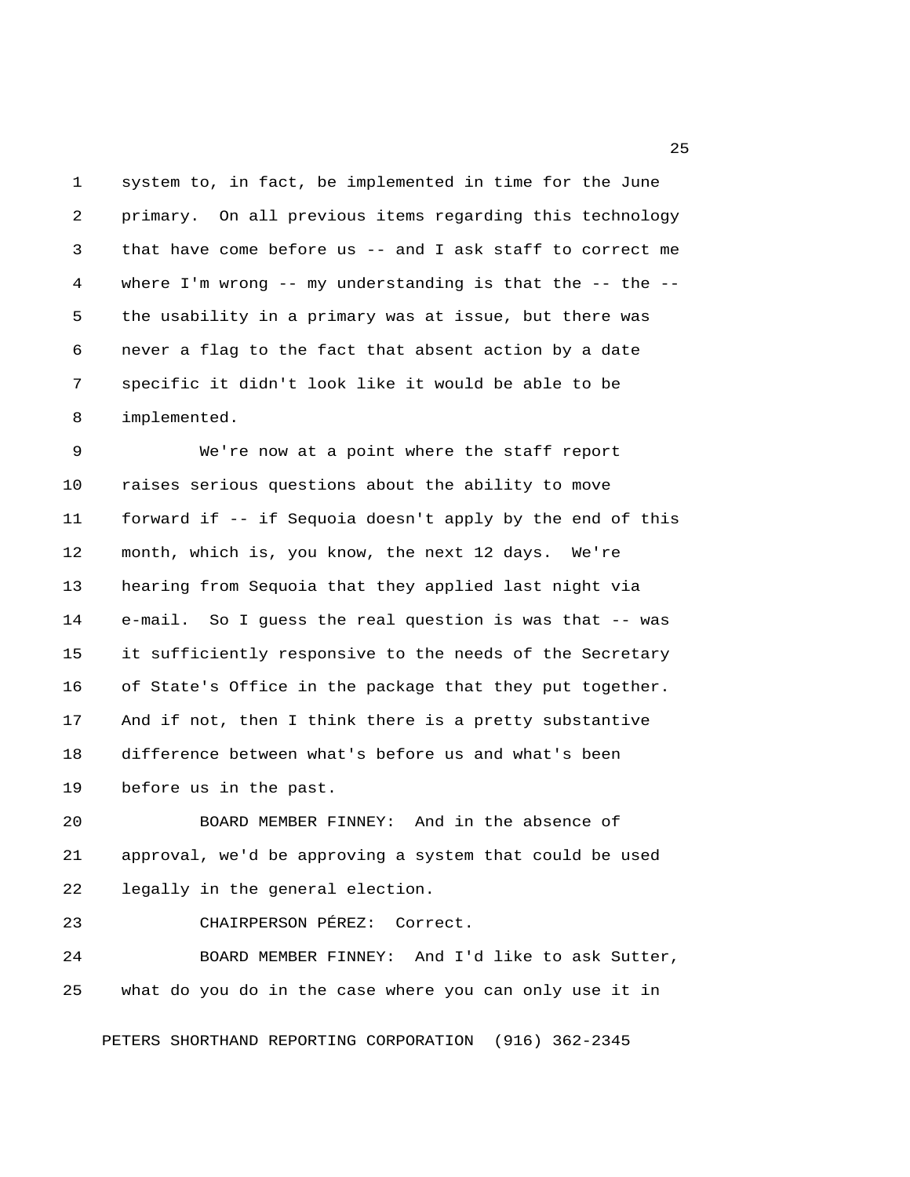1 system to, in fact, be implemented in time for the June 2 primary. On all previous items regarding this technology 3 that have come before us -- and I ask staff to correct me 4 where I'm wrong -- my understanding is that the -- the -- 5 the usability in a primary was at issue, but there was 6 never a flag to the fact that absent action by a date 7 specific it didn't look like it would be able to be 8 implemented.

 9 We're now at a point where the staff report 10 raises serious questions about the ability to move 11 forward if -- if Sequoia doesn't apply by the end of this 12 month, which is, you know, the next 12 days. We're 13 hearing from Sequoia that they applied last night via 14 e-mail. So I guess the real question is was that -- was 15 it sufficiently responsive to the needs of the Secretary 16 of State's Office in the package that they put together. 17 And if not, then I think there is a pretty substantive 18 difference between what's before us and what's been 19 before us in the past.

20 BOARD MEMBER FINNEY: And in the absence of 21 approval, we'd be approving a system that could be used 22 legally in the general election.

23 CHAIRPERSON PÉREZ: Correct.

24 BOARD MEMBER FINNEY: And I'd like to ask Sutter, 25 what do you do in the case where you can only use it in

PETERS SHORTHAND REPORTING CORPORATION (916) 362-2345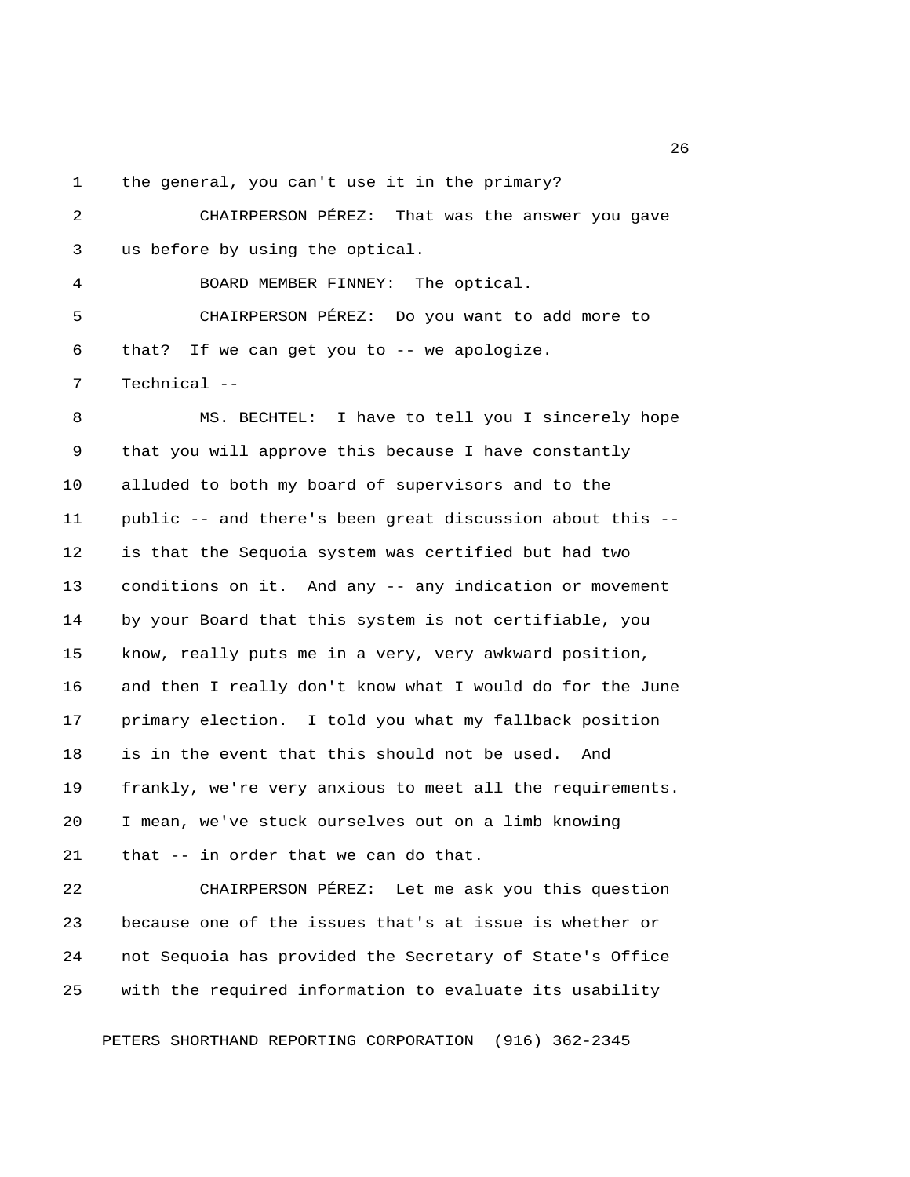1 the general, you can't use it in the primary?

 2 CHAIRPERSON PÉREZ: That was the answer you gave 3 us before by using the optical. 4 BOARD MEMBER FINNEY: The optical. 5 CHAIRPERSON PÉREZ: Do you want to add more to 6 that? If we can get you to -- we apologize. 7 Technical -- 8 MS. BECHTEL: I have to tell you I sincerely hope 9 that you will approve this because I have constantly 10 alluded to both my board of supervisors and to the 11 public -- and there's been great discussion about this -- 12 is that the Sequoia system was certified but had two 13 conditions on it. And any -- any indication or movement 14 by your Board that this system is not certifiable, you 15 know, really puts me in a very, very awkward position, 16 and then I really don't know what I would do for the June 17 primary election. I told you what my fallback position 18 is in the event that this should not be used. And 19 frankly, we're very anxious to meet all the requirements. 20 I mean, we've stuck ourselves out on a limb knowing 21 that -- in order that we can do that. 22 CHAIRPERSON PÉREZ: Let me ask you this question 23 because one of the issues that's at issue is whether or 24 not Sequoia has provided the Secretary of State's Office

PETERS SHORTHAND REPORTING CORPORATION (916) 362-2345

25 with the required information to evaluate its usability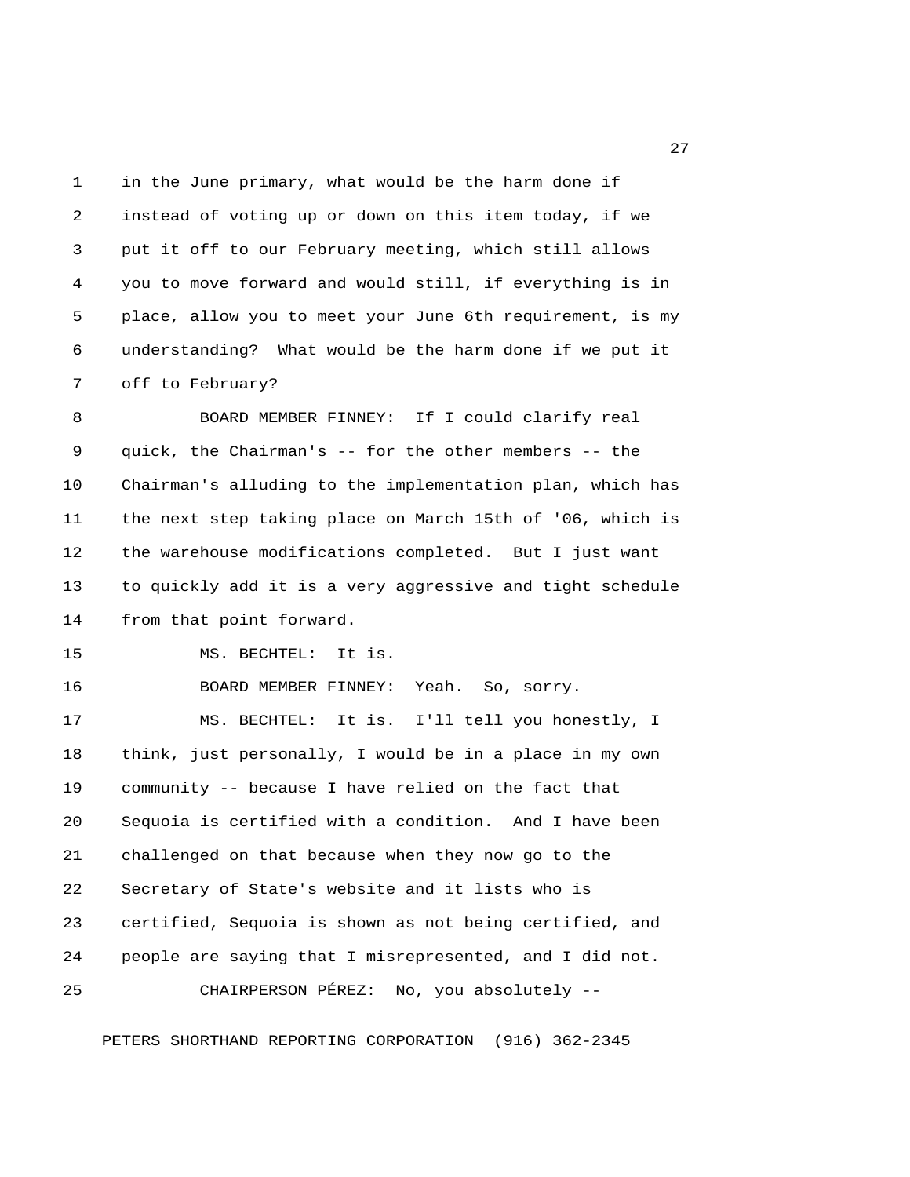1 in the June primary, what would be the harm done if 2 instead of voting up or down on this item today, if we 3 put it off to our February meeting, which still allows 4 you to move forward and would still, if everything is in 5 place, allow you to meet your June 6th requirement, is my 6 understanding? What would be the harm done if we put it 7 off to February?

 8 BOARD MEMBER FINNEY: If I could clarify real 9 quick, the Chairman's -- for the other members -- the 10 Chairman's alluding to the implementation plan, which has 11 the next step taking place on March 15th of '06, which is 12 the warehouse modifications completed. But I just want 13 to quickly add it is a very aggressive and tight schedule 14 from that point forward.

15 MS. BECHTEL: It is.

16 BOARD MEMBER FINNEY: Yeah. So, sorry.

17 MS. BECHTEL: It is. I'll tell you honestly, I 18 think, just personally, I would be in a place in my own 19 community -- because I have relied on the fact that 20 Sequoia is certified with a condition. And I have been 21 challenged on that because when they now go to the 22 Secretary of State's website and it lists who is 23 certified, Sequoia is shown as not being certified, and 24 people are saying that I misrepresented, and I did not. 25 CHAIRPERSON PÉREZ: No, you absolutely --

PETERS SHORTHAND REPORTING CORPORATION (916) 362-2345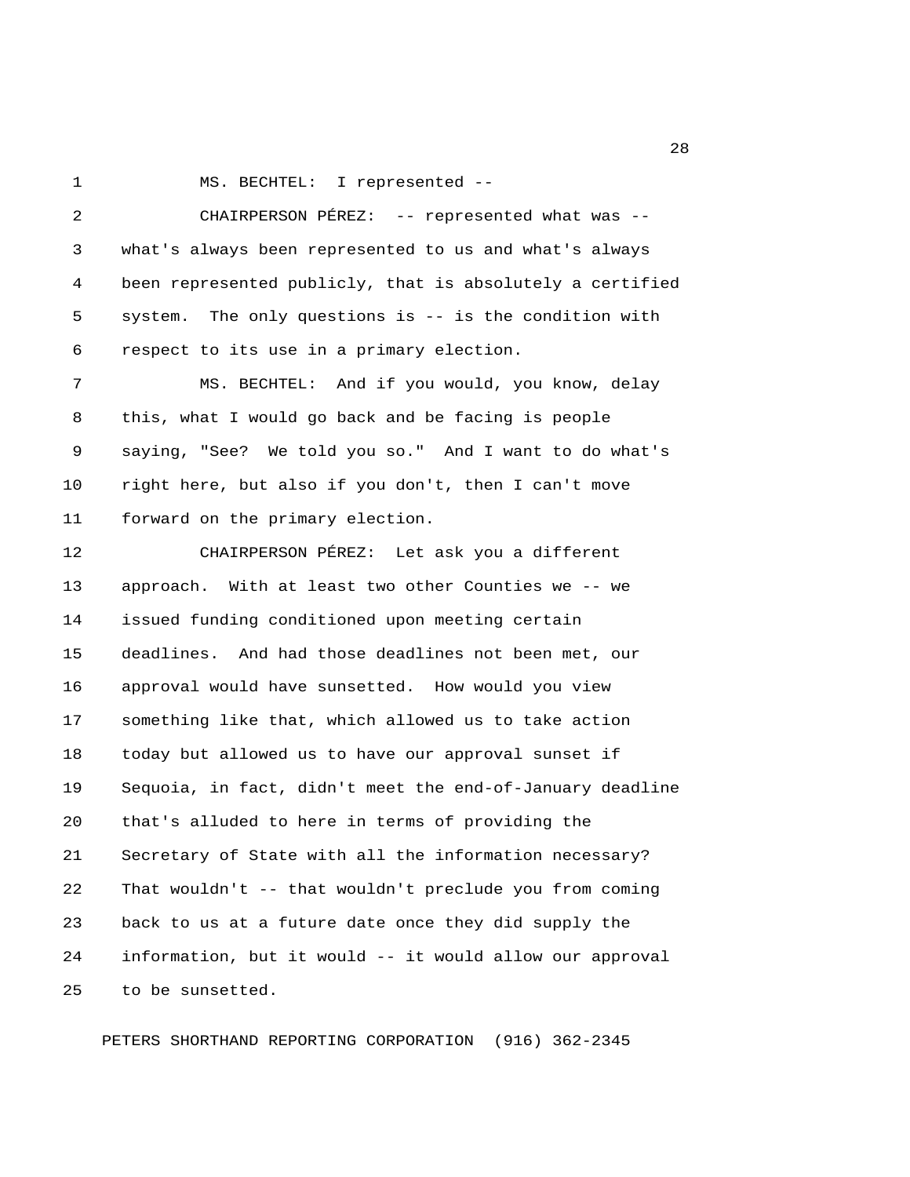1 MS. BECHTEL: I represented --

| 2  | CHAIRPERSON PÉREZ: -- represented what was --             |
|----|-----------------------------------------------------------|
| 3  | what's always been represented to us and what's always    |
| 4  | been represented publicly, that is absolutely a certified |
| 5  | system. The only questions is -- is the condition with    |
| 6  | respect to its use in a primary election.                 |
| 7  | MS. BECHTEL: And if you would, you know, delay            |
| 8  | this, what I would go back and be facing is people        |
| 9  | saying, "See? We told you so." And I want to do what's    |
| 10 | right here, but also if you don't, then I can't move      |
| 11 | forward on the primary election.                          |
| 12 | CHAIRPERSON PÉREZ: Let ask you a different                |
| 13 | approach. With at least two other Counties we -- we       |
| 14 | issued funding conditioned upon meeting certain           |
| 15 | deadlines. And had those deadlines not been met, our      |
| 16 | approval would have sunsetted. How would you view         |
| 17 | something like that, which allowed us to take action      |
| 18 | today but allowed us to have our approval sunset if       |
| 19 | Sequoia, in fact, didn't meet the end-of-January deadline |
| 20 | that's alluded to here in terms of providing the          |
| 21 | Secretary of State with all the information necessary?    |
| 22 | That wouldn't -- that wouldn't preclude you from coming   |
| 23 | back to us at a future date once they did supply the      |
| 24 | information, but it would -- it would allow our approval  |
| 25 | to be sunsetted.                                          |

PETERS SHORTHAND REPORTING CORPORATION (916) 362-2345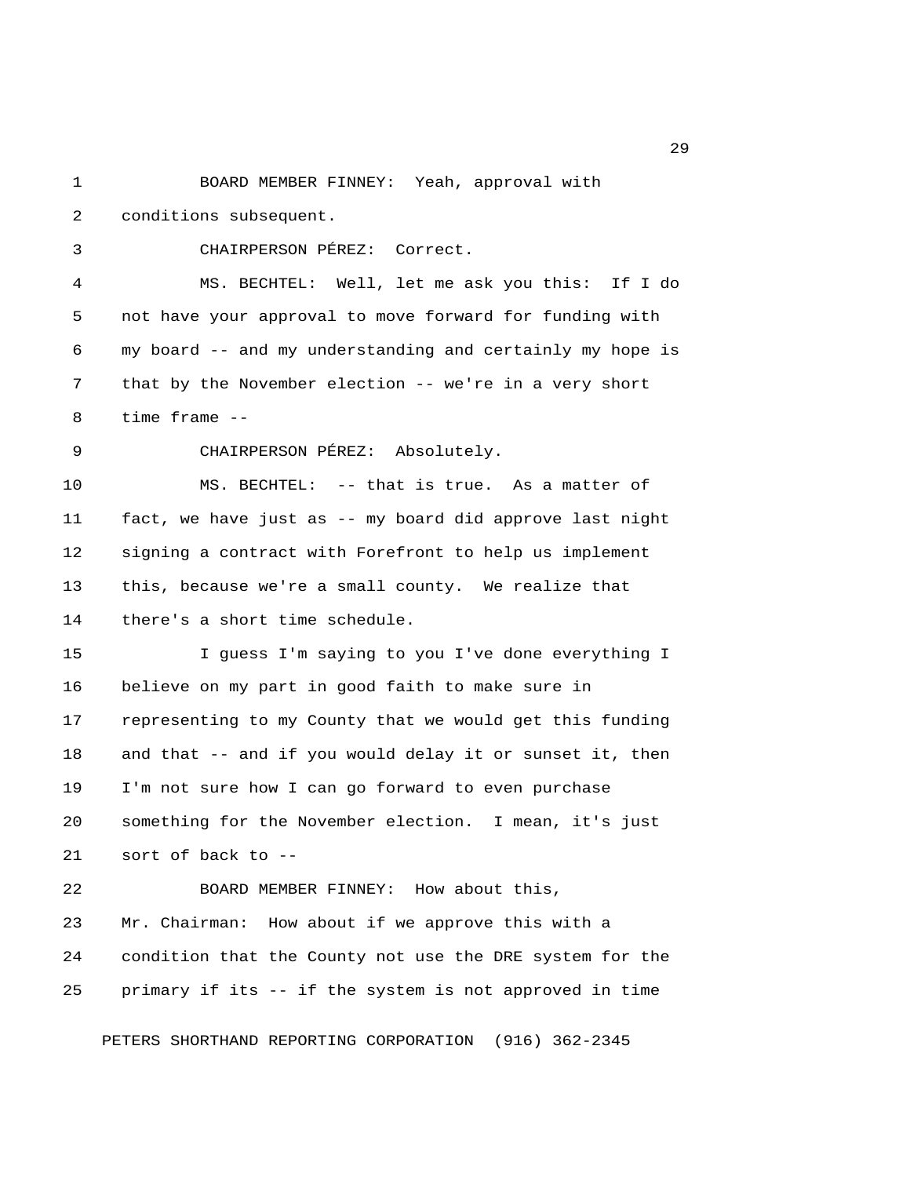1 BOARD MEMBER FINNEY: Yeah, approval with 2 conditions subsequent. 3 CHAIRPERSON PÉREZ: Correct. 4 MS. BECHTEL: Well, let me ask you this: If I do 5 not have your approval to move forward for funding with 6 my board -- and my understanding and certainly my hope is 7 that by the November election -- we're in a very short 8 time frame -- 9 CHAIRPERSON PÉREZ: Absolutely. 10 MS. BECHTEL: -- that is true. As a matter of 11 fact, we have just as -- my board did approve last night 12 signing a contract with Forefront to help us implement 13 this, because we're a small county. We realize that 14 there's a short time schedule. 15 I guess I'm saying to you I've done everything I 16 believe on my part in good faith to make sure in 17 representing to my County that we would get this funding 18 and that -- and if you would delay it or sunset it, then 19 I'm not sure how I can go forward to even purchase 20 something for the November election. I mean, it's just 21 sort of back to -- 22 BOARD MEMBER FINNEY: How about this, 23 Mr. Chairman: How about if we approve this with a 24 condition that the County not use the DRE system for the 25 primary if its -- if the system is not approved in time PETERS SHORTHAND REPORTING CORPORATION (916) 362-2345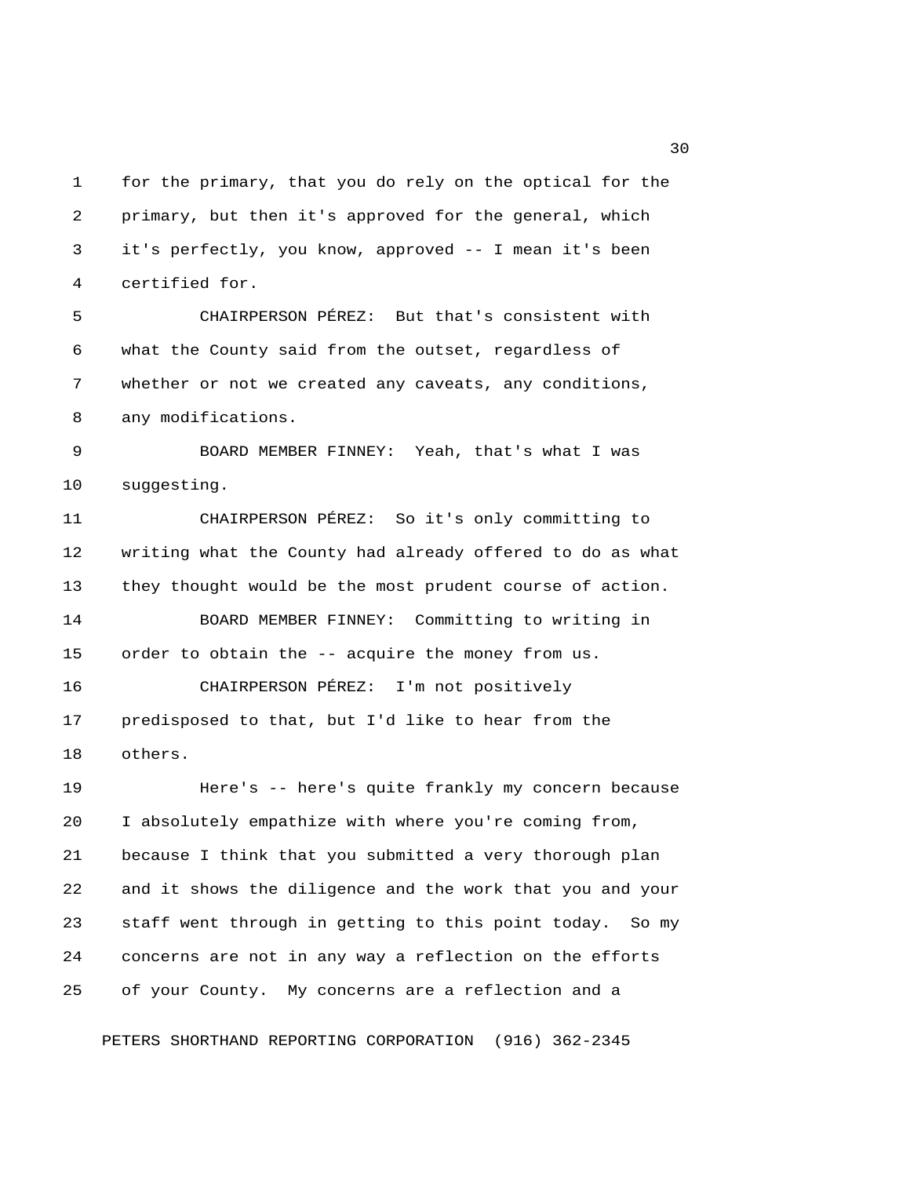1 for the primary, that you do rely on the optical for the 2 primary, but then it's approved for the general, which 3 it's perfectly, you know, approved -- I mean it's been 4 certified for.

 5 CHAIRPERSON PÉREZ: But that's consistent with 6 what the County said from the outset, regardless of 7 whether or not we created any caveats, any conditions, 8 any modifications.

 9 BOARD MEMBER FINNEY: Yeah, that's what I was 10 suggesting.

11 CHAIRPERSON PÉREZ: So it's only committing to 12 writing what the County had already offered to do as what 13 they thought would be the most prudent course of action. 14 BOARD MEMBER FINNEY: Committing to writing in 15 order to obtain the -- acquire the money from us. 16 CHAIRPERSON PÉREZ: I'm not positively

17 predisposed to that, but I'd like to hear from the 18 others.

19 Here's -- here's quite frankly my concern because 20 I absolutely empathize with where you're coming from, 21 because I think that you submitted a very thorough plan 22 and it shows the diligence and the work that you and your 23 staff went through in getting to this point today. So my 24 concerns are not in any way a reflection on the efforts 25 of your County. My concerns are a reflection and a

PETERS SHORTHAND REPORTING CORPORATION (916) 362-2345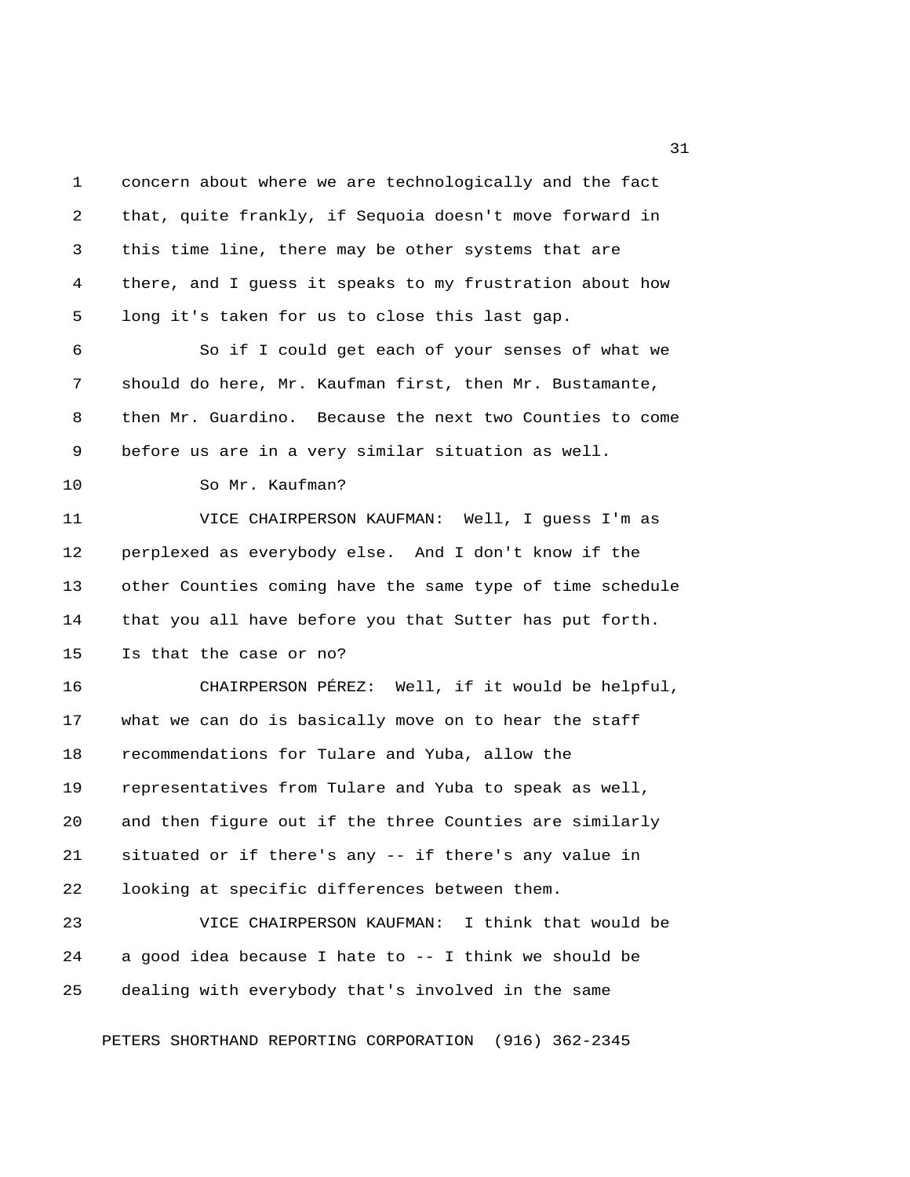1 concern about where we are technologically and the fact 2 that, quite frankly, if Sequoia doesn't move forward in 3 this time line, there may be other systems that are 4 there, and I guess it speaks to my frustration about how 5 long it's taken for us to close this last gap. 6 So if I could get each of your senses of what we 7 should do here, Mr. Kaufman first, then Mr. Bustamante, 8 then Mr. Guardino. Because the next two Counties to come 9 before us are in a very similar situation as well. 10 So Mr. Kaufman? 11 VICE CHAIRPERSON KAUFMAN: Well, I guess I'm as 12 perplexed as everybody else. And I don't know if the 13 other Counties coming have the same type of time schedule 14 that you all have before you that Sutter has put forth. 15 Is that the case or no? 16 CHAIRPERSON PÉREZ: Well, if it would be helpful, 17 what we can do is basically move on to hear the staff 18 recommendations for Tulare and Yuba, allow the 19 representatives from Tulare and Yuba to speak as well, 20 and then figure out if the three Counties are similarly 21 situated or if there's any -- if there's any value in 22 looking at specific differences between them. 23 VICE CHAIRPERSON KAUFMAN: I think that would be 24 a good idea because I hate to -- I think we should be

PETERS SHORTHAND REPORTING CORPORATION (916) 362-2345

25 dealing with everybody that's involved in the same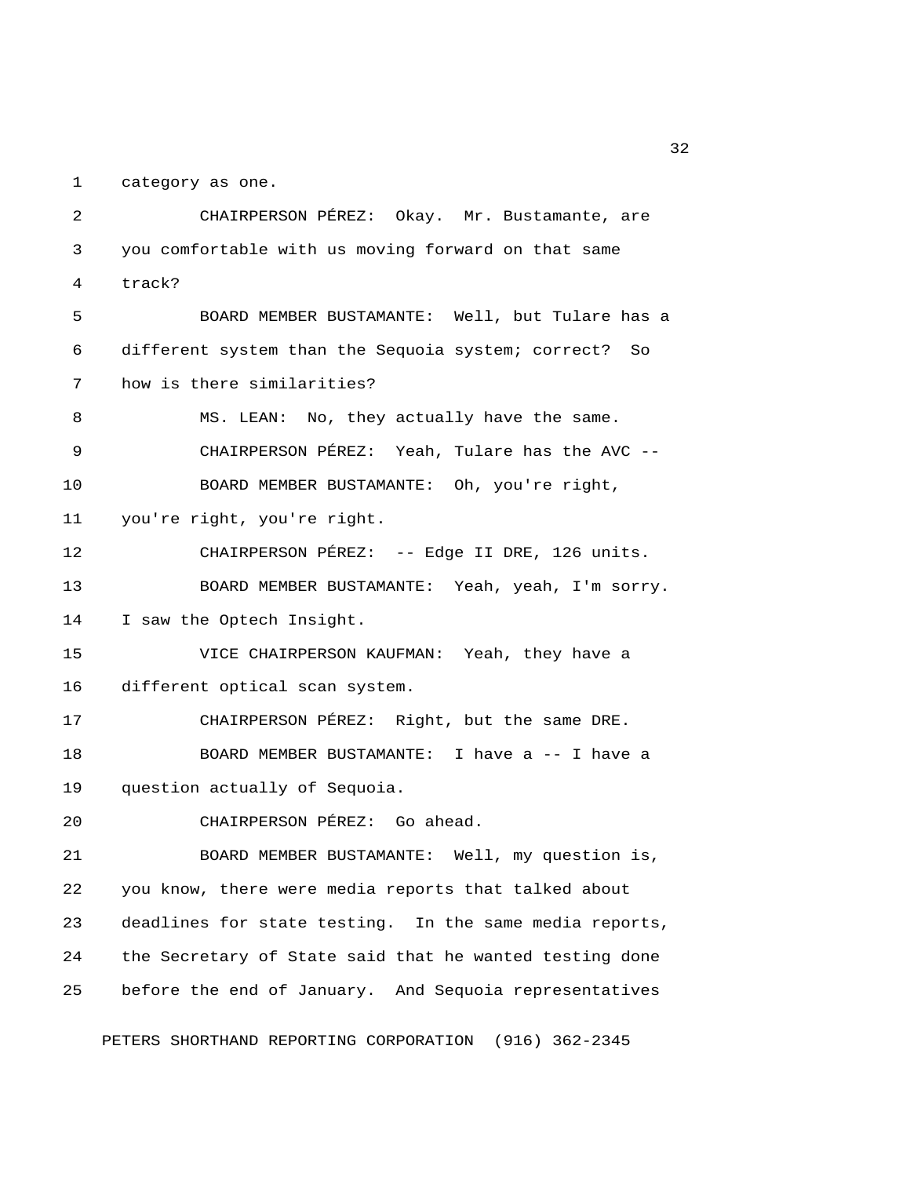1 category as one.

 2 CHAIRPERSON PÉREZ: Okay. Mr. Bustamante, are 3 you comfortable with us moving forward on that same 4 track? 5 BOARD MEMBER BUSTAMANTE: Well, but Tulare has a 6 different system than the Sequoia system; correct? So 7 how is there similarities? 8 MS. LEAN: No, they actually have the same. 9 CHAIRPERSON PÉREZ: Yeah, Tulare has the AVC -- 10 BOARD MEMBER BUSTAMANTE: Oh, you're right, 11 you're right, you're right. 12 CHAIRPERSON PÉREZ: -- Edge II DRE, 126 units. 13 BOARD MEMBER BUSTAMANTE: Yeah, yeah, I'm sorry. 14 I saw the Optech Insight. 15 VICE CHAIRPERSON KAUFMAN: Yeah, they have a 16 different optical scan system. 17 CHAIRPERSON PÉREZ: Right, but the same DRE. 18 BOARD MEMBER BUSTAMANTE: I have a -- I have a 19 question actually of Sequoia. 20 CHAIRPERSON PÉREZ: Go ahead. 21 BOARD MEMBER BUSTAMANTE: Well, my question is, 22 you know, there were media reports that talked about 23 deadlines for state testing. In the same media reports, 24 the Secretary of State said that he wanted testing done 25 before the end of January. And Sequoia representatives

PETERS SHORTHAND REPORTING CORPORATION (916) 362-2345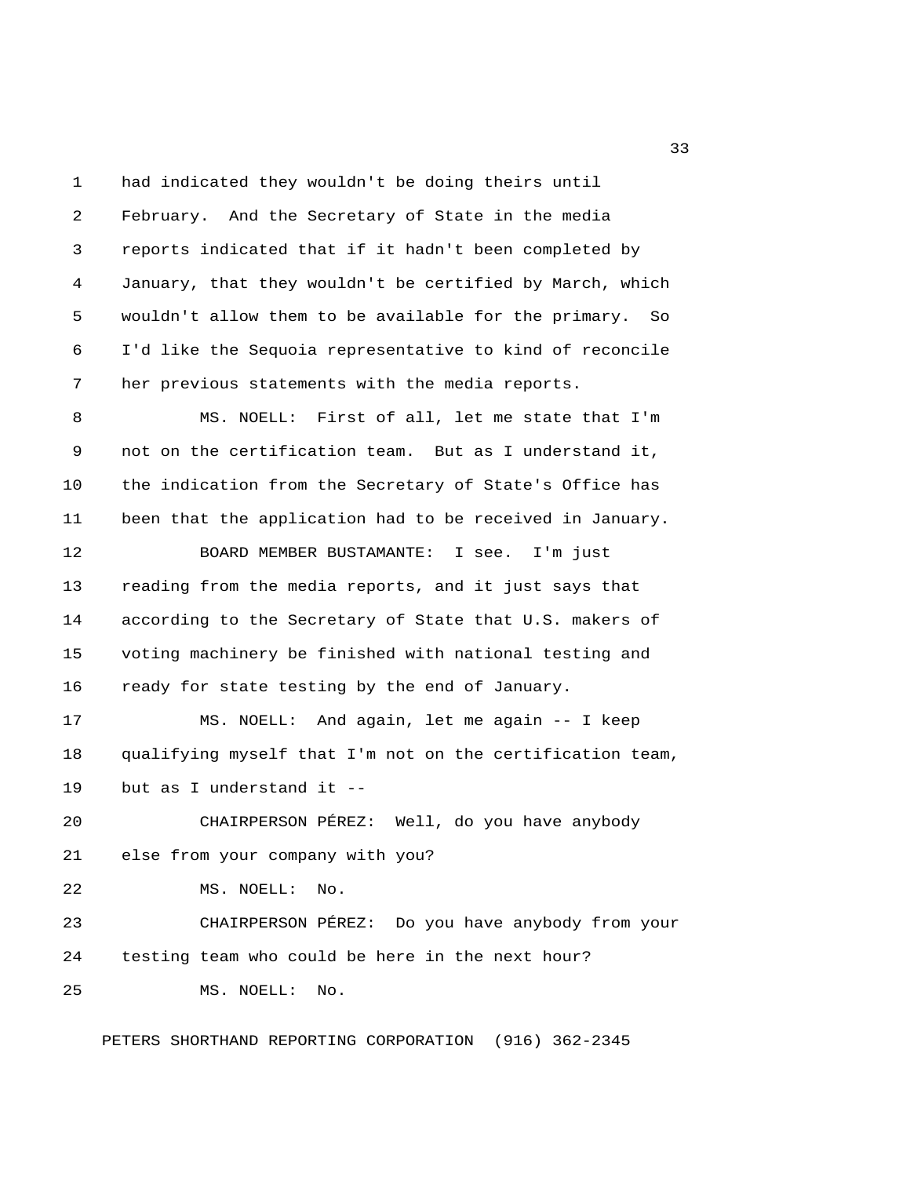1 had indicated they wouldn't be doing theirs until 2 February. And the Secretary of State in the media 3 reports indicated that if it hadn't been completed by 4 January, that they wouldn't be certified by March, which 5 wouldn't allow them to be available for the primary. So 6 I'd like the Sequoia representative to kind of reconcile 7 her previous statements with the media reports. 8 MS. NOELL: First of all, let me state that I'm 9 not on the certification team. But as I understand it, 10 the indication from the Secretary of State's Office has 11 been that the application had to be received in January. 12 BOARD MEMBER BUSTAMANTE: I see. I'm just

13 reading from the media reports, and it just says that 14 according to the Secretary of State that U.S. makers of 15 voting machinery be finished with national testing and 16 ready for state testing by the end of January.

17 MS. NOELL: And again, let me again -- I keep 18 qualifying myself that I'm not on the certification team, 19 but as I understand it --

20 CHAIRPERSON PÉREZ: Well, do you have anybody 21 else from your company with you?

22 MS. NOELL: No.

23 CHAIRPERSON PÉREZ: Do you have anybody from your 24 testing team who could be here in the next hour? 25 MS. NOELL: No.

PETERS SHORTHAND REPORTING CORPORATION (916) 362-2345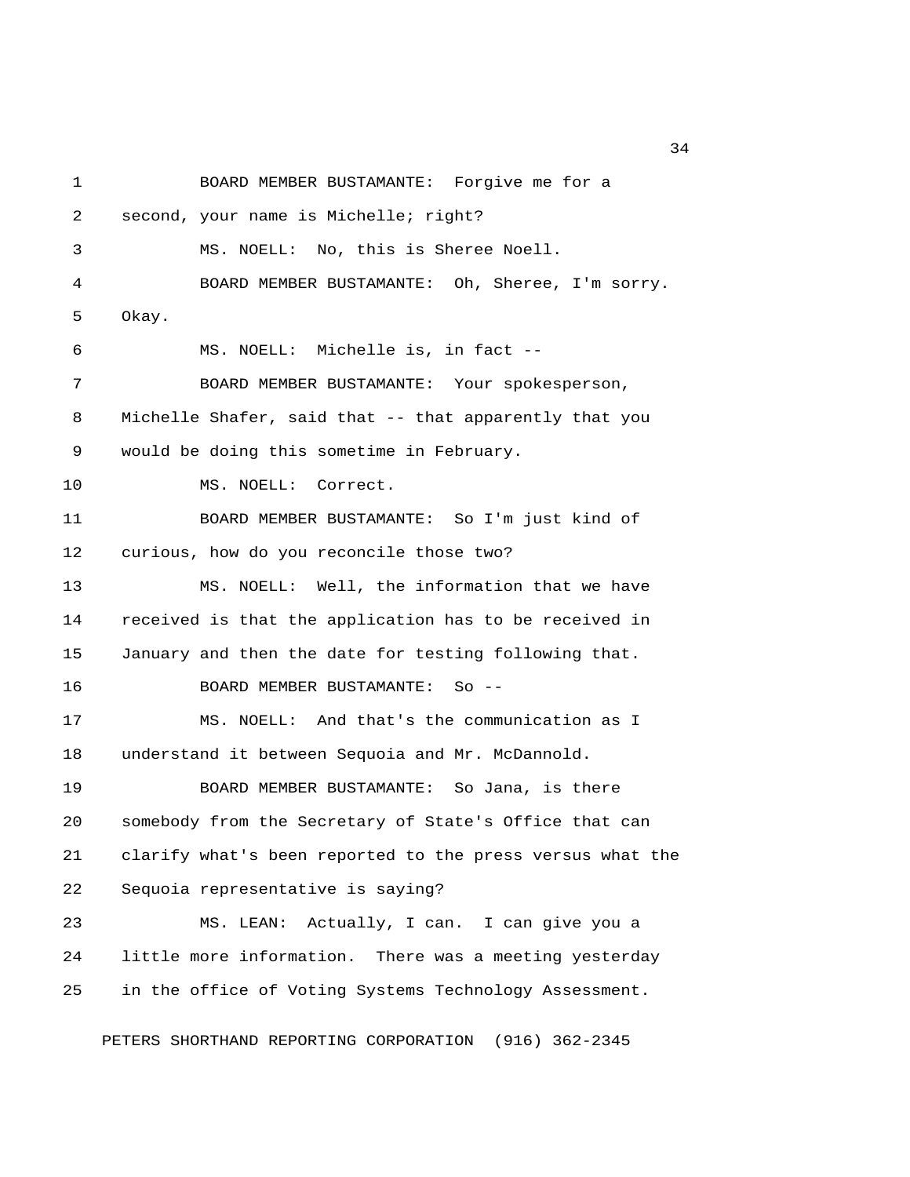1 BOARD MEMBER BUSTAMANTE: Forgive me for a 2 second, your name is Michelle; right? 3 MS. NOELL: No, this is Sheree Noell. 4 BOARD MEMBER BUSTAMANTE: Oh, Sheree, I'm sorry. 5 Okay. 6 MS. NOELL: Michelle is, in fact -- 7 BOARD MEMBER BUSTAMANTE: Your spokesperson, 8 Michelle Shafer, said that -- that apparently that you 9 would be doing this sometime in February. 10 MS. NOELL: Correct. 11 BOARD MEMBER BUSTAMANTE: So I'm just kind of 12 curious, how do you reconcile those two? 13 MS. NOELL: Well, the information that we have 14 received is that the application has to be received in 15 January and then the date for testing following that. 16 BOARD MEMBER BUSTAMANTE: So -- 17 MS. NOELL: And that's the communication as I 18 understand it between Sequoia and Mr. McDannold. 19 BOARD MEMBER BUSTAMANTE: So Jana, is there 20 somebody from the Secretary of State's Office that can 21 clarify what's been reported to the press versus what the 22 Sequoia representative is saying? 23 MS. LEAN: Actually, I can. I can give you a 24 little more information. There was a meeting yesterday 25 in the office of Voting Systems Technology Assessment.

PETERS SHORTHAND REPORTING CORPORATION (916) 362-2345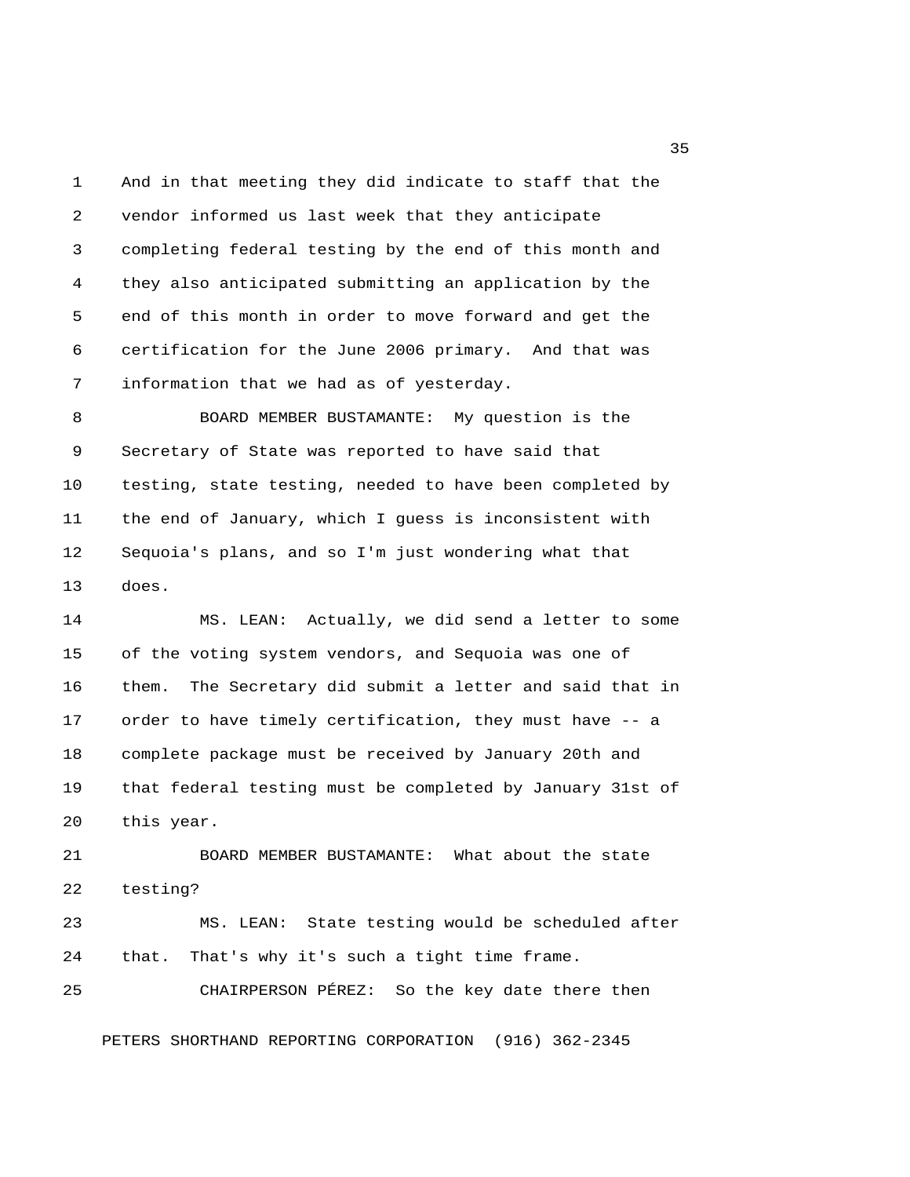1 And in that meeting they did indicate to staff that the 2 vendor informed us last week that they anticipate 3 completing federal testing by the end of this month and 4 they also anticipated submitting an application by the 5 end of this month in order to move forward and get the 6 certification for the June 2006 primary. And that was 7 information that we had as of yesterday.

 8 BOARD MEMBER BUSTAMANTE: My question is the 9 Secretary of State was reported to have said that 10 testing, state testing, needed to have been completed by 11 the end of January, which I guess is inconsistent with 12 Sequoia's plans, and so I'm just wondering what that 13 does.

14 MS. LEAN: Actually, we did send a letter to some 15 of the voting system vendors, and Sequoia was one of 16 them. The Secretary did submit a letter and said that in 17 order to have timely certification, they must have -- a 18 complete package must be received by January 20th and 19 that federal testing must be completed by January 31st of 20 this year.

21 BOARD MEMBER BUSTAMANTE: What about the state 22 testing? 23 MS. LEAN: State testing would be scheduled after 24 that. That's why it's such a tight time frame.

PETERS SHORTHAND REPORTING CORPORATION (916) 362-2345

25 CHAIRPERSON PÉREZ: So the key date there then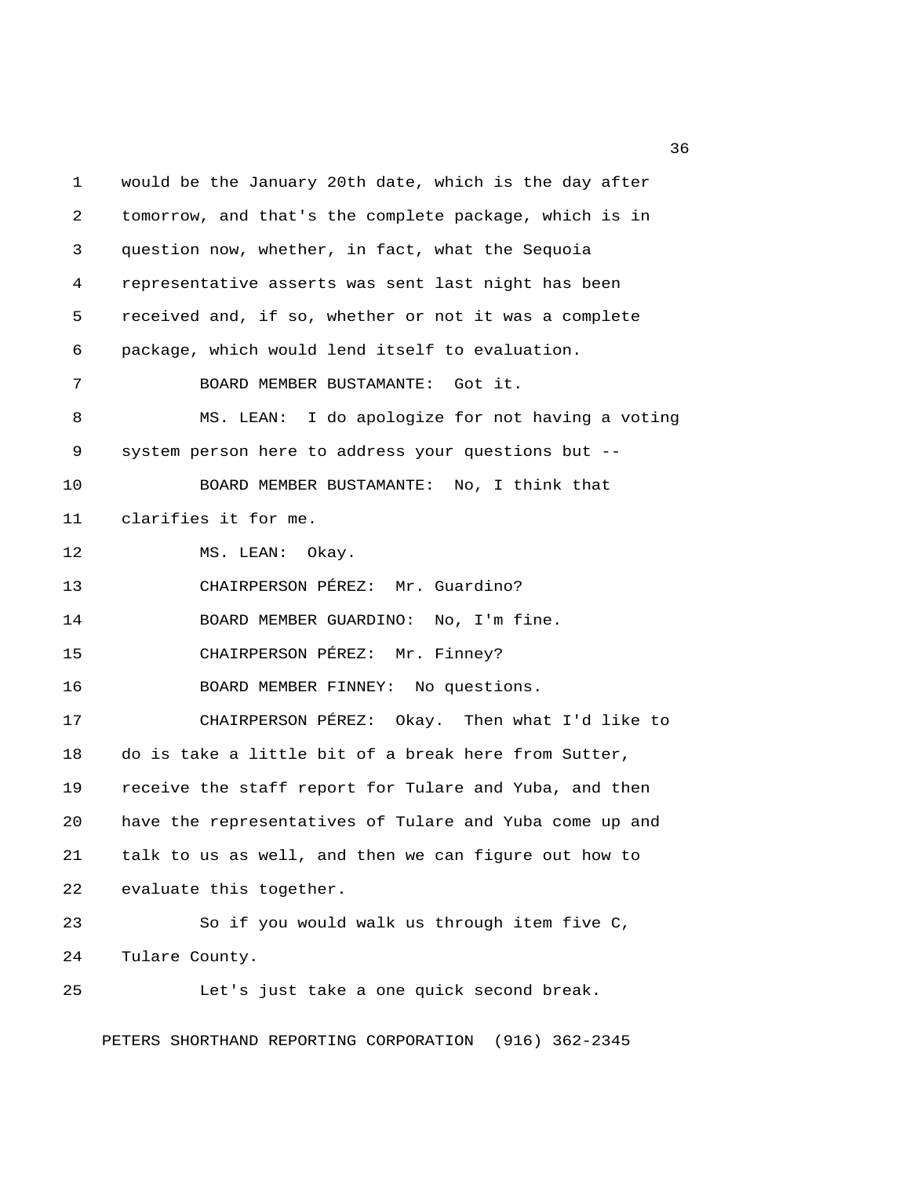1 would be the January 20th date, which is the day after 2 tomorrow, and that's the complete package, which is in 3 question now, whether, in fact, what the Sequoia 4 representative asserts was sent last night has been 5 received and, if so, whether or not it was a complete 6 package, which would lend itself to evaluation. 7 BOARD MEMBER BUSTAMANTE: Got it. 8 MS. LEAN: I do apologize for not having a voting 9 system person here to address your questions but -- 10 BOARD MEMBER BUSTAMANTE: No, I think that 11 clarifies it for me. 12 MS. LEAN: Okay. 13 CHAIRPERSON PÉREZ: Mr. Guardino? 14 BOARD MEMBER GUARDINO: No, I'm fine. 15 CHAIRPERSON PÉREZ: Mr. Finney? 16 BOARD MEMBER FINNEY: No questions. 17 CHAIRPERSON PÉREZ: Okay. Then what I'd like to 18 do is take a little bit of a break here from Sutter, 19 receive the staff report for Tulare and Yuba, and then 20 have the representatives of Tulare and Yuba come up and 21 talk to us as well, and then we can figure out how to 22 evaluate this together. 23 So if you would walk us through item five C, 24 Tulare County. 25 Let's just take a one quick second break.

PETERS SHORTHAND REPORTING CORPORATION (916) 362-2345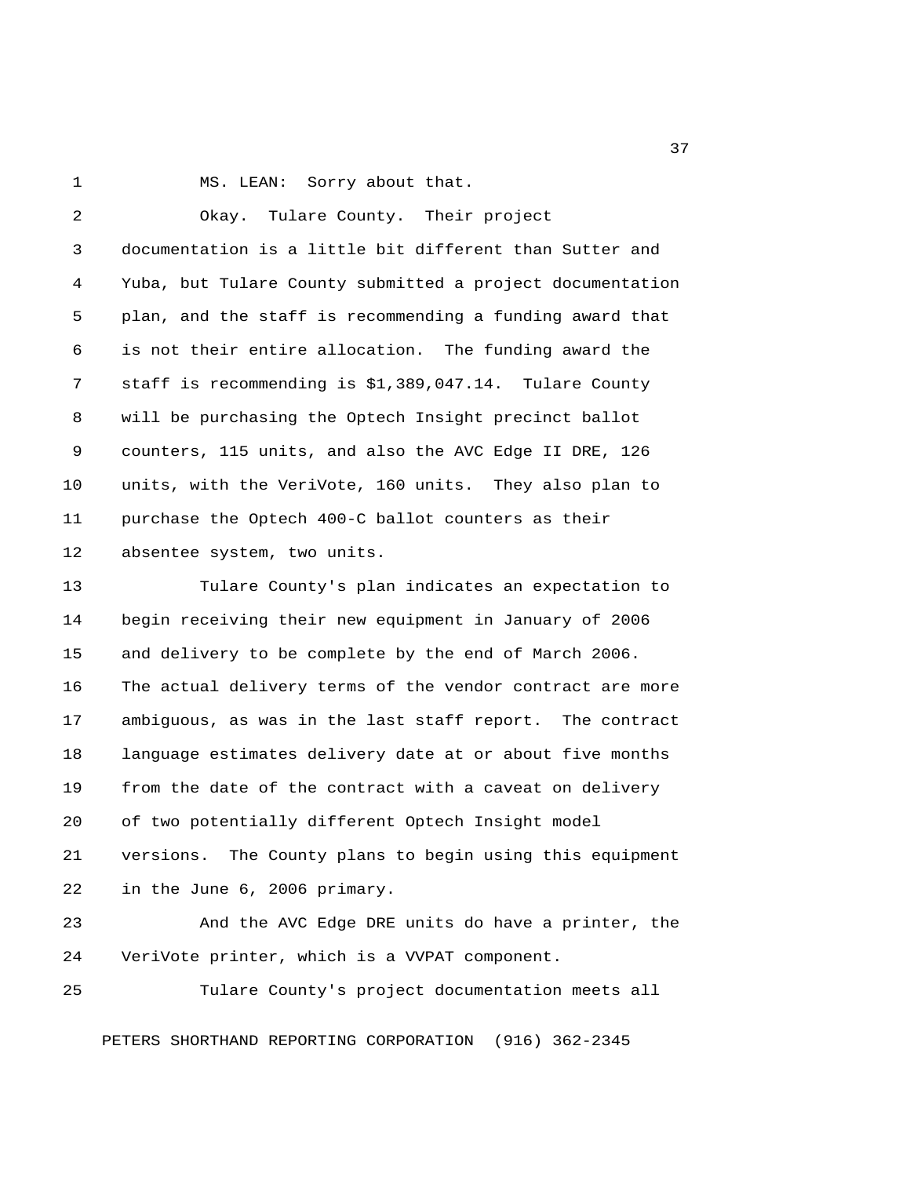1 MS. LEAN: Sorry about that.

 2 Okay. Tulare County. Their project 3 documentation is a little bit different than Sutter and 4 Yuba, but Tulare County submitted a project documentation 5 plan, and the staff is recommending a funding award that 6 is not their entire allocation. The funding award the 7 staff is recommending is \$1,389,047.14. Tulare County 8 will be purchasing the Optech Insight precinct ballot 9 counters, 115 units, and also the AVC Edge II DRE, 126 10 units, with the VeriVote, 160 units. They also plan to 11 purchase the Optech 400-C ballot counters as their 12 absentee system, two units. 13 Tulare County's plan indicates an expectation to 14 begin receiving their new equipment in January of 2006 15 and delivery to be complete by the end of March 2006. 16 The actual delivery terms of the vendor contract are more 17 ambiguous, as was in the last staff report. The contract 18 language estimates delivery date at or about five months 19 from the date of the contract with a caveat on delivery 20 of two potentially different Optech Insight model 21 versions. The County plans to begin using this equipment 22 in the June 6, 2006 primary. 23 And the AVC Edge DRE units do have a printer, the 24 VeriVote printer, which is a VVPAT component. 25 Tulare County's project documentation meets all

PETERS SHORTHAND REPORTING CORPORATION (916) 362-2345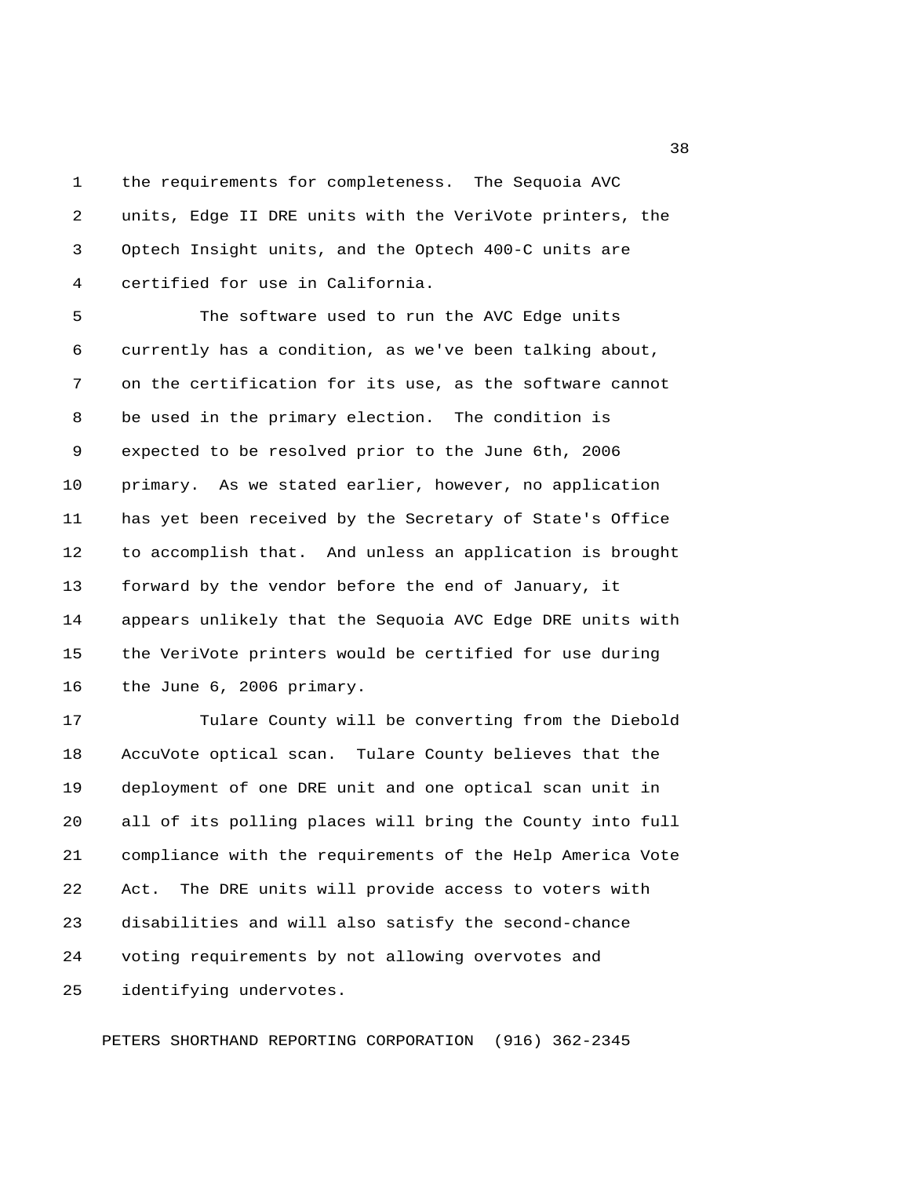1 the requirements for completeness. The Sequoia AVC 2 units, Edge II DRE units with the VeriVote printers, the 3 Optech Insight units, and the Optech 400-C units are 4 certified for use in California.

 5 The software used to run the AVC Edge units 6 currently has a condition, as we've been talking about, 7 on the certification for its use, as the software cannot 8 be used in the primary election. The condition is 9 expected to be resolved prior to the June 6th, 2006 10 primary. As we stated earlier, however, no application 11 has yet been received by the Secretary of State's Office 12 to accomplish that. And unless an application is brought 13 forward by the vendor before the end of January, it 14 appears unlikely that the Sequoia AVC Edge DRE units with 15 the VeriVote printers would be certified for use during 16 the June 6, 2006 primary.

17 Tulare County will be converting from the Diebold 18 AccuVote optical scan. Tulare County believes that the 19 deployment of one DRE unit and one optical scan unit in 20 all of its polling places will bring the County into full 21 compliance with the requirements of the Help America Vote 22 Act. The DRE units will provide access to voters with 23 disabilities and will also satisfy the second-chance 24 voting requirements by not allowing overvotes and 25 identifying undervotes.

PETERS SHORTHAND REPORTING CORPORATION (916) 362-2345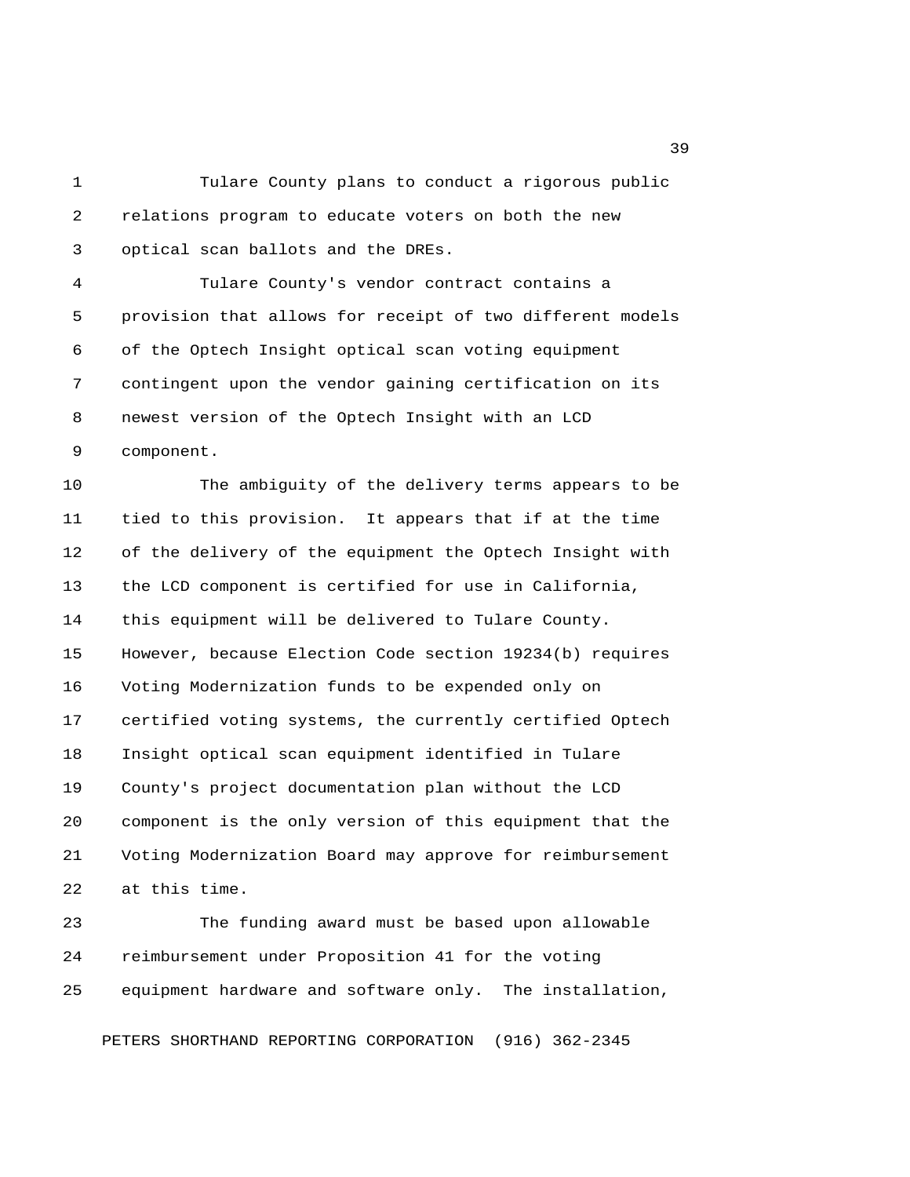1 Tulare County plans to conduct a rigorous public 2 relations program to educate voters on both the new 3 optical scan ballots and the DREs.

 4 Tulare County's vendor contract contains a 5 provision that allows for receipt of two different models 6 of the Optech Insight optical scan voting equipment 7 contingent upon the vendor gaining certification on its 8 newest version of the Optech Insight with an LCD 9 component.

10 The ambiguity of the delivery terms appears to be 11 tied to this provision. It appears that if at the time 12 of the delivery of the equipment the Optech Insight with 13 the LCD component is certified for use in California, 14 this equipment will be delivered to Tulare County. 15 However, because Election Code section 19234(b) requires 16 Voting Modernization funds to be expended only on 17 certified voting systems, the currently certified Optech 18 Insight optical scan equipment identified in Tulare 19 County's project documentation plan without the LCD 20 component is the only version of this equipment that the 21 Voting Modernization Board may approve for reimbursement 22 at this time.

23 The funding award must be based upon allowable 24 reimbursement under Proposition 41 for the voting 25 equipment hardware and software only. The installation,

PETERS SHORTHAND REPORTING CORPORATION (916) 362-2345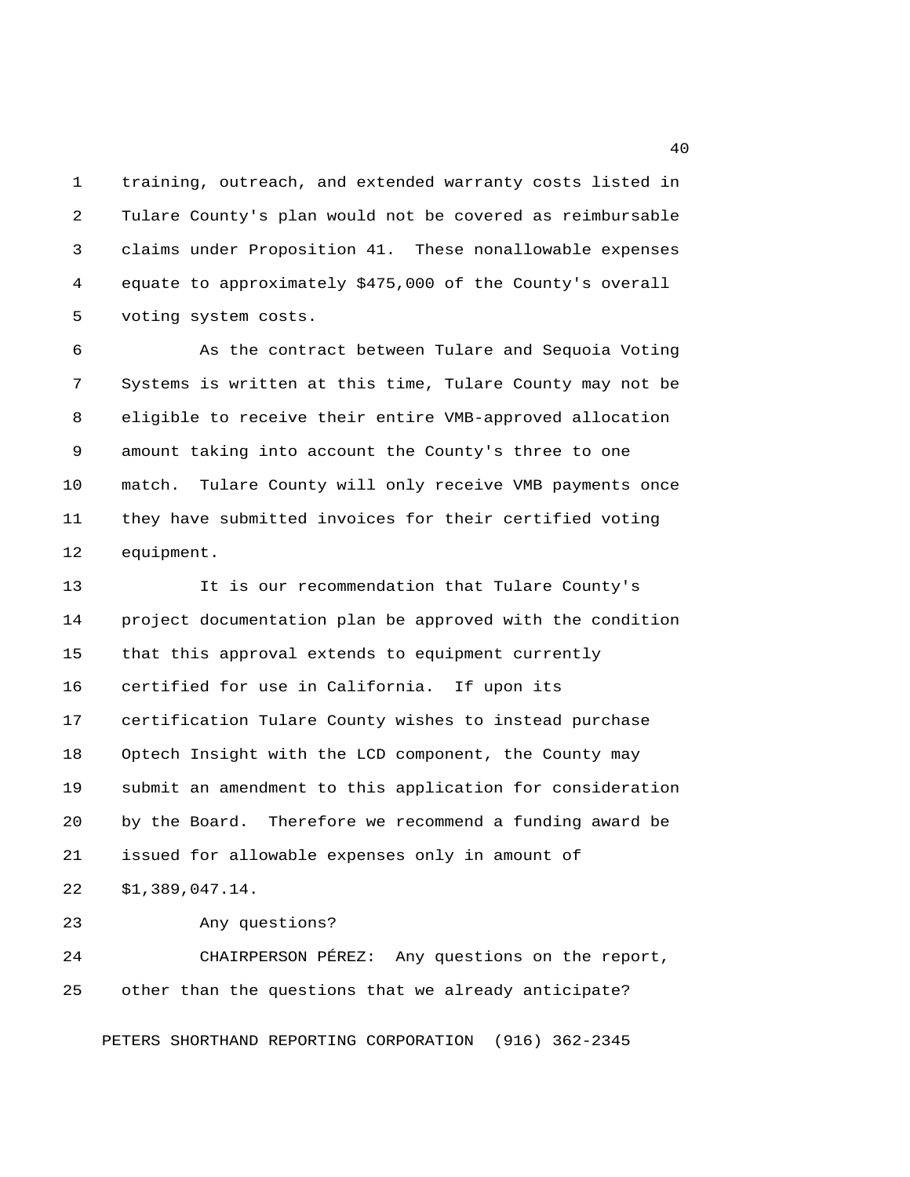1 training, outreach, and extended warranty costs listed in 2 Tulare County's plan would not be covered as reimbursable 3 claims under Proposition 41. These nonallowable expenses 4 equate to approximately \$475,000 of the County's overall 5 voting system costs.

 6 As the contract between Tulare and Sequoia Voting 7 Systems is written at this time, Tulare County may not be 8 eligible to receive their entire VMB-approved allocation 9 amount taking into account the County's three to one 10 match. Tulare County will only receive VMB payments once 11 they have submitted invoices for their certified voting 12 equipment.

13 It is our recommendation that Tulare County's 14 project documentation plan be approved with the condition 15 that this approval extends to equipment currently 16 certified for use in California. If upon its 17 certification Tulare County wishes to instead purchase 18 Optech Insight with the LCD component, the County may 19 submit an amendment to this application for consideration 20 by the Board. Therefore we recommend a funding award be 21 issued for allowable expenses only in amount of 22 \$1,389,047.14.

23 Any questions?

24 CHAIRPERSON PÉREZ: Any questions on the report, 25 other than the questions that we already anticipate?

PETERS SHORTHAND REPORTING CORPORATION (916) 362-2345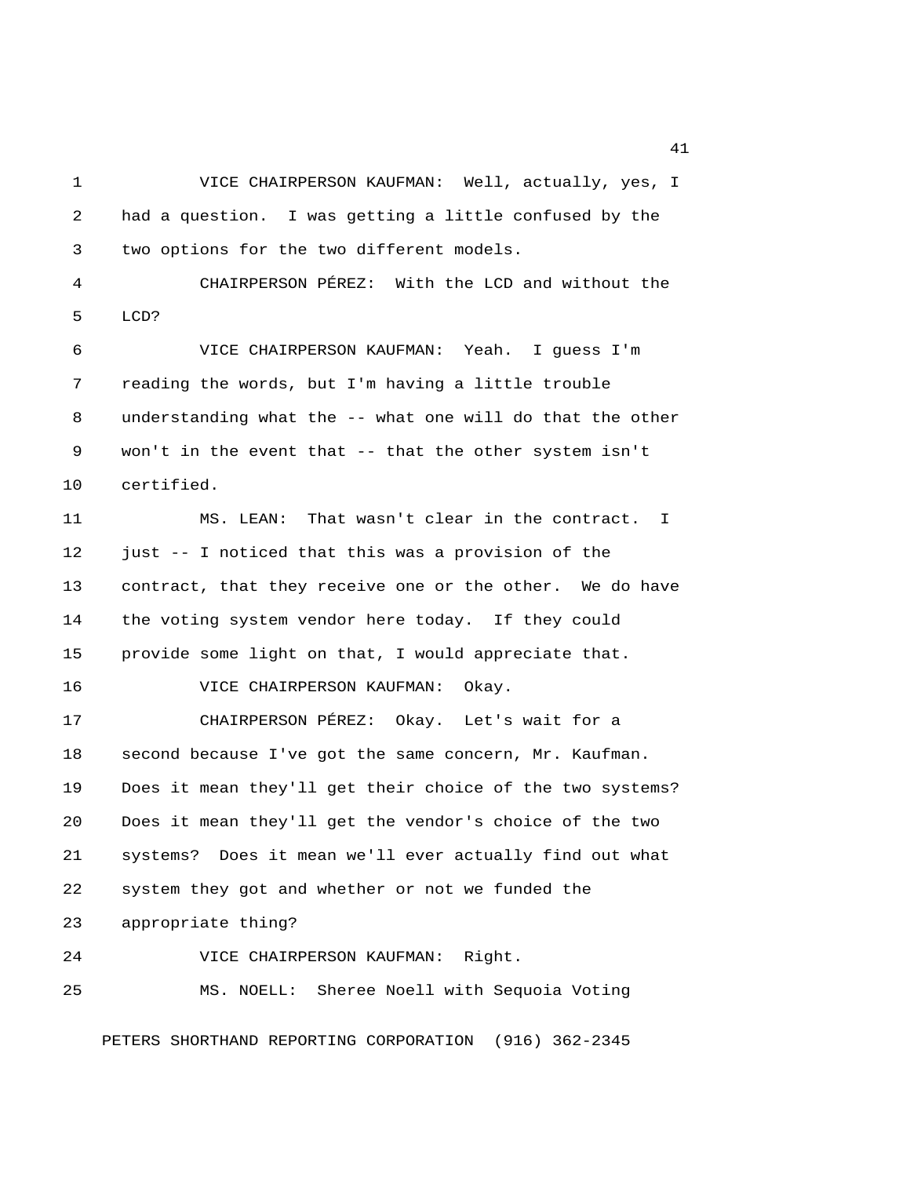1 VICE CHAIRPERSON KAUFMAN: Well, actually, yes, I 2 had a question. I was getting a little confused by the 3 two options for the two different models. 4 CHAIRPERSON PÉREZ: With the LCD and without the 5 LCD? 6 VICE CHAIRPERSON KAUFMAN: Yeah. I guess I'm 7 reading the words, but I'm having a little trouble 8 understanding what the -- what one will do that the other 9 won't in the event that -- that the other system isn't 10 certified. 11 MS. LEAN: That wasn't clear in the contract. I 12 just -- I noticed that this was a provision of the 13 contract, that they receive one or the other. We do have 14 the voting system vendor here today. If they could 15 provide some light on that, I would appreciate that. 16 VICE CHAIRPERSON KAUFMAN: Okay. 17 CHAIRPERSON PÉREZ: Okay. Let's wait for a 18 second because I've got the same concern, Mr. Kaufman. 19 Does it mean they'll get their choice of the two systems? 20 Does it mean they'll get the vendor's choice of the two 21 systems? Does it mean we'll ever actually find out what 22 system they got and whether or not we funded the 23 appropriate thing? 24 VICE CHAIRPERSON KAUFMAN: Right. 25 MS. NOELL: Sheree Noell with Sequoia Voting

PETERS SHORTHAND REPORTING CORPORATION (916) 362-2345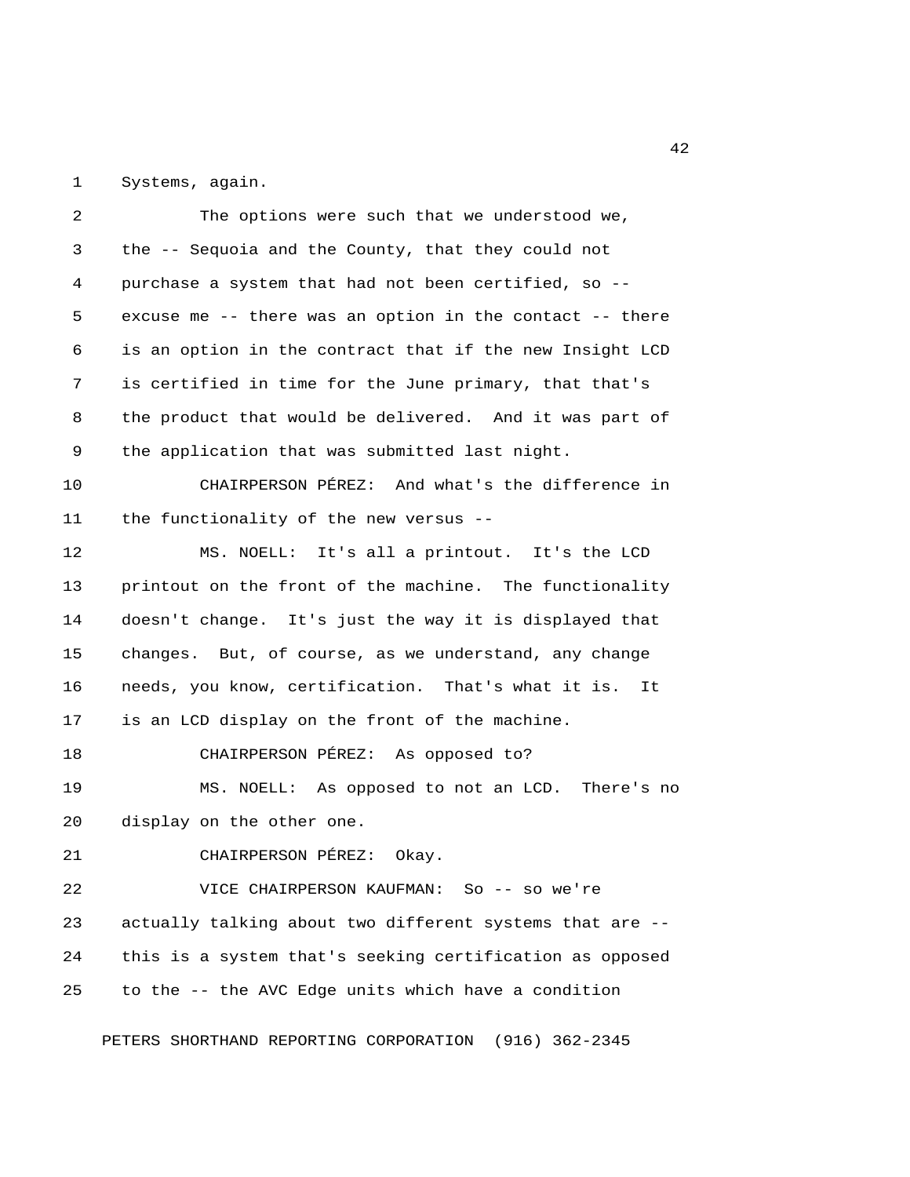1 Systems, again.

| 2  | The options were such that we understood we,             |
|----|----------------------------------------------------------|
| 3  | the -- Sequoia and the County, that they could not       |
| 4  | purchase a system that had not been certified, so --     |
| 5  | excuse me -- there was an option in the contact -- there |
| 6  | is an option in the contract that if the new Insight LCD |
| 7  | is certified in time for the June primary, that that's   |
| 8  | the product that would be delivered. And it was part of  |
| 9  | the application that was submitted last night.           |
| 10 | CHAIRPERSON PÉREZ: And what's the difference in          |
| 11 | the functionality of the new versus --                   |
| 12 | MS. NOELL: It's all a printout. It's the LCD             |
| 13 | printout on the front of the machine. The functionality  |
| 14 | doesn't change. It's just the way it is displayed that   |
| 15 | changes. But, of course, as we understand, any change    |
| 16 | needs, you know, certification. That's what it is.<br>It |
| 17 | is an LCD display on the front of the machine.           |
| 18 | CHAIRPERSON PÉREZ: As opposed to?                        |
| 19 | MS. NOELL: As opposed to not an LCD. There's no          |
| 20 | display on the other one.                                |
| 21 | CHAIRPERSON PÉREZ:<br>Okay.                              |
| 22 | VICE CHAIRPERSON KAUFMAN: So -- so we're                 |
| 23 | actually talking about two different systems that are -- |
| 24 | this is a system that's seeking certification as opposed |
| 25 | to the -- the AVC Edge units which have a condition      |
|    |                                                          |

PETERS SHORTHAND REPORTING CORPORATION (916) 362-2345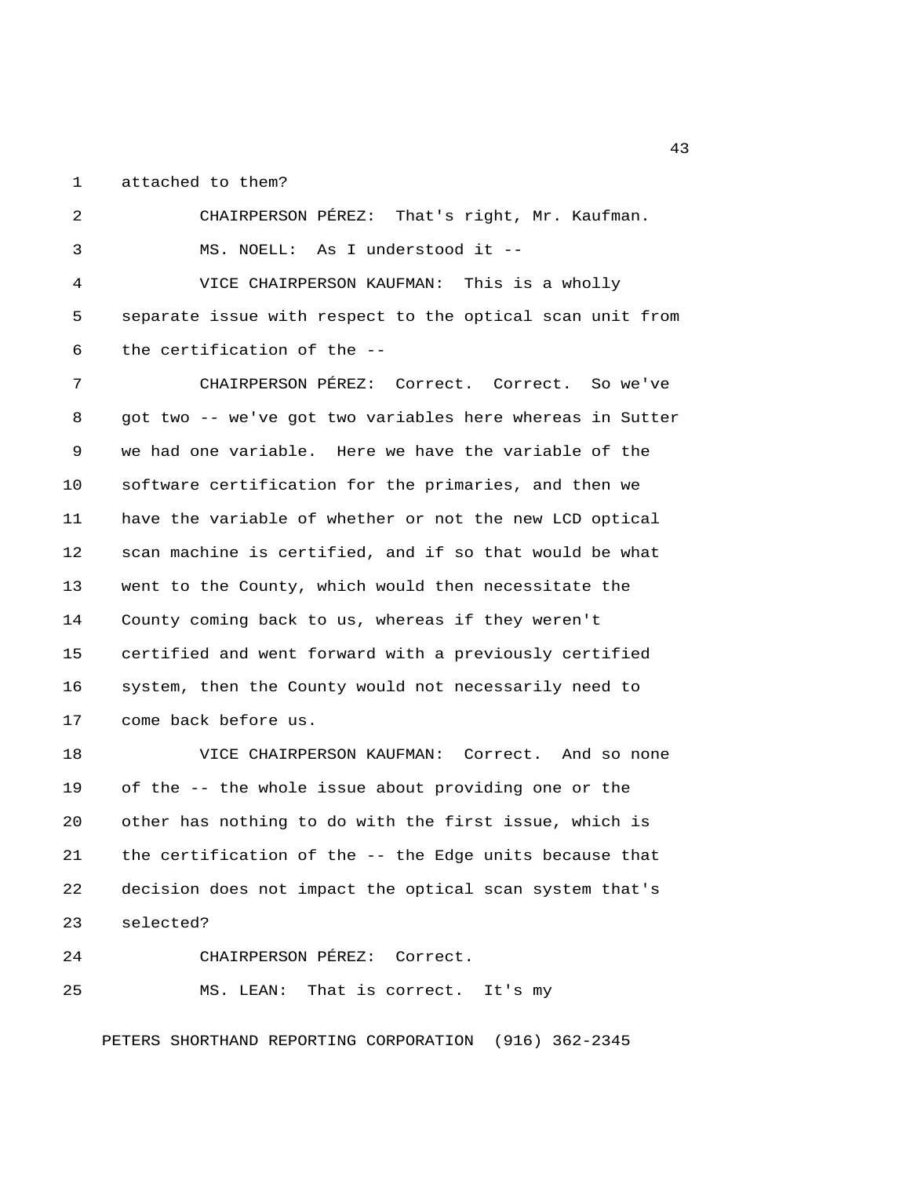1 attached to them?

 2 CHAIRPERSON PÉREZ: That's right, Mr. Kaufman. 3 MS. NOELL: As I understood it -- 4 VICE CHAIRPERSON KAUFMAN: This is a wholly 5 separate issue with respect to the optical scan unit from 6 the certification of the -- 7 CHAIRPERSON PÉREZ: Correct. Correct. So we've 8 got two -- we've got two variables here whereas in Sutter 9 we had one variable. Here we have the variable of the 10 software certification for the primaries, and then we 11 have the variable of whether or not the new LCD optical 12 scan machine is certified, and if so that would be what 13 went to the County, which would then necessitate the 14 County coming back to us, whereas if they weren't 15 certified and went forward with a previously certified 16 system, then the County would not necessarily need to 17 come back before us. 18 VICE CHAIRPERSON KAUFMAN: Correct. And so none

19 of the -- the whole issue about providing one or the 20 other has nothing to do with the first issue, which is 21 the certification of the -- the Edge units because that 22 decision does not impact the optical scan system that's 23 selected?

24 CHAIRPERSON PÉREZ: Correct.

25 MS. LEAN: That is correct. It's my

PETERS SHORTHAND REPORTING CORPORATION (916) 362-2345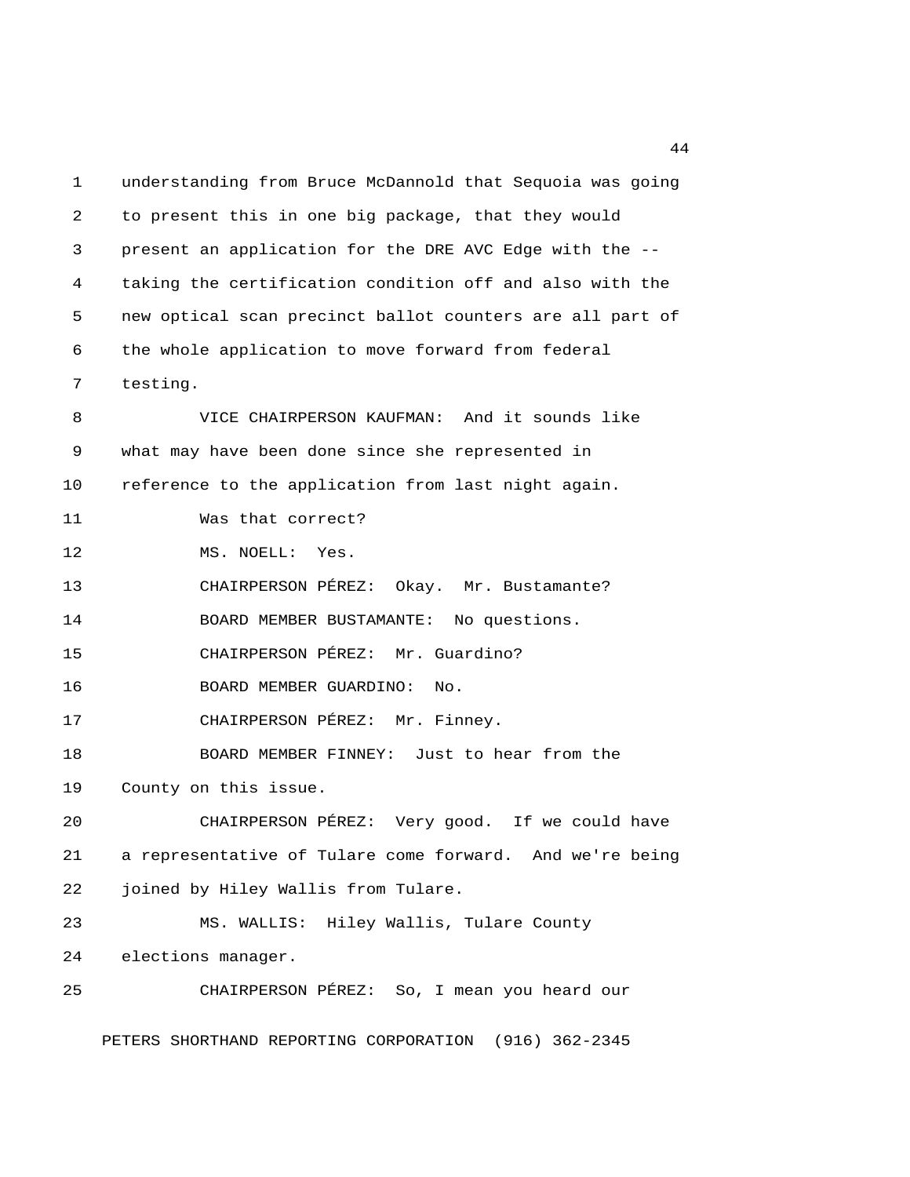1 understanding from Bruce McDannold that Sequoia was going 2 to present this in one big package, that they would 3 present an application for the DRE AVC Edge with the -- 4 taking the certification condition off and also with the 5 new optical scan precinct ballot counters are all part of 6 the whole application to move forward from federal 7 testing. 8 VICE CHAIRPERSON KAUFMAN: And it sounds like 9 what may have been done since she represented in 10 reference to the application from last night again. 11 Was that correct? 12 MS. NOELL: Yes. 13 CHAIRPERSON PÉREZ: Okay. Mr. Bustamante? 14 BOARD MEMBER BUSTAMANTE: No questions. 15 CHAIRPERSON PÉREZ: Mr. Guardino? 16 BOARD MEMBER GUARDINO: No. 17 CHAIRPERSON PÉREZ: Mr. Finney. 18 BOARD MEMBER FINNEY: Just to hear from the 19 County on this issue. 20 CHAIRPERSON PÉREZ: Very good. If we could have 21 a representative of Tulare come forward. And we're being 22 joined by Hiley Wallis from Tulare. 23 MS. WALLIS: Hiley Wallis, Tulare County 24 elections manager. 25 CHAIRPERSON PÉREZ: So, I mean you heard our PETERS SHORTHAND REPORTING CORPORATION (916) 362-2345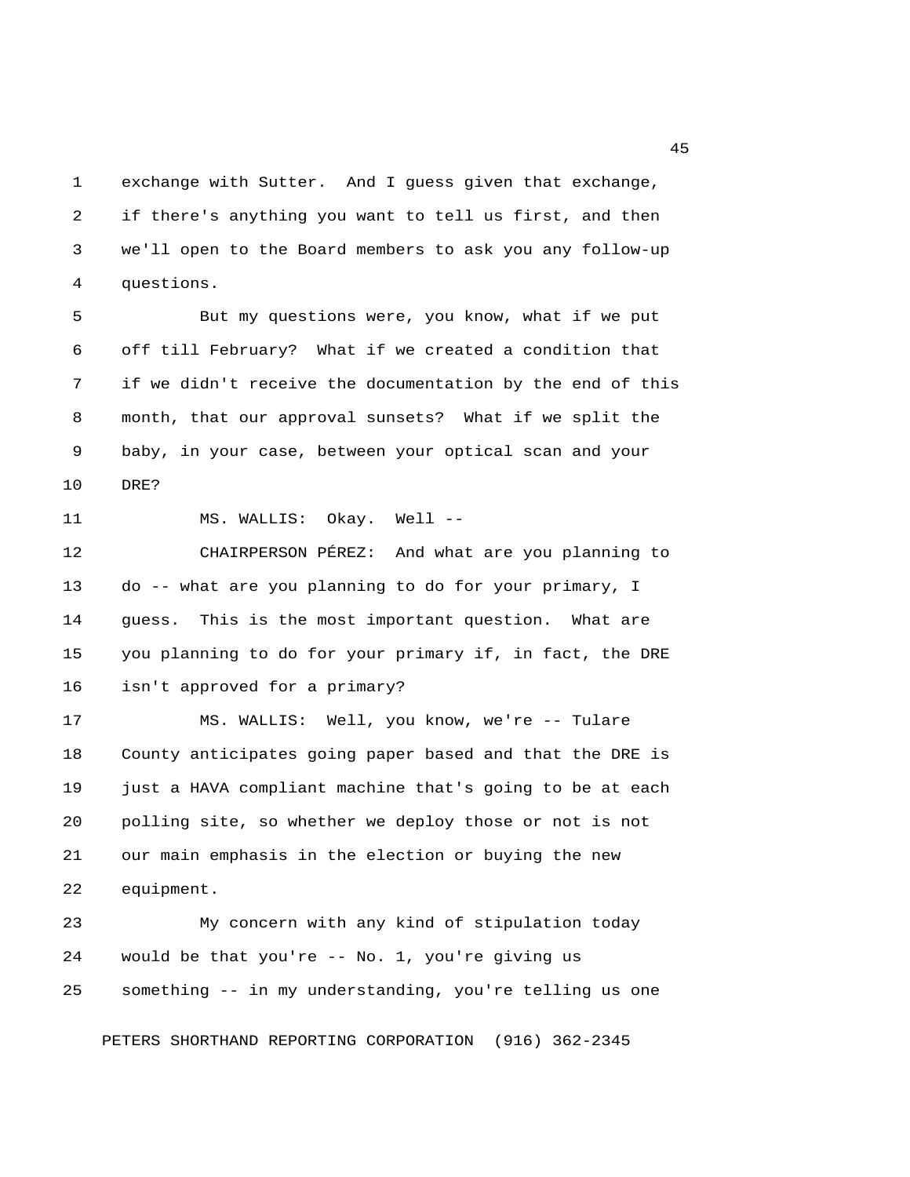1 exchange with Sutter. And I guess given that exchange, 2 if there's anything you want to tell us first, and then 3 we'll open to the Board members to ask you any follow-up 4 questions.

 5 But my questions were, you know, what if we put 6 off till February? What if we created a condition that 7 if we didn't receive the documentation by the end of this 8 month, that our approval sunsets? What if we split the 9 baby, in your case, between your optical scan and your 10 DRE?

11 MS. WALLIS: Okay. Well --

12 CHAIRPERSON PÉREZ: And what are you planning to 13 do -- what are you planning to do for your primary, I 14 guess. This is the most important question. What are 15 you planning to do for your primary if, in fact, the DRE 16 isn't approved for a primary?

17 MS. WALLIS: Well, you know, we're -- Tulare 18 County anticipates going paper based and that the DRE is 19 just a HAVA compliant machine that's going to be at each 20 polling site, so whether we deploy those or not is not 21 our main emphasis in the election or buying the new 22 equipment.

23 My concern with any kind of stipulation today 24 would be that you're -- No. 1, you're giving us 25 something -- in my understanding, you're telling us one

PETERS SHORTHAND REPORTING CORPORATION (916) 362-2345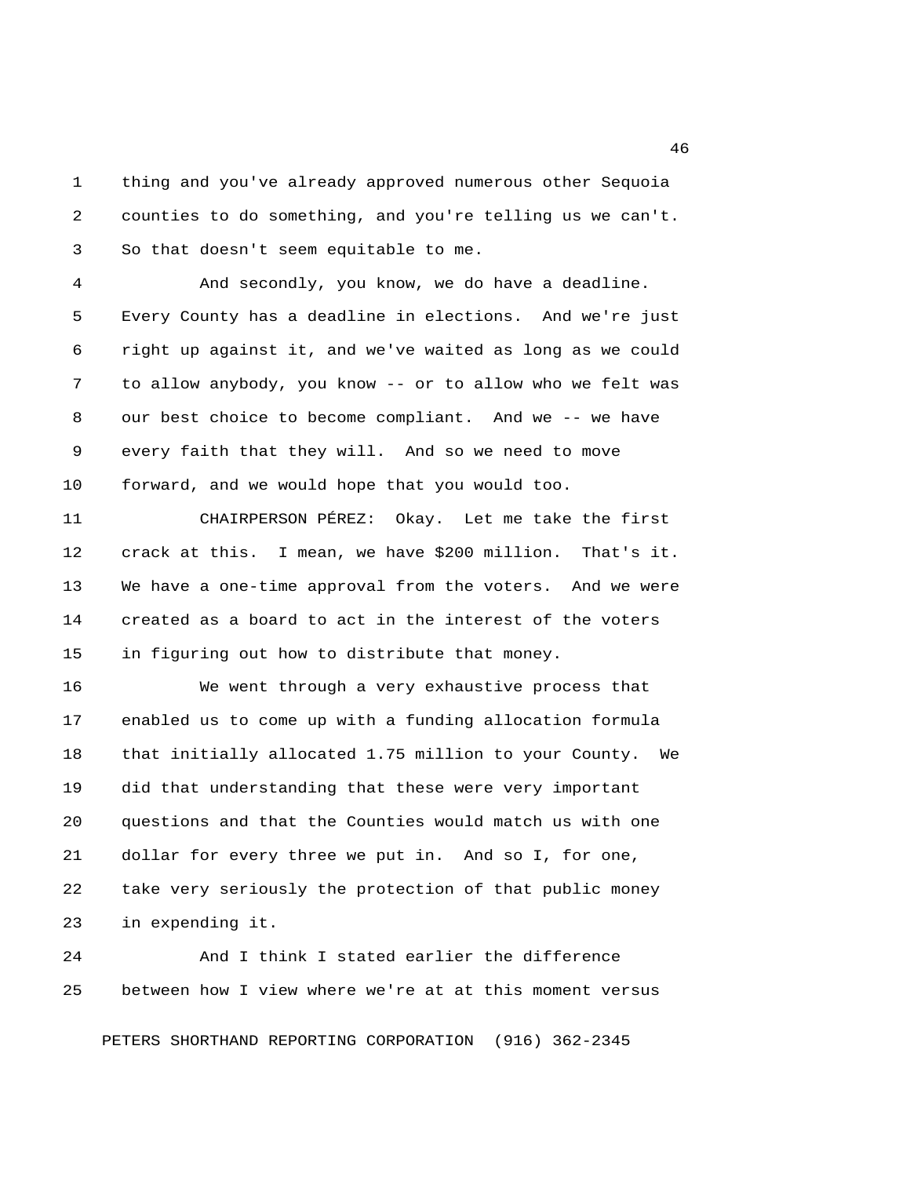1 thing and you've already approved numerous other Sequoia 2 counties to do something, and you're telling us we can't. 3 So that doesn't seem equitable to me.

 4 And secondly, you know, we do have a deadline. 5 Every County has a deadline in elections. And we're just 6 right up against it, and we've waited as long as we could 7 to allow anybody, you know -- or to allow who we felt was 8 our best choice to become compliant. And we -- we have 9 every faith that they will. And so we need to move 10 forward, and we would hope that you would too.

11 CHAIRPERSON PÉREZ: Okay. Let me take the first 12 crack at this. I mean, we have \$200 million. That's it. 13 We have a one-time approval from the voters. And we were 14 created as a board to act in the interest of the voters 15 in figuring out how to distribute that money.

16 We went through a very exhaustive process that 17 enabled us to come up with a funding allocation formula 18 that initially allocated 1.75 million to your County. We 19 did that understanding that these were very important 20 questions and that the Counties would match us with one 21 dollar for every three we put in. And so I, for one, 22 take very seriously the protection of that public money 23 in expending it.

24 And I think I stated earlier the difference 25 between how I view where we're at at this moment versus

PETERS SHORTHAND REPORTING CORPORATION (916) 362-2345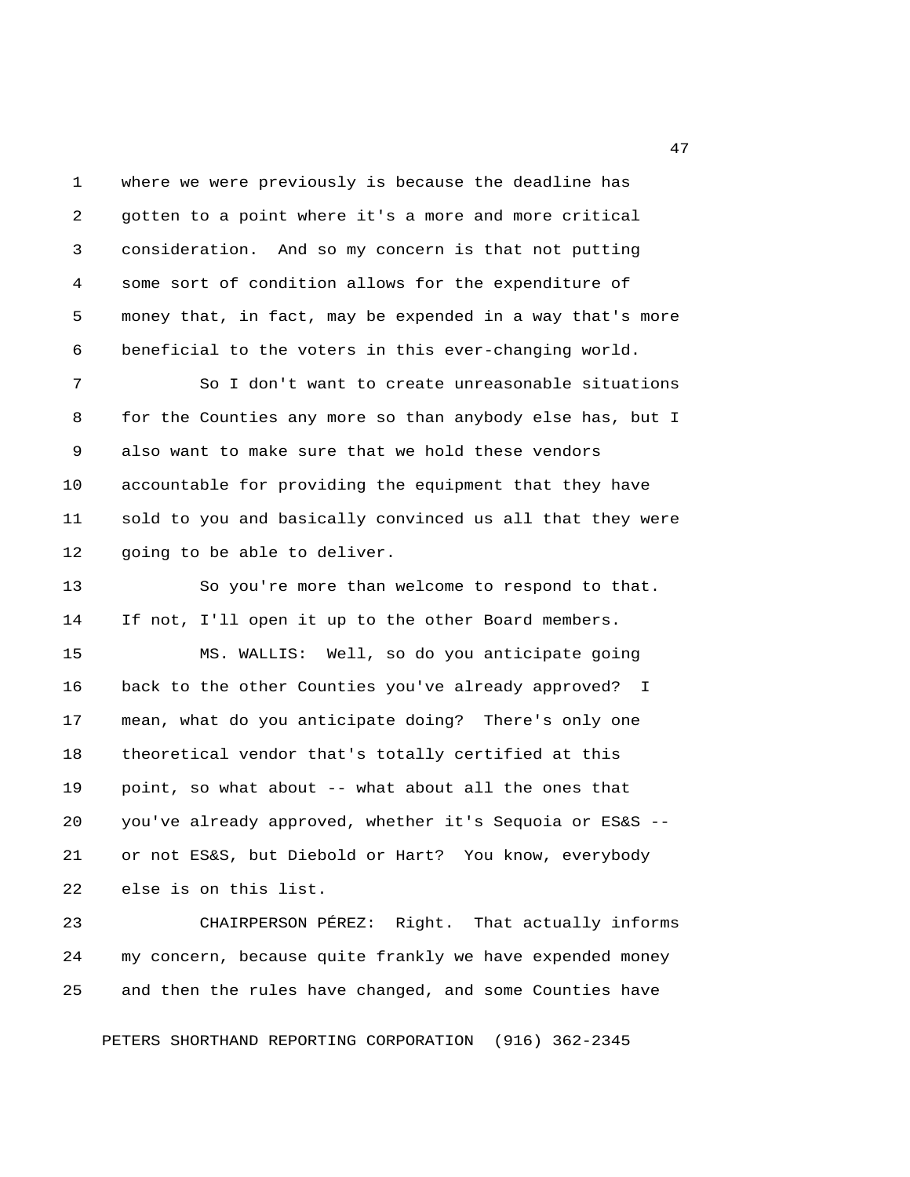1 where we were previously is because the deadline has 2 gotten to a point where it's a more and more critical 3 consideration. And so my concern is that not putting 4 some sort of condition allows for the expenditure of 5 money that, in fact, may be expended in a way that's more 6 beneficial to the voters in this ever-changing world.

 7 So I don't want to create unreasonable situations 8 for the Counties any more so than anybody else has, but I 9 also want to make sure that we hold these vendors 10 accountable for providing the equipment that they have 11 sold to you and basically convinced us all that they were 12 going to be able to deliver.

13 So you're more than welcome to respond to that. 14 If not, I'll open it up to the other Board members.

15 MS. WALLIS: Well, so do you anticipate going 16 back to the other Counties you've already approved? I 17 mean, what do you anticipate doing? There's only one 18 theoretical vendor that's totally certified at this 19 point, so what about -- what about all the ones that 20 you've already approved, whether it's Sequoia or ES&S -- 21 or not ES&S, but Diebold or Hart? You know, everybody 22 else is on this list.

23 CHAIRPERSON PÉREZ: Right. That actually informs 24 my concern, because quite frankly we have expended money 25 and then the rules have changed, and some Counties have

PETERS SHORTHAND REPORTING CORPORATION (916) 362-2345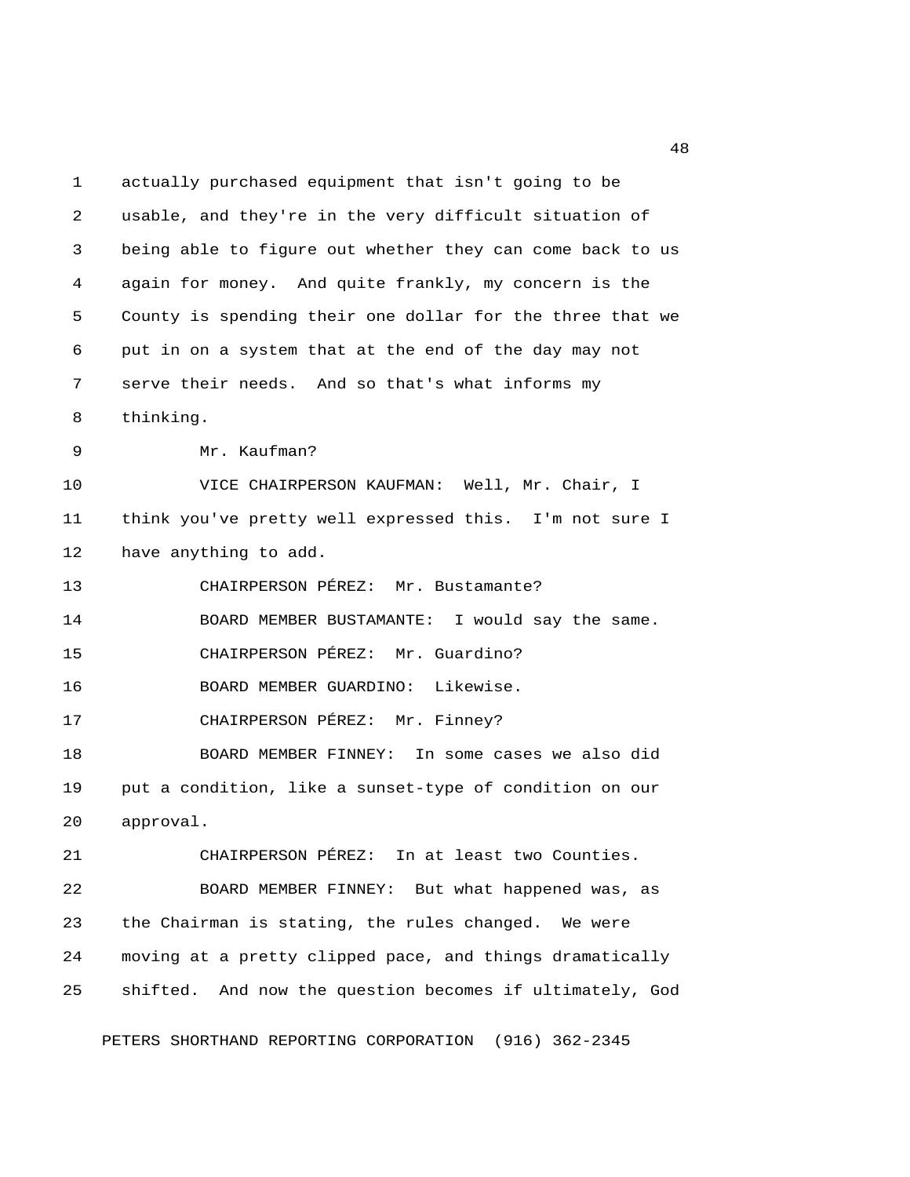1 actually purchased equipment that isn't going to be 2 usable, and they're in the very difficult situation of 3 being able to figure out whether they can come back to us 4 again for money. And quite frankly, my concern is the 5 County is spending their one dollar for the three that we 6 put in on a system that at the end of the day may not 7 serve their needs. And so that's what informs my 8 thinking. 9 Mr. Kaufman? 10 VICE CHAIRPERSON KAUFMAN: Well, Mr. Chair, I 11 think you've pretty well expressed this. I'm not sure I 12 have anything to add. 13 CHAIRPERSON PÉREZ: Mr. Bustamante? 14 BOARD MEMBER BUSTAMANTE: I would say the same. 15 CHAIRPERSON PÉREZ: Mr. Guardino? 16 BOARD MEMBER GUARDINO: Likewise. 17 CHAIRPERSON PÉREZ: Mr. Finney? 18 BOARD MEMBER FINNEY: In some cases we also did 19 put a condition, like a sunset-type of condition on our 20 approval. 21 CHAIRPERSON PÉREZ: In at least two Counties. 22 BOARD MEMBER FINNEY: But what happened was, as 23 the Chairman is stating, the rules changed. We were 24 moving at a pretty clipped pace, and things dramatically 25 shifted. And now the question becomes if ultimately, God

PETERS SHORTHAND REPORTING CORPORATION (916) 362-2345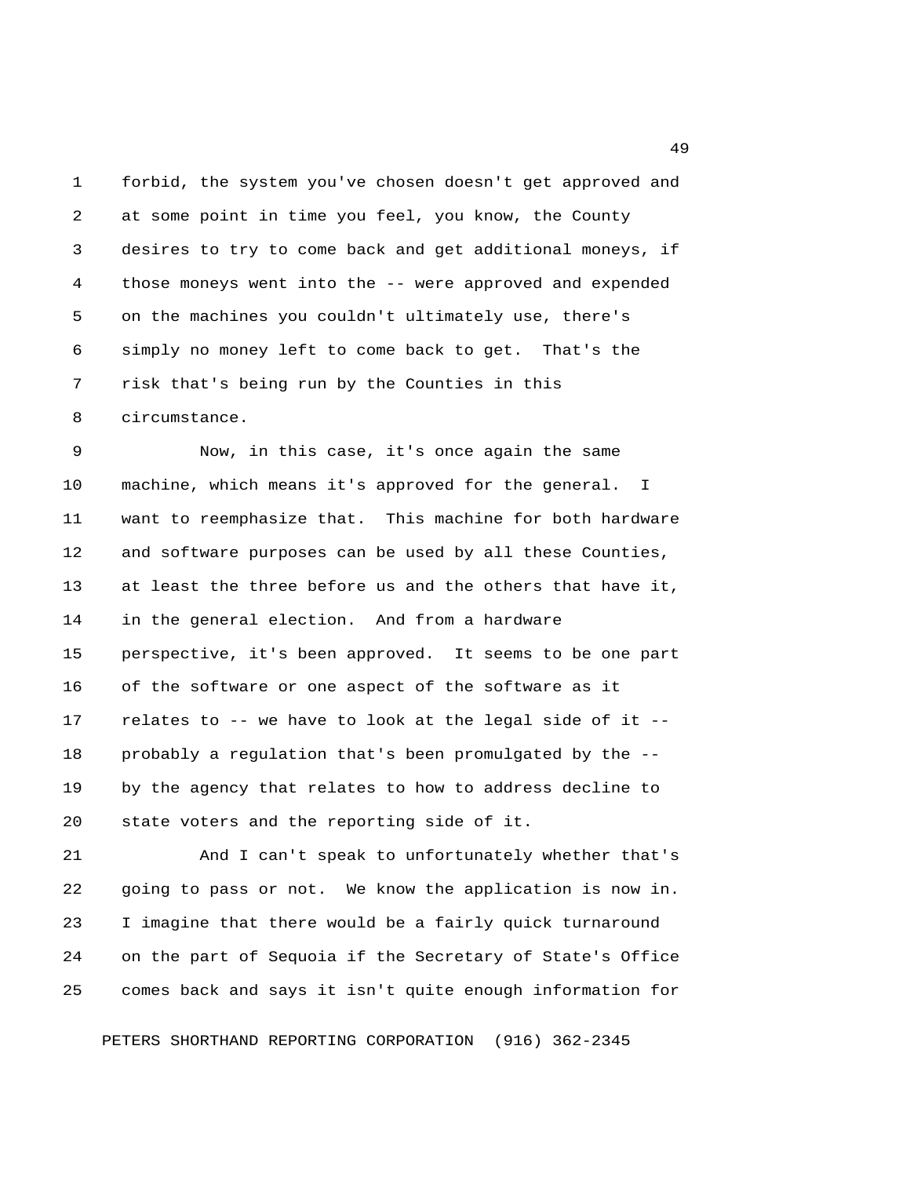1 forbid, the system you've chosen doesn't get approved and 2 at some point in time you feel, you know, the County 3 desires to try to come back and get additional moneys, if 4 those moneys went into the -- were approved and expended 5 on the machines you couldn't ultimately use, there's 6 simply no money left to come back to get. That's the 7 risk that's being run by the Counties in this 8 circumstance.

 9 Now, in this case, it's once again the same 10 machine, which means it's approved for the general. I 11 want to reemphasize that. This machine for both hardware 12 and software purposes can be used by all these Counties, 13 at least the three before us and the others that have it, 14 in the general election. And from a hardware 15 perspective, it's been approved. It seems to be one part 16 of the software or one aspect of the software as it 17 relates to -- we have to look at the legal side of it -- 18 probably a regulation that's been promulgated by the -- 19 by the agency that relates to how to address decline to 20 state voters and the reporting side of it.

21 And I can't speak to unfortunately whether that's 22 going to pass or not. We know the application is now in. 23 I imagine that there would be a fairly quick turnaround 24 on the part of Sequoia if the Secretary of State's Office 25 comes back and says it isn't quite enough information for

PETERS SHORTHAND REPORTING CORPORATION (916) 362-2345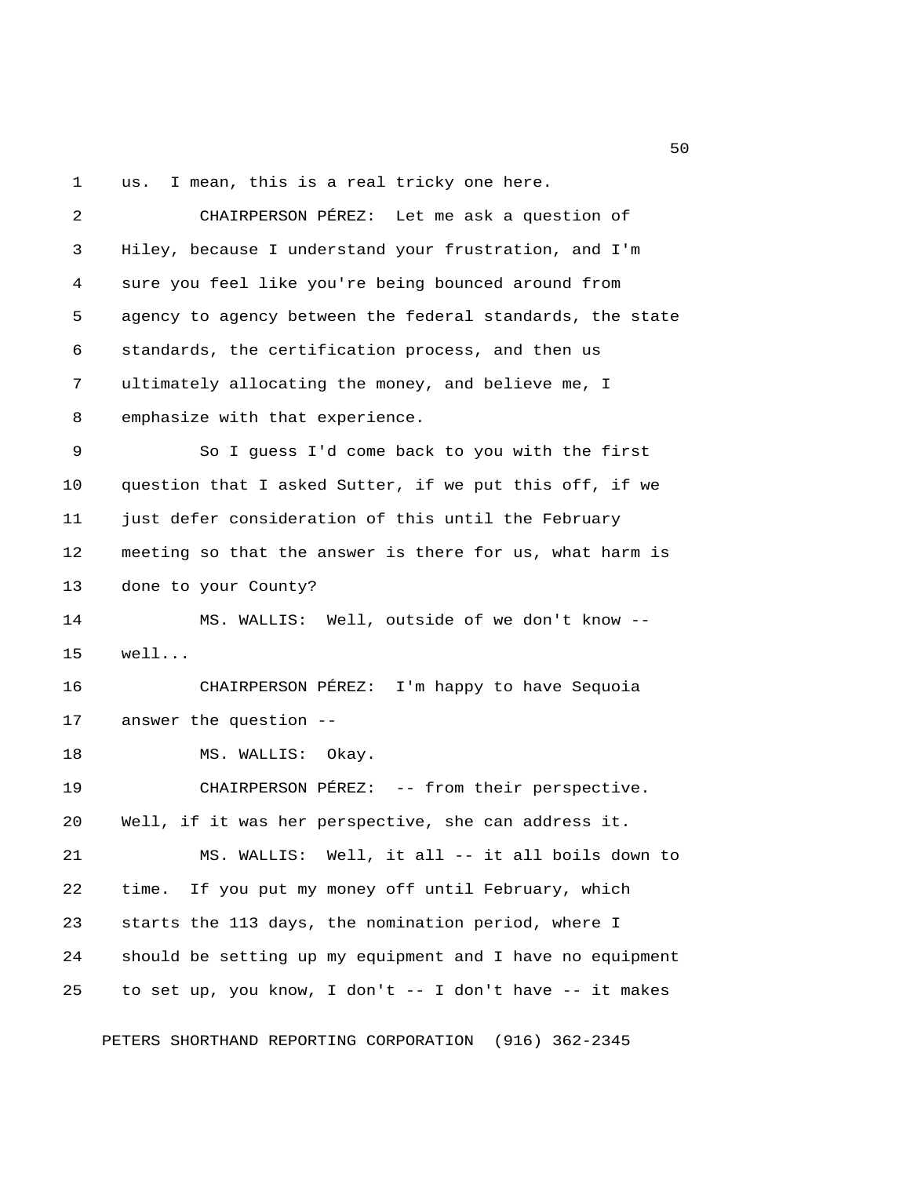1 us. I mean, this is a real tricky one here.

 2 CHAIRPERSON PÉREZ: Let me ask a question of 3 Hiley, because I understand your frustration, and I'm 4 sure you feel like you're being bounced around from 5 agency to agency between the federal standards, the state 6 standards, the certification process, and then us 7 ultimately allocating the money, and believe me, I 8 emphasize with that experience. 9 So I guess I'd come back to you with the first 10 question that I asked Sutter, if we put this off, if we 11 just defer consideration of this until the February 12 meeting so that the answer is there for us, what harm is 13 done to your County? 14 MS. WALLIS: Well, outside of we don't know -- 15 well... 16 CHAIRPERSON PÉREZ: I'm happy to have Sequoia 17 answer the question -- 18 MS. WALLIS: Okay. 19 CHAIRPERSON PÉREZ: -- from their perspective. 20 Well, if it was her perspective, she can address it. 21 MS. WALLIS: Well, it all -- it all boils down to 22 time. If you put my money off until February, which 23 starts the 113 days, the nomination period, where I 24 should be setting up my equipment and I have no equipment 25 to set up, you know, I don't -- I don't have -- it makes

PETERS SHORTHAND REPORTING CORPORATION (916) 362-2345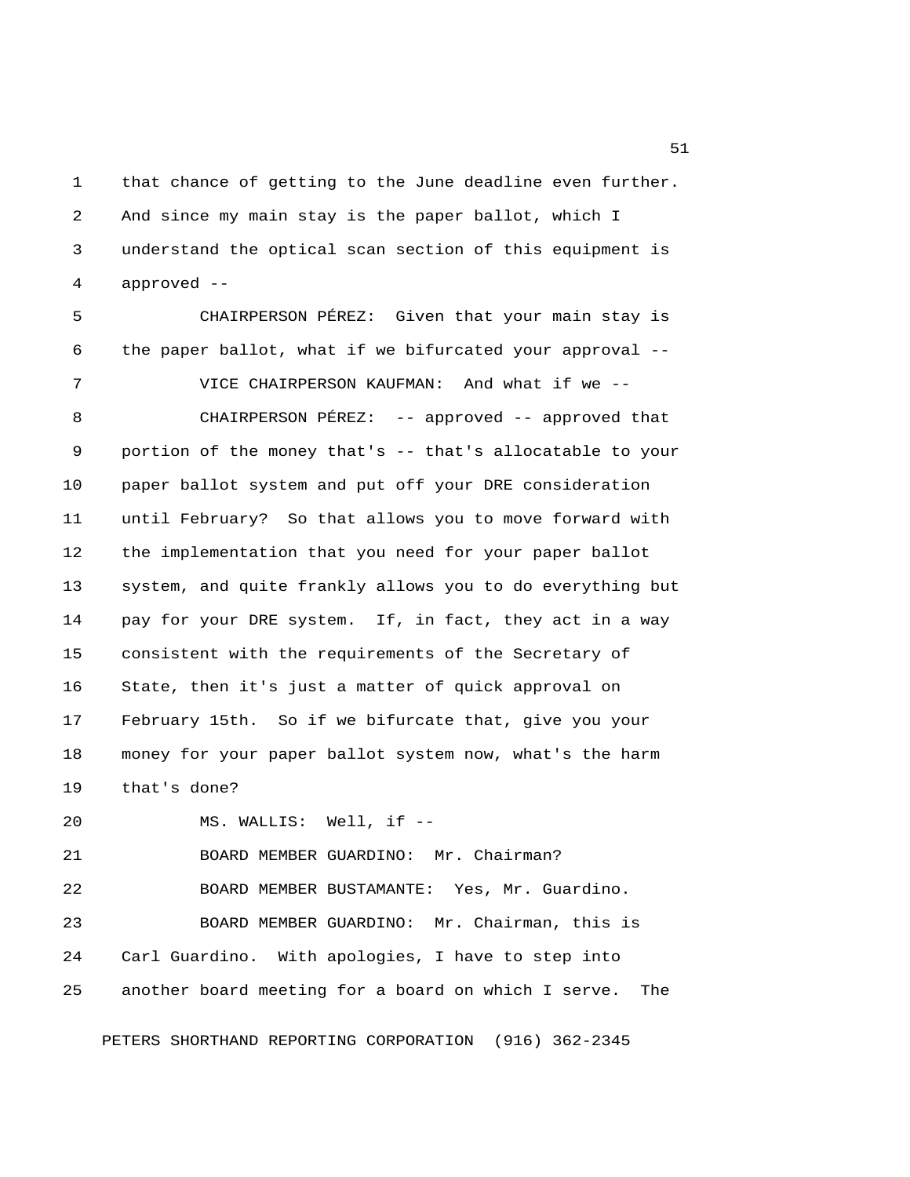1 that chance of getting to the June deadline even further. 2 And since my main stay is the paper ballot, which I 3 understand the optical scan section of this equipment is 4 approved --

 5 CHAIRPERSON PÉREZ: Given that your main stay is 6 the paper ballot, what if we bifurcated your approval --

7 VICE CHAIRPERSON KAUFMAN: And what if we --

8 CHAIRPERSON PÉREZ: -- approved -- approved that 9 portion of the money that's -- that's allocatable to your 10 paper ballot system and put off your DRE consideration 11 until February? So that allows you to move forward with 12 the implementation that you need for your paper ballot 13 system, and quite frankly allows you to do everything but 14 pay for your DRE system. If, in fact, they act in a way 15 consistent with the requirements of the Secretary of 16 State, then it's just a matter of quick approval on 17 February 15th. So if we bifurcate that, give you your 18 money for your paper ballot system now, what's the harm 19 that's done?

20 MS. WALLIS: Well, if --

21 BOARD MEMBER GUARDINO: Mr. Chairman? 22 BOARD MEMBER BUSTAMANTE: Yes, Mr. Guardino. 23 BOARD MEMBER GUARDINO: Mr. Chairman, this is 24 Carl Guardino. With apologies, I have to step into 25 another board meeting for a board on which I serve. The

PETERS SHORTHAND REPORTING CORPORATION (916) 362-2345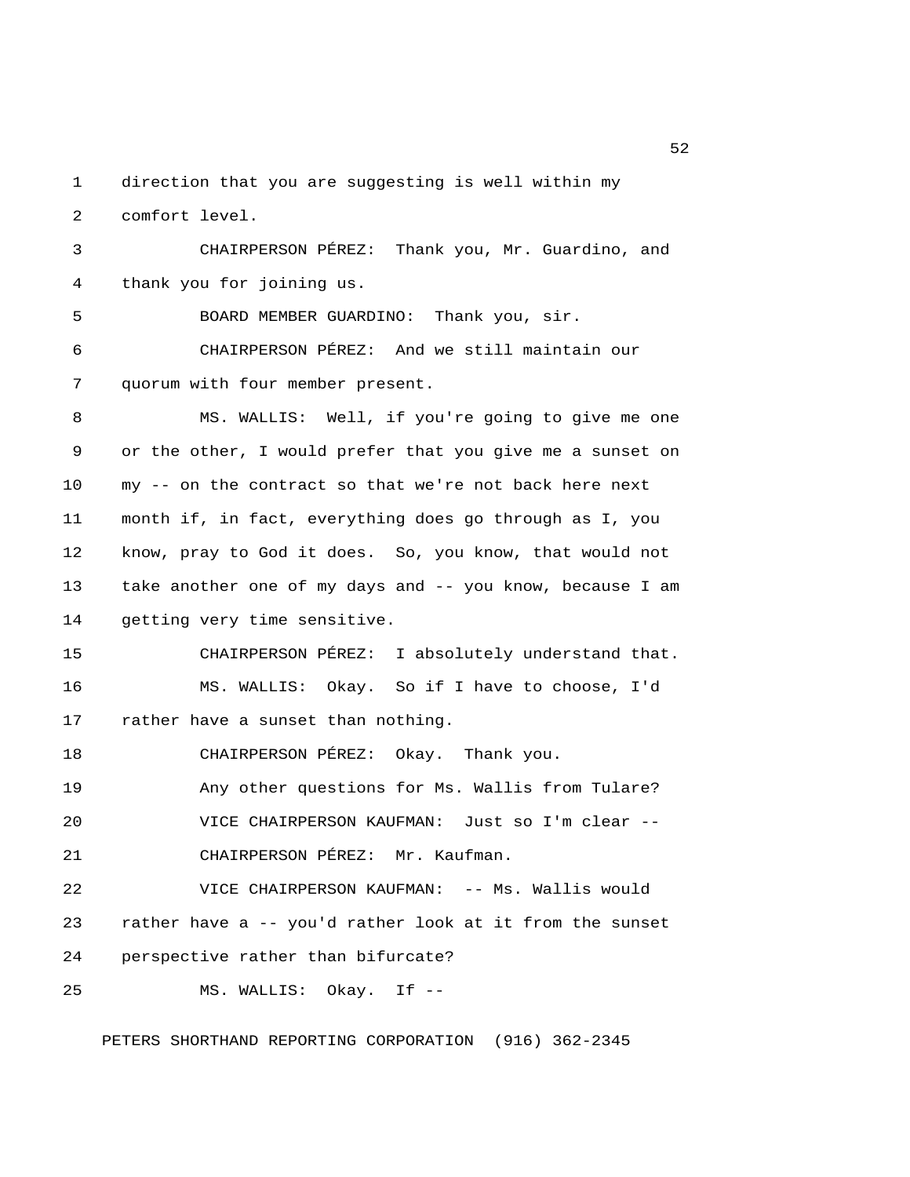1 direction that you are suggesting is well within my 2 comfort level.

 3 CHAIRPERSON PÉREZ: Thank you, Mr. Guardino, and 4 thank you for joining us.

5 BOARD MEMBER GUARDINO: Thank you, sir.

 6 CHAIRPERSON PÉREZ: And we still maintain our 7 quorum with four member present.

 8 MS. WALLIS: Well, if you're going to give me one 9 or the other, I would prefer that you give me a sunset on 10 my -- on the contract so that we're not back here next 11 month if, in fact, everything does go through as I, you 12 know, pray to God it does. So, you know, that would not 13 take another one of my days and -- you know, because I am 14 getting very time sensitive.

15 CHAIRPERSON PÉREZ: I absolutely understand that. 16 MS. WALLIS: Okay. So if I have to choose, I'd 17 rather have a sunset than nothing.

18 CHAIRPERSON PÉREZ: Okay. Thank you.

19 Any other questions for Ms. Wallis from Tulare?

20 VICE CHAIRPERSON KAUFMAN: Just so I'm clear --

21 CHAIRPERSON PÉREZ: Mr. Kaufman.

22 VICE CHAIRPERSON KAUFMAN: -- Ms. Wallis would 23 rather have a -- you'd rather look at it from the sunset 24 perspective rather than bifurcate?

25 MS. WALLIS: Okay. If --

PETERS SHORTHAND REPORTING CORPORATION (916) 362-2345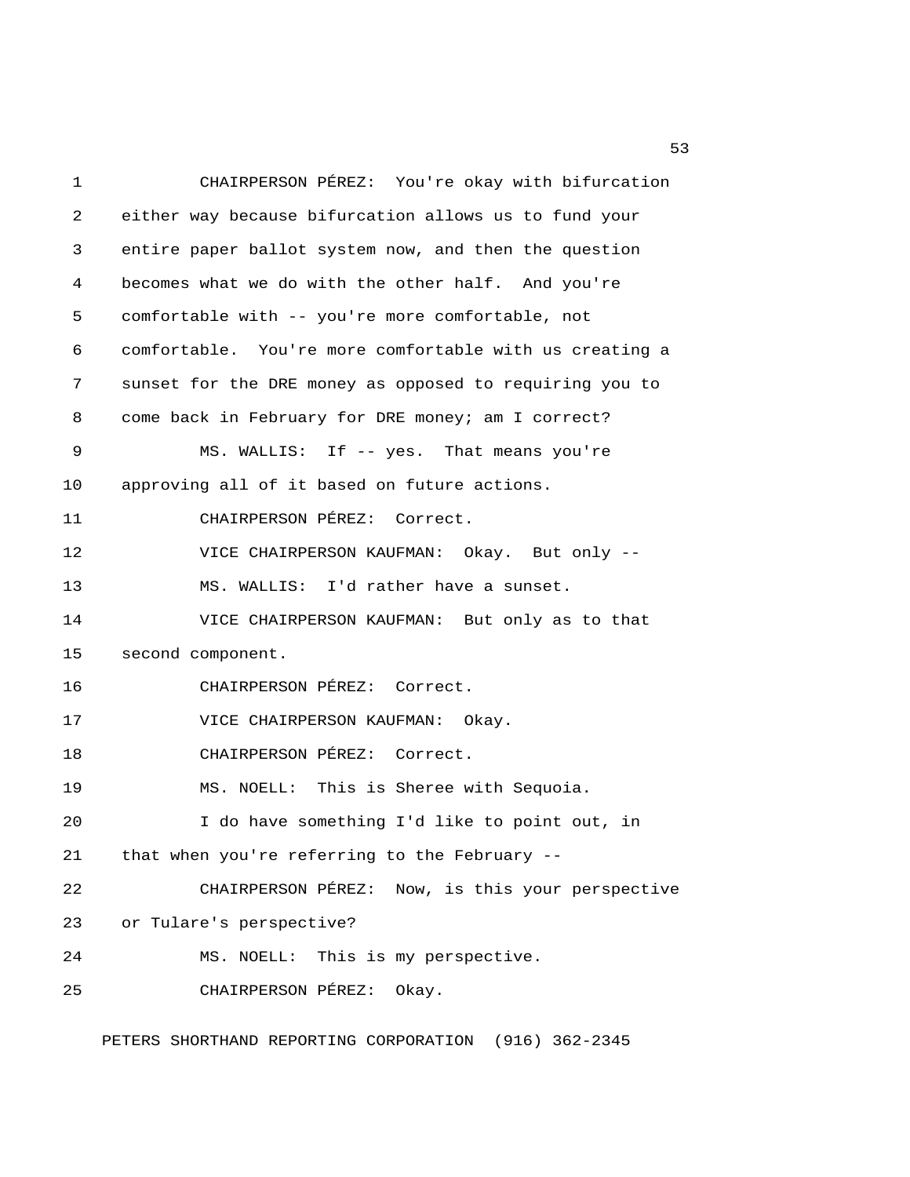1 CHAIRPERSON PÉREZ: You're okay with bifurcation 2 either way because bifurcation allows us to fund your 3 entire paper ballot system now, and then the question 4 becomes what we do with the other half. And you're 5 comfortable with -- you're more comfortable, not 6 comfortable. You're more comfortable with us creating a 7 sunset for the DRE money as opposed to requiring you to 8 come back in February for DRE money; am I correct? 9 MS. WALLIS: If -- yes. That means you're 10 approving all of it based on future actions. 11 CHAIRPERSON PÉREZ: Correct. 12 VICE CHAIRPERSON KAUFMAN: Okay. But only -- 13 MS. WALLIS: I'd rather have a sunset. 14 VICE CHAIRPERSON KAUFMAN: But only as to that 15 second component. 16 CHAIRPERSON PÉREZ: Correct. 17 VICE CHAIRPERSON KAUFMAN: Okay. 18 CHAIRPERSON PÉREZ: Correct. 19 MS. NOELL: This is Sheree with Sequoia. 20 I do have something I'd like to point out, in 21 that when you're referring to the February -- 22 CHAIRPERSON PÉREZ: Now, is this your perspective 23 or Tulare's perspective? 24 MS. NOELL: This is my perspective. 25 CHAIRPERSON PÉREZ: Okay.

PETERS SHORTHAND REPORTING CORPORATION (916) 362-2345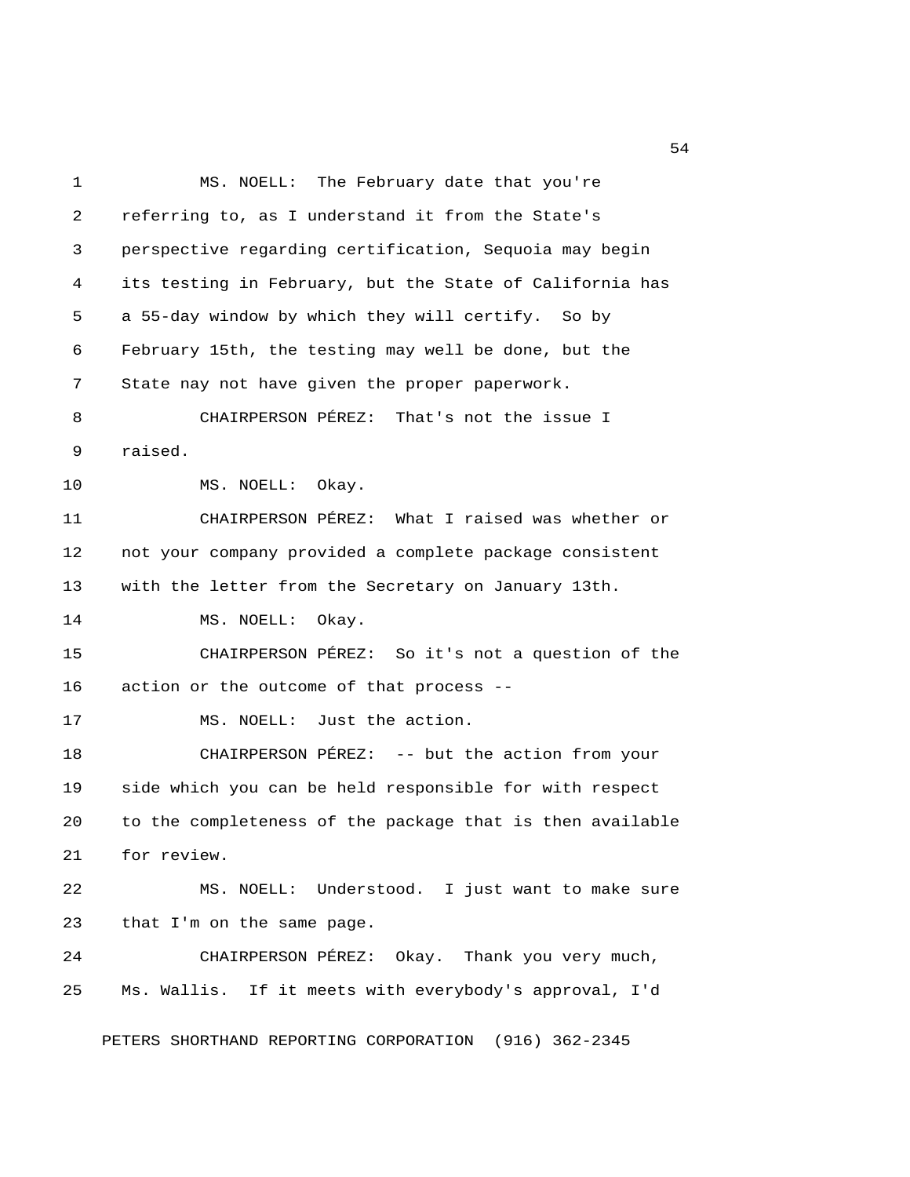1 MS. NOELL: The February date that you're 2 referring to, as I understand it from the State's 3 perspective regarding certification, Sequoia may begin 4 its testing in February, but the State of California has 5 a 55-day window by which they will certify. So by 6 February 15th, the testing may well be done, but the 7 State nay not have given the proper paperwork. 8 CHAIRPERSON PÉREZ: That's not the issue I 9 raised. 10 MS. NOELL: Okay. 11 CHAIRPERSON PÉREZ: What I raised was whether or 12 not your company provided a complete package consistent 13 with the letter from the Secretary on January 13th. 14 MS. NOELL: Okay. 15 CHAIRPERSON PÉREZ: So it's not a question of the 16 action or the outcome of that process -- 17 MS. NOELL: Just the action. 18 CHAIRPERSON PÉREZ: -- but the action from your 19 side which you can be held responsible for with respect 20 to the completeness of the package that is then available 21 for review. 22 MS. NOELL: Understood. I just want to make sure 23 that I'm on the same page. 24 CHAIRPERSON PÉREZ: Okay. Thank you very much, 25 Ms. Wallis. If it meets with everybody's approval, I'd PETERS SHORTHAND REPORTING CORPORATION (916) 362-2345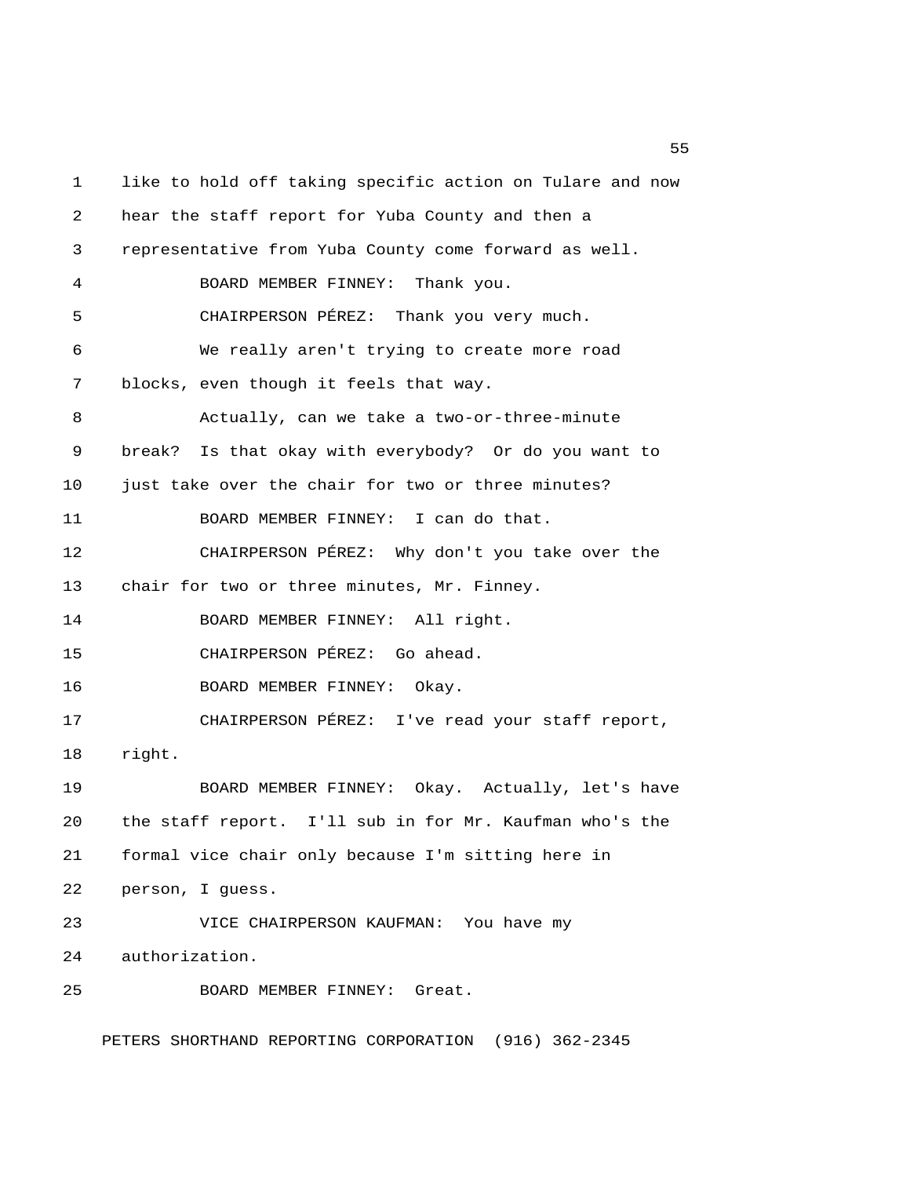1 like to hold off taking specific action on Tulare and now 2 hear the staff report for Yuba County and then a 3 representative from Yuba County come forward as well. 4 BOARD MEMBER FINNEY: Thank you. 5 CHAIRPERSON PÉREZ: Thank you very much. 6 We really aren't trying to create more road 7 blocks, even though it feels that way. 8 Actually, can we take a two-or-three-minute 9 break? Is that okay with everybody? Or do you want to 10 just take over the chair for two or three minutes? 11 BOARD MEMBER FINNEY: I can do that. 12 CHAIRPERSON PÉREZ: Why don't you take over the 13 chair for two or three minutes, Mr. Finney. 14 BOARD MEMBER FINNEY: All right. 15 CHAIRPERSON PÉREZ: Go ahead. 16 BOARD MEMBER FINNEY: Okay. 17 CHAIRPERSON PÉREZ: I've read your staff report, 18 right. 19 BOARD MEMBER FINNEY: Okay. Actually, let's have 20 the staff report. I'll sub in for Mr. Kaufman who's the 21 formal vice chair only because I'm sitting here in 22 person, I guess. 23 VICE CHAIRPERSON KAUFMAN: You have my 24 authorization. 25 BOARD MEMBER FINNEY: Great.

PETERS SHORTHAND REPORTING CORPORATION (916) 362-2345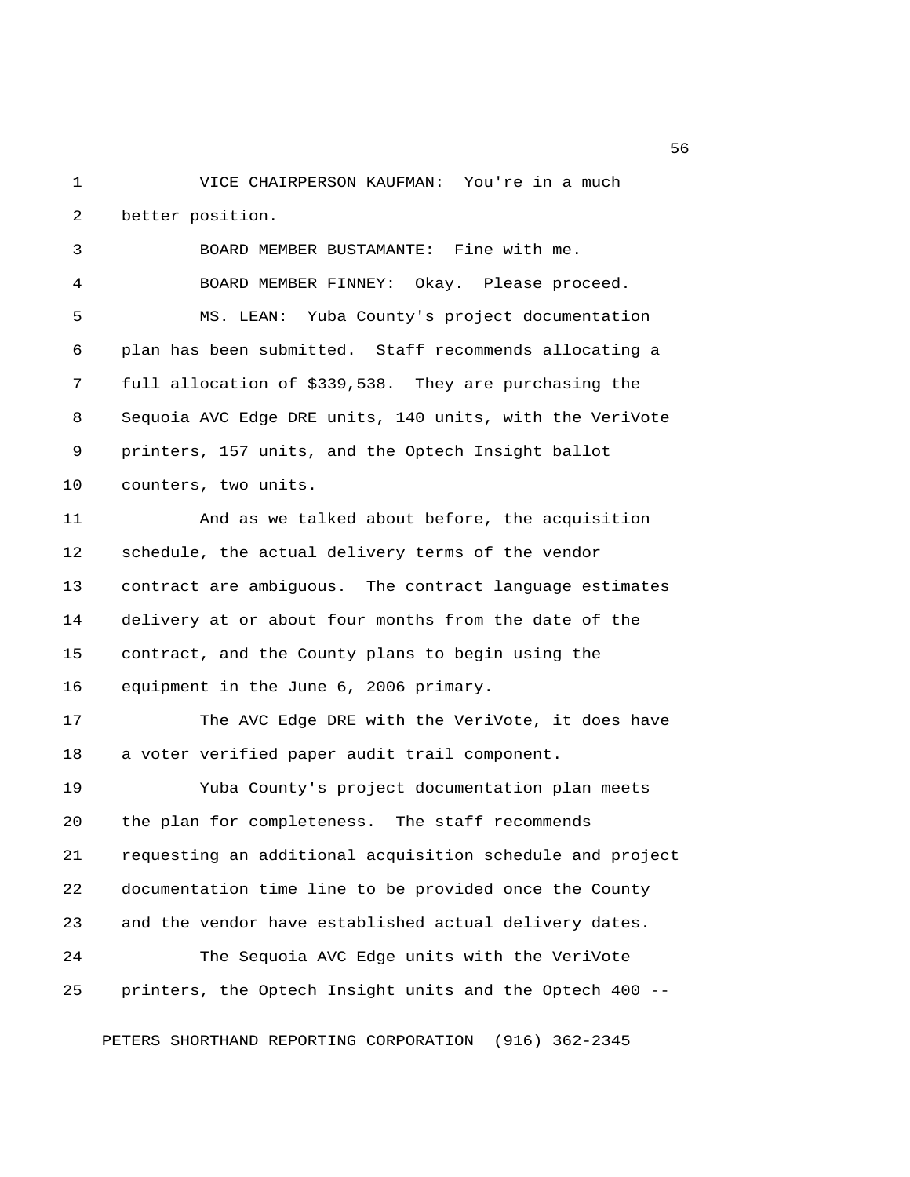1 VICE CHAIRPERSON KAUFMAN: You're in a much 2 better position.

 3 BOARD MEMBER BUSTAMANTE: Fine with me. 4 BOARD MEMBER FINNEY: Okay. Please proceed. 5 MS. LEAN: Yuba County's project documentation 6 plan has been submitted. Staff recommends allocating a 7 full allocation of \$339,538. They are purchasing the 8 Sequoia AVC Edge DRE units, 140 units, with the VeriVote 9 printers, 157 units, and the Optech Insight ballot 10 counters, two units. 11 And as we talked about before, the acquisition 12 schedule, the actual delivery terms of the vendor 13 contract are ambiguous. The contract language estimates 14 delivery at or about four months from the date of the 15 contract, and the County plans to begin using the 16 equipment in the June 6, 2006 primary. 17 The AVC Edge DRE with the VeriVote, it does have 18 a voter verified paper audit trail component. 19 Yuba County's project documentation plan meets 20 the plan for completeness. The staff recommends 21 requesting an additional acquisition schedule and project 22 documentation time line to be provided once the County 23 and the vendor have established actual delivery dates. 24 The Sequoia AVC Edge units with the VeriVote 25 printers, the Optech Insight units and the Optech 400 --

PETERS SHORTHAND REPORTING CORPORATION (916) 362-2345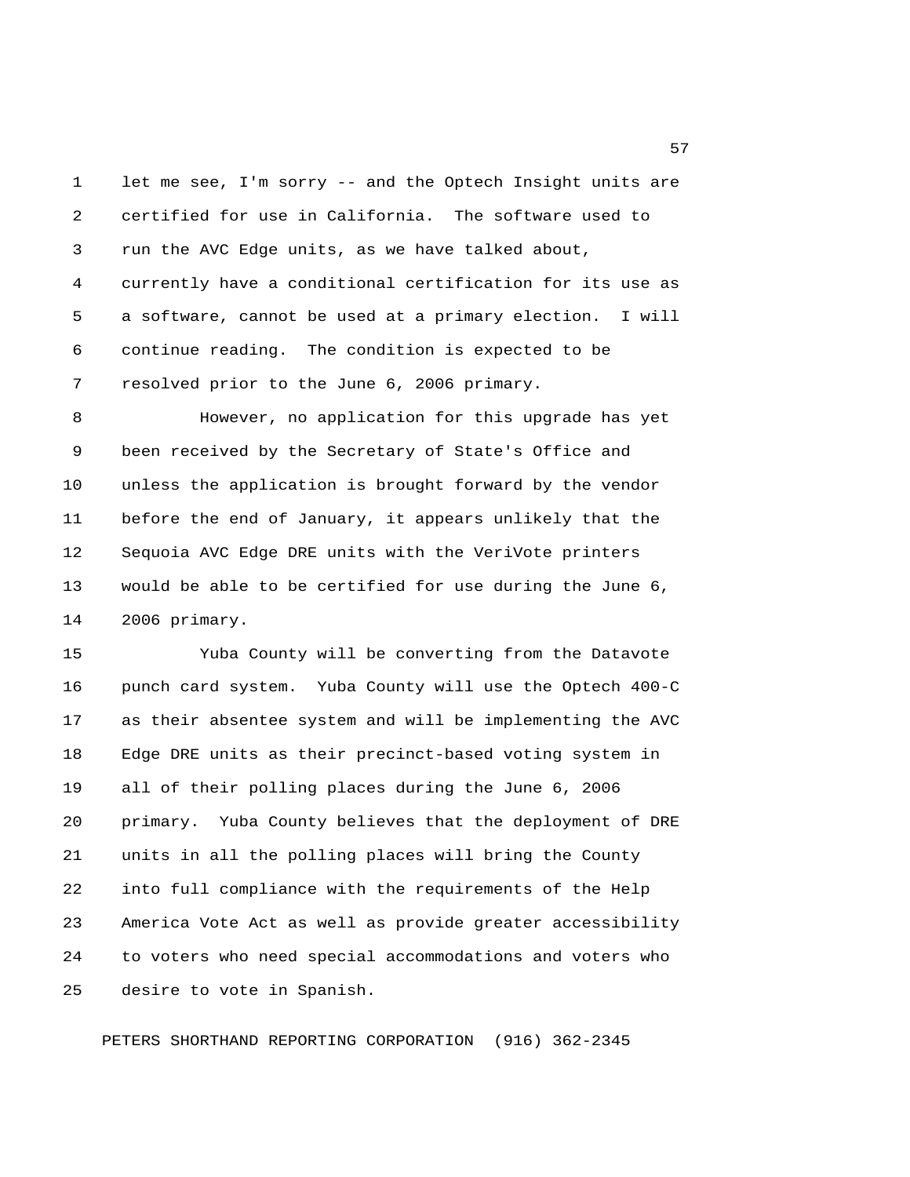1 let me see, I'm sorry -- and the Optech Insight units are 2 certified for use in California. The software used to 3 run the AVC Edge units, as we have talked about, 4 currently have a conditional certification for its use as 5 a software, cannot be used at a primary election. I will 6 continue reading. The condition is expected to be 7 resolved prior to the June 6, 2006 primary.

 8 However, no application for this upgrade has yet 9 been received by the Secretary of State's Office and 10 unless the application is brought forward by the vendor 11 before the end of January, it appears unlikely that the 12 Sequoia AVC Edge DRE units with the VeriVote printers 13 would be able to be certified for use during the June 6, 14 2006 primary.

15 Yuba County will be converting from the Datavote 16 punch card system. Yuba County will use the Optech 400-C 17 as their absentee system and will be implementing the AVC 18 Edge DRE units as their precinct-based voting system in 19 all of their polling places during the June 6, 2006 20 primary. Yuba County believes that the deployment of DRE 21 units in all the polling places will bring the County 22 into full compliance with the requirements of the Help 23 America Vote Act as well as provide greater accessibility 24 to voters who need special accommodations and voters who 25 desire to vote in Spanish.

PETERS SHORTHAND REPORTING CORPORATION (916) 362-2345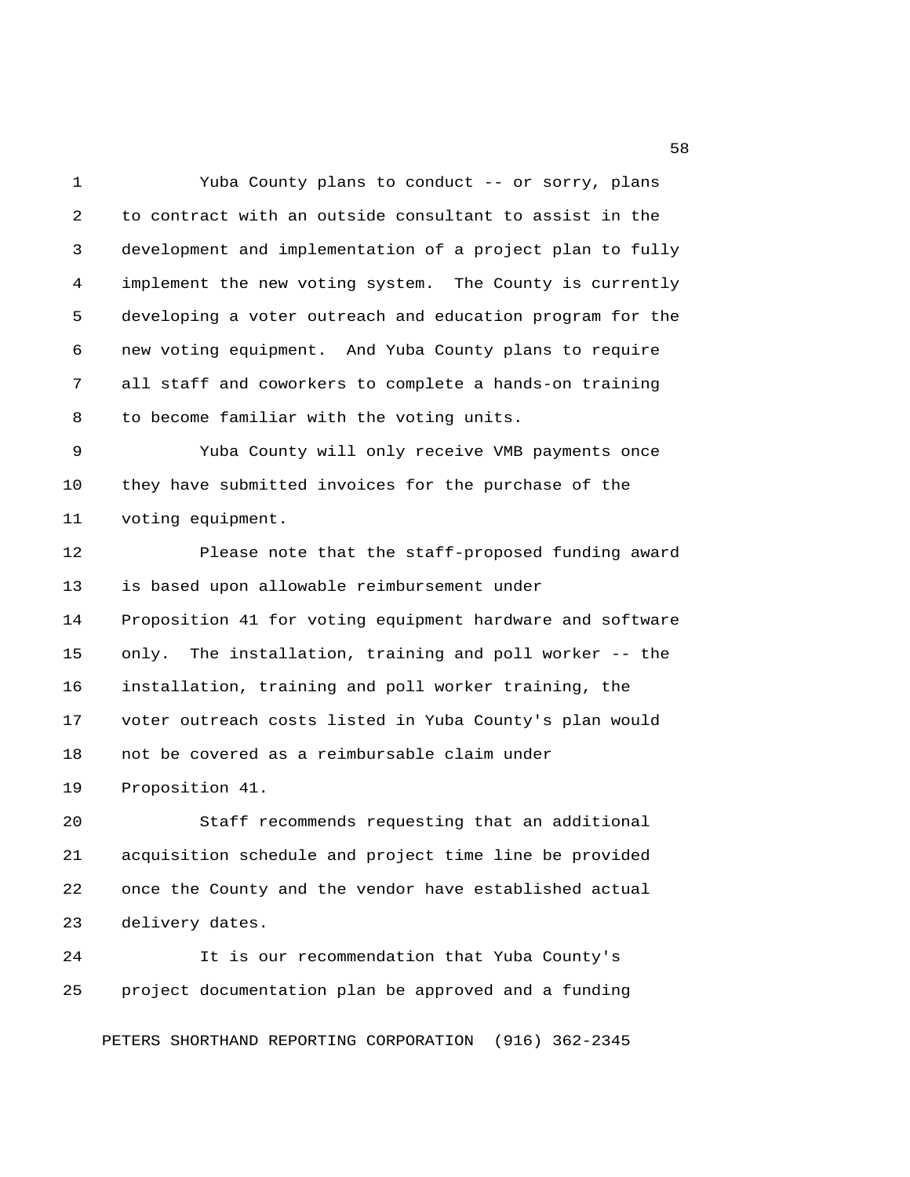1 Yuba County plans to conduct -- or sorry, plans 2 to contract with an outside consultant to assist in the 3 development and implementation of a project plan to fully 4 implement the new voting system. The County is currently 5 developing a voter outreach and education program for the 6 new voting equipment. And Yuba County plans to require 7 all staff and coworkers to complete a hands-on training 8 to become familiar with the voting units. 9 Yuba County will only receive VMB payments once 10 they have submitted invoices for the purchase of the 11 voting equipment. 12 Please note that the staff-proposed funding award 13 is based upon allowable reimbursement under 14 Proposition 41 for voting equipment hardware and software 15 only. The installation, training and poll worker -- the 16 installation, training and poll worker training, the 17 voter outreach costs listed in Yuba County's plan would 18 not be covered as a reimbursable claim under 19 Proposition 41. 20 Staff recommends requesting that an additional 21 acquisition schedule and project time line be provided 22 once the County and the vendor have established actual 23 delivery dates.

24 It is our recommendation that Yuba County's 25 project documentation plan be approved and a funding

PETERS SHORTHAND REPORTING CORPORATION (916) 362-2345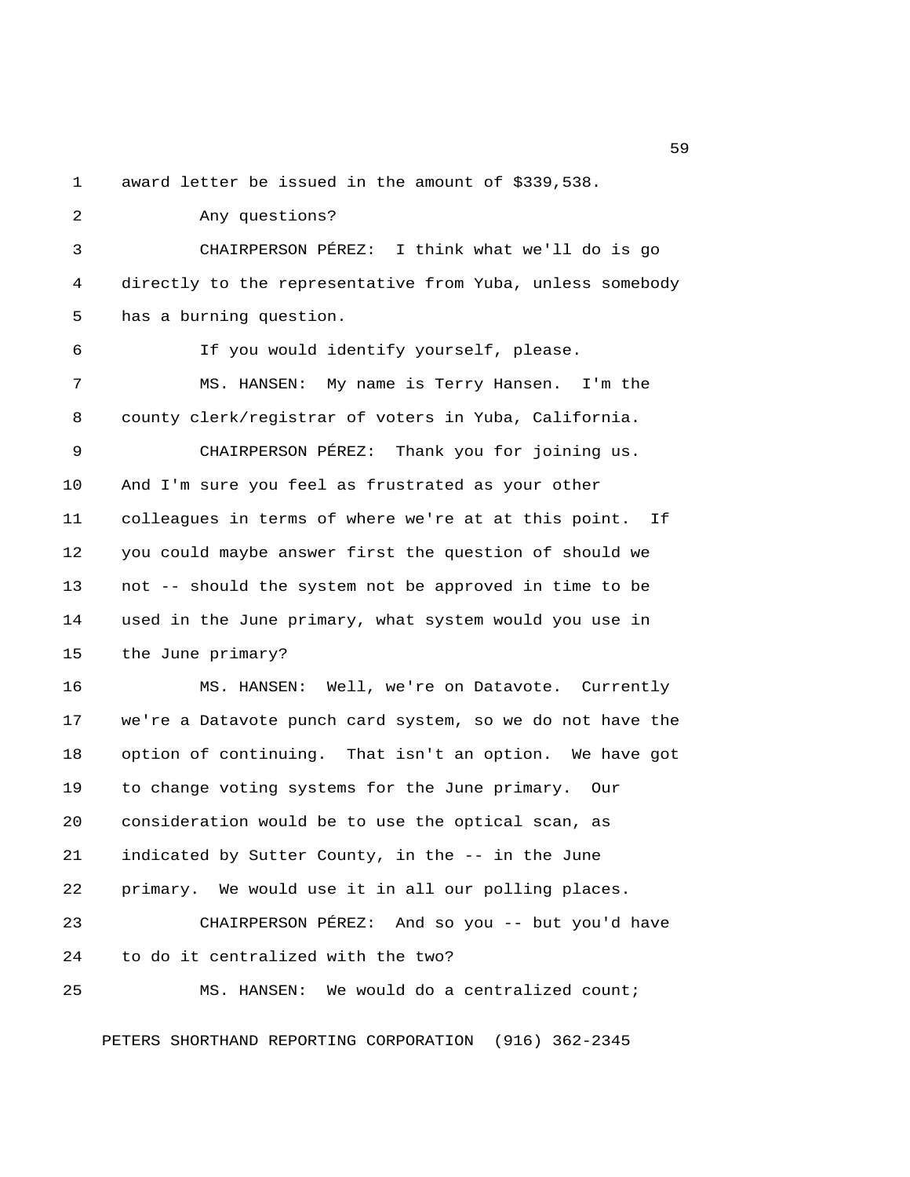1 award letter be issued in the amount of \$339,538.

 2 Any questions? 3 CHAIRPERSON PÉREZ: I think what we'll do is go 4 directly to the representative from Yuba, unless somebody 5 has a burning question. 6 If you would identify yourself, please. 7 MS. HANSEN: My name is Terry Hansen. I'm the 8 county clerk/registrar of voters in Yuba, California. 9 CHAIRPERSON PÉREZ: Thank you for joining us. 10 And I'm sure you feel as frustrated as your other 11 colleagues in terms of where we're at at this point. If 12 you could maybe answer first the question of should we 13 not -- should the system not be approved in time to be 14 used in the June primary, what system would you use in 15 the June primary? 16 MS. HANSEN: Well, we're on Datavote. Currently 17 we're a Datavote punch card system, so we do not have the 18 option of continuing. That isn't an option. We have got 19 to change voting systems for the June primary. Our 20 consideration would be to use the optical scan, as 21 indicated by Sutter County, in the -- in the June 22 primary. We would use it in all our polling places. 23 CHAIRPERSON PÉREZ: And so you -- but you'd have 24 to do it centralized with the two? 25 MS. HANSEN: We would do a centralized count;

PETERS SHORTHAND REPORTING CORPORATION (916) 362-2345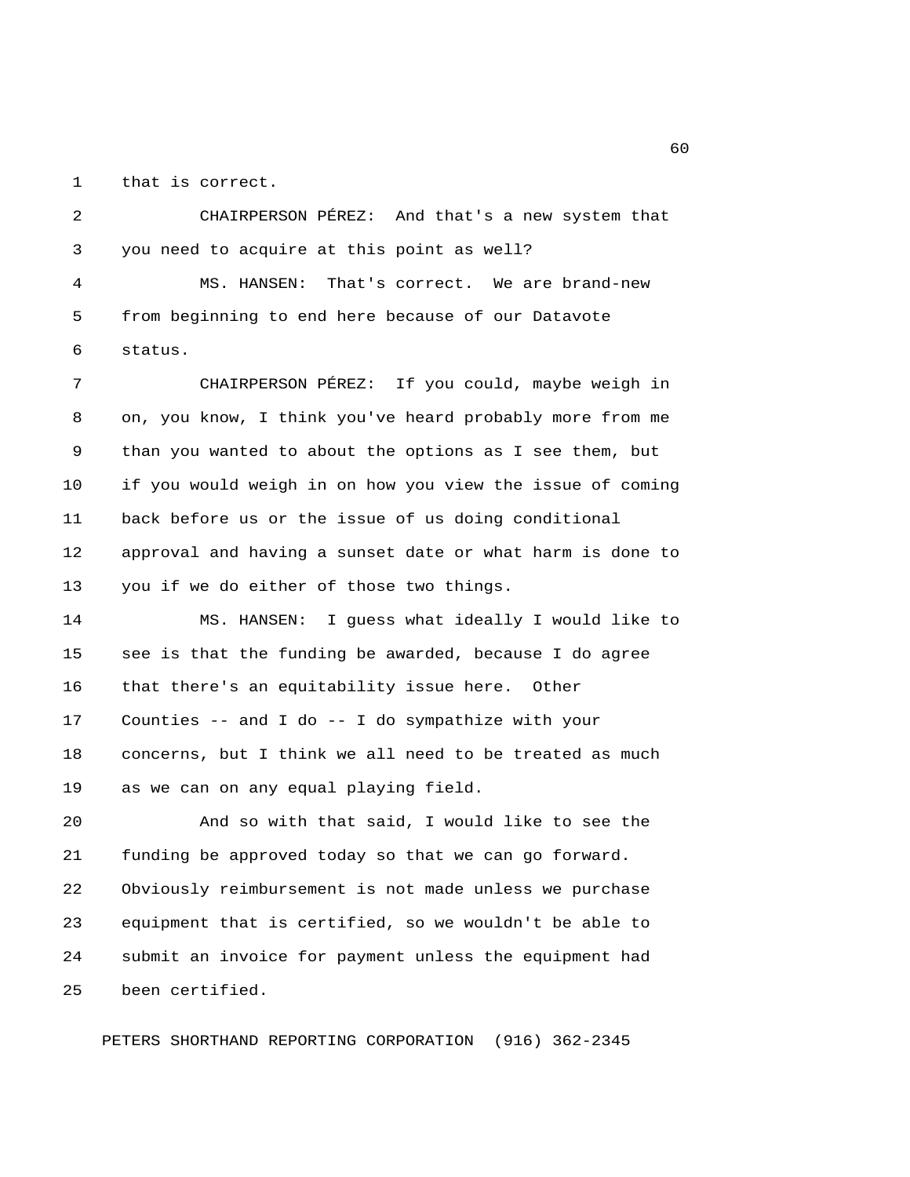1 that is correct.

 2 CHAIRPERSON PÉREZ: And that's a new system that 3 you need to acquire at this point as well? 4 MS. HANSEN: That's correct. We are brand-new 5 from beginning to end here because of our Datavote 6 status.

 7 CHAIRPERSON PÉREZ: If you could, maybe weigh in 8 on, you know, I think you've heard probably more from me 9 than you wanted to about the options as I see them, but 10 if you would weigh in on how you view the issue of coming 11 back before us or the issue of us doing conditional 12 approval and having a sunset date or what harm is done to 13 you if we do either of those two things.

14 MS. HANSEN: I guess what ideally I would like to 15 see is that the funding be awarded, because I do agree 16 that there's an equitability issue here. Other 17 Counties -- and I do -- I do sympathize with your 18 concerns, but I think we all need to be treated as much 19 as we can on any equal playing field.

20 And so with that said, I would like to see the 21 funding be approved today so that we can go forward. 22 Obviously reimbursement is not made unless we purchase 23 equipment that is certified, so we wouldn't be able to 24 submit an invoice for payment unless the equipment had 25 been certified.

PETERS SHORTHAND REPORTING CORPORATION (916) 362-2345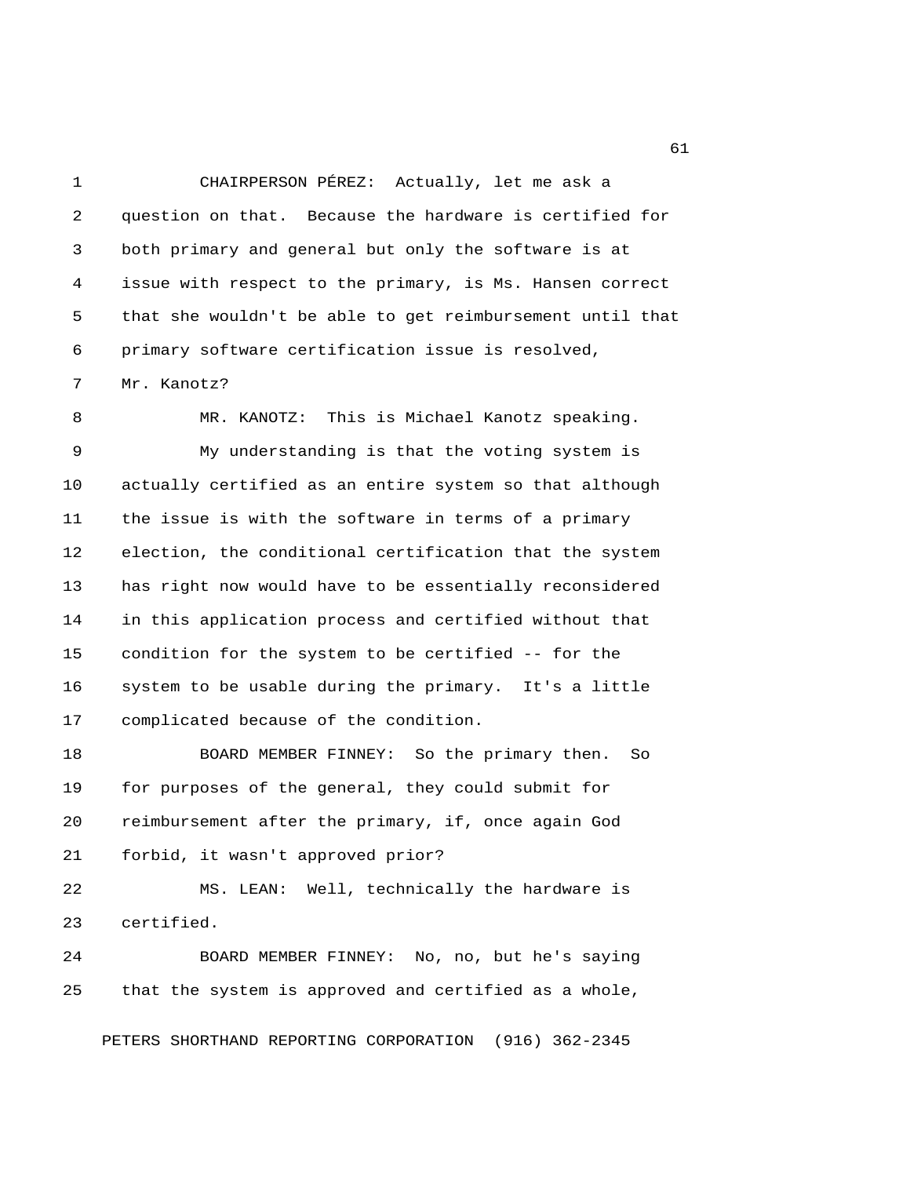1 CHAIRPERSON PÉREZ: Actually, let me ask a 2 question on that. Because the hardware is certified for 3 both primary and general but only the software is at 4 issue with respect to the primary, is Ms. Hansen correct 5 that she wouldn't be able to get reimbursement until that 6 primary software certification issue is resolved,

7 Mr. Kanotz?

 8 MR. KANOTZ: This is Michael Kanotz speaking. 9 My understanding is that the voting system is 10 actually certified as an entire system so that although 11 the issue is with the software in terms of a primary 12 election, the conditional certification that the system 13 has right now would have to be essentially reconsidered 14 in this application process and certified without that 15 condition for the system to be certified -- for the 16 system to be usable during the primary. It's a little 17 complicated because of the condition.

18 BOARD MEMBER FINNEY: So the primary then. So 19 for purposes of the general, they could submit for 20 reimbursement after the primary, if, once again God 21 forbid, it wasn't approved prior?

22 MS. LEAN: Well, technically the hardware is 23 certified.

24 BOARD MEMBER FINNEY: No, no, but he's saying 25 that the system is approved and certified as a whole,

PETERS SHORTHAND REPORTING CORPORATION (916) 362-2345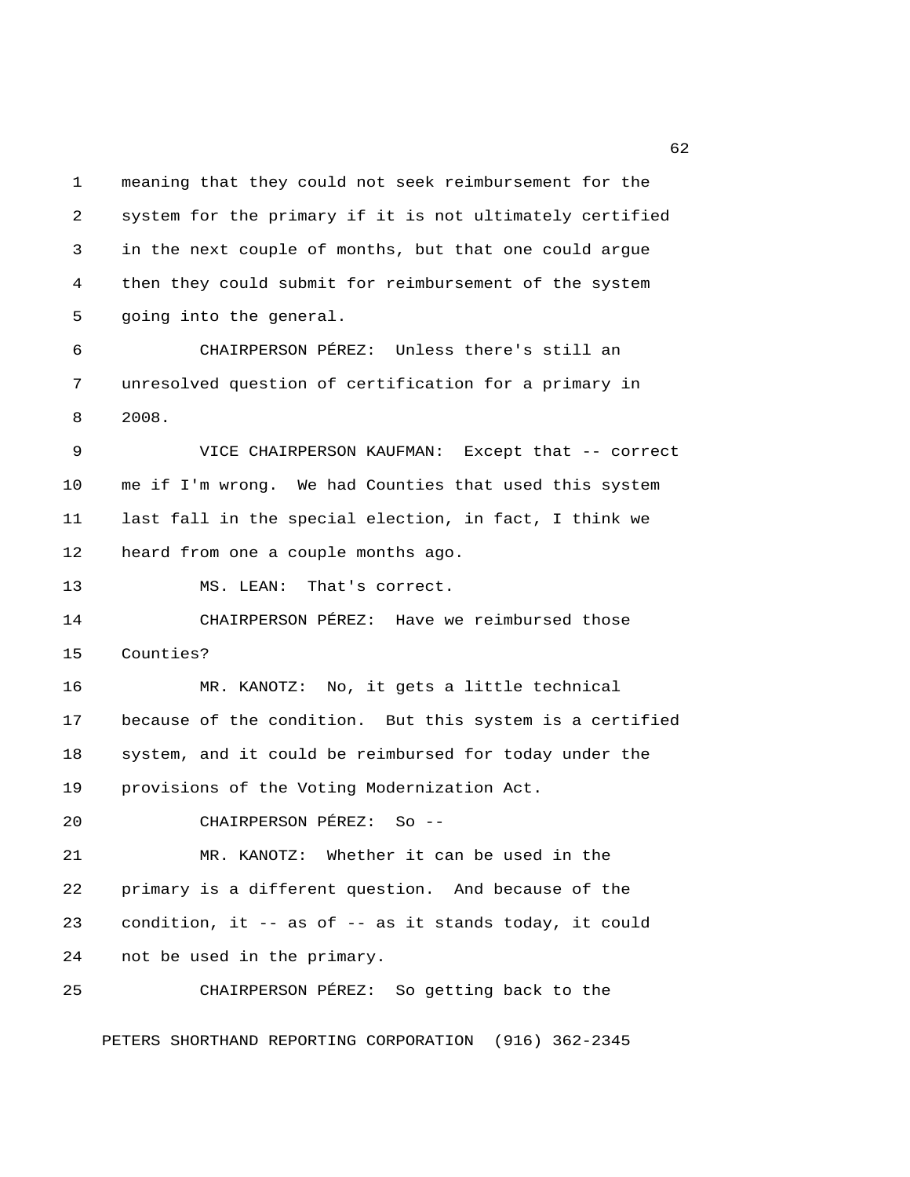1 meaning that they could not seek reimbursement for the 2 system for the primary if it is not ultimately certified 3 in the next couple of months, but that one could argue 4 then they could submit for reimbursement of the system 5 going into the general. 6 CHAIRPERSON PÉREZ: Unless there's still an

 7 unresolved question of certification for a primary in 8 2008.

 9 VICE CHAIRPERSON KAUFMAN: Except that -- correct 10 me if I'm wrong. We had Counties that used this system 11 last fall in the special election, in fact, I think we 12 heard from one a couple months ago.

13 MS. LEAN: That's correct.

14 CHAIRPERSON PÉREZ: Have we reimbursed those 15 Counties?

16 MR. KANOTZ: No, it gets a little technical 17 because of the condition. But this system is a certified 18 system, and it could be reimbursed for today under the 19 provisions of the Voting Modernization Act.

20 CHAIRPERSON PÉREZ: So --

21 MR. KANOTZ: Whether it can be used in the 22 primary is a different question. And because of the 23 condition, it -- as of -- as it stands today, it could 24 not be used in the primary.

25 CHAIRPERSON PÉREZ: So getting back to the

PETERS SHORTHAND REPORTING CORPORATION (916) 362-2345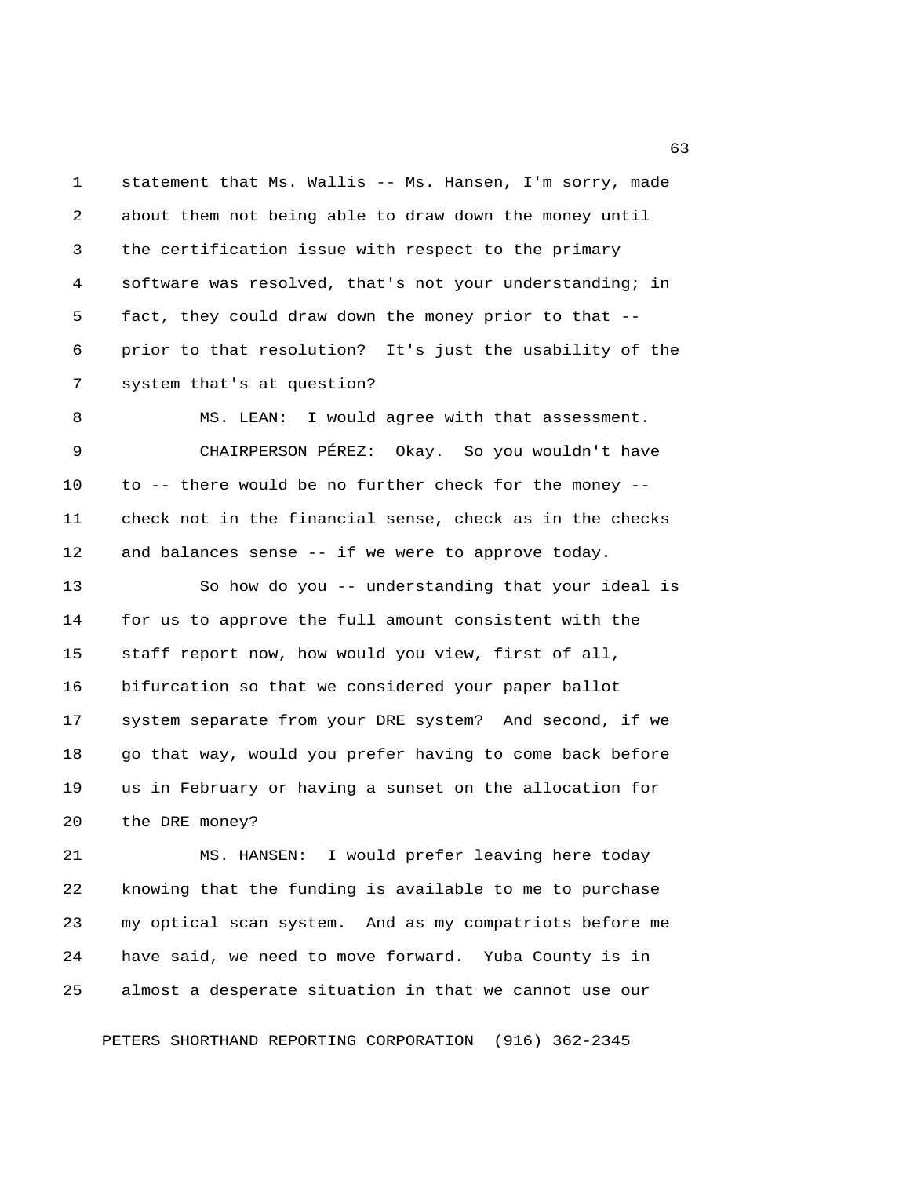1 statement that Ms. Wallis -- Ms. Hansen, I'm sorry, made 2 about them not being able to draw down the money until 3 the certification issue with respect to the primary 4 software was resolved, that's not your understanding; in 5 fact, they could draw down the money prior to that -- 6 prior to that resolution? It's just the usability of the 7 system that's at question? 8 MS. LEAN: I would agree with that assessment. 9 CHAIRPERSON PÉREZ: Okay. So you wouldn't have 10 to -- there would be no further check for the money -- 11 check not in the financial sense, check as in the checks 12 and balances sense -- if we were to approve today. 13 So how do you -- understanding that your ideal is 14 for us to approve the full amount consistent with the 15 staff report now, how would you view, first of all, 16 bifurcation so that we considered your paper ballot 17 system separate from your DRE system? And second, if we 18 go that way, would you prefer having to come back before 19 us in February or having a sunset on the allocation for 20 the DRE money?

21 MS. HANSEN: I would prefer leaving here today 22 knowing that the funding is available to me to purchase 23 my optical scan system. And as my compatriots before me 24 have said, we need to move forward. Yuba County is in 25 almost a desperate situation in that we cannot use our

PETERS SHORTHAND REPORTING CORPORATION (916) 362-2345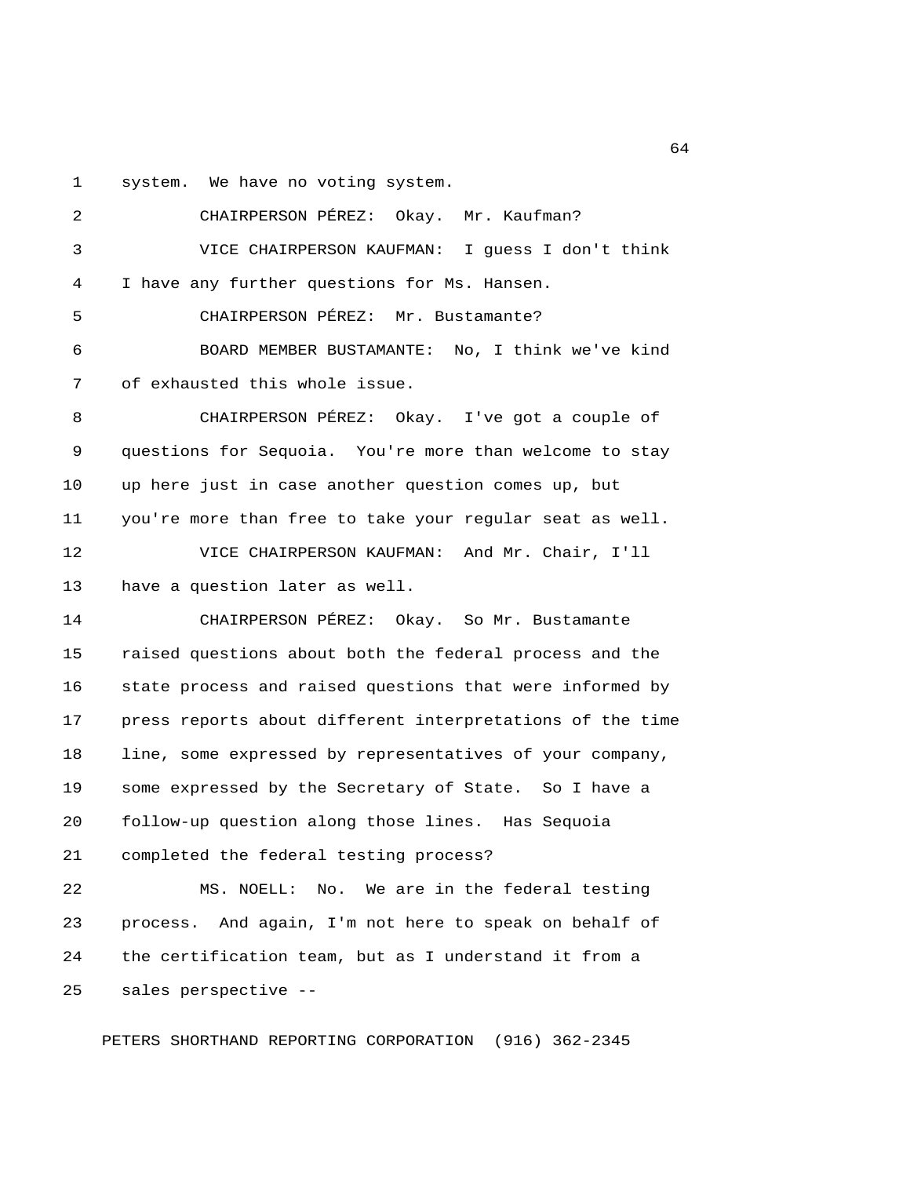1 system. We have no voting system.

 2 CHAIRPERSON PÉREZ: Okay. Mr. Kaufman? 3 VICE CHAIRPERSON KAUFMAN: I guess I don't think 4 I have any further questions for Ms. Hansen. 5 CHAIRPERSON PÉREZ: Mr. Bustamante? 6 BOARD MEMBER BUSTAMANTE: No, I think we've kind 7 of exhausted this whole issue. 8 CHAIRPERSON PÉREZ: Okay. I've got a couple of 9 questions for Sequoia. You're more than welcome to stay 10 up here just in case another question comes up, but 11 you're more than free to take your regular seat as well. 12 VICE CHAIRPERSON KAUFMAN: And Mr. Chair, I'll 13 have a question later as well. 14 CHAIRPERSON PÉREZ: Okay. So Mr. Bustamante 15 raised questions about both the federal process and the 16 state process and raised questions that were informed by 17 press reports about different interpretations of the time 18 line, some expressed by representatives of your company, 19 some expressed by the Secretary of State. So I have a 20 follow-up question along those lines. Has Sequoia 21 completed the federal testing process? 22 MS. NOELL: No. We are in the federal testing 23 process. And again, I'm not here to speak on behalf of 24 the certification team, but as I understand it from a 25 sales perspective --

PETERS SHORTHAND REPORTING CORPORATION (916) 362-2345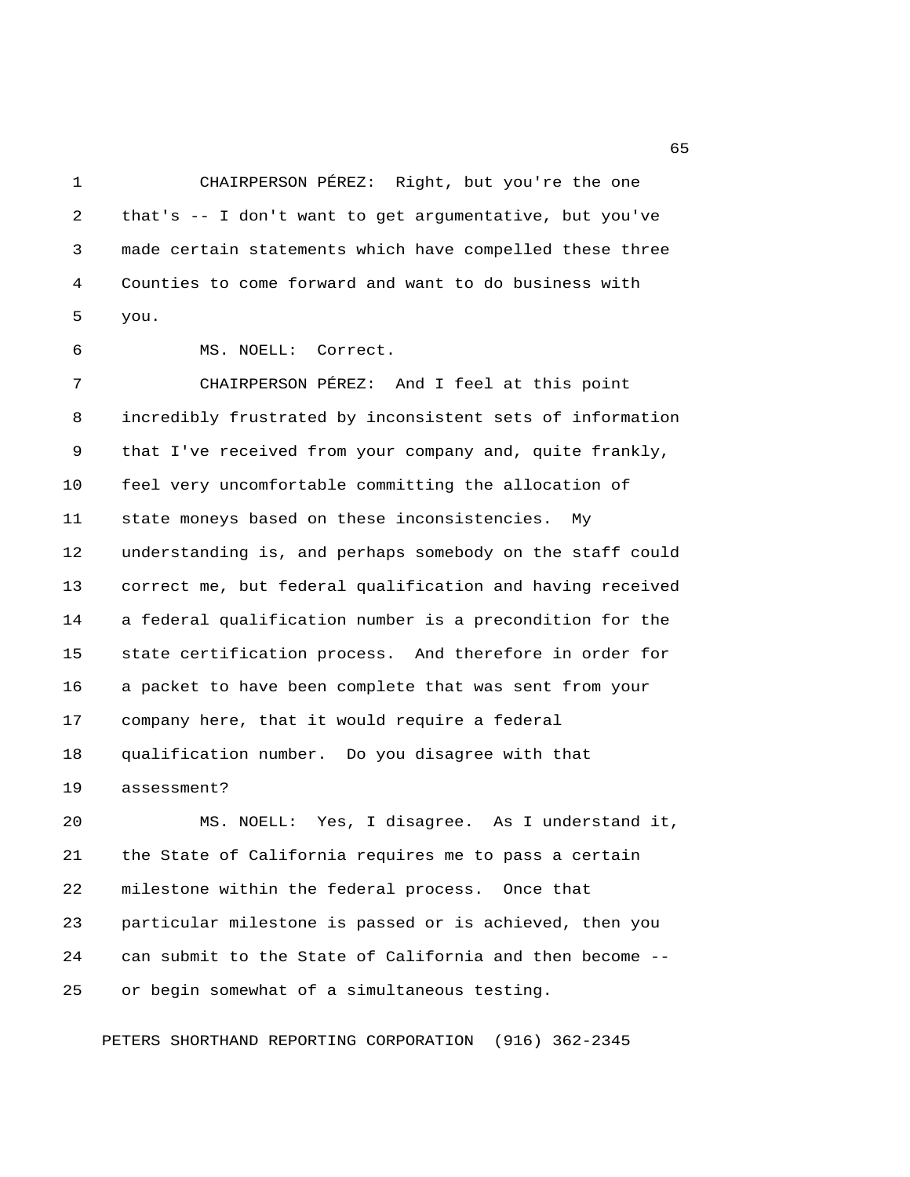1 CHAIRPERSON PÉREZ: Right, but you're the one 2 that's -- I don't want to get argumentative, but you've 3 made certain statements which have compelled these three 4 Counties to come forward and want to do business with 5 you.

6 MS. NOELL: Correct.

 7 CHAIRPERSON PÉREZ: And I feel at this point 8 incredibly frustrated by inconsistent sets of information 9 that I've received from your company and, quite frankly, 10 feel very uncomfortable committing the allocation of 11 state moneys based on these inconsistencies. My 12 understanding is, and perhaps somebody on the staff could 13 correct me, but federal qualification and having received 14 a federal qualification number is a precondition for the 15 state certification process. And therefore in order for 16 a packet to have been complete that was sent from your 17 company here, that it would require a federal 18 qualification number. Do you disagree with that 19 assessment?

20 MS. NOELL: Yes, I disagree. As I understand it, 21 the State of California requires me to pass a certain 22 milestone within the federal process. Once that 23 particular milestone is passed or is achieved, then you 24 can submit to the State of California and then become -- 25 or begin somewhat of a simultaneous testing.

PETERS SHORTHAND REPORTING CORPORATION (916) 362-2345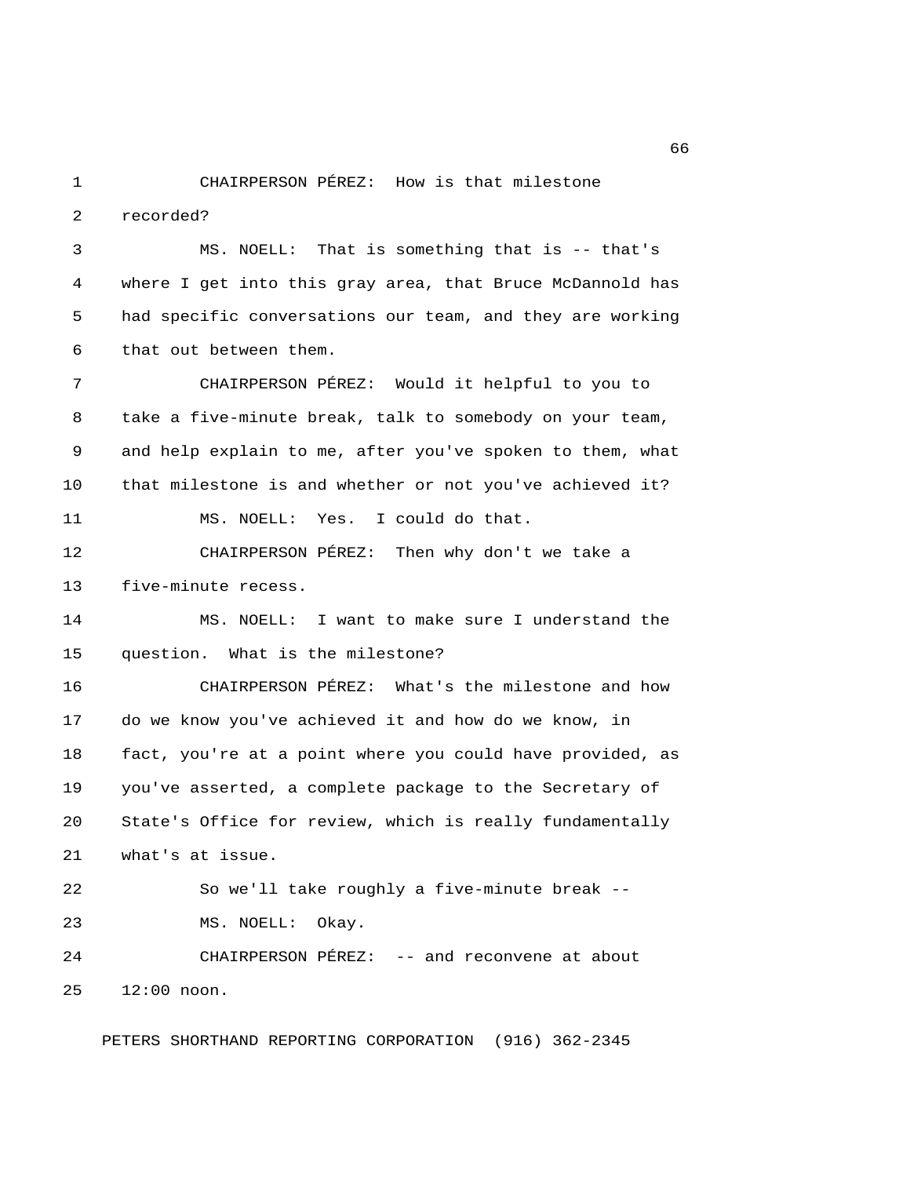1 CHAIRPERSON PÉREZ: How is that milestone 2 recorded?

 3 MS. NOELL: That is something that is -- that's 4 where I get into this gray area, that Bruce McDannold has 5 had specific conversations our team, and they are working 6 that out between them.

 7 CHAIRPERSON PÉREZ: Would it helpful to you to 8 take a five-minute break, talk to somebody on your team, 9 and help explain to me, after you've spoken to them, what 10 that milestone is and whether or not you've achieved it? 11 MS. NOELL: Yes. I could do that. 12 CHAIRPERSON PÉREZ: Then why don't we take a

13 five-minute recess.

14 MS. NOELL: I want to make sure I understand the 15 question. What is the milestone?

16 CHAIRPERSON PÉREZ: What's the milestone and how 17 do we know you've achieved it and how do we know, in 18 fact, you're at a point where you could have provided, as 19 you've asserted, a complete package to the Secretary of 20 State's Office for review, which is really fundamentally 21 what's at issue.

22 So we'll take roughly a five-minute break -- 23 MS. NOELL: Okay.

24 CHAIRPERSON PÉREZ: -- and reconvene at about 25 12:00 noon.

PETERS SHORTHAND REPORTING CORPORATION (916) 362-2345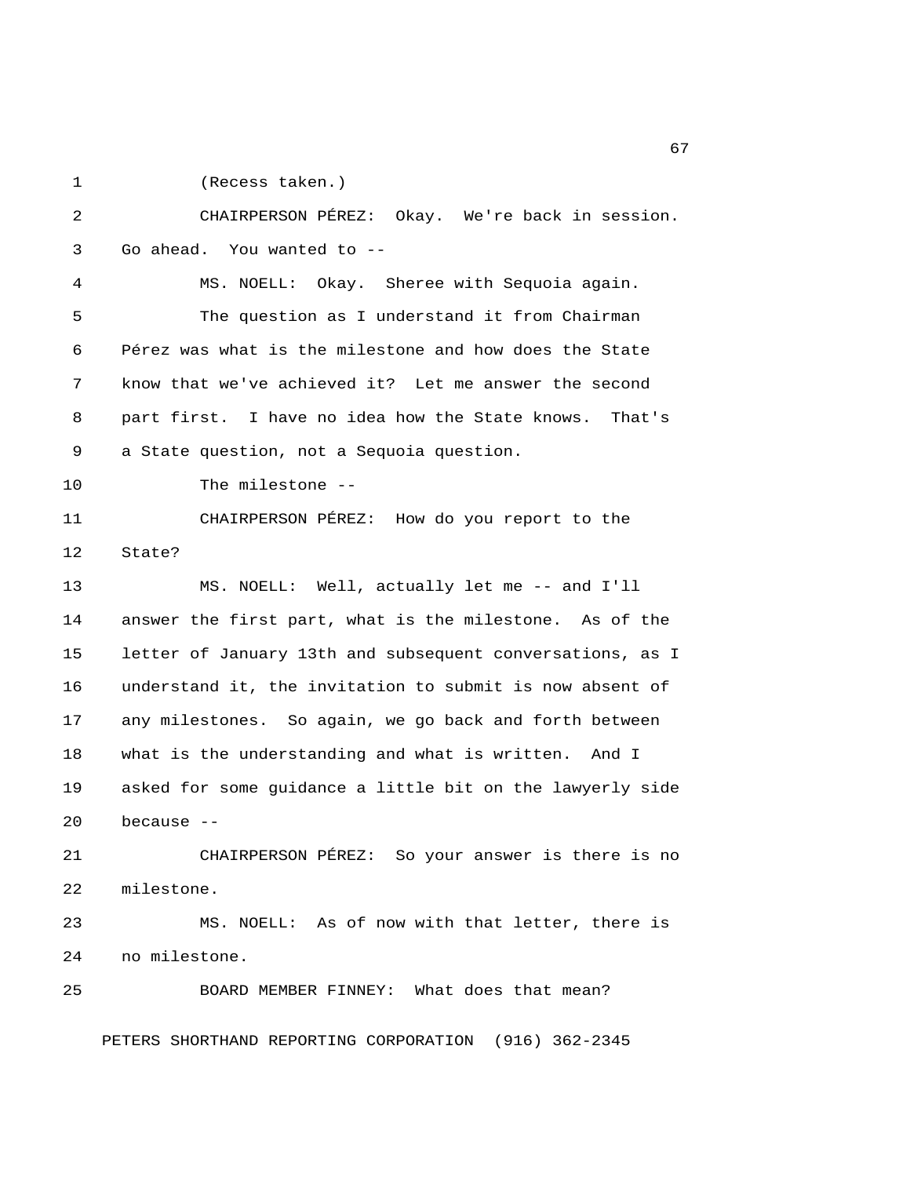1 (Recess taken.)

 2 CHAIRPERSON PÉREZ: Okay. We're back in session. 3 Go ahead. You wanted to -- 4 MS. NOELL: Okay. Sheree with Sequoia again. 5 The question as I understand it from Chairman 6 Pérez was what is the milestone and how does the State 7 know that we've achieved it? Let me answer the second 8 part first. I have no idea how the State knows. That's 9 a State question, not a Sequoia question. 10 The milestone -- 11 CHAIRPERSON PÉREZ: How do you report to the 12 State? 13 MS. NOELL: Well, actually let me -- and I'll 14 answer the first part, what is the milestone. As of the 15 letter of January 13th and subsequent conversations, as I 16 understand it, the invitation to submit is now absent of 17 any milestones. So again, we go back and forth between 18 what is the understanding and what is written. And I 19 asked for some guidance a little bit on the lawyerly side 20 because -- 21 CHAIRPERSON PÉREZ: So your answer is there is no 22 milestone. 23 MS. NOELL: As of now with that letter, there is 24 no milestone. 25 BOARD MEMBER FINNEY: What does that mean? PETERS SHORTHAND REPORTING CORPORATION (916) 362-2345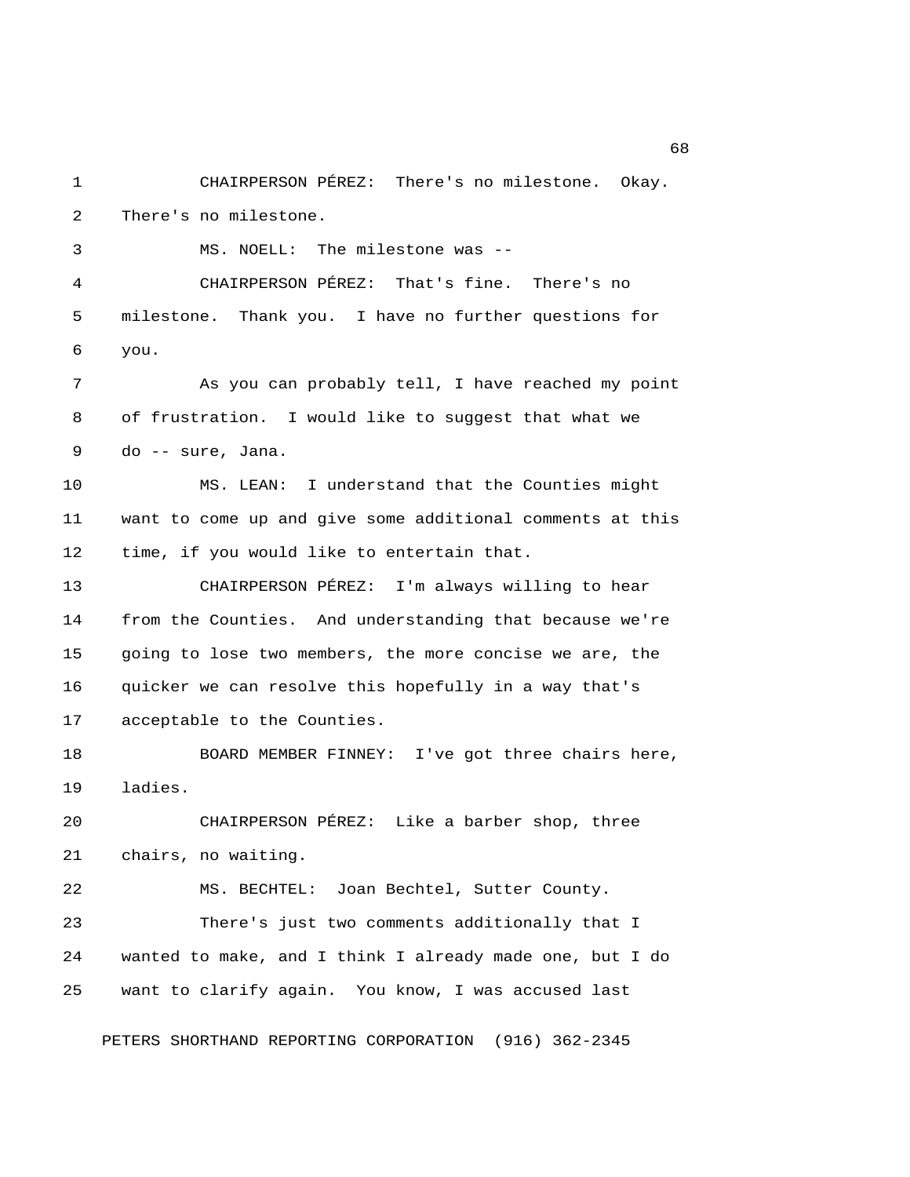1 CHAIRPERSON PÉREZ: There's no milestone. Okay. 2 There's no milestone. 3 MS. NOELL: The milestone was -- 4 CHAIRPERSON PÉREZ: That's fine. There's no 5 milestone. Thank you. I have no further questions for 6 you. 7 As you can probably tell, I have reached my point 8 of frustration. I would like to suggest that what we 9 do -- sure, Jana. 10 MS. LEAN: I understand that the Counties might 11 want to come up and give some additional comments at this 12 time, if you would like to entertain that. 13 CHAIRPERSON PÉREZ: I'm always willing to hear 14 from the Counties. And understanding that because we're 15 going to lose two members, the more concise we are, the 16 quicker we can resolve this hopefully in a way that's 17 acceptable to the Counties. 18 BOARD MEMBER FINNEY: I've got three chairs here, 19 ladies. 20 CHAIRPERSON PÉREZ: Like a barber shop, three 21 chairs, no waiting. 22 MS. BECHTEL: Joan Bechtel, Sutter County. 23 There's just two comments additionally that I 24 wanted to make, and I think I already made one, but I do 25 want to clarify again. You know, I was accused last

PETERS SHORTHAND REPORTING CORPORATION (916) 362-2345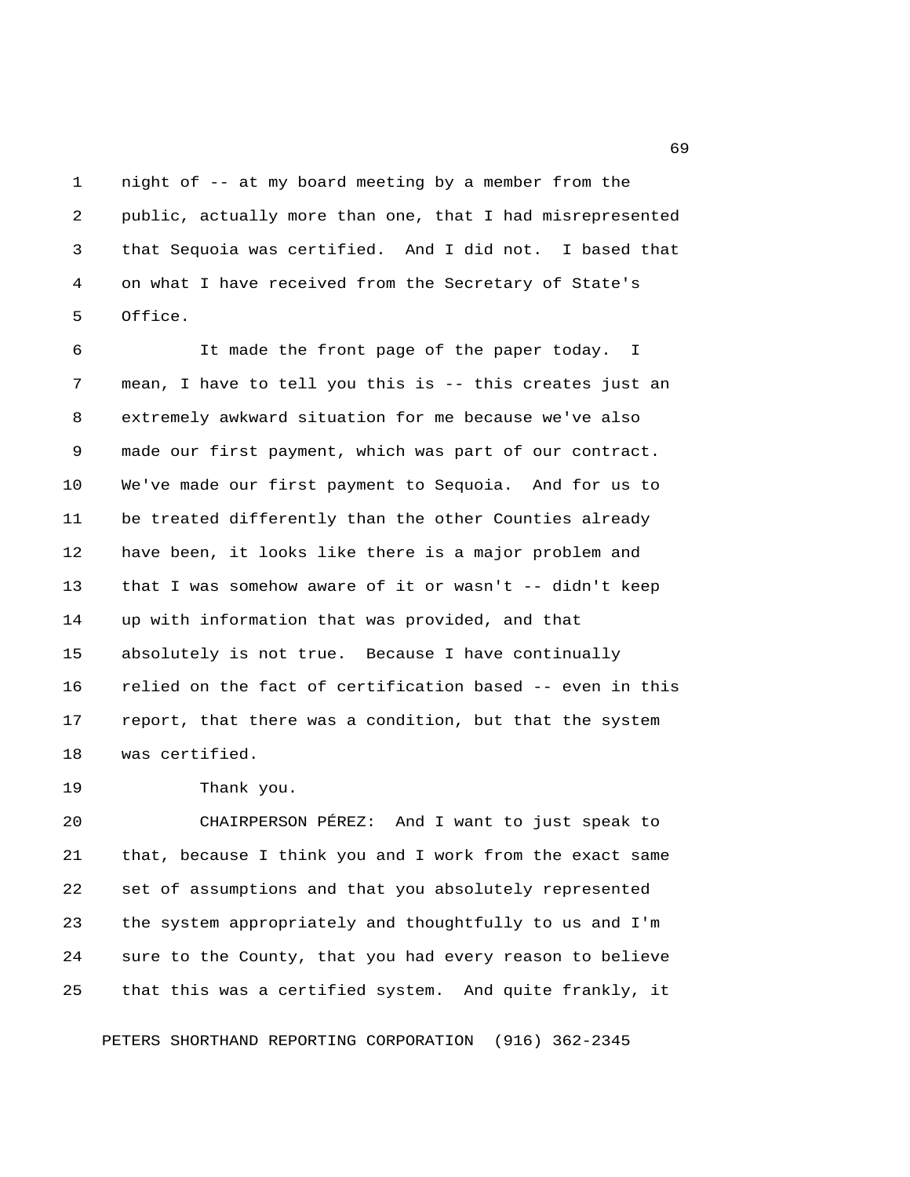1 night of -- at my board meeting by a member from the 2 public, actually more than one, that I had misrepresented 3 that Sequoia was certified. And I did not. I based that 4 on what I have received from the Secretary of State's 5 Office.

 6 It made the front page of the paper today. I 7 mean, I have to tell you this is -- this creates just an 8 extremely awkward situation for me because we've also 9 made our first payment, which was part of our contract. 10 We've made our first payment to Sequoia. And for us to 11 be treated differently than the other Counties already 12 have been, it looks like there is a major problem and 13 that I was somehow aware of it or wasn't -- didn't keep 14 up with information that was provided, and that 15 absolutely is not true. Because I have continually 16 relied on the fact of certification based -- even in this 17 report, that there was a condition, but that the system 18 was certified.

19 Thank you.

20 CHAIRPERSON PÉREZ: And I want to just speak to 21 that, because I think you and I work from the exact same 22 set of assumptions and that you absolutely represented 23 the system appropriately and thoughtfully to us and I'm 24 sure to the County, that you had every reason to believe 25 that this was a certified system. And quite frankly, it

PETERS SHORTHAND REPORTING CORPORATION (916) 362-2345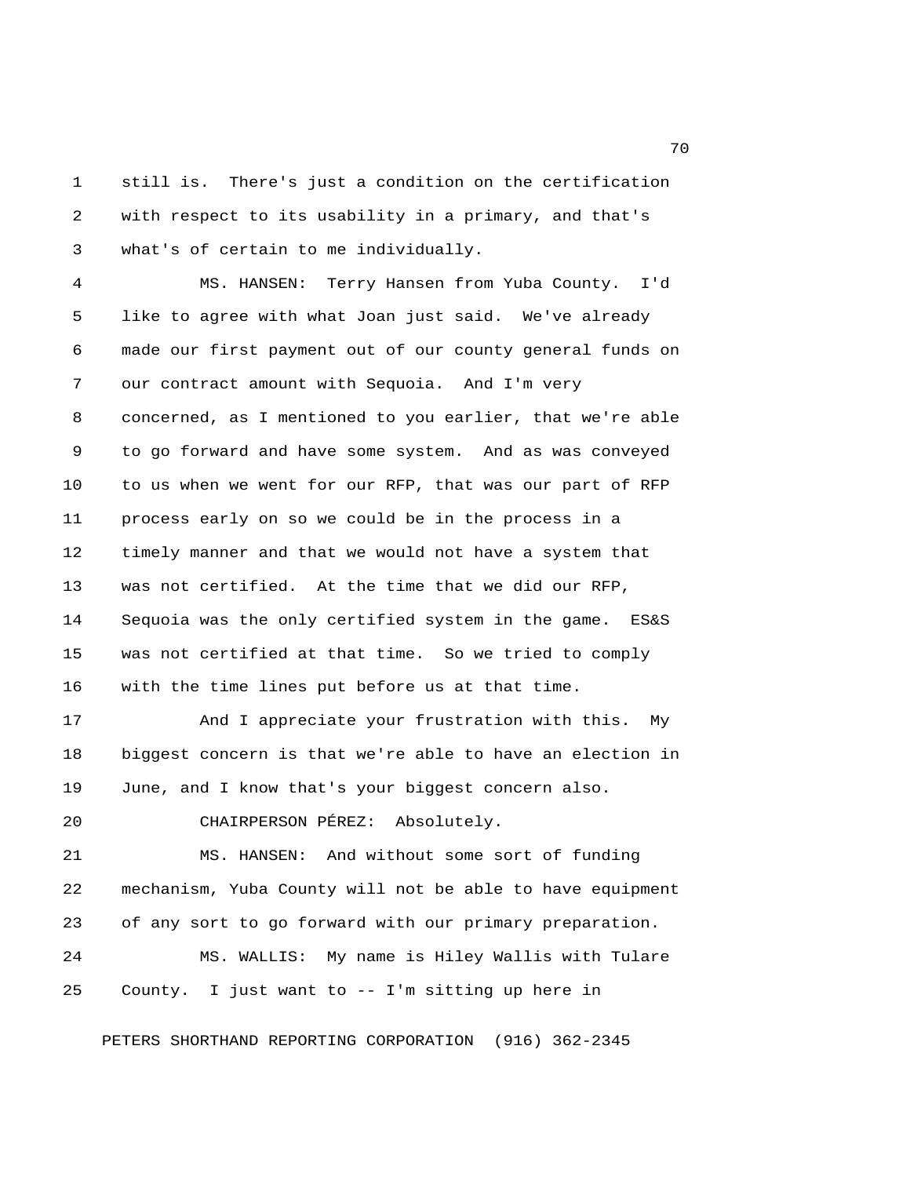1 still is. There's just a condition on the certification 2 with respect to its usability in a primary, and that's 3 what's of certain to me individually.

 4 MS. HANSEN: Terry Hansen from Yuba County. I'd 5 like to agree with what Joan just said. We've already 6 made our first payment out of our county general funds on 7 our contract amount with Sequoia. And I'm very 8 concerned, as I mentioned to you earlier, that we're able 9 to go forward and have some system. And as was conveyed 10 to us when we went for our RFP, that was our part of RFP 11 process early on so we could be in the process in a 12 timely manner and that we would not have a system that 13 was not certified. At the time that we did our RFP, 14 Sequoia was the only certified system in the game. ES&S 15 was not certified at that time. So we tried to comply 16 with the time lines put before us at that time.

17 And I appreciate your frustration with this. My 18 biggest concern is that we're able to have an election in 19 June, and I know that's your biggest concern also.

20 CHAIRPERSON PÉREZ: Absolutely.

21 MS. HANSEN: And without some sort of funding 22 mechanism, Yuba County will not be able to have equipment 23 of any sort to go forward with our primary preparation. 24 MS. WALLIS: My name is Hiley Wallis with Tulare 25 County. I just want to -- I'm sitting up here in

PETERS SHORTHAND REPORTING CORPORATION (916) 362-2345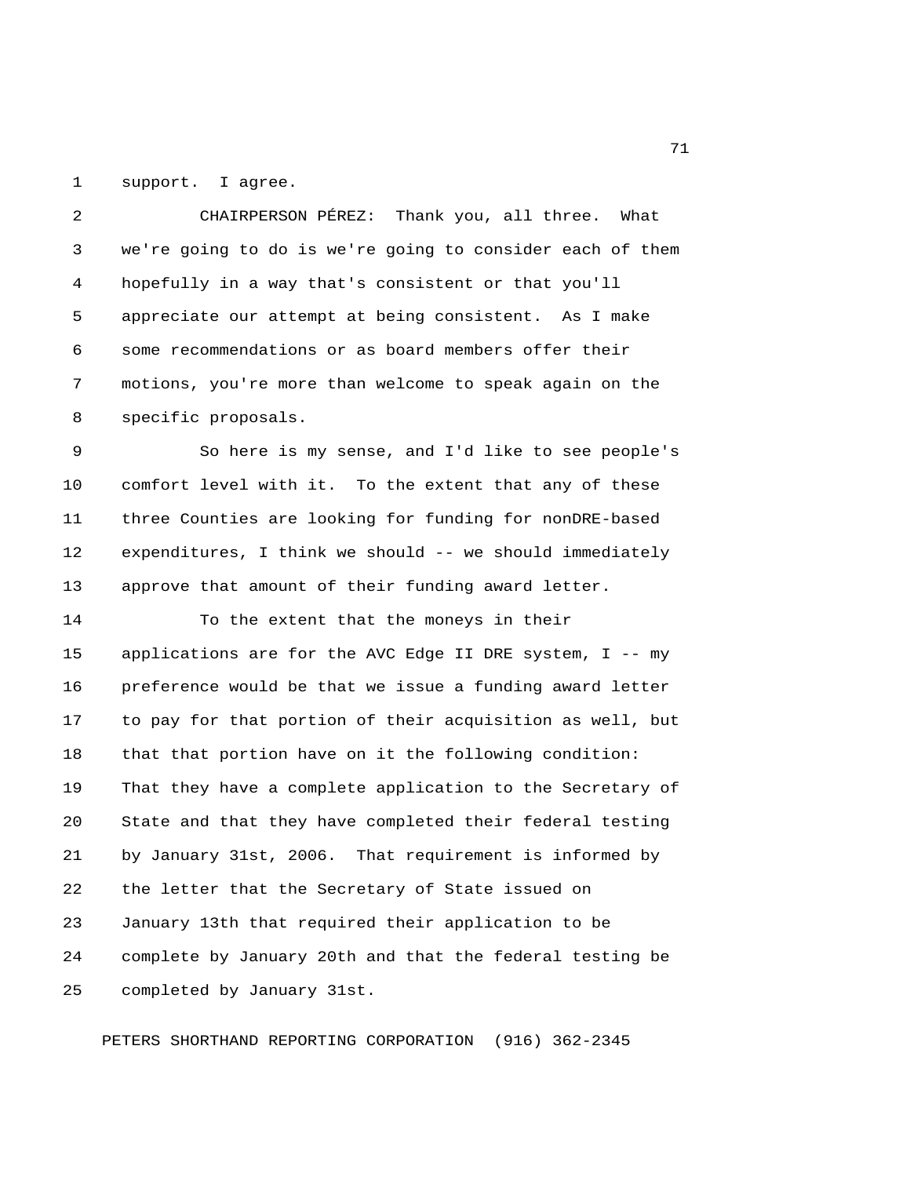1 support. I agree.

 2 CHAIRPERSON PÉREZ: Thank you, all three. What 3 we're going to do is we're going to consider each of them 4 hopefully in a way that's consistent or that you'll 5 appreciate our attempt at being consistent. As I make 6 some recommendations or as board members offer their 7 motions, you're more than welcome to speak again on the 8 specific proposals.

 9 So here is my sense, and I'd like to see people's 10 comfort level with it. To the extent that any of these 11 three Counties are looking for funding for nonDRE-based 12 expenditures, I think we should -- we should immediately 13 approve that amount of their funding award letter.

14 To the extent that the moneys in their

15 applications are for the AVC Edge II DRE system, I -- my 16 preference would be that we issue a funding award letter 17 to pay for that portion of their acquisition as well, but 18 that that portion have on it the following condition: 19 That they have a complete application to the Secretary of 20 State and that they have completed their federal testing 21 by January 31st, 2006. That requirement is informed by 22 the letter that the Secretary of State issued on 23 January 13th that required their application to be 24 complete by January 20th and that the federal testing be 25 completed by January 31st.

PETERS SHORTHAND REPORTING CORPORATION (916) 362-2345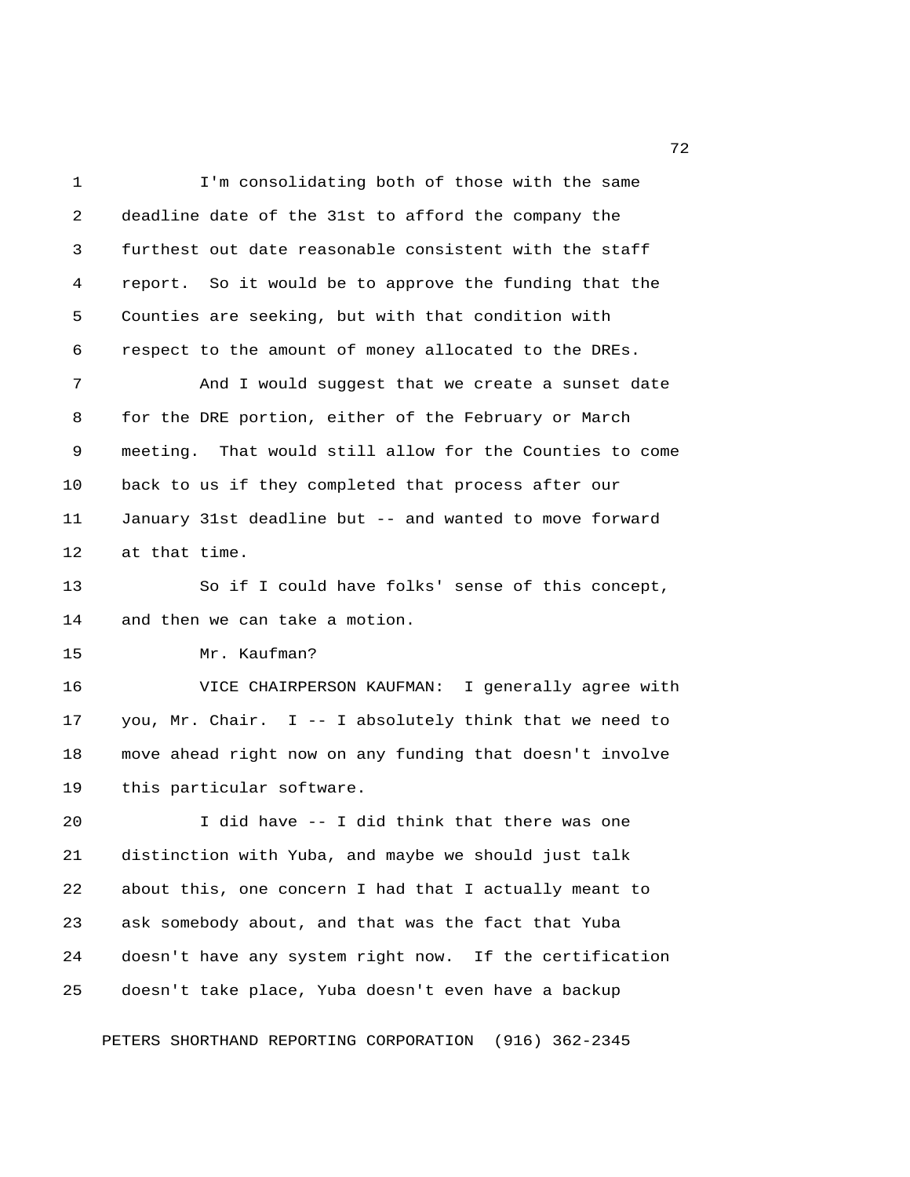1 I'm consolidating both of those with the same 2 deadline date of the 31st to afford the company the 3 furthest out date reasonable consistent with the staff 4 report. So it would be to approve the funding that the 5 Counties are seeking, but with that condition with 6 respect to the amount of money allocated to the DREs. 7 And I would suggest that we create a sunset date 8 for the DRE portion, either of the February or March 9 meeting. That would still allow for the Counties to come 10 back to us if they completed that process after our 11 January 31st deadline but -- and wanted to move forward 12 at that time. 13 So if I could have folks' sense of this concept, 14 and then we can take a motion. 15 Mr. Kaufman? 16 VICE CHAIRPERSON KAUFMAN: I generally agree with 17 you, Mr. Chair. I -- I absolutely think that we need to 18 move ahead right now on any funding that doesn't involve 19 this particular software. 20 I did have -- I did think that there was one 21 distinction with Yuba, and maybe we should just talk 22 about this, one concern I had that I actually meant to 23 ask somebody about, and that was the fact that Yuba 24 doesn't have any system right now. If the certification 25 doesn't take place, Yuba doesn't even have a backup PETERS SHORTHAND REPORTING CORPORATION (916) 362-2345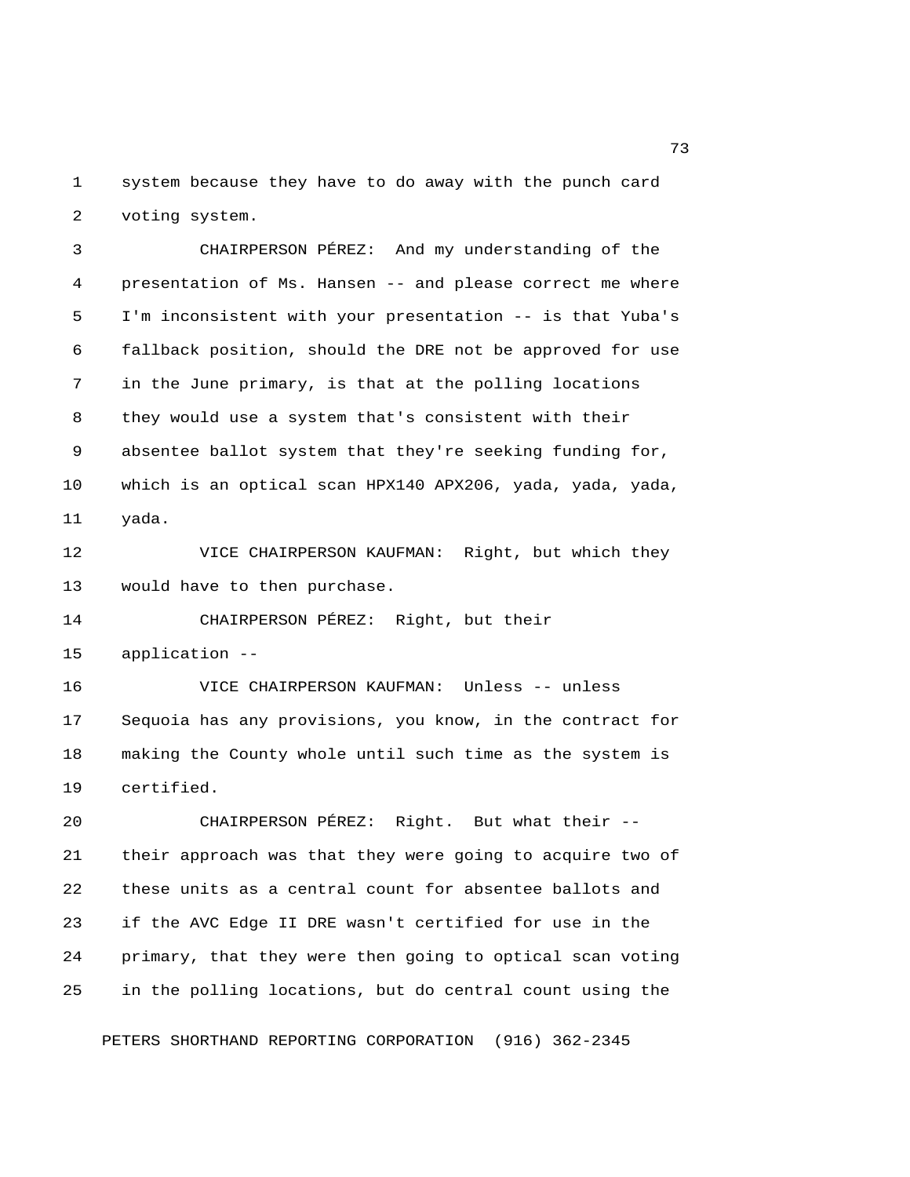1 system because they have to do away with the punch card 2 voting system.

 3 CHAIRPERSON PÉREZ: And my understanding of the 4 presentation of Ms. Hansen -- and please correct me where 5 I'm inconsistent with your presentation -- is that Yuba's 6 fallback position, should the DRE not be approved for use 7 in the June primary, is that at the polling locations 8 they would use a system that's consistent with their 9 absentee ballot system that they're seeking funding for, 10 which is an optical scan HPX140 APX206, yada, yada, yada, 11 yada.

12 VICE CHAIRPERSON KAUFMAN: Right, but which they 13 would have to then purchase.

14 CHAIRPERSON PÉREZ: Right, but their

15 application --

16 VICE CHAIRPERSON KAUFMAN: Unless -- unless 17 Sequoia has any provisions, you know, in the contract for 18 making the County whole until such time as the system is 19 certified.

20 CHAIRPERSON PÉREZ: Right. But what their -- 21 their approach was that they were going to acquire two of 22 these units as a central count for absentee ballots and 23 if the AVC Edge II DRE wasn't certified for use in the 24 primary, that they were then going to optical scan voting 25 in the polling locations, but do central count using the

PETERS SHORTHAND REPORTING CORPORATION (916) 362-2345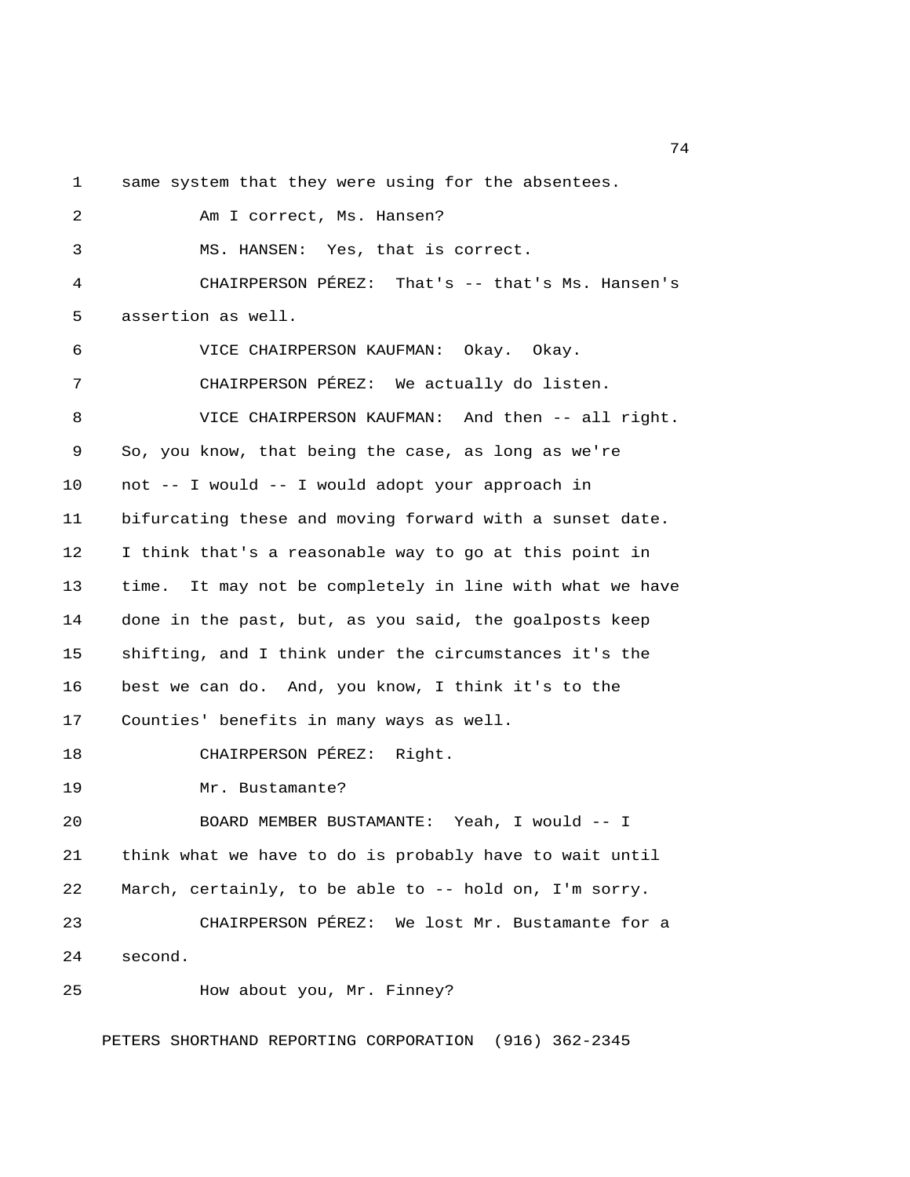1 same system that they were using for the absentees.

 2 Am I correct, Ms. Hansen? 3 MS. HANSEN: Yes, that is correct. 4 CHAIRPERSON PÉREZ: That's -- that's Ms. Hansen's 5 assertion as well. 6 VICE CHAIRPERSON KAUFMAN: Okay. Okay. 7 CHAIRPERSON PÉREZ: We actually do listen. 8 VICE CHAIRPERSON KAUFMAN: And then -- all right. 9 So, you know, that being the case, as long as we're 10 not -- I would -- I would adopt your approach in 11 bifurcating these and moving forward with a sunset date. 12 I think that's a reasonable way to go at this point in 13 time. It may not be completely in line with what we have 14 done in the past, but, as you said, the goalposts keep 15 shifting, and I think under the circumstances it's the 16 best we can do. And, you know, I think it's to the 17 Counties' benefits in many ways as well. 18 CHAIRPERSON PÉREZ: Right. 19 Mr. Bustamante? 20 BOARD MEMBER BUSTAMANTE: Yeah, I would -- I 21 think what we have to do is probably have to wait until 22 March, certainly, to be able to -- hold on, I'm sorry. 23 CHAIRPERSON PÉREZ: We lost Mr. Bustamante for a 24 second. 25 How about you, Mr. Finney? PETERS SHORTHAND REPORTING CORPORATION (916) 362-2345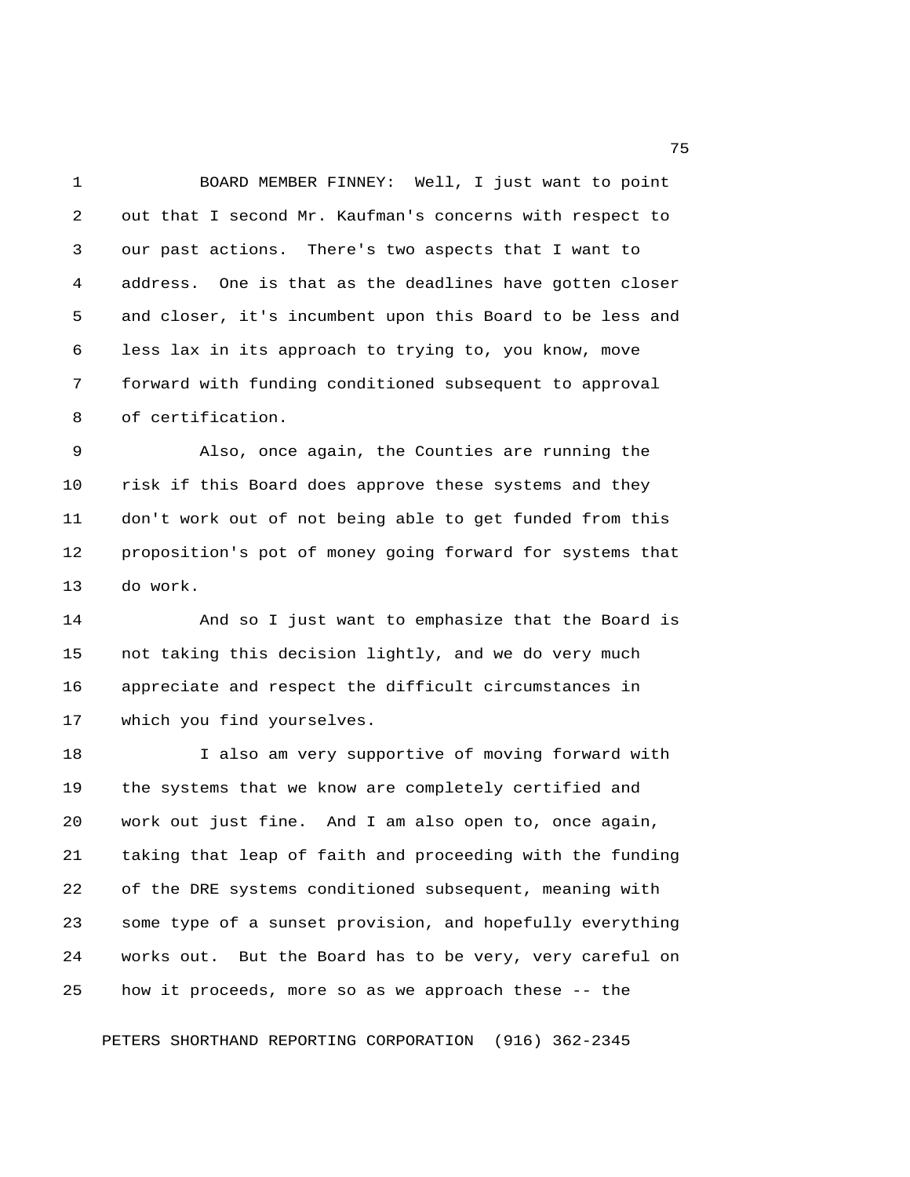1 BOARD MEMBER FINNEY: Well, I just want to point 2 out that I second Mr. Kaufman's concerns with respect to 3 our past actions. There's two aspects that I want to 4 address. One is that as the deadlines have gotten closer 5 and closer, it's incumbent upon this Board to be less and 6 less lax in its approach to trying to, you know, move 7 forward with funding conditioned subsequent to approval 8 of certification.

 9 Also, once again, the Counties are running the 10 risk if this Board does approve these systems and they 11 don't work out of not being able to get funded from this 12 proposition's pot of money going forward for systems that 13 do work.

14 And so I just want to emphasize that the Board is 15 not taking this decision lightly, and we do very much 16 appreciate and respect the difficult circumstances in 17 which you find yourselves.

18 I also am very supportive of moving forward with 19 the systems that we know are completely certified and 20 work out just fine. And I am also open to, once again, 21 taking that leap of faith and proceeding with the funding 22 of the DRE systems conditioned subsequent, meaning with 23 some type of a sunset provision, and hopefully everything 24 works out. But the Board has to be very, very careful on 25 how it proceeds, more so as we approach these -- the

PETERS SHORTHAND REPORTING CORPORATION (916) 362-2345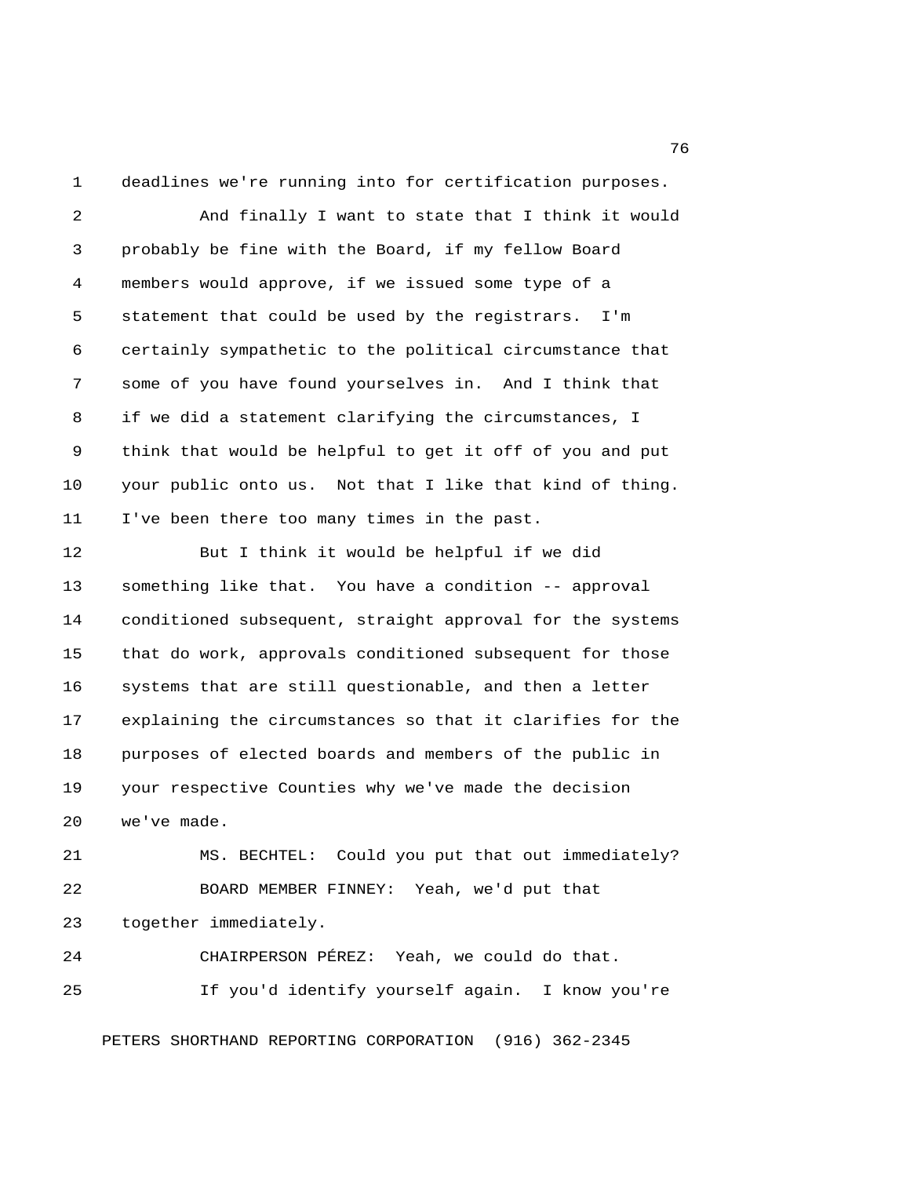1 deadlines we're running into for certification purposes.

 2 And finally I want to state that I think it would 3 probably be fine with the Board, if my fellow Board 4 members would approve, if we issued some type of a 5 statement that could be used by the registrars. I'm 6 certainly sympathetic to the political circumstance that 7 some of you have found yourselves in. And I think that 8 if we did a statement clarifying the circumstances, I 9 think that would be helpful to get it off of you and put 10 your public onto us. Not that I like that kind of thing. 11 I've been there too many times in the past.

12 But I think it would be helpful if we did 13 something like that. You have a condition -- approval 14 conditioned subsequent, straight approval for the systems 15 that do work, approvals conditioned subsequent for those 16 systems that are still questionable, and then a letter 17 explaining the circumstances so that it clarifies for the 18 purposes of elected boards and members of the public in 19 your respective Counties why we've made the decision 20 we've made.

21 MS. BECHTEL: Could you put that out immediately? 22 BOARD MEMBER FINNEY: Yeah, we'd put that 23 together immediately.

24 CHAIRPERSON PÉREZ: Yeah, we could do that. 25 If you'd identify yourself again. I know you're

PETERS SHORTHAND REPORTING CORPORATION (916) 362-2345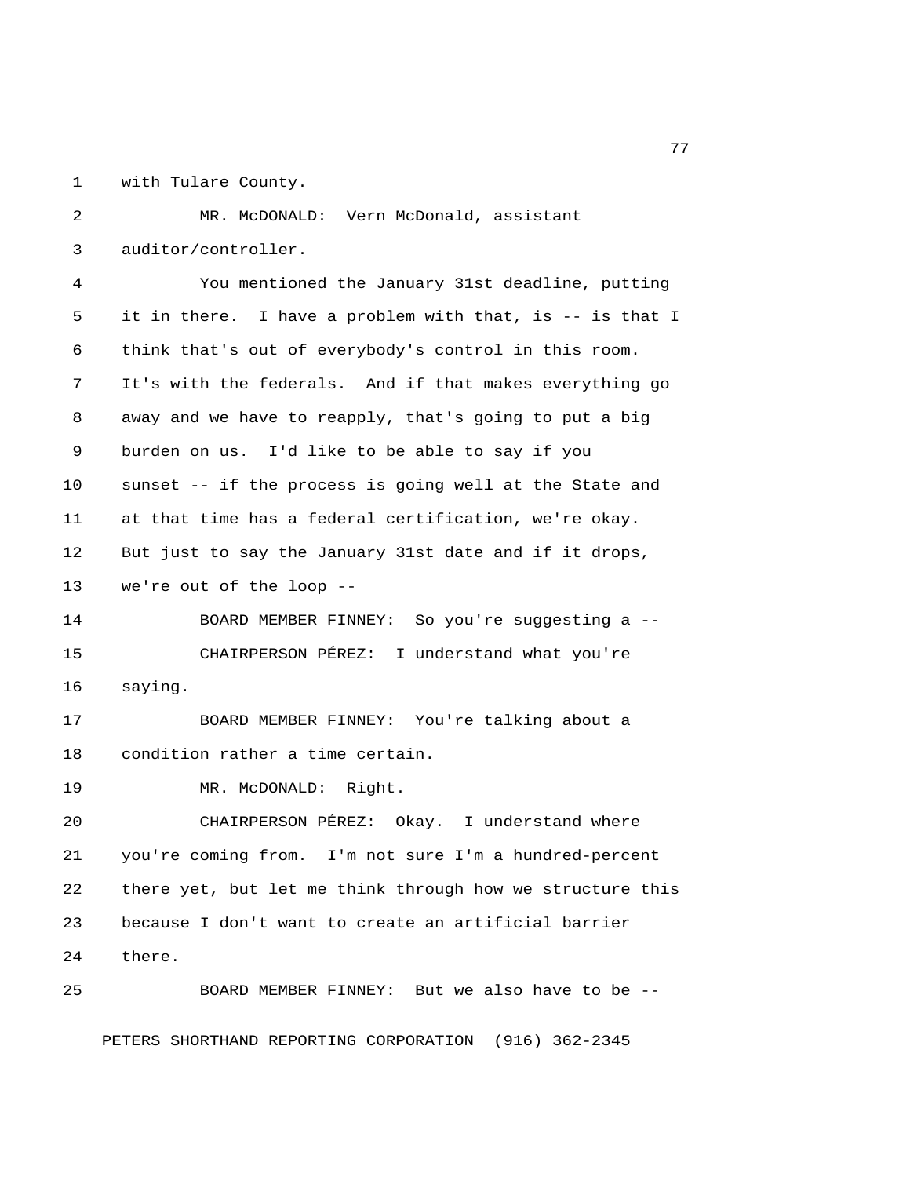1 with Tulare County.

 2 MR. McDONALD: Vern McDonald, assistant 3 auditor/controller. 4 You mentioned the January 31st deadline, putting 5 it in there. I have a problem with that, is -- is that I 6 think that's out of everybody's control in this room. 7 It's with the federals. And if that makes everything go 8 away and we have to reapply, that's going to put a big 9 burden on us. I'd like to be able to say if you 10 sunset -- if the process is going well at the State and 11 at that time has a federal certification, we're okay. 12 But just to say the January 31st date and if it drops, 13 we're out of the loop -- 14 BOARD MEMBER FINNEY: So you're suggesting a -- 15 CHAIRPERSON PÉREZ: I understand what you're 16 saying. 17 BOARD MEMBER FINNEY: You're talking about a 18 condition rather a time certain. 19 MR. McDONALD: Right. 20 CHAIRPERSON PÉREZ: Okay. I understand where 21 you're coming from. I'm not sure I'm a hundred-percent 22 there yet, but let me think through how we structure this 23 because I don't want to create an artificial barrier 24 there. 25 BOARD MEMBER FINNEY: But we also have to be --

PETERS SHORTHAND REPORTING CORPORATION (916) 362-2345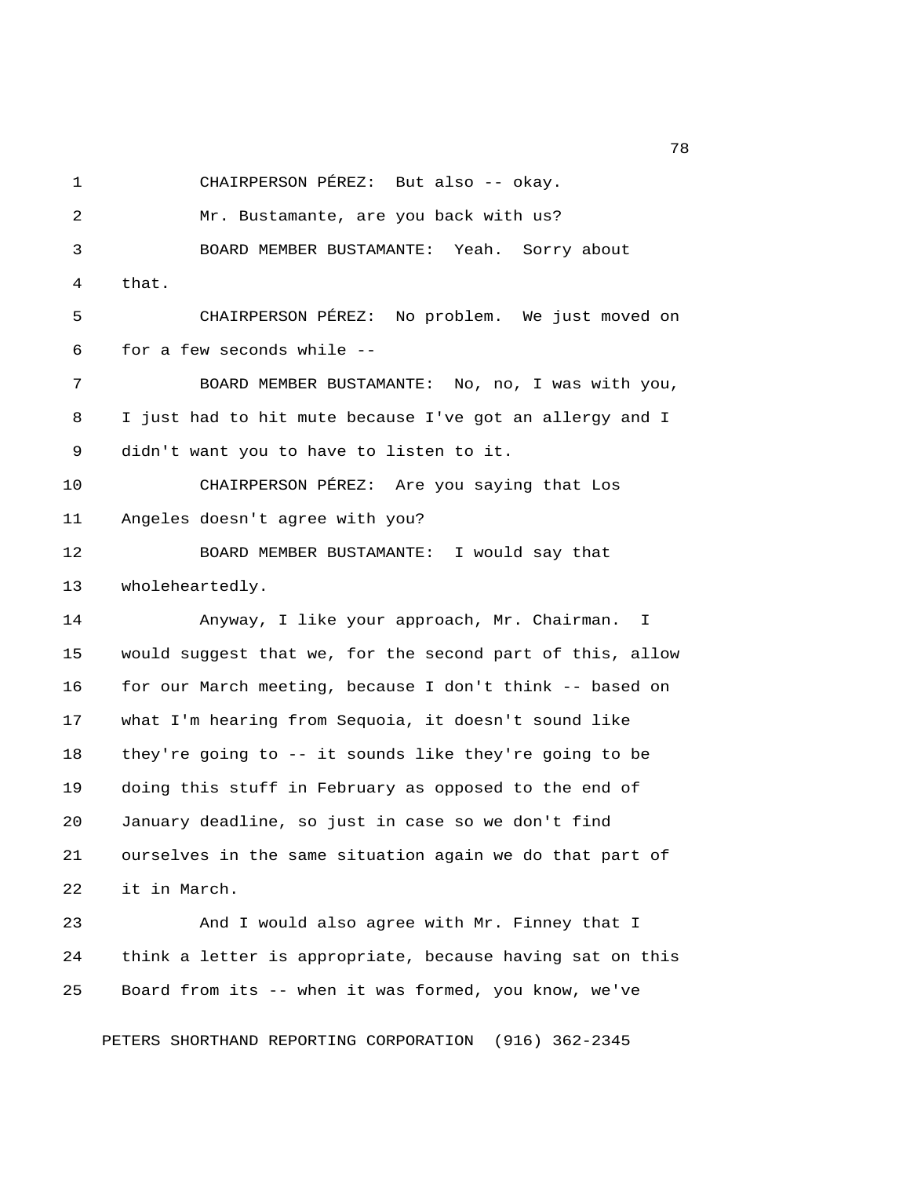1 CHAIRPERSON PÉREZ: But also -- okay.

 2 Mr. Bustamante, are you back with us? 3 BOARD MEMBER BUSTAMANTE: Yeah. Sorry about 4 that. 5 CHAIRPERSON PÉREZ: No problem. We just moved on 6 for a few seconds while -- 7 BOARD MEMBER BUSTAMANTE: No, no, I was with you, 8 I just had to hit mute because I've got an allergy and I 9 didn't want you to have to listen to it. 10 CHAIRPERSON PÉREZ: Are you saying that Los 11 Angeles doesn't agree with you? 12 BOARD MEMBER BUSTAMANTE: I would say that 13 wholeheartedly. 14 Anyway, I like your approach, Mr. Chairman. I 15 would suggest that we, for the second part of this, allow 16 for our March meeting, because I don't think -- based on 17 what I'm hearing from Sequoia, it doesn't sound like 18 they're going to -- it sounds like they're going to be 19 doing this stuff in February as opposed to the end of 20 January deadline, so just in case so we don't find 21 ourselves in the same situation again we do that part of 22 it in March. 23 And I would also agree with Mr. Finney that I 24 think a letter is appropriate, because having sat on this 25 Board from its -- when it was formed, you know, we've

PETERS SHORTHAND REPORTING CORPORATION (916) 362-2345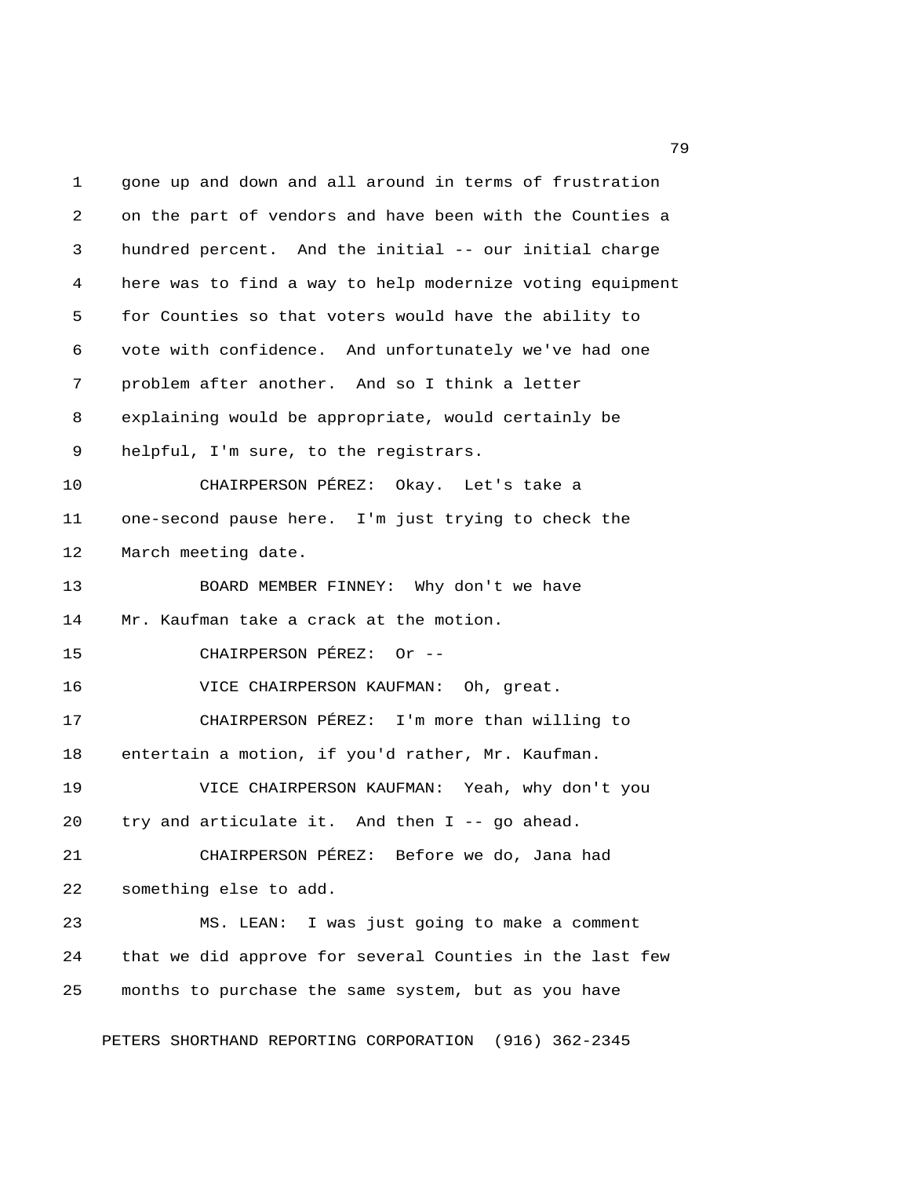1 gone up and down and all around in terms of frustration 2 on the part of vendors and have been with the Counties a 3 hundred percent. And the initial -- our initial charge 4 here was to find a way to help modernize voting equipment 5 for Counties so that voters would have the ability to 6 vote with confidence. And unfortunately we've had one 7 problem after another. And so I think a letter 8 explaining would be appropriate, would certainly be 9 helpful, I'm sure, to the registrars. 10 CHAIRPERSON PÉREZ: Okay. Let's take a 11 one-second pause here. I'm just trying to check the 12 March meeting date. 13 BOARD MEMBER FINNEY: Why don't we have 14 Mr. Kaufman take a crack at the motion. 15 CHAIRPERSON PÉREZ: Or -- 16 VICE CHAIRPERSON KAUFMAN: Oh, great. 17 CHAIRPERSON PÉREZ: I'm more than willing to 18 entertain a motion, if you'd rather, Mr. Kaufman. 19 VICE CHAIRPERSON KAUFMAN: Yeah, why don't you 20 try and articulate it. And then I -- go ahead. 21 CHAIRPERSON PÉREZ: Before we do, Jana had 22 something else to add. 23 MS. LEAN: I was just going to make a comment 24 that we did approve for several Counties in the last few 25 months to purchase the same system, but as you have

PETERS SHORTHAND REPORTING CORPORATION (916) 362-2345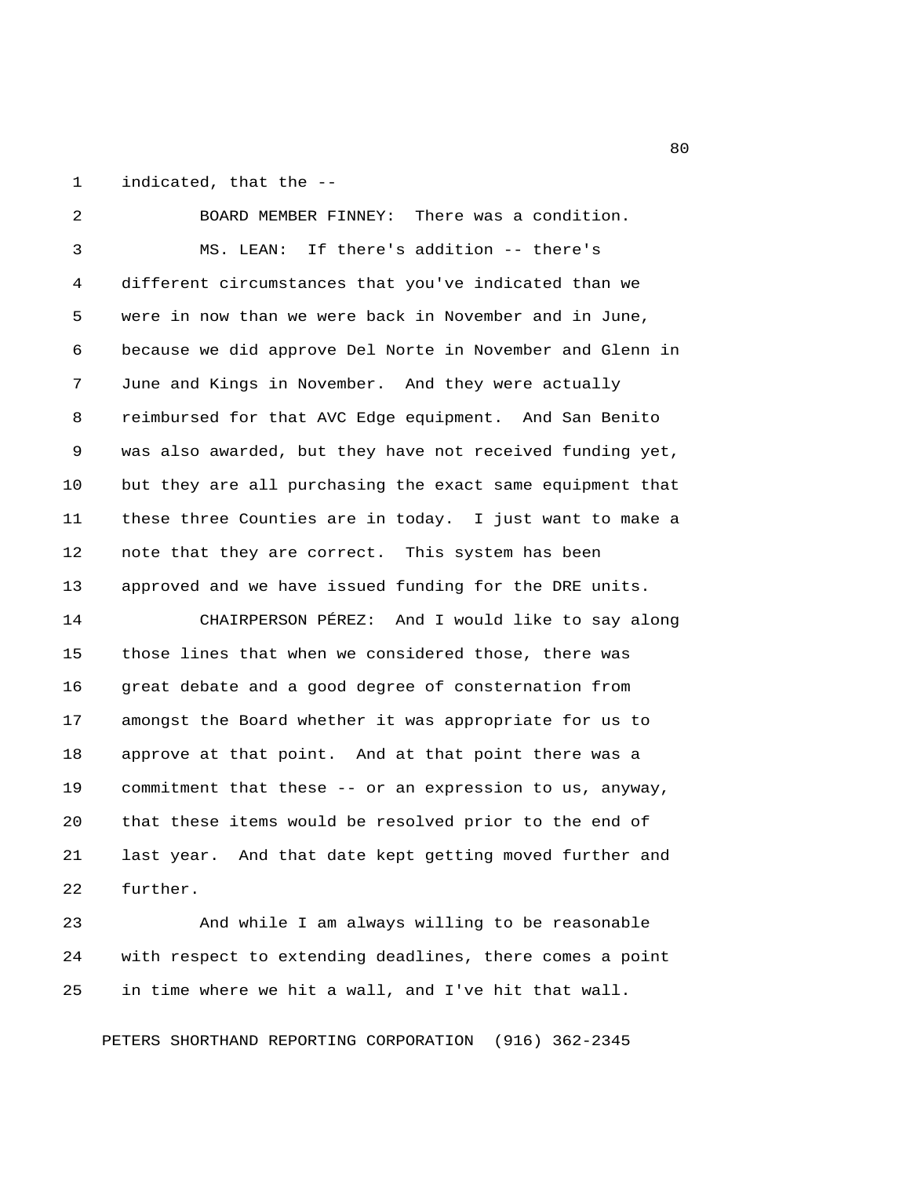1 indicated, that the --

 2 BOARD MEMBER FINNEY: There was a condition. 3 MS. LEAN: If there's addition -- there's 4 different circumstances that you've indicated than we 5 were in now than we were back in November and in June, 6 because we did approve Del Norte in November and Glenn in 7 June and Kings in November. And they were actually 8 reimbursed for that AVC Edge equipment. And San Benito 9 was also awarded, but they have not received funding yet, 10 but they are all purchasing the exact same equipment that 11 these three Counties are in today. I just want to make a 12 note that they are correct. This system has been 13 approved and we have issued funding for the DRE units. 14 CHAIRPERSON PÉREZ: And I would like to say along 15 those lines that when we considered those, there was 16 great debate and a good degree of consternation from 17 amongst the Board whether it was appropriate for us to 18 approve at that point. And at that point there was a 19 commitment that these -- or an expression to us, anyway, 20 that these items would be resolved prior to the end of 21 last year. And that date kept getting moved further and 22 further.

23 And while I am always willing to be reasonable 24 with respect to extending deadlines, there comes a point 25 in time where we hit a wall, and I've hit that wall.

PETERS SHORTHAND REPORTING CORPORATION (916) 362-2345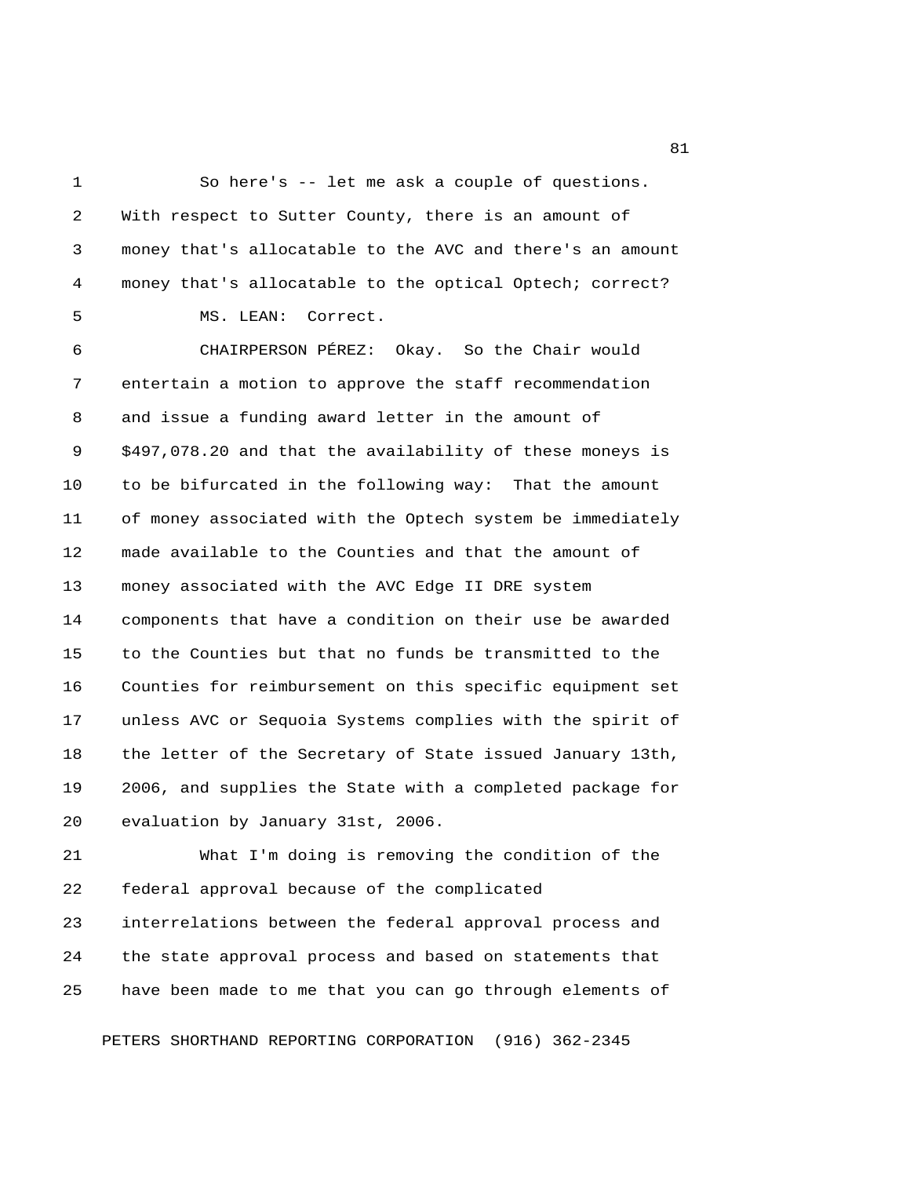1 So here's -- let me ask a couple of questions. 2 With respect to Sutter County, there is an amount of 3 money that's allocatable to the AVC and there's an amount 4 money that's allocatable to the optical Optech; correct? 5 MS. LEAN: Correct. 6 CHAIRPERSON PÉREZ: Okay. So the Chair would 7 entertain a motion to approve the staff recommendation 8 and issue a funding award letter in the amount of 9 \$497,078.20 and that the availability of these moneys is 10 to be bifurcated in the following way: That the amount 11 of money associated with the Optech system be immediately 12 made available to the Counties and that the amount of 13 money associated with the AVC Edge II DRE system 14 components that have a condition on their use be awarded 15 to the Counties but that no funds be transmitted to the 16 Counties for reimbursement on this specific equipment set 17 unless AVC or Sequoia Systems complies with the spirit of 18 the letter of the Secretary of State issued January 13th, 19 2006, and supplies the State with a completed package for 20 evaluation by January 31st, 2006. 21 What I'm doing is removing the condition of the

22 federal approval because of the complicated 23 interrelations between the federal approval process and 24 the state approval process and based on statements that 25 have been made to me that you can go through elements of

PETERS SHORTHAND REPORTING CORPORATION (916) 362-2345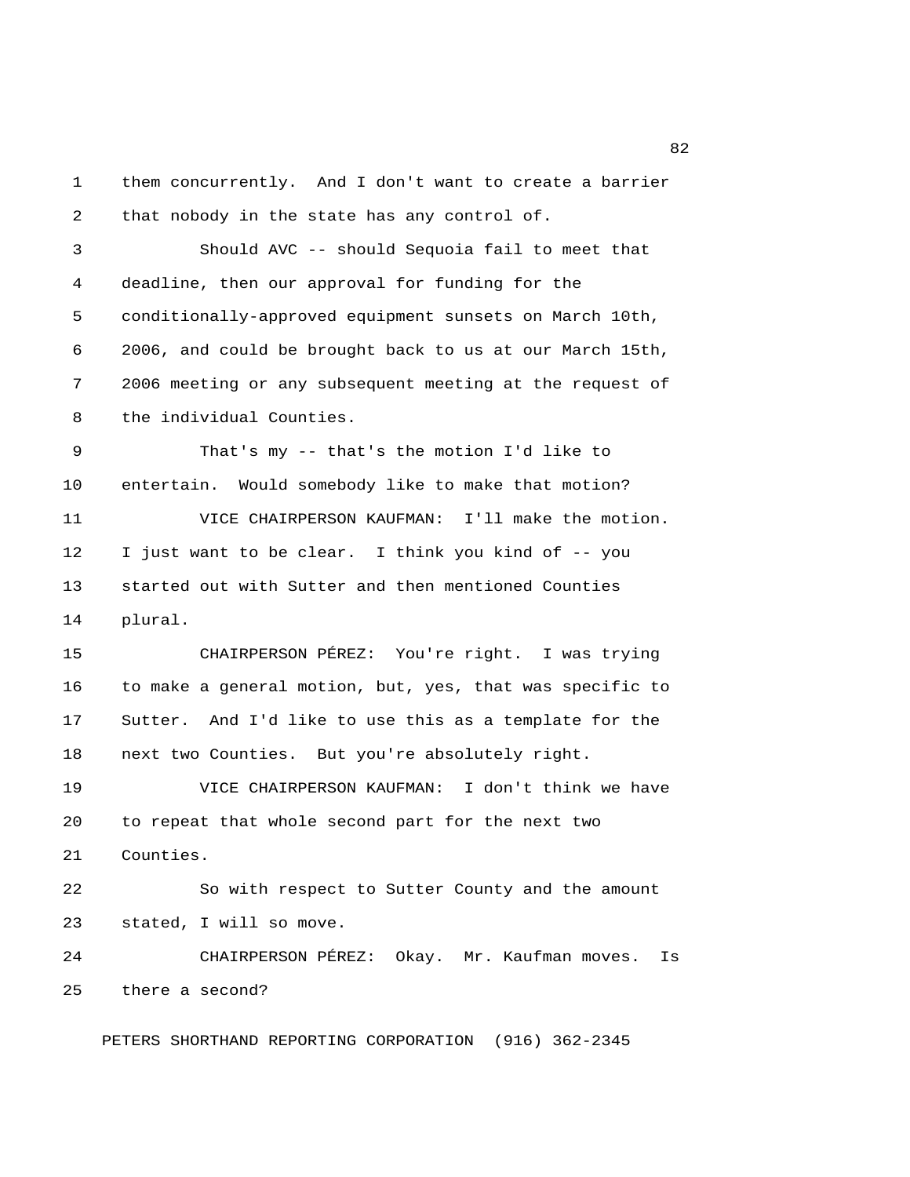1 them concurrently. And I don't want to create a barrier 2 that nobody in the state has any control of. 3 Should AVC -- should Sequoia fail to meet that 4 deadline, then our approval for funding for the 5 conditionally-approved equipment sunsets on March 10th, 6 2006, and could be brought back to us at our March 15th, 7 2006 meeting or any subsequent meeting at the request of 8 the individual Counties. 9 That's my -- that's the motion I'd like to 10 entertain. Would somebody like to make that motion? 11 VICE CHAIRPERSON KAUFMAN: I'll make the motion. 12 I just want to be clear. I think you kind of -- you 13 started out with Sutter and then mentioned Counties 14 plural. 15 CHAIRPERSON PÉREZ: You're right. I was trying 16 to make a general motion, but, yes, that was specific to 17 Sutter. And I'd like to use this as a template for the 18 next two Counties. But you're absolutely right. 19 VICE CHAIRPERSON KAUFMAN: I don't think we have 20 to repeat that whole second part for the next two 21 Counties. 22 So with respect to Sutter County and the amount 23 stated, I will so move. 24 CHAIRPERSON PÉREZ: Okay. Mr. Kaufman moves. Is 25 there a second? PETERS SHORTHAND REPORTING CORPORATION (916) 362-2345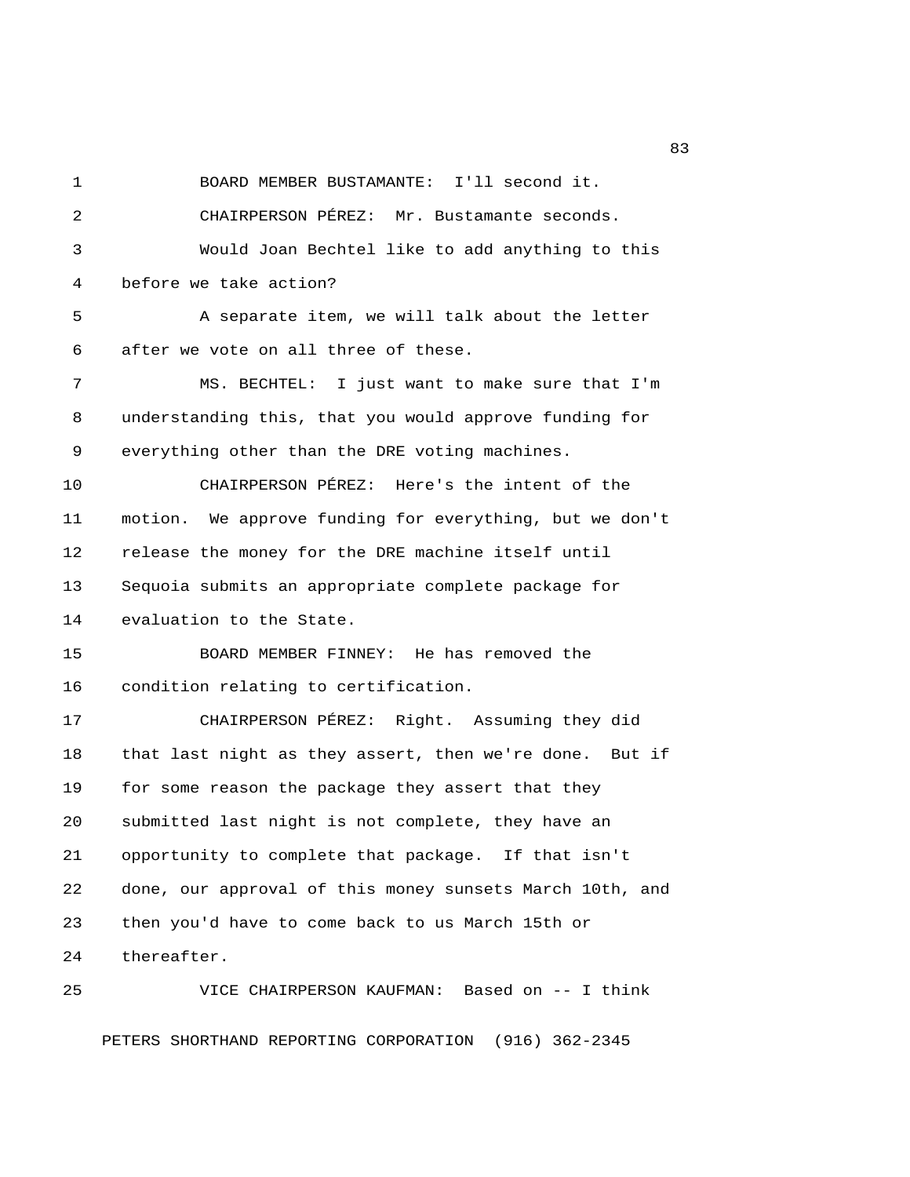1 BOARD MEMBER BUSTAMANTE: I'll second it.

 2 CHAIRPERSON PÉREZ: Mr. Bustamante seconds. 3 Would Joan Bechtel like to add anything to this 4 before we take action?

 5 A separate item, we will talk about the letter 6 after we vote on all three of these.

 7 MS. BECHTEL: I just want to make sure that I'm 8 understanding this, that you would approve funding for 9 everything other than the DRE voting machines.

10 CHAIRPERSON PÉREZ: Here's the intent of the 11 motion. We approve funding for everything, but we don't 12 release the money for the DRE machine itself until 13 Sequoia submits an appropriate complete package for 14 evaluation to the State.

15 BOARD MEMBER FINNEY: He has removed the 16 condition relating to certification.

17 CHAIRPERSON PÉREZ: Right. Assuming they did 18 that last night as they assert, then we're done. But if 19 for some reason the package they assert that they 20 submitted last night is not complete, they have an 21 opportunity to complete that package. If that isn't 22 done, our approval of this money sunsets March 10th, and 23 then you'd have to come back to us March 15th or 24 thereafter.

25 VICE CHAIRPERSON KAUFMAN: Based on -- I think PETERS SHORTHAND REPORTING CORPORATION (916) 362-2345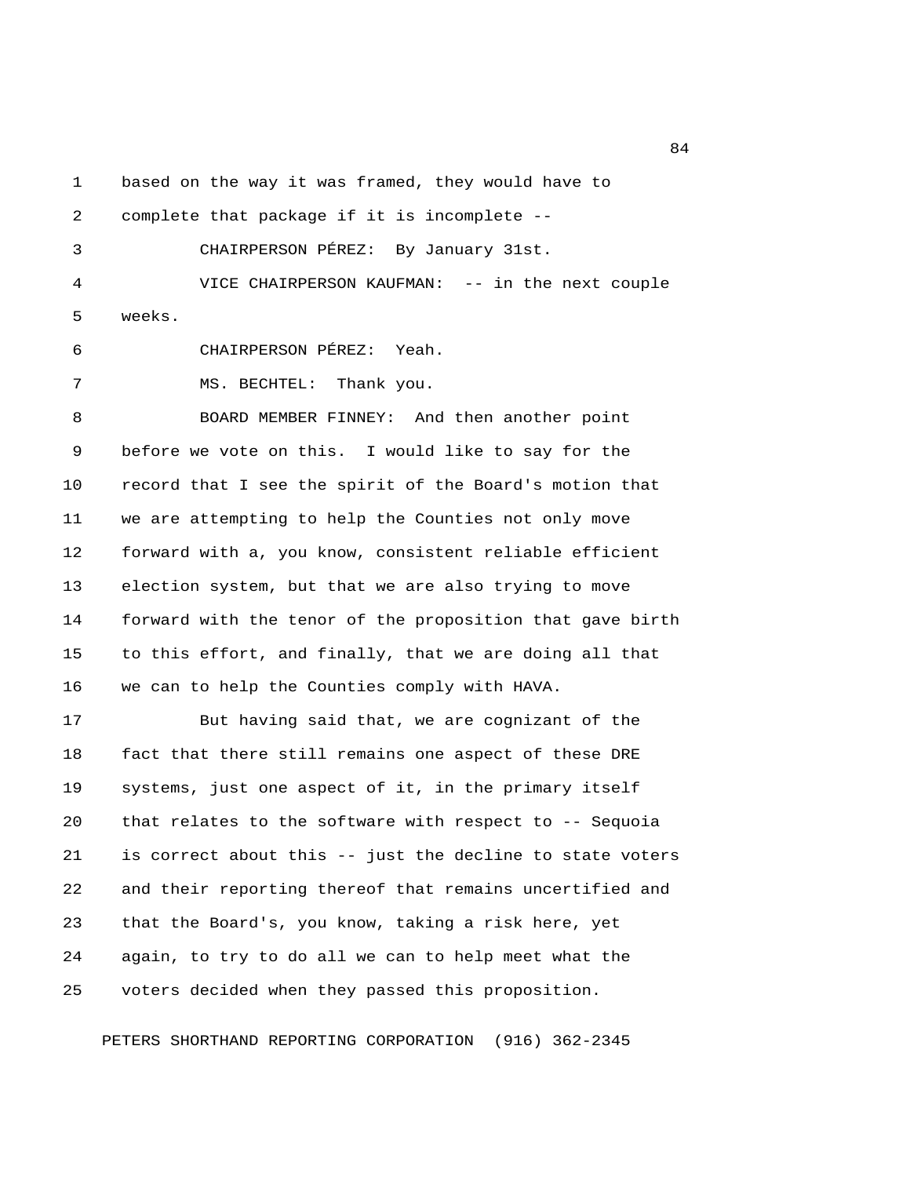1 based on the way it was framed, they would have to

2 complete that package if it is incomplete --

3 CHAIRPERSON PÉREZ: By January 31st.

 4 VICE CHAIRPERSON KAUFMAN: -- in the next couple 5 weeks.

6 CHAIRPERSON PÉREZ: Yeah.

7 MS. BECHTEL: Thank you.

 8 BOARD MEMBER FINNEY: And then another point 9 before we vote on this. I would like to say for the 10 record that I see the spirit of the Board's motion that 11 we are attempting to help the Counties not only move 12 forward with a, you know, consistent reliable efficient 13 election system, but that we are also trying to move 14 forward with the tenor of the proposition that gave birth 15 to this effort, and finally, that we are doing all that 16 we can to help the Counties comply with HAVA.

17 But having said that, we are cognizant of the 18 fact that there still remains one aspect of these DRE 19 systems, just one aspect of it, in the primary itself 20 that relates to the software with respect to -- Sequoia 21 is correct about this -- just the decline to state voters 22 and their reporting thereof that remains uncertified and 23 that the Board's, you know, taking a risk here, yet 24 again, to try to do all we can to help meet what the 25 voters decided when they passed this proposition.

PETERS SHORTHAND REPORTING CORPORATION (916) 362-2345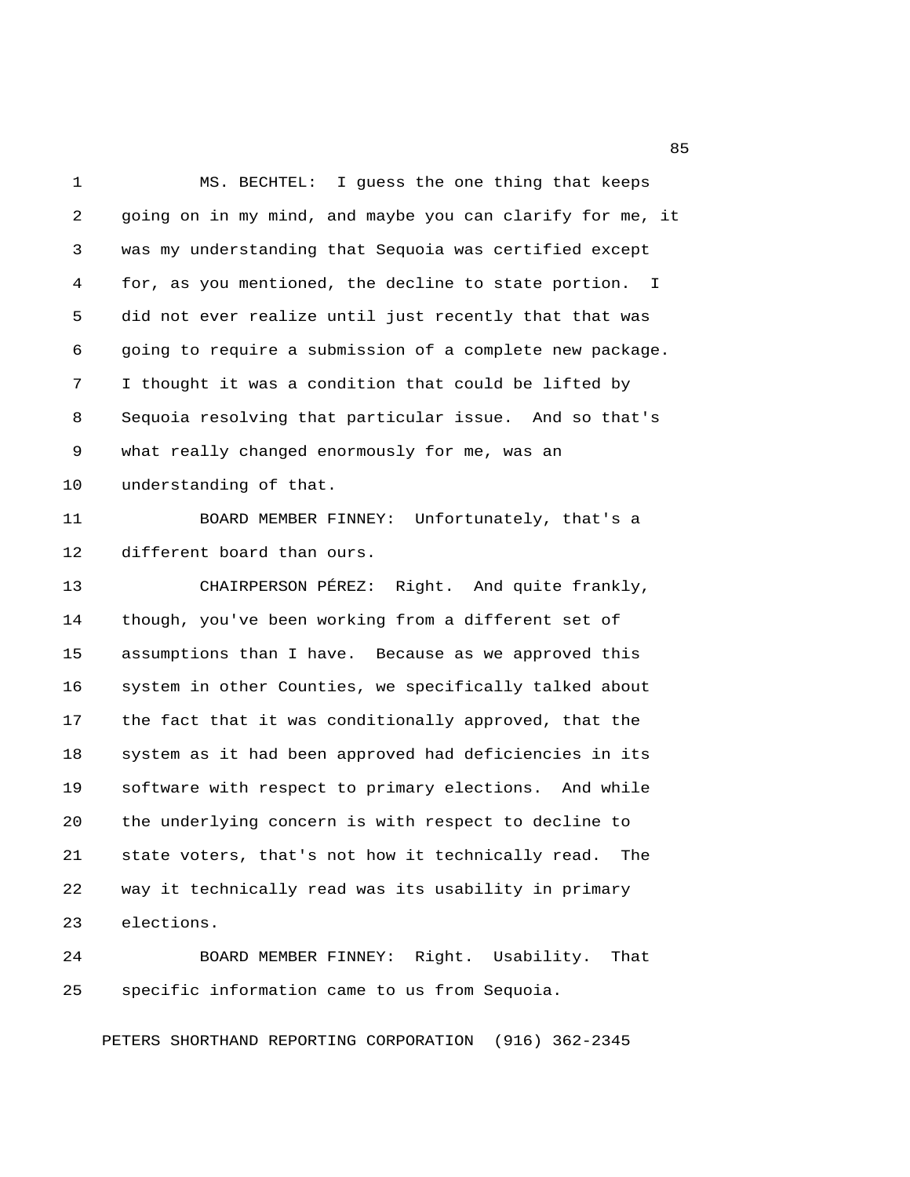1 MS. BECHTEL: I guess the one thing that keeps 2 going on in my mind, and maybe you can clarify for me, it 3 was my understanding that Sequoia was certified except 4 for, as you mentioned, the decline to state portion. I 5 did not ever realize until just recently that that was 6 going to require a submission of a complete new package. 7 I thought it was a condition that could be lifted by 8 Sequoia resolving that particular issue. And so that's 9 what really changed enormously for me, was an 10 understanding of that. 11 BOARD MEMBER FINNEY: Unfortunately, that's a 12 different board than ours. 13 CHAIRPERSON PÉREZ: Right. And quite frankly, 14 though, you've been working from a different set of 15 assumptions than I have. Because as we approved this 16 system in other Counties, we specifically talked about 17 the fact that it was conditionally approved, that the 18 system as it had been approved had deficiencies in its 19 software with respect to primary elections. And while 20 the underlying concern is with respect to decline to 21 state voters, that's not how it technically read. The 22 way it technically read was its usability in primary 23 elections. 24 BOARD MEMBER FINNEY: Right. Usability. That

25 specific information came to us from Sequoia.

PETERS SHORTHAND REPORTING CORPORATION (916) 362-2345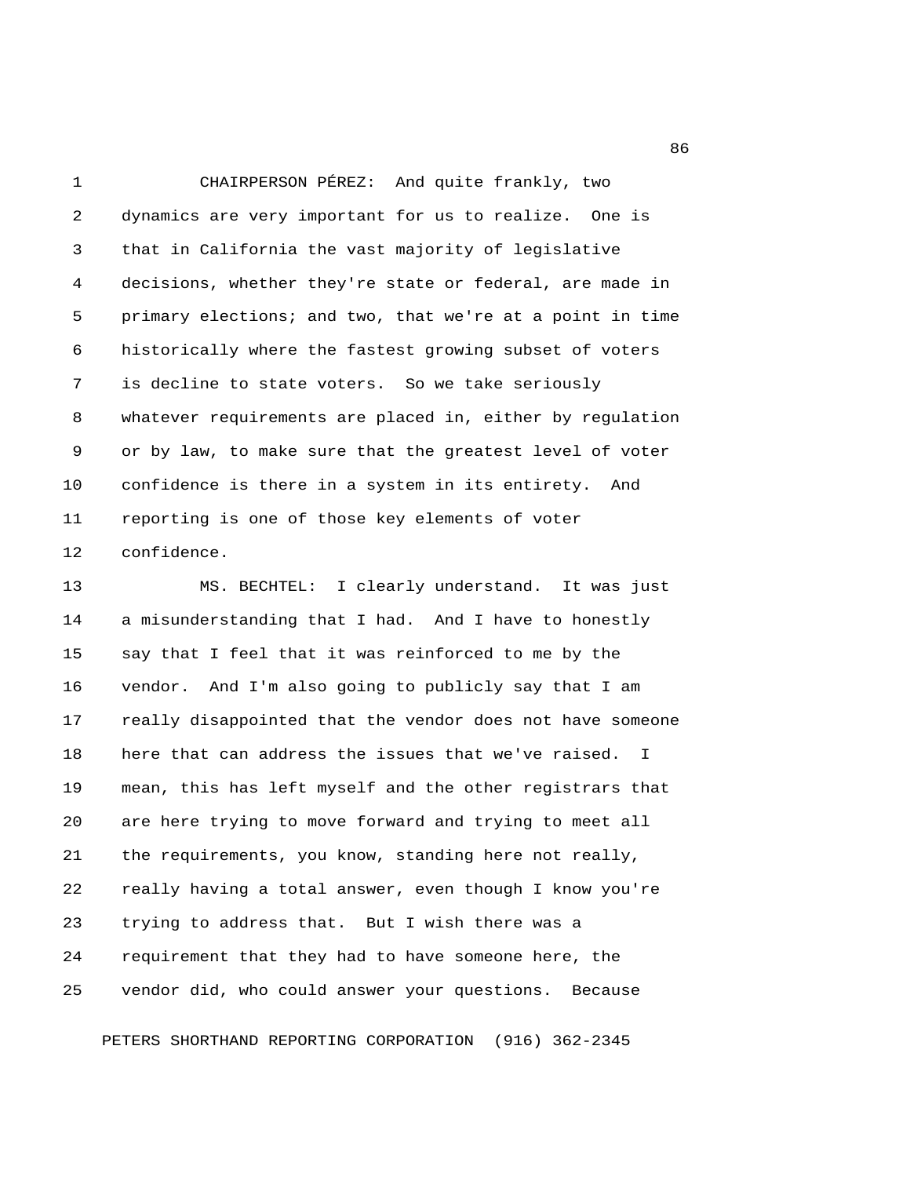1 CHAIRPERSON PÉREZ: And quite frankly, two 2 dynamics are very important for us to realize. One is 3 that in California the vast majority of legislative 4 decisions, whether they're state or federal, are made in 5 primary elections; and two, that we're at a point in time 6 historically where the fastest growing subset of voters 7 is decline to state voters. So we take seriously 8 whatever requirements are placed in, either by regulation 9 or by law, to make sure that the greatest level of voter 10 confidence is there in a system in its entirety. And 11 reporting is one of those key elements of voter 12 confidence.

13 MS. BECHTEL: I clearly understand. It was just 14 a misunderstanding that I had. And I have to honestly 15 say that I feel that it was reinforced to me by the 16 vendor. And I'm also going to publicly say that I am 17 really disappointed that the vendor does not have someone 18 here that can address the issues that we've raised. I 19 mean, this has left myself and the other registrars that 20 are here trying to move forward and trying to meet all 21 the requirements, you know, standing here not really, 22 really having a total answer, even though I know you're 23 trying to address that. But I wish there was a 24 requirement that they had to have someone here, the 25 vendor did, who could answer your questions. Because

PETERS SHORTHAND REPORTING CORPORATION (916) 362-2345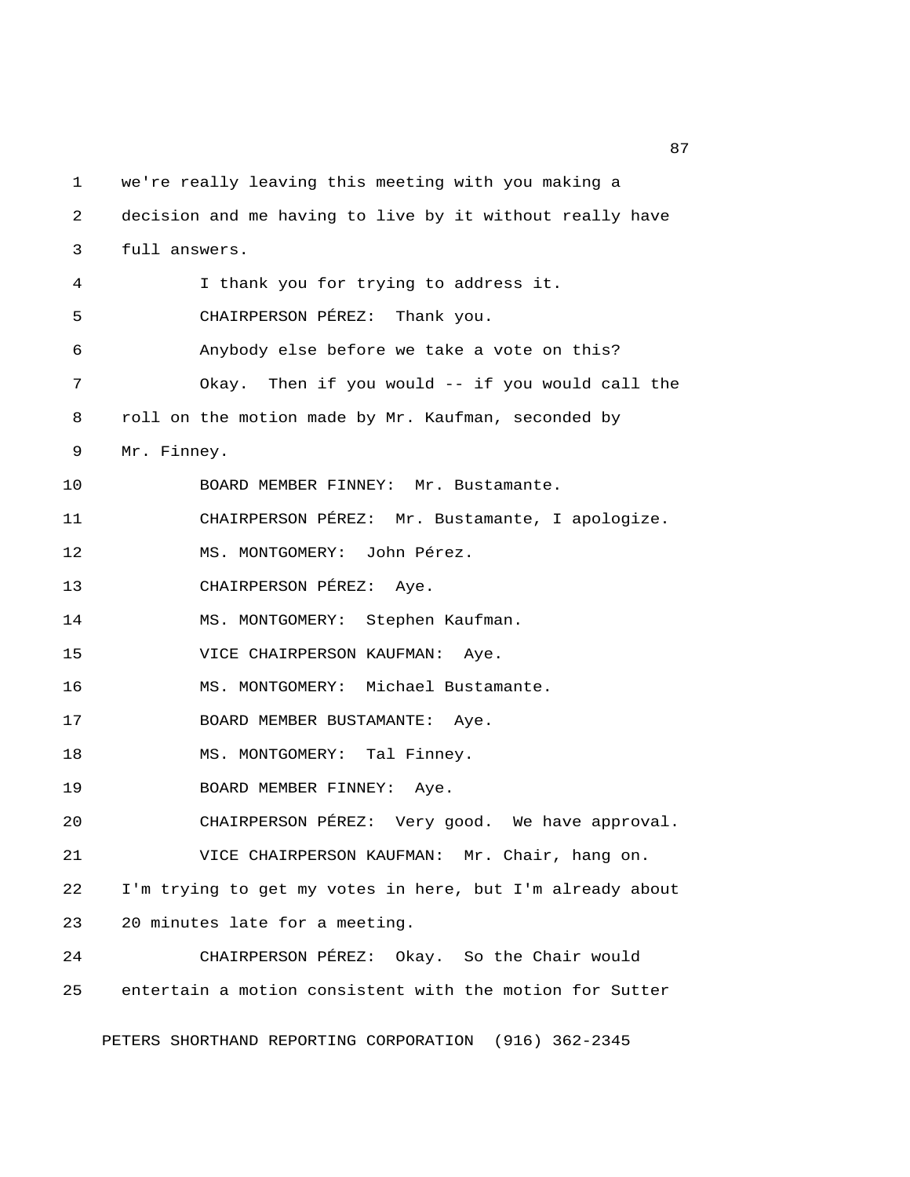1 we're really leaving this meeting with you making a 2 decision and me having to live by it without really have 3 full answers. 4 I thank you for trying to address it. 5 CHAIRPERSON PÉREZ: Thank you. 6 Anybody else before we take a vote on this? 7 Okay. Then if you would -- if you would call the 8 roll on the motion made by Mr. Kaufman, seconded by 9 Mr. Finney. 10 BOARD MEMBER FINNEY: Mr. Bustamante. 11 CHAIRPERSON PÉREZ: Mr. Bustamante, I apologize. 12 MS. MONTGOMERY: John Pérez. 13 CHAIRPERSON PÉREZ: Aye. 14 MS. MONTGOMERY: Stephen Kaufman. 15 VICE CHAIRPERSON KAUFMAN: Aye. 16 MS. MONTGOMERY: Michael Bustamante. 17 BOARD MEMBER BUSTAMANTE: Aye. 18 MS. MONTGOMERY: Tal Finney. 19 BOARD MEMBER FINNEY: Aye. 20 CHAIRPERSON PÉREZ: Very good. We have approval. 21 VICE CHAIRPERSON KAUFMAN: Mr. Chair, hang on. 22 I'm trying to get my votes in here, but I'm already about 23 20 minutes late for a meeting. 24 CHAIRPERSON PÉREZ: Okay. So the Chair would 25 entertain a motion consistent with the motion for Sutter PETERS SHORTHAND REPORTING CORPORATION (916) 362-2345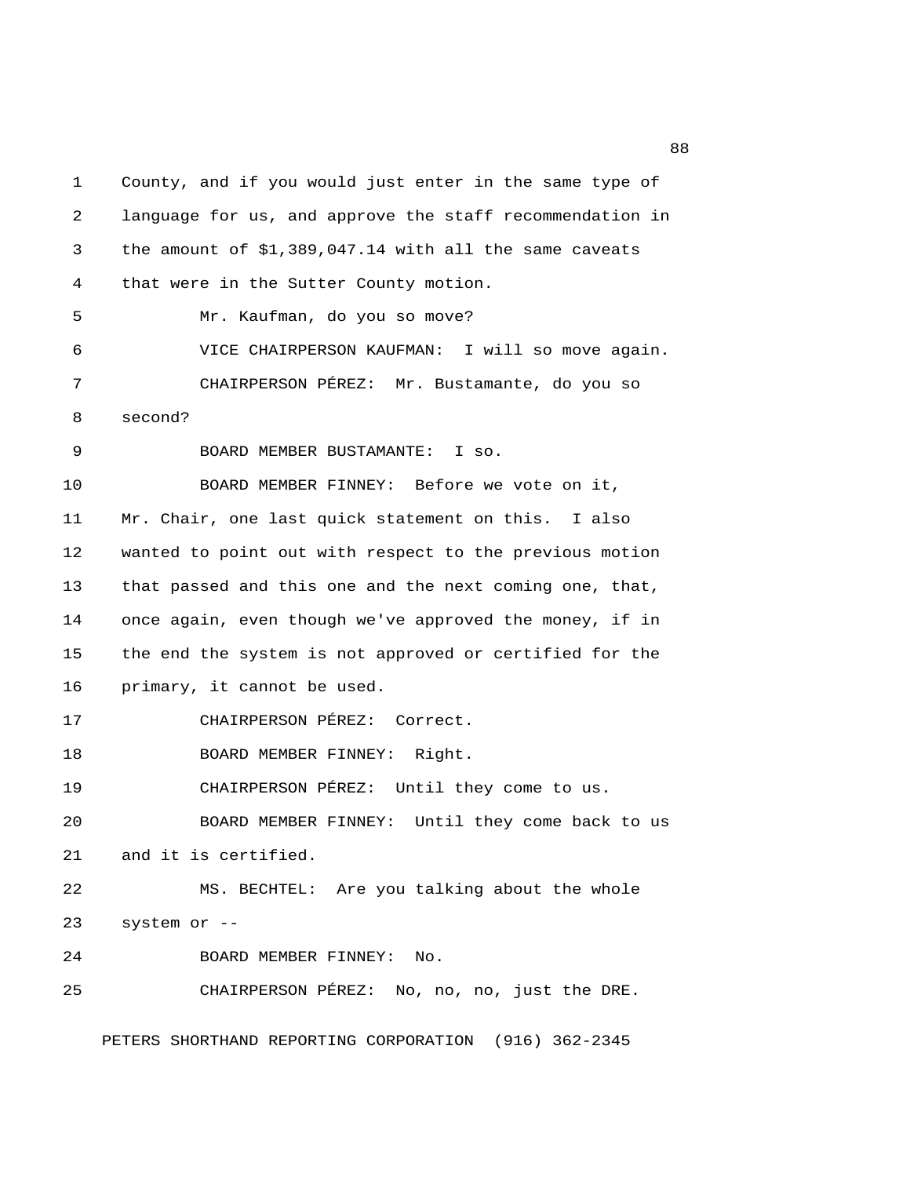1 County, and if you would just enter in the same type of 2 language for us, and approve the staff recommendation in 3 the amount of \$1,389,047.14 with all the same caveats 4 that were in the Sutter County motion. 5 Mr. Kaufman, do you so move? 6 VICE CHAIRPERSON KAUFMAN: I will so move again. 7 CHAIRPERSON PÉREZ: Mr. Bustamante, do you so 8 second? 9 BOARD MEMBER BUSTAMANTE: I so. 10 BOARD MEMBER FINNEY: Before we vote on it, 11 Mr. Chair, one last quick statement on this. I also 12 wanted to point out with respect to the previous motion 13 that passed and this one and the next coming one, that, 14 once again, even though we've approved the money, if in 15 the end the system is not approved or certified for the 16 primary, it cannot be used. 17 CHAIRPERSON PÉREZ: Correct. 18 BOARD MEMBER FINNEY: Right. 19 CHAIRPERSON PÉREZ: Until they come to us. 20 BOARD MEMBER FINNEY: Until they come back to us 21 and it is certified. 22 MS. BECHTEL: Are you talking about the whole 23 system or -- 24 BOARD MEMBER FINNEY: No. 25 CHAIRPERSON PÉREZ: No, no, no, just the DRE.

PETERS SHORTHAND REPORTING CORPORATION (916) 362-2345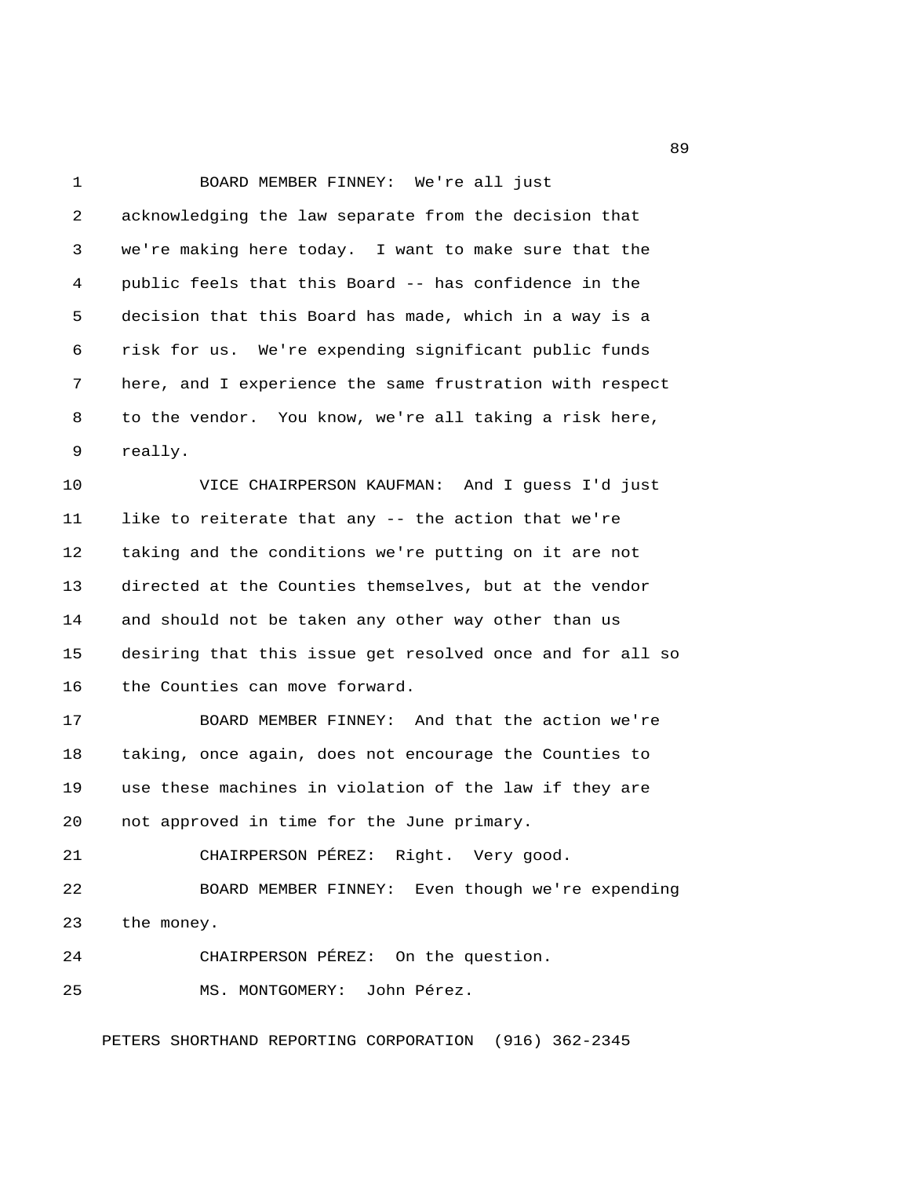1 BOARD MEMBER FINNEY: We're all just 2 acknowledging the law separate from the decision that 3 we're making here today. I want to make sure that the 4 public feels that this Board -- has confidence in the 5 decision that this Board has made, which in a way is a 6 risk for us. We're expending significant public funds 7 here, and I experience the same frustration with respect 8 to the vendor. You know, we're all taking a risk here, 9 really. 10 VICE CHAIRPERSON KAUFMAN: And I guess I'd just 11 like to reiterate that any -- the action that we're 12 taking and the conditions we're putting on it are not 13 directed at the Counties themselves, but at the vendor 14 and should not be taken any other way other than us 15 desiring that this issue get resolved once and for all so 16 the Counties can move forward. 17 BOARD MEMBER FINNEY: And that the action we're 18 taking, once again, does not encourage the Counties to 19 use these machines in violation of the law if they are 20 not approved in time for the June primary. 21 CHAIRPERSON PÉREZ: Right. Very good. 22 BOARD MEMBER FINNEY: Even though we're expending 23 the money. 24 CHAIRPERSON PÉREZ: On the question. 25 MS. MONTGOMERY: John Pérez. PETERS SHORTHAND REPORTING CORPORATION (916) 362-2345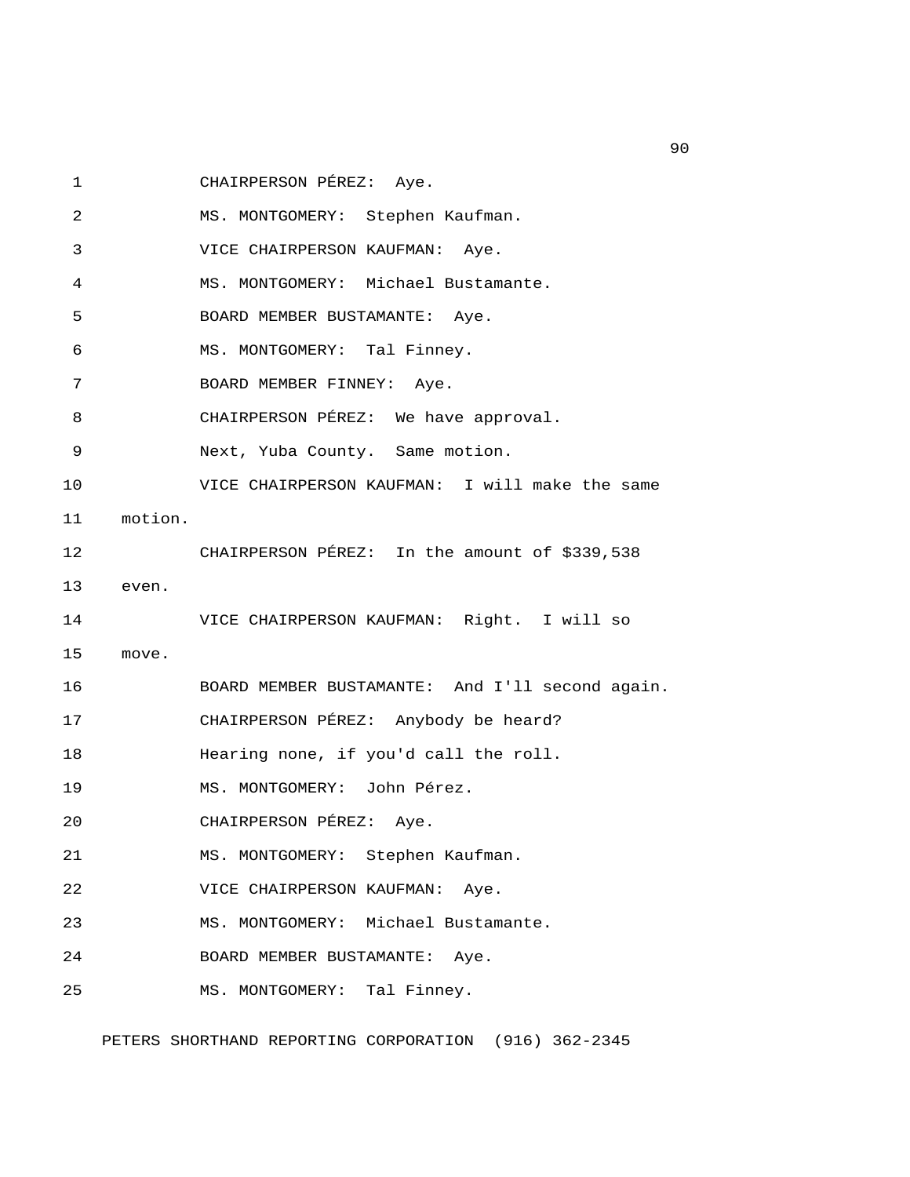1 CHAIRPERSON PÉREZ: Aye.

 2 MS. MONTGOMERY: Stephen Kaufman. 3 VICE CHAIRPERSON KAUFMAN: Aye. 4 MS. MONTGOMERY: Michael Bustamante. 5 BOARD MEMBER BUSTAMANTE: Aye. 6 MS. MONTGOMERY: Tal Finney. 7 BOARD MEMBER FINNEY: Aye. 8 CHAIRPERSON PÉREZ: We have approval. 9 Next, Yuba County. Same motion. 10 VICE CHAIRPERSON KAUFMAN: I will make the same 11 motion. 12 CHAIRPERSON PÉREZ: In the amount of \$339,538 13 even. 14 VICE CHAIRPERSON KAUFMAN: Right. I will so 15 move. 16 BOARD MEMBER BUSTAMANTE: And I'll second again. 17 CHAIRPERSON PÉREZ: Anybody be heard? 18 Hearing none, if you'd call the roll. 19 MS. MONTGOMERY: John Pérez. 20 CHAIRPERSON PÉREZ: Aye. 21 MS. MONTGOMERY: Stephen Kaufman. 22 VICE CHAIRPERSON KAUFMAN: Aye. 23 MS. MONTGOMERY: Michael Bustamante. 24 BOARD MEMBER BUSTAMANTE: Aye. 25 MS. MONTGOMERY: Tal Finney.

PETERS SHORTHAND REPORTING CORPORATION (916) 362-2345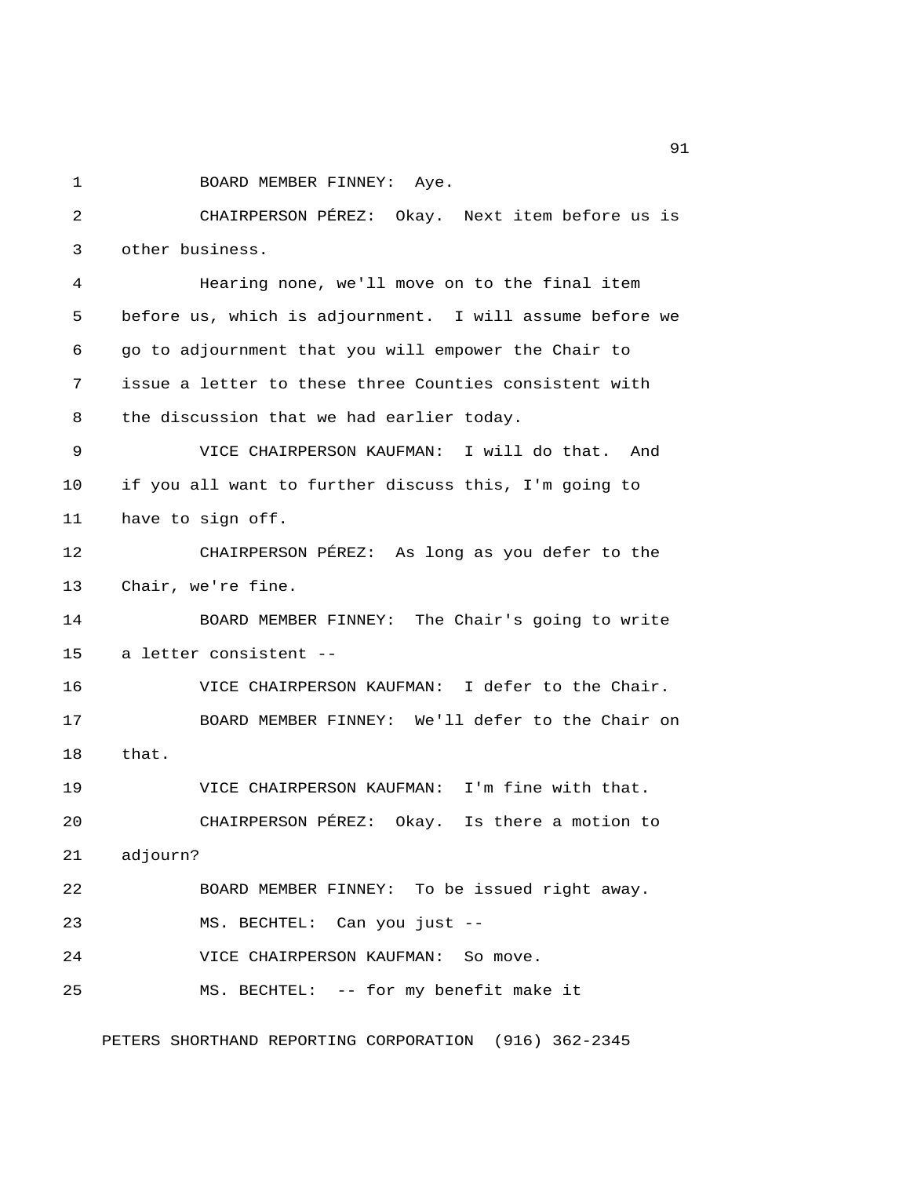1 BOARD MEMBER FINNEY: Aye. 2 CHAIRPERSON PÉREZ: Okay. Next item before us is 3 other business. 4 Hearing none, we'll move on to the final item 5 before us, which is adjournment. I will assume before we 6 go to adjournment that you will empower the Chair to 7 issue a letter to these three Counties consistent with 8 the discussion that we had earlier today. 9 VICE CHAIRPERSON KAUFMAN: I will do that. And 10 if you all want to further discuss this, I'm going to 11 have to sign off. 12 CHAIRPERSON PÉREZ: As long as you defer to the 13 Chair, we're fine. 14 BOARD MEMBER FINNEY: The Chair's going to write 15 a letter consistent -- 16 VICE CHAIRPERSON KAUFMAN: I defer to the Chair. 17 BOARD MEMBER FINNEY: We'll defer to the Chair on 18 that. 19 VICE CHAIRPERSON KAUFMAN: I'm fine with that. 20 CHAIRPERSON PÉREZ: Okay. Is there a motion to 21 adjourn? 22 BOARD MEMBER FINNEY: To be issued right away. 23 MS. BECHTEL: Can you just -- 24 VICE CHAIRPERSON KAUFMAN: So move. 25 MS. BECHTEL: -- for my benefit make it

PETERS SHORTHAND REPORTING CORPORATION (916) 362-2345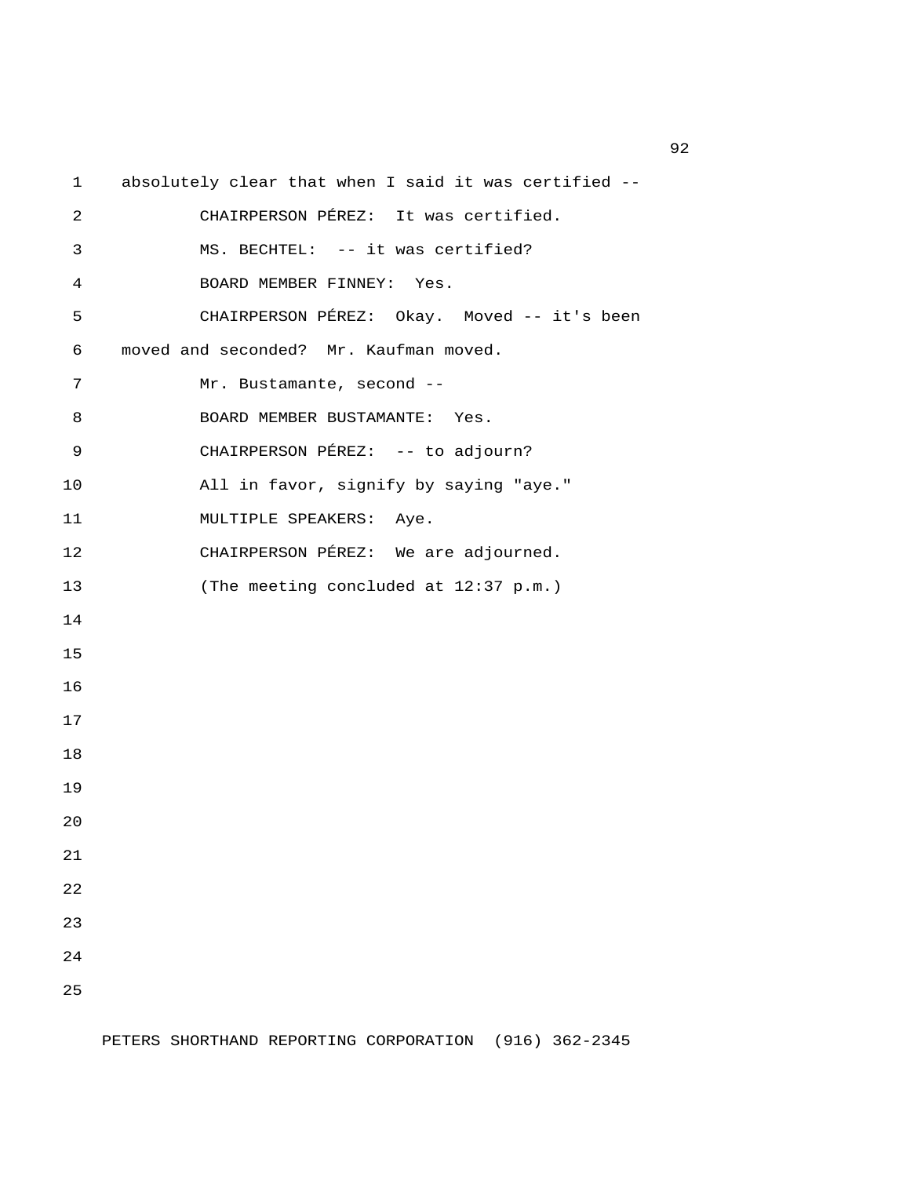1 absolutely clear that when I said it was certified -- 2 CHAIRPERSON PÉREZ: It was certified. 3 MS. BECHTEL: -- it was certified? 4 BOARD MEMBER FINNEY: Yes. 5 CHAIRPERSON PÉREZ: Okay. Moved -- it's been 6 moved and seconded? Mr. Kaufman moved. 7 Mr. Bustamante, second --8 BOARD MEMBER BUSTAMANTE: Yes. 9 CHAIRPERSON PÉREZ: -- to adjourn? 10 All in favor, signify by saying "aye." 11 MULTIPLE SPEAKERS: Aye. 12 CHAIRPERSON PÉREZ: We are adjourned. 13 (The meeting concluded at 12:37 p.m.) 14 15 16 17 18 19 20 21 22 23 24 25